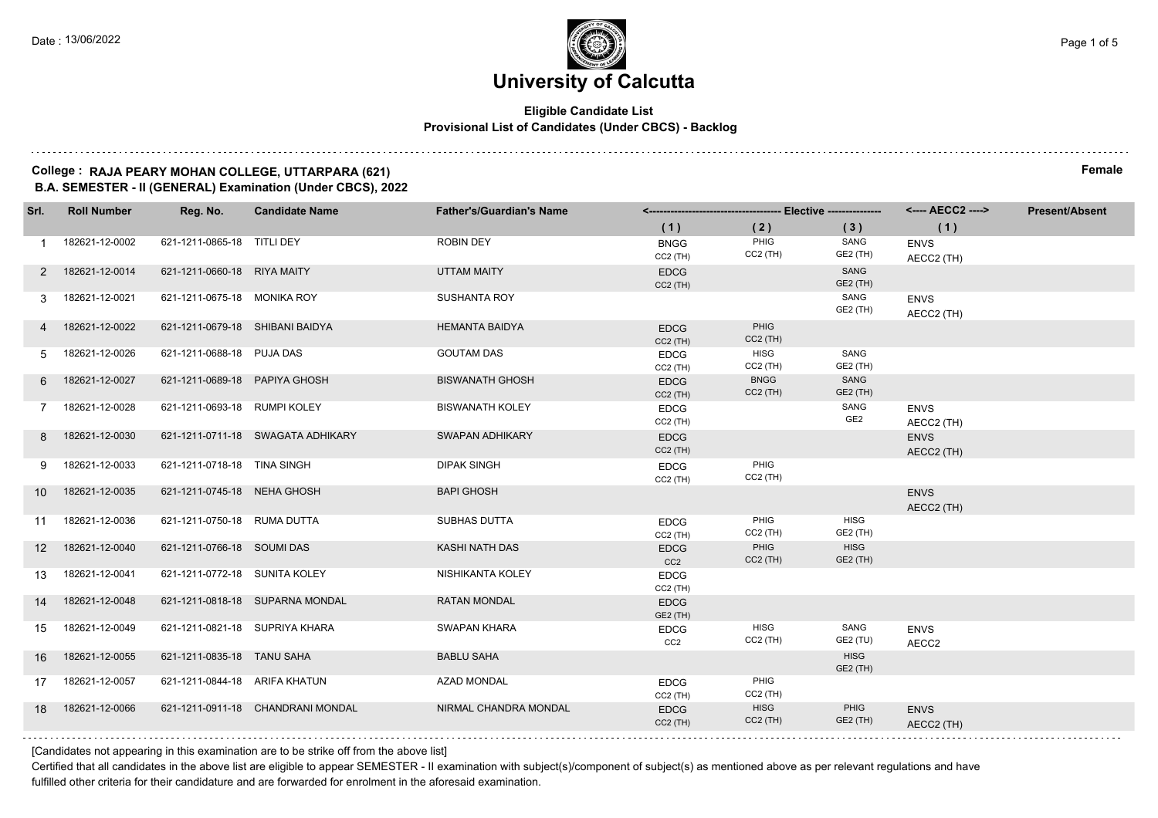#### **Eligible Candidate List Provisional List of Candidates (Under CBCS) - Backlog**

#### **College : RAJA PEARY MOHAN COLLEGE, UTTARPARA (621) Female B.A. SEMESTER - II (GENERAL) Examination (Under CBCS), 2022**

| Srl.            | <b>Roll Number</b> | Reg. No.                        | <b>Candidate Name</b>             | <b>Father's/Guardian's Name</b> |                                |                           |                                | <---- AECC2 ---->         | <b>Present/Absent</b> |
|-----------------|--------------------|---------------------------------|-----------------------------------|---------------------------------|--------------------------------|---------------------------|--------------------------------|---------------------------|-----------------------|
|                 |                    |                                 |                                   |                                 | (1)                            | (2)                       | (3)                            | (1)                       |                       |
|                 | 182621-12-0002     | 621-1211-0865-18 TITLI DEY      |                                   | <b>ROBIN DEY</b>                | <b>BNGG</b><br>$CC2$ (TH)      | PHIG<br>$CC2$ (TH)        | SANG<br>GE2 (TH)               | <b>ENVS</b><br>AECC2 (TH) |                       |
| 2               | 182621-12-0014     | 621-1211-0660-18 RIYA MAITY     |                                   | UTTAM MAITY                     | <b>EDCG</b><br>$CC2$ (TH)      |                           | SANG<br>GE2 (TH)               |                           |                       |
| 3               | 182621-12-0021     | 621-1211-0675-18 MONIKA ROY     |                                   | <b>SUSHANTA ROY</b>             |                                |                           | SANG<br>GE2 (TH)               | <b>ENVS</b><br>AECC2 (TH) |                       |
|                 | 182621-12-0022     | 621-1211-0679-18 SHIBANI BAIDYA |                                   | <b>HEMANTA BAIDYA</b>           | <b>EDCG</b><br>$CC2$ (TH)      | <b>PHIG</b><br>$CC2$ (TH) |                                |                           |                       |
| 5.              | 182621-12-0026     | 621-1211-0688-18 PUJA DAS       |                                   | <b>GOUTAM DAS</b>               | <b>EDCG</b><br>$CC2$ (TH)      | <b>HISG</b><br>$CC2$ (TH) | SANG<br>GE2 (TH)               |                           |                       |
| 6.              | 182621-12-0027     | 621-1211-0689-18 PAPIYA GHOSH   |                                   | <b>BISWANATH GHOSH</b>          | <b>EDCG</b><br>$CC2$ (TH)      | <b>BNGG</b><br>$CC2$ (TH) | SANG<br>GE2 (TH)               |                           |                       |
|                 | 182621-12-0028     | 621-1211-0693-18 RUMPI KOLEY    |                                   | <b>BISWANATH KOLEY</b>          | <b>EDCG</b><br>CC2 (TH)        |                           | SANG<br>GE <sub>2</sub>        | <b>ENVS</b><br>AECC2 (TH) |                       |
| 8               | 182621-12-0030     |                                 | 621-1211-0711-18 SWAGATA ADHIKARY | <b>SWAPAN ADHIKARY</b>          | <b>EDCG</b><br>$CC2$ (TH)      |                           |                                | <b>ENVS</b><br>AECC2 (TH) |                       |
| 9               | 182621-12-0033     | 621-1211-0718-18 TINA SINGH     |                                   | <b>DIPAK SINGH</b>              | <b>EDCG</b><br>$CC2$ (TH)      | PHIG<br>$CC2$ (TH)        |                                |                           |                       |
| 10 <sup>1</sup> | 182621-12-0035     | 621-1211-0745-18 NEHA GHOSH     |                                   | <b>BAPI GHOSH</b>               |                                |                           |                                | <b>ENVS</b><br>AECC2 (TH) |                       |
| 11              | 182621-12-0036     | 621-1211-0750-18 RUMA DUTTA     |                                   | <b>SUBHAS DUTTA</b>             | <b>EDCG</b><br>CC2 (TH)        | PHIG<br>CC2 (TH)          | <b>HISG</b><br>GE2 (TH)        |                           |                       |
| 12 <sup>°</sup> | 182621-12-0040     | 621-1211-0766-18 SOUMI DAS      |                                   | KASHI NATH DAS                  | <b>EDCG</b><br>CC <sub>2</sub> | PHIG<br>$CC2$ (TH)        | <b>HISG</b><br>GE2 (TH)        |                           |                       |
| 13              | 182621-12-0041     | 621-1211-0772-18 SUNITA KOLEY   |                                   | NISHIKANTA KOLEY                | <b>EDCG</b><br>$CC2$ (TH)      |                           |                                |                           |                       |
| 14              | 182621-12-0048     |                                 | 621-1211-0818-18 SUPARNA MONDAL   | <b>RATAN MONDAL</b>             | <b>EDCG</b><br>GE2 (TH)        |                           |                                |                           |                       |
| 15              | 182621-12-0049     | 621-1211-0821-18 SUPRIYA KHARA  |                                   | <b>SWAPAN KHARA</b>             | <b>EDCG</b><br>CC <sub>2</sub> | <b>HISG</b><br>$CC2$ (TH) | SANG<br>GE2 (TU)               | <b>ENVS</b><br>AECC2      |                       |
| 16              | 182621-12-0055     | 621-1211-0835-18 TANU SAHA      |                                   | <b>BABLU SAHA</b>               |                                |                           | <b>HISG</b><br><b>GE2 (TH)</b> |                           |                       |
| 17              | 182621-12-0057     | 621-1211-0844-18 ARIFA KHATUN   |                                   | <b>AZAD MONDAL</b>              | <b>EDCG</b><br>$CC2$ (TH)      | PHIG<br>$CC2$ (TH)        |                                |                           |                       |
| 18              | 182621-12-0066     |                                 | 621-1211-0911-18 CHANDRANI MONDAL | NIRMAL CHANDRA MONDAL           | <b>EDCG</b><br>$CC2$ (TH)      | <b>HISG</b><br>$CC2$ (TH) | PHIG<br>GE2 (TH)               | <b>ENVS</b><br>AECC2 (TH) |                       |
|                 |                    |                                 |                                   |                                 |                                |                           |                                |                           |                       |

[Candidates not appearing in this examination are to be strike off from the above list]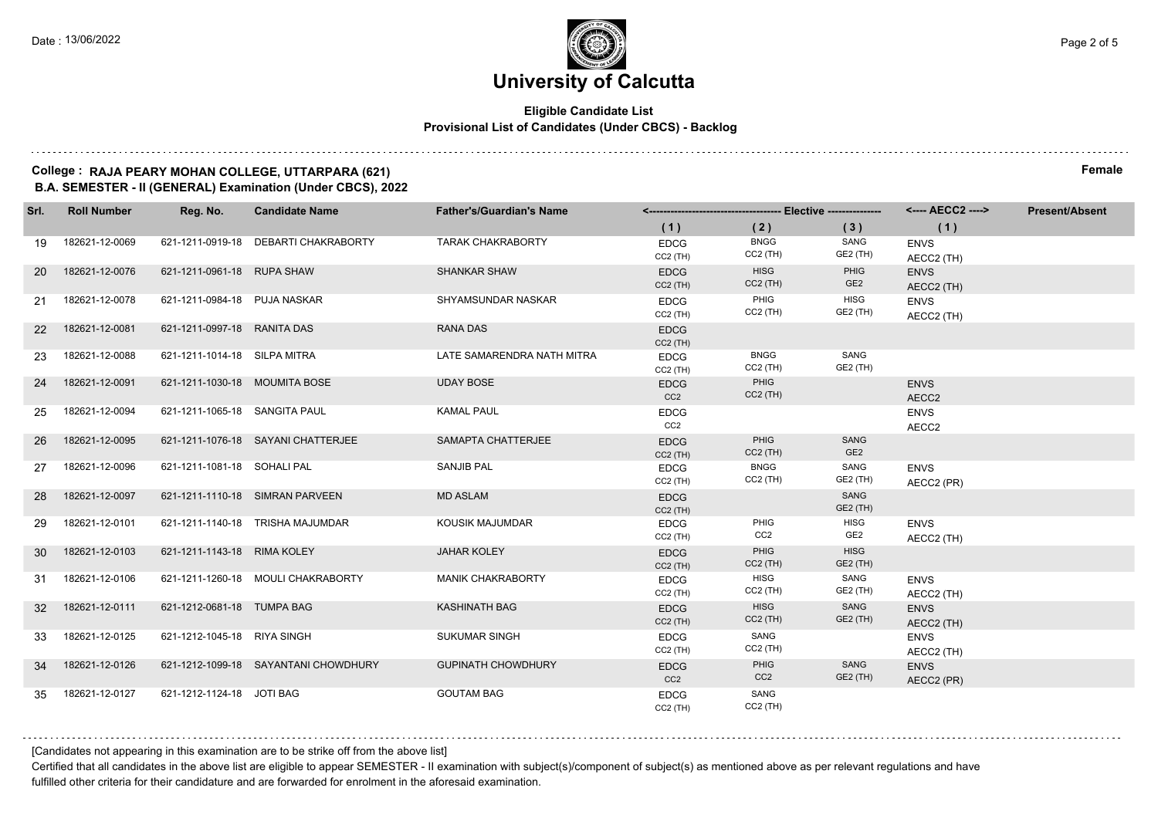#### **Eligible Candidate List Provisional List of Candidates (Under CBCS) - Backlog**

#### **College : RAJA PEARY MOHAN COLLEGE, UTTARPARA (621) Female B.A. SEMESTER - II (GENERAL) Examination (Under CBCS), 2022**

| Srl.            | <b>Roll Number</b> | Reg. No.                      | <b>Candidate Name</b>                | <b>Father's/Guardian's Name</b> |                                |                                |                                | <---- AECC2 ---->         | <b>Present/Absent</b> |
|-----------------|--------------------|-------------------------------|--------------------------------------|---------------------------------|--------------------------------|--------------------------------|--------------------------------|---------------------------|-----------------------|
|                 |                    |                               |                                      |                                 | (1)                            | (2)                            | (3)                            | (1)                       |                       |
| 19              | 182621-12-0069     |                               | 621-1211-0919-18 DEBARTI CHAKRABORTY | <b>TARAK CHAKRABORTY</b>        | <b>EDCG</b><br>$CC2$ (TH)      | <b>BNGG</b><br>$CC2$ (TH)      | SANG<br>GE2 (TH)               | <b>ENVS</b><br>AECC2 (TH) |                       |
| <b>20</b>       | 182621-12-0076     | 621-1211-0961-18 RUPA SHAW    |                                      | <b>SHANKAR SHAW</b>             | <b>EDCG</b><br>$CC2$ (TH)      | <b>HISG</b><br>$CC2$ (TH)      | PHIG<br>GE <sub>2</sub>        | <b>ENVS</b><br>AECC2 (TH) |                       |
| 21              | 182621-12-0078     | 621-1211-0984-18 PUJA NASKAR  |                                      | SHYAMSUNDAR NASKAR              | <b>EDCG</b><br>$CC2$ (TH)      | PHIG<br>$CC2$ (TH)             | <b>HISG</b><br>GE2 (TH)        | <b>ENVS</b><br>AECC2 (TH) |                       |
| <b>22</b>       | 182621-12-0081     | 621-1211-0997-18 RANITA DAS   |                                      | <b>RANA DAS</b>                 | <b>EDCG</b><br>$CC2$ (TH)      |                                |                                |                           |                       |
| 23              | 182621-12-0088     | 621-1211-1014-18 SILPA MITRA  |                                      | LATE SAMARENDRA NATH MITRA      | <b>EDCG</b><br>$CC2$ (TH)      | <b>BNGG</b><br>$CC2$ (TH)      | SANG<br>GE2 (TH)               |                           |                       |
| 24              | 182621-12-0091     | 621-1211-1030-18 MOUMITA BOSE |                                      | <b>UDAY BOSE</b>                | <b>EDCG</b><br>CC <sub>2</sub> | PHIG<br>$CC2$ (TH)             |                                | <b>ENVS</b><br>AECC2      |                       |
| 25              | 182621-12-0094     | 621-1211-1065-18 SANGITA PAUL |                                      | <b>KAMAL PAUL</b>               | <b>EDCG</b><br>CC2             |                                |                                | <b>ENVS</b><br>AECC2      |                       |
| 26              | 182621-12-0095     |                               | 621-1211-1076-18 SAYANI CHATTERJEE   | SAMAPTA CHATTERJEE              | <b>EDCG</b><br>$CC2$ (TH)      | <b>PHIG</b><br>$CC2$ (TH)      | <b>SANG</b><br>GE <sub>2</sub> |                           |                       |
| 27              | 182621-12-0096     | 621-1211-1081-18 SOHALI PAL   |                                      | <b>SANJIB PAL</b>               | <b>EDCG</b><br>$CC2$ (TH)      | <b>BNGG</b><br>$CC2$ (TH)      | SANG<br>GE2 (TH)               | <b>ENVS</b><br>AECC2 (PR) |                       |
| 28              | 182621-12-0097     |                               | 621-1211-1110-18 SIMRAN PARVEEN      | <b>MD ASLAM</b>                 | <b>EDCG</b><br>$CC2$ (TH)      |                                | SANG<br>GE2 (TH)               |                           |                       |
| 29              | 182621-12-0101     |                               | 621-1211-1140-18 TRISHA MAJUMDAR     | KOUSIK MAJUMDAR                 | <b>EDCG</b><br>$CC2$ (TH)      | PHIG<br>CC2                    | <b>HISG</b><br>GE2             | <b>ENVS</b><br>AECC2 (TH) |                       |
| 30              | 182621-12-0103     | 621-1211-1143-18 RIMA KOLEY   |                                      | <b>JAHAR KOLEY</b>              | <b>EDCG</b><br>$CC2$ (TH)      | <b>PHIG</b><br>$CC2$ (TH)      | <b>HISG</b><br>GE2 (TH)        |                           |                       |
| 31              | 182621-12-0106     |                               | 621-1211-1260-18 MOULI CHAKRABORTY   | <b>MANIK CHAKRABORTY</b>        | <b>EDCG</b><br>$CC2$ (TH)      | <b>HISG</b><br>$CC2$ (TH)      | SANG<br>GE2 (TH)               | <b>ENVS</b><br>AECC2 (TH) |                       |
| 32 <sup>2</sup> | 182621-12-0111     | 621-1212-0681-18 TUMPA BAG    |                                      | <b>KASHINATH BAG</b>            | <b>EDCG</b><br>$CC2$ (TH)      | <b>HISG</b><br>$CC2$ (TH)      | SANG<br>GE2 (TH)               | <b>ENVS</b><br>AECC2 (TH) |                       |
| 33              | 182621-12-0125     | 621-1212-1045-18 RIYA SINGH   |                                      | <b>SUKUMAR SINGH</b>            | <b>EDCG</b><br>$CC2$ (TH)      | SANG<br>$CC2$ (TH)             |                                | <b>ENVS</b><br>AECC2 (TH) |                       |
| 34              | 182621-12-0126     |                               | 621-1212-1099-18 SAYANTANI CHOWDHURY | <b>GUPINATH CHOWDHURY</b>       | <b>EDCG</b><br>CC <sub>2</sub> | <b>PHIG</b><br>CC <sub>2</sub> | SANG<br>GE2 (TH)               | <b>ENVS</b><br>AECC2 (PR) |                       |
| 35              | 182621-12-0127     | 621-1212-1124-18 JOTI BAG     |                                      | <b>GOUTAM BAG</b>               | <b>EDCG</b><br>$CC2$ (TH)      | SANG<br>$CC2$ (TH)             |                                |                           |                       |

[Candidates not appearing in this examination are to be strike off from the above list]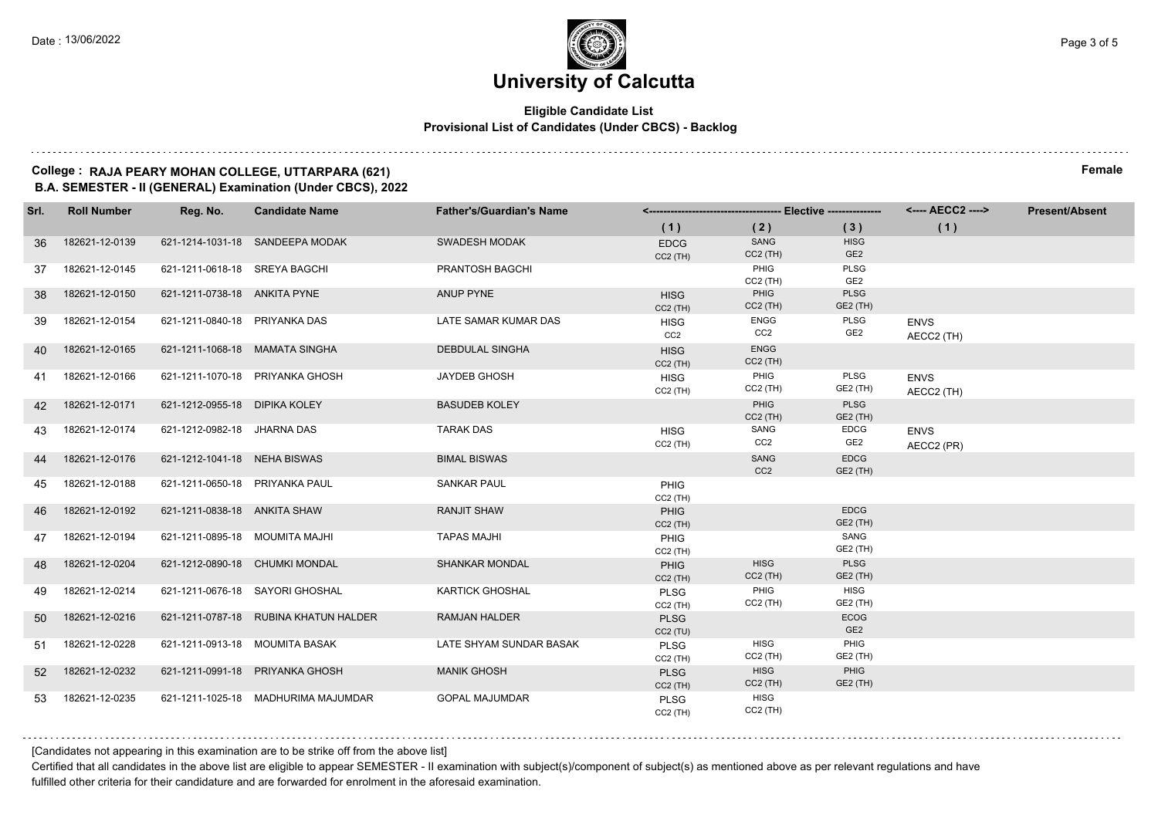#### **Eligible Candidate List Provisional List of Candidates (Under CBCS) - Backlog**

#### **College : RAJA PEARY MOHAN COLLEGE, UTTARPARA (621) Female B.A. SEMESTER - II (GENERAL) Examination (Under CBCS), 2022**

| Srl. | <b>Roll Number</b> | Reg. No.                       | <b>Candidate Name</b>                 | <b>Father's/Guardian's Name</b> |                                |                           |                                | <---- AECC2 ---->         | <b>Present/Absent</b> |
|------|--------------------|--------------------------------|---------------------------------------|---------------------------------|--------------------------------|---------------------------|--------------------------------|---------------------------|-----------------------|
|      |                    |                                |                                       |                                 | (1)                            | (2)                       | (3)                            | (1)                       |                       |
| 36   | 182621-12-0139     |                                | 621-1214-1031-18 SANDEEPA MODAK       | SWADESH MODAK                   | <b>EDCG</b><br>$CC2$ (TH)      | SANG<br>$CC2$ (TH)        | <b>HISG</b><br>GE <sub>2</sub> |                           |                       |
| 37   | 182621-12-0145     | 621-1211-0618-18 SREYA BAGCHI  |                                       | <b>PRANTOSH BAGCHI</b>          |                                | PHIG<br>$CC2$ (TH)        | <b>PLSG</b><br>GE <sub>2</sub> |                           |                       |
| 38   | 182621-12-0150     | 621-1211-0738-18 ANKITA PYNE   |                                       | ANUP PYNE                       | <b>HISG</b><br>$CC2$ (TH)      | PHIG<br>$CC2$ (TH)        | <b>PLSG</b><br>GE2 (TH)        |                           |                       |
| 39   | 182621-12-0154     | 621-1211-0840-18 PRIYANKA DAS  |                                       | LATE SAMAR KUMAR DAS            | <b>HISG</b><br>CC <sub>2</sub> | ENGG<br>CC2               | PLSG<br>GE <sub>2</sub>        | <b>ENVS</b><br>AECC2 (TH) |                       |
| 40   | 182621-12-0165     |                                | 621-1211-1068-18 MAMATA SINGHA        | <b>DEBDULAL SINGHA</b>          | <b>HISG</b><br>$CC2$ (TH)      | <b>ENGG</b><br>$CC2$ (TH) |                                |                           |                       |
| 41   | 182621-12-0166     |                                | 621-1211-1070-18 PRIYANKA GHOSH       | <b>JAYDEB GHOSH</b>             | <b>HISG</b><br>$CC2$ (TH)      | PHIG<br>$CC2$ (TH)        | PLSG<br>GE2 (TH)               | <b>ENVS</b><br>AECC2 (TH) |                       |
| 42   | 182621-12-0171     | 621-1212-0955-18 DIPIKA KOLEY  |                                       | <b>BASUDEB KOLEY</b>            |                                | PHIG<br>$CC2$ (TH)        | <b>PLSG</b><br>GE2 (TH)        |                           |                       |
| 43   | 182621-12-0174     | 621-1212-0982-18 JHARNA DAS    |                                       | <b>TARAK DAS</b>                | <b>HISG</b><br>$CC2$ (TH)      | SANG<br>CC <sub>2</sub>   | <b>EDCG</b><br>GE <sub>2</sub> | <b>ENVS</b><br>AECC2 (PR) |                       |
| 44   | 182621-12-0176     | 621-1212-1041-18 NEHA BISWAS   |                                       | <b>BIMAL BISWAS</b>             |                                | SANG<br>CC <sub>2</sub>   | <b>EDCG</b><br><b>GE2 (TH)</b> |                           |                       |
| 45   | 182621-12-0188     | 621-1211-0650-18 PRIYANKA PAUL |                                       | <b>SANKAR PAUL</b>              | PHIG<br>$CC2$ (TH)             |                           |                                |                           |                       |
| 46   | 182621-12-0192     | 621-1211-0838-18 ANKITA SHAW   |                                       | <b>RANJIT SHAW</b>              | PHIG<br>$CC2$ (TH)             |                           | <b>EDCG</b><br><b>GE2 (TH)</b> |                           |                       |
| 47   | 182621-12-0194     | 621-1211-0895-18 MOUMITA MAJHI |                                       | <b>TAPAS MAJHI</b>              | PHIG<br>$CC2$ (TH)             |                           | SANG<br>GE2 (TH)               |                           |                       |
| 48   | 182621-12-0204     |                                | 621-1212-0890-18 CHUMKI MONDAL        | <b>SHANKAR MONDAL</b>           | PHIG<br>$CC2$ (TH)             | <b>HISG</b><br>$CC2$ (TH) | <b>PLSG</b><br><b>GE2 (TH)</b> |                           |                       |
| 49   | 182621-12-0214     |                                | 621-1211-0676-18 SAYORI GHOSHAL       | <b>KARTICK GHOSHAL</b>          | PLSG<br>$CC2$ (TH)             | PHIG<br>$CC2$ (TH)        | <b>HISG</b><br><b>GE2 (TH)</b> |                           |                       |
| 50   | 182621-12-0216     |                                | 621-1211-0787-18 RUBINA KHATUN HALDER | <b>RAMJAN HALDER</b>            | <b>PLSG</b><br>CC2(TU)         |                           | ECOG<br>GE <sub>2</sub>        |                           |                       |
| 51   | 182621-12-0228     |                                | 621-1211-0913-18 MOUMITA BASAK        | LATE SHYAM SUNDAR BASAK         | <b>PLSG</b><br>$CC2$ (TH)      | <b>HISG</b><br>$CC2$ (TH) | PHIG<br>GE2 (TH)               |                           |                       |
| 52   | 182621-12-0232     |                                | 621-1211-0991-18 PRIYANKA GHOSH       | <b>MANIK GHOSH</b>              | <b>PLSG</b><br>$CC2$ (TH)      | <b>HISG</b><br>$CC2$ (TH) | PHIG<br>GE2 (TH)               |                           |                       |
| 53   | 182621-12-0235     |                                | 621-1211-1025-18 MADHURIMA MAJUMDAR   | <b>GOPAL MAJUMDAR</b>           | <b>PLSG</b><br>$CC2$ (TH)      | <b>HISG</b><br>$CC2$ (TH) |                                |                           |                       |

[Candidates not appearing in this examination are to be strike off from the above list]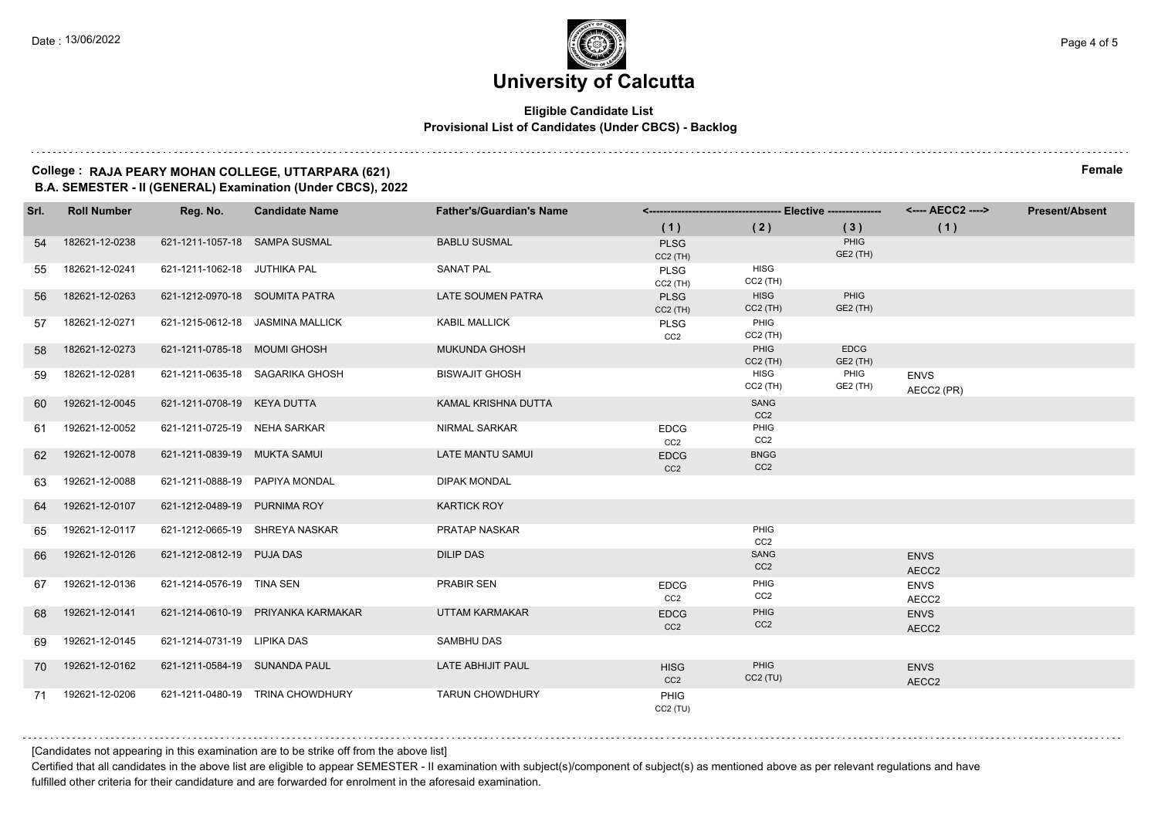#### **Eligible Candidate List Provisional List of Candidates (Under CBCS) - Backlog**

#### **College : RAJA PEARY MOHAN COLLEGE, UTTARPARA (621) Female B.A. SEMESTER - II (GENERAL) Examination (Under CBCS), 2022**

| Srl. | <b>Roll Number</b> | Reg. No.                       | <b>Candidate Name</b>              | <b>Father's/Guardian's Name</b> |                                |                                |                         | <---- AECC2 ---->         | <b>Present/Absent</b> |
|------|--------------------|--------------------------------|------------------------------------|---------------------------------|--------------------------------|--------------------------------|-------------------------|---------------------------|-----------------------|
|      |                    |                                |                                    |                                 | (1)                            | (2)                            | (3)                     | (1)                       |                       |
| 54   | 182621-12-0238     | 621-1211-1057-18 SAMPA SUSMAL  |                                    | <b>BABLU SUSMAL</b>             | <b>PLSG</b><br>$CC2$ (TH)      |                                | PHIG<br>GE2 (TH)        |                           |                       |
| 55   | 182621-12-0241     | 621-1211-1062-18 JUTHIKA PAL   |                                    | <b>SANAT PAL</b>                | PLSG<br>$CC2$ (TH)             | <b>HISG</b><br>$CC2$ (TH)      |                         |                           |                       |
| 56   | 182621-12-0263     | 621-1212-0970-18 SOUMITA PATRA |                                    | <b>LATE SOUMEN PATRA</b>        | <b>PLSG</b><br>$CC2$ (TH)      | <b>HISG</b><br>$CC2$ (TH)      | PHIG<br>GE2 (TH)        |                           |                       |
| 57   | 182621-12-0271     |                                | 621-1215-0612-18 JASMINA MALLICK   | <b>KABIL MALLICK</b>            | <b>PLSG</b><br>CC <sub>2</sub> | PHIG<br>$CC2$ (TH)             |                         |                           |                       |
| 58   | 182621-12-0273     | 621-1211-0785-18 MOUMI GHOSH   |                                    | <b>MUKUNDA GHOSH</b>            |                                | PHIG<br>$CC2$ (TH)             | <b>EDCG</b><br>GE2 (TH) |                           |                       |
| 59   | 182621-12-0281     |                                | 621-1211-0635-18 SAGARIKA GHOSH    | <b>BISWAJIT GHOSH</b>           |                                | <b>HISG</b><br>$CC2$ (TH)      | PHIG<br>GE2 (TH)        | <b>ENVS</b><br>AECC2 (PR) |                       |
| 60   | 192621-12-0045     | 621-1211-0708-19 KEYA DUTTA    |                                    | KAMAL KRISHNA DUTTA             |                                | SANG<br>CC <sub>2</sub>        |                         |                           |                       |
| 61   | 192621-12-0052     | 621-1211-0725-19 NEHA SARKAR   |                                    | <b>NIRMAL SARKAR</b>            | <b>EDCG</b><br>CC <sub>2</sub> | PHIG<br>CC <sub>2</sub>        |                         |                           |                       |
| 62   | 192621-12-0078     | 621-1211-0839-19 MUKTA SAMUI   |                                    | <b>LATE MANTU SAMUI</b>         | <b>EDCG</b><br>CC <sub>2</sub> | <b>BNGG</b><br>CC <sub>2</sub> |                         |                           |                       |
| 63   | 192621-12-0088     | 621-1211-0888-19 PAPIYA MONDAL |                                    | <b>DIPAK MONDAL</b>             |                                |                                |                         |                           |                       |
| 64   | 192621-12-0107     | 621-1212-0489-19 PURNIMA ROY   |                                    | <b>KARTICK ROY</b>              |                                |                                |                         |                           |                       |
| 65   | 192621-12-0117     |                                | 621-1212-0665-19 SHREYA NASKAR     | <b>PRATAP NASKAR</b>            |                                | PHIG<br>CC <sub>2</sub>        |                         |                           |                       |
| 66   | 192621-12-0126     | 621-1212-0812-19 PUJA DAS      |                                    | <b>DILIP DAS</b>                |                                | SANG<br>CC <sub>2</sub>        |                         | <b>ENVS</b><br>AECC2      |                       |
| 67   | 192621-12-0136     | 621-1214-0576-19 TINA SEN      |                                    | PRABIR SEN                      | <b>EDCG</b><br>CC <sub>2</sub> | PHIG<br>CC <sub>2</sub>        |                         | <b>ENVS</b><br>AECC2      |                       |
| 68   | 192621-12-0141     |                                | 621-1214-0610-19 PRIYANKA KARMAKAR | <b>UTTAM KARMAKAR</b>           | <b>EDCG</b><br>CC <sub>2</sub> | PHIG<br>CC <sub>2</sub>        |                         | <b>ENVS</b><br>AECC2      |                       |
| 69   | 192621-12-0145     | 621-1214-0731-19 LIPIKA DAS    |                                    | <b>SAMBHU DAS</b>               |                                |                                |                         |                           |                       |
| 70   | 192621-12-0162     | 621-1211-0584-19 SUNANDA PAUL  |                                    | LATE ABHIJIT PAUL               | <b>HISG</b><br>CC <sub>2</sub> | <b>PHIG</b><br>$CC2$ (TU)      |                         | <b>ENVS</b><br>AECC2      |                       |
|      | 71 192621-12-0206  |                                | 621-1211-0480-19 TRINA CHOWDHURY   | <b>TARUN CHOWDHURY</b>          | PHIG<br>CC2(TU)                |                                |                         |                           |                       |

[Candidates not appearing in this examination are to be strike off from the above list]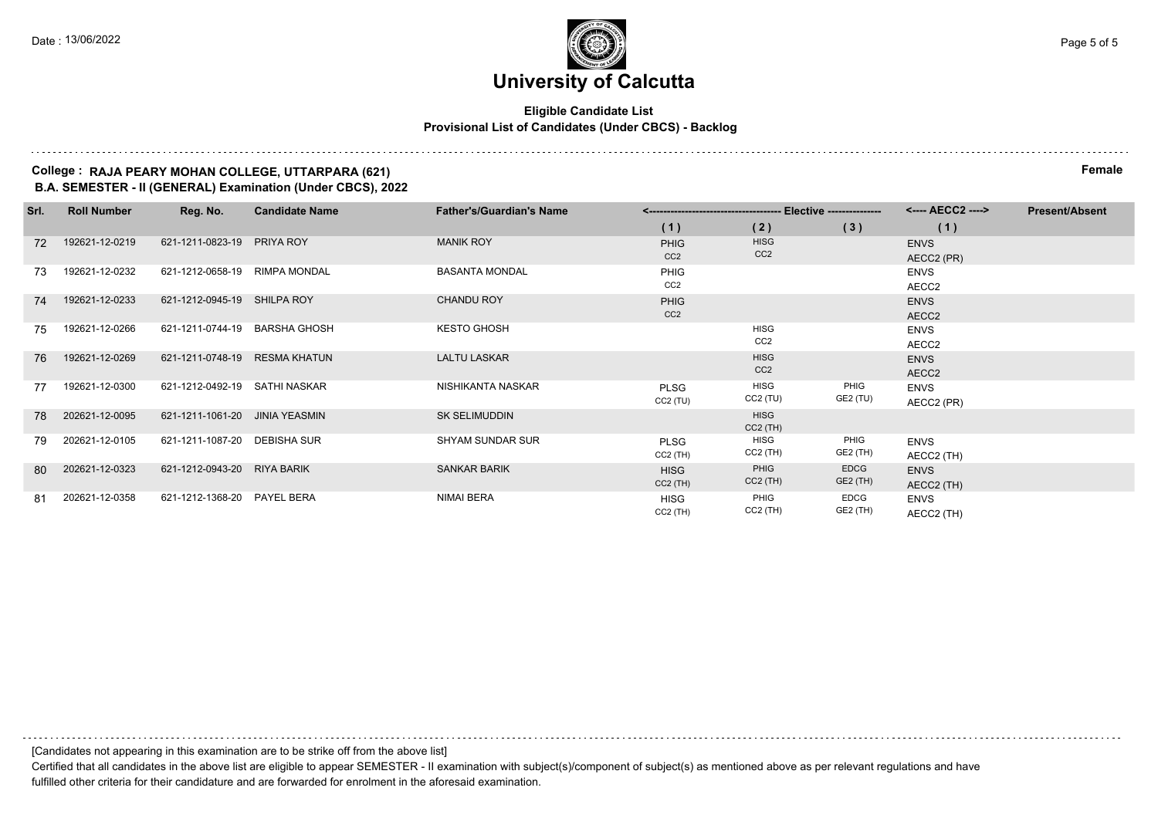#### **Eligible Candidate List Provisional List of Candidates (Under CBCS) - Backlog**

#### **College : RAJA PEARY MOHAN COLLEGE, UTTARPARA (621) Female B.A. SEMESTER - II (GENERAL) Examination (Under CBCS), 2022**

| Srl. | <b>Roll Number</b> | Reg. No.                       | <b>Candidate Name</b> | <b>Father's/Guardian's Name</b> |                           |                    |                  | <---- AECC2 ----> | <b>Present/Absent</b> |
|------|--------------------|--------------------------------|-----------------------|---------------------------------|---------------------------|--------------------|------------------|-------------------|-----------------------|
|      |                    |                                |                       |                                 | (1)                       | (2)                | (3)              | (1)               |                       |
| 72   | 192621-12-0219     | 621-1211-0823-19 PRIYA ROY     |                       | <b>MANIK ROY</b>                | <b>PHIG</b>               | <b>HISG</b>        |                  | <b>ENVS</b>       |                       |
|      |                    |                                |                       |                                 | CC <sub>2</sub>           | CC <sub>2</sub>    |                  | AECC2 (PR)        |                       |
| 73   | 192621-12-0232     | 621-1212-0658-19 RIMPA MONDAL  |                       | <b>BASANTA MONDAL</b>           | <b>PHIG</b>               |                    |                  | <b>ENVS</b>       |                       |
|      |                    |                                |                       |                                 | CC <sub>2</sub>           |                    |                  | AECC2             |                       |
| 74   | 192621-12-0233     | 621-1212-0945-19 SHILPA ROY    |                       | <b>CHANDU ROY</b>               | <b>PHIG</b>               |                    |                  | <b>ENVS</b>       |                       |
|      |                    |                                |                       |                                 | CC <sub>2</sub>           |                    |                  | AECC2             |                       |
| 75   | 192621-12-0266     | 621-1211-0744-19 BARSHA GHOSH  |                       | <b>KESTO GHOSH</b>              |                           | <b>HISG</b>        |                  | <b>ENVS</b>       |                       |
|      |                    |                                |                       |                                 |                           | CC <sub>2</sub>    |                  | AECC2             |                       |
| 76   | 192621-12-0269     | 621-1211-0748-19 RESMA KHATUN  |                       | <b>LALTU LASKAR</b>             |                           | <b>HISG</b>        |                  | <b>ENVS</b>       |                       |
|      |                    |                                |                       |                                 |                           | CC <sub>2</sub>    |                  | AECC2             |                       |
| 77   | 192621-12-0300     | 621-1212-0492-19 SATHI NASKAR  |                       | NISHIKANTA NASKAR               | <b>PLSG</b>               | HISG               | PHIG             | <b>ENVS</b>       |                       |
|      |                    |                                |                       |                                 | CC2(TU)                   | $CC2$ (TU)         | GE2 (TU)         | AECC2 (PR)        |                       |
| 78   | 202621-12-0095     | 621-1211-1061-20 JINIA YEASMIN |                       | <b>SK SELIMUDDIN</b>            |                           | <b>HISG</b>        |                  |                   |                       |
|      | 202621-12-0105     | 621-1211-1087-20 DEBISHA SUR   |                       | SHYAM SUNDAR SUR                |                           | $CC2$ (TH)<br>HISG | PHIG             |                   |                       |
| 79   |                    |                                |                       |                                 | <b>PLSG</b><br>$CC2$ (TH) | CC2 (TH)           | GE2 (TH)         | <b>ENVS</b>       |                       |
|      | 202621-12-0323     | 621-1212-0943-20 RIYA BARIK    |                       | <b>SANKAR BARIK</b>             |                           | PHIG               | <b>EDCG</b>      | AECC2 (TH)        |                       |
| 80   |                    |                                |                       |                                 | <b>HISG</b>               | $CC2$ (TH)         | GE2 (TH)         | <b>ENVS</b>       |                       |
|      |                    |                                |                       | NIMAI BERA                      | $CC2$ (TH)                | PHIG               |                  | AECC2 (TH)        |                       |
| 81   | 202621-12-0358     | 621-1212-1368-20 PAYEL BERA    |                       |                                 | <b>HISG</b>               | CC2 (TH)           | EDCG<br>GE2 (TH) | <b>ENVS</b>       |                       |
|      |                    |                                |                       |                                 | $CC2$ (TH)                |                    |                  | AECC2 (TH)        |                       |

[Candidates not appearing in this examination are to be strike off from the above list]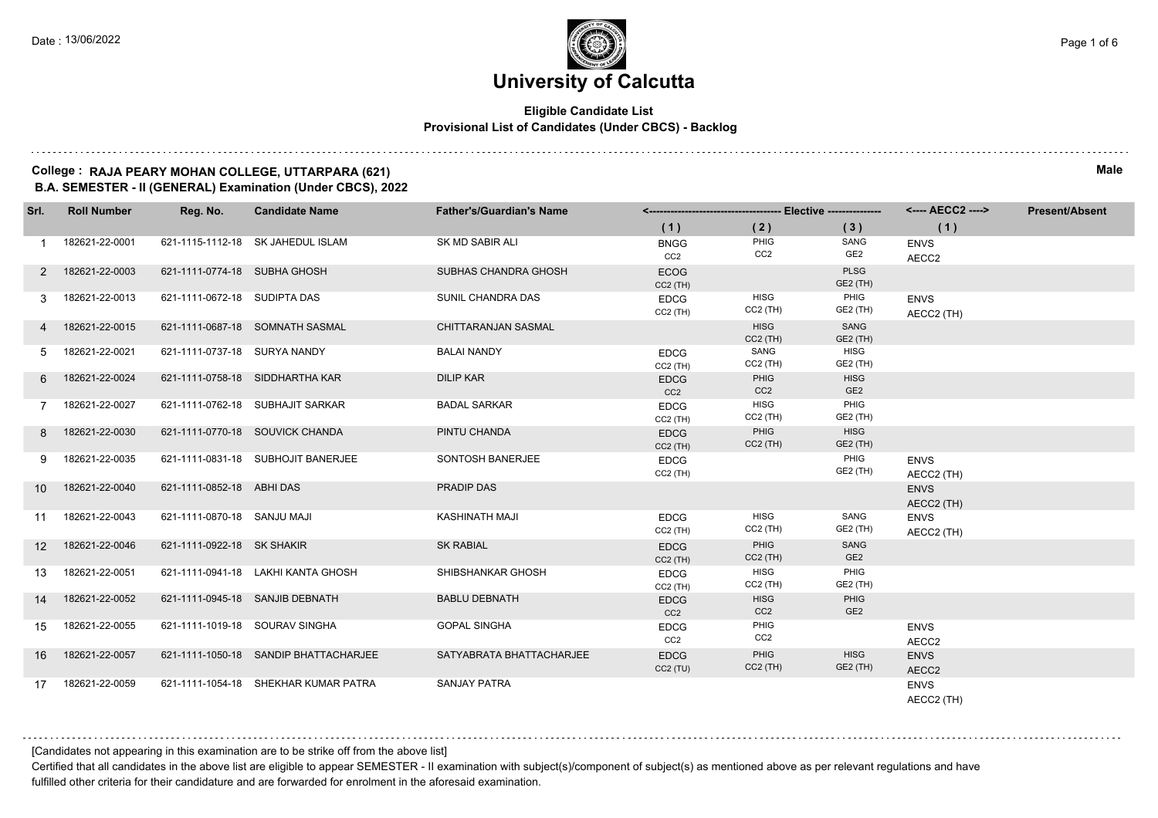#### **Eligible Candidate List Provisional List of Candidates (Under CBCS) - Backlog**

#### **College : RAJA PEARY MOHAN COLLEGE, UTTARPARA (621) Male B.A. SEMESTER - II (GENERAL) Examination (Under CBCS), 2022**

| Srl.            | <b>Roll Number</b> | Reg. No.                     | <b>Candidate Name</b>                 | <b>Father's/Guardian's Name</b> |                                |                                |                                | <---- AECC2 ---->         | <b>Present/Absent</b> |
|-----------------|--------------------|------------------------------|---------------------------------------|---------------------------------|--------------------------------|--------------------------------|--------------------------------|---------------------------|-----------------------|
|                 |                    |                              |                                       |                                 | (1)                            | (2)                            | (3)                            | (1)                       |                       |
|                 | 182621-22-0001     |                              | 621-1115-1112-18 SK JAHEDUL ISLAM     | SK MD SABIR ALI                 | <b>BNGG</b><br>CC2             | PHIG<br>CC <sub>2</sub>        | SANG<br>GE2                    | <b>ENVS</b><br>AECC2      |                       |
|                 | 2 182621-22-0003   | 621-1111-0774-18 SUBHA GHOSH |                                       | SUBHAS CHANDRA GHOSH            | <b>ECOG</b><br>$CC2$ (TH)      |                                | <b>PLSG</b><br>GE2 (TH)        |                           |                       |
| 3               | 182621-22-0013     | 621-1111-0672-18 SUDIPTA DAS |                                       | SUNIL CHANDRA DAS               | <b>EDCG</b><br>$CC2$ (TH)      | <b>HISG</b><br>$CC2$ (TH)      | PHIG<br>GE2 (TH)               | <b>ENVS</b><br>AECC2 (TH) |                       |
|                 | 182621-22-0015     |                              | 621-1111-0687-18 SOMNATH SASMAL       | <b>CHITTARANJAN SASMAL</b>      |                                | <b>HISG</b><br>$CC2$ (TH)      | SANG<br>GE2 (TH)               |                           |                       |
| 5               | 182621-22-0021     | 621-1111-0737-18 SURYA NANDY |                                       | <b>BALAI NANDY</b>              | <b>EDCG</b><br>$CC2$ (TH)      | SANG<br>$CC2$ (TH)             | HISG<br>GE2 (TH)               |                           |                       |
| 6               | 182621-22-0024     |                              | 621-1111-0758-18 SIDDHARTHA KAR       | <b>DILIP KAR</b>                | <b>EDCG</b><br>CC2             | PHIG<br>CC <sub>2</sub>        | <b>HISG</b><br>GE <sub>2</sub> |                           |                       |
|                 | 182621-22-0027     |                              | 621-1111-0762-18 SUBHAJIT SARKAR      | <b>BADAL SARKAR</b>             | <b>EDCG</b><br>$CC2$ (TH)      | <b>HISG</b><br>$CC2$ (TH)      | PHIG<br>GE2 (TH)               |                           |                       |
| 8               | 182621-22-0030     |                              | 621-1111-0770-18 SOUVICK CHANDA       | PINTU CHANDA                    | <b>EDCG</b><br>$CC2$ (TH)      | PHIG<br>$CC2$ (TH)             | <b>HISG</b><br>GE2 (TH)        |                           |                       |
| 9               | 182621-22-0035     |                              | 621-1111-0831-18 SUBHOJIT BANERJEE    | SONTOSH BANERJEE                | <b>EDCG</b><br>$CC2$ (TH)      |                                | PHIG<br>GE2 (TH)               | <b>ENVS</b><br>AECC2 (TH) |                       |
| 10              | 182621-22-0040     | 621-1111-0852-18 ABHI DAS    |                                       | PRADIP DAS                      |                                |                                |                                | <b>ENVS</b><br>AECC2 (TH) |                       |
| 11              | 182621-22-0043     | 621-1111-0870-18 SANJU MAJI  |                                       | KASHINATH MAJI                  | <b>EDCG</b><br>$CC2$ (TH)      | <b>HISG</b><br>$CC2$ (TH)      | SANG<br>GE2 (TH)               | <b>ENVS</b><br>AECC2 (TH) |                       |
| 12 <sup>1</sup> | 182621-22-0046     | 621-1111-0922-18 SK SHAKIR   |                                       | <b>SK RABIAL</b>                | <b>EDCG</b><br>$CC2$ (TH)      | PHIG<br>$CC2$ (TH)             | SANG<br>GE <sub>2</sub>        |                           |                       |
| 13              | 182621-22-0051     |                              | 621-1111-0941-18 LAKHI KANTA GHOSH    | SHIBSHANKAR GHOSH               | <b>EDCG</b><br>$CC2$ (TH)      | HISG<br>$CC2$ (TH)             | PHIG<br>GE2 (TH)               |                           |                       |
| 14              | 182621-22-0052     |                              | 621-1111-0945-18 SANJIB DEBNATH       | <b>BABLU DEBNATH</b>            | <b>EDCG</b><br>CC <sub>2</sub> | <b>HISG</b><br>CC <sub>2</sub> | PHIG<br>GE <sub>2</sub>        |                           |                       |
| 15              | 182621-22-0055     |                              | 621-1111-1019-18 SOURAV SINGHA        | <b>GOPAL SINGHA</b>             | <b>EDCG</b><br>CC <sub>2</sub> | PHIG<br>CC2                    |                                | <b>ENVS</b><br>AECC2      |                       |
| 16              | 182621-22-0057     |                              | 621-1111-1050-18 SANDIP BHATTACHARJEE | SATYABRATA BHATTACHARJEE        | <b>EDCG</b><br>CC2(TU)         | PHIG<br>$CC2$ (TH)             | <b>HISG</b><br>GE2 (TH)        | <b>ENVS</b><br>AECC2      |                       |
| 17              | 182621-22-0059     |                              | 621-1111-1054-18 SHEKHAR KUMAR PATRA  | <b>SANJAY PATRA</b>             |                                |                                |                                | <b>ENVS</b><br>AECC2 (TH) |                       |

[Candidates not appearing in this examination are to be strike off from the above list]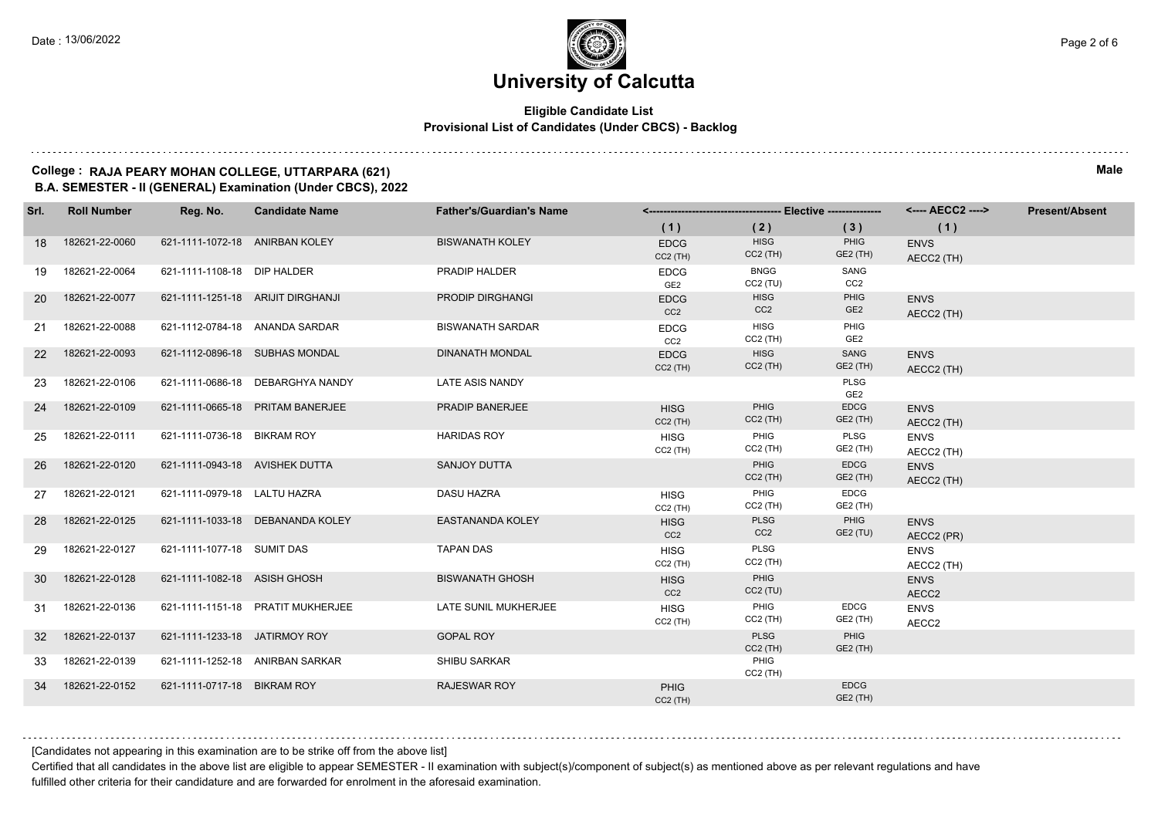#### **Eligible Candidate List Provisional List of Candidates (Under CBCS) - Backlog**

#### **College : RAJA PEARY MOHAN COLLEGE, UTTARPARA (621) Male B.A. SEMESTER - II (GENERAL) Examination (Under CBCS), 2022**

| Srl.      | <b>Roll Number</b> | Reg. No.                       | <b>Candidate Name</b>             | <b>Father's/Guardian's Name</b> |                                |                                |                         | <---- AECC2 ---->         | <b>Present/Absent</b> |
|-----------|--------------------|--------------------------------|-----------------------------------|---------------------------------|--------------------------------|--------------------------------|-------------------------|---------------------------|-----------------------|
|           |                    |                                |                                   |                                 | (1)                            | (2)                            | (3)                     | (1)                       |                       |
| 18        | 182621-22-0060     | 621-1111-1072-18 ANIRBAN KOLEY |                                   | <b>BISWANATH KOLEY</b>          | <b>EDCG</b><br>$CC2$ (TH)      | <b>HISG</b><br>$CC2$ (TH)      | PHIG<br>GE2 (TH)        | <b>ENVS</b><br>AECC2 (TH) |                       |
| 19        | 182621-22-0064     | 621-1111-1108-18 DIP HALDER    |                                   | PRADIP HALDER                   | <b>EDCG</b><br>GE <sub>2</sub> | <b>BNGG</b><br>$CC2$ (TU)      | SANG<br>CC <sub>2</sub> |                           |                       |
| <b>20</b> | 182621-22-0077     |                                | 621-1111-1251-18 ARIJIT DIRGHANJI | <b>PRODIP DIRGHANGI</b>         | <b>EDCG</b><br>CC <sub>2</sub> | <b>HISG</b><br>CC <sub>2</sub> | PHIG<br>GE <sub>2</sub> | <b>ENVS</b><br>AECC2 (TH) |                       |
| 21        | 182621-22-0088     |                                | 621-1112-0784-18 ANANDA SARDAR    | <b>BISWANATH SARDAR</b>         | <b>EDCG</b><br>CC2             | <b>HISG</b><br>$CC2$ (TH)      | PHIG<br>GE <sub>2</sub> |                           |                       |
| <b>22</b> | 182621-22-0093     |                                | 621-1112-0896-18 SUBHAS MONDAL    | <b>DINANATH MONDAL</b>          | <b>EDCG</b><br>$CC2$ (TH)      | <b>HISG</b><br>$CC2$ (TH)      | SANG<br>GE2 (TH)        | <b>ENVS</b><br>AECC2 (TH) |                       |
| 23        | 182621-22-0106     |                                | 621-1111-0686-18 DEBARGHYA NANDY  | LATE ASIS NANDY                 |                                |                                | PLSG<br>GE <sub>2</sub> |                           |                       |
| 24        | 182621-22-0109     |                                | 621-1111-0665-18 PRITAM BANERJEE  | PRADIP BANERJEE                 | <b>HISG</b><br>$CC2$ (TH)      | <b>PHIG</b><br>$CC2$ (TH)      | <b>EDCG</b><br>GE2 (TH) | <b>ENVS</b><br>AECC2 (TH) |                       |
| 25        | 182621-22-0111     | 621-1111-0736-18 BIKRAM ROY    |                                   | <b>HARIDAS ROY</b>              | <b>HISG</b><br>$CC2$ (TH)      | PHIG<br>$CC2$ (TH)             | PLSG<br>GE2 (TH)        | <b>ENVS</b><br>AECC2 (TH) |                       |
| 26        | 182621-22-0120     | 621-1111-0943-18 AVISHEK DUTTA |                                   | <b>SANJOY DUTTA</b>             |                                | PHIG<br>$CC2$ (TH)             | <b>EDCG</b><br>GE2 (TH) | <b>ENVS</b><br>AECC2 (TH) |                       |
| 27        | 182621-22-0121     | 621-1111-0979-18 LALTU HAZRA   |                                   | <b>DASU HAZRA</b>               | <b>HISG</b><br>$CC2$ (TH)      | PHIG<br>$CC2$ (TH)             | <b>EDCG</b><br>GE2 (TH) |                           |                       |
| 28        | 182621-22-0125     |                                | 621-1111-1033-18 DEBANANDA KOLEY  | <b>EASTANANDA KOLEY</b>         | <b>HISG</b><br>CC <sub>2</sub> | PLSG<br>CC <sub>2</sub>        | PHIG<br>GE2 (TU)        | <b>ENVS</b><br>AECC2 (PR) |                       |
| 29        | 182621-22-0127     | 621-1111-1077-18 SUMIT DAS     |                                   | <b>TAPAN DAS</b>                | <b>HISG</b><br>$CC2$ (TH)      | PLSG<br>$CC2$ (TH)             |                         | <b>ENVS</b><br>AECC2 (TH) |                       |
| 30        | 182621-22-0128     | 621-1111-1082-18 ASISH GHOSH   |                                   | <b>BISWANATH GHOSH</b>          | <b>HISG</b><br>CC <sub>2</sub> | PHIG<br>$CC2$ (TU)             |                         | <b>ENVS</b><br>AECC2      |                       |
| 31        | 182621-22-0136     |                                | 621-1111-1151-18 PRATIT MUKHERJEE | LATE SUNIL MUKHERJEE            | <b>HISG</b><br>$CC2$ (TH)      | PHIG<br>$CC2$ (TH)             | <b>EDCG</b><br>GE2 (TH) | <b>ENVS</b><br>AECC2      |                       |
| 32        | 182621-22-0137     | 621-1111-1233-18 JATIRMOY ROY  |                                   | <b>GOPAL ROY</b>                |                                | <b>PLSG</b><br>$CC2$ (TH)      | PHIG<br><b>GE2 (TH)</b> |                           |                       |
| 33        | 182621-22-0139     |                                | 621-1111-1252-18 ANIRBAN SARKAR   | <b>SHIBU SARKAR</b>             |                                | PHIG<br>$CC2$ (TH)             |                         |                           |                       |
| 34        | 182621-22-0152     | 621-1111-0717-18 BIKRAM ROY    |                                   | <b>RAJESWAR ROY</b>             | <b>PHIG</b><br>$CC2$ (TH)      |                                | <b>EDCG</b><br>GE2 (TH) |                           |                       |

[Candidates not appearing in this examination are to be strike off from the above list]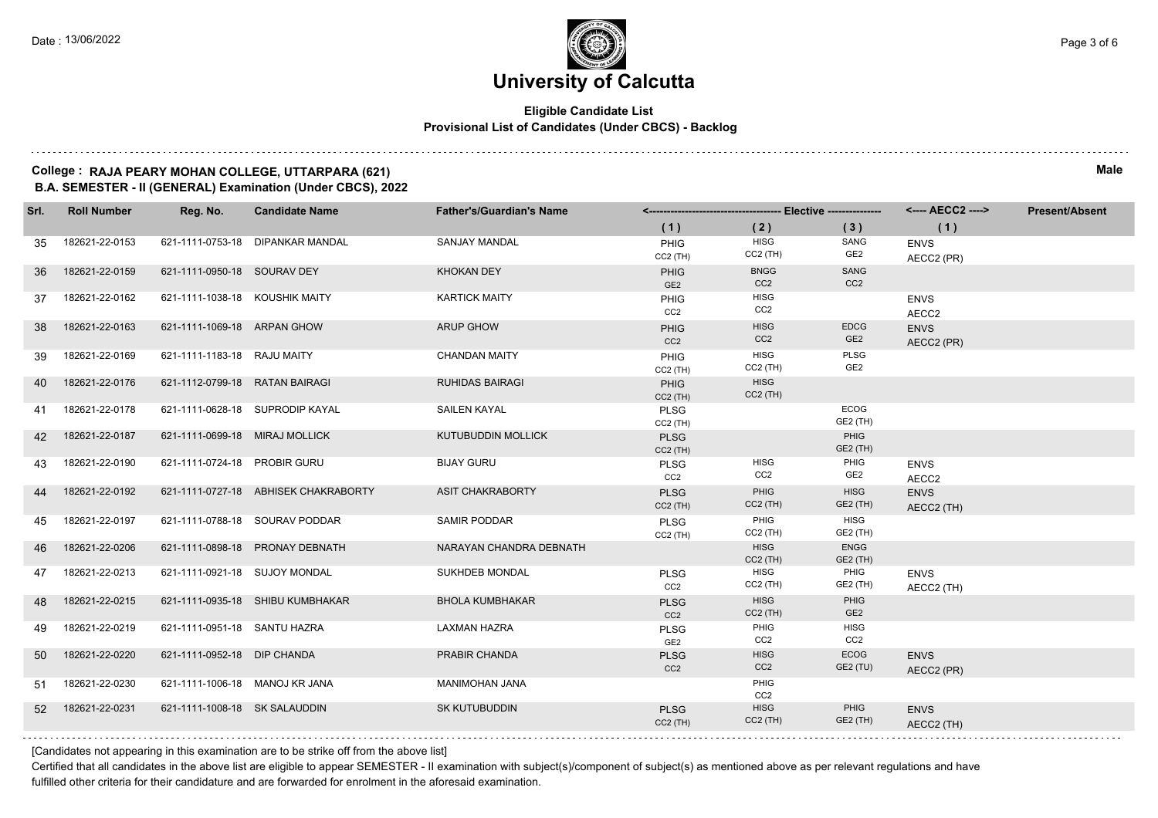#### **Eligible Candidate List Provisional List of Candidates (Under CBCS) - Backlog**

#### **College : RAJA PEARY MOHAN COLLEGE, UTTARPARA (621) Male B.A. SEMESTER - II (GENERAL) Examination (Under CBCS), 2022**

| Srl. | <b>Roll Number</b> | Reg. No.                       | <b>Candidate Name</b>                | <b>Father's/Guardian's Name</b> |                                |                                |                                | <---- AECC2 ---->         | <b>Present/Absent</b> |
|------|--------------------|--------------------------------|--------------------------------------|---------------------------------|--------------------------------|--------------------------------|--------------------------------|---------------------------|-----------------------|
|      |                    |                                |                                      |                                 | (1)                            | (2)                            | (3)                            | (1)                       |                       |
| 35   | 182621-22-0153     |                                | 621-1111-0753-18 DIPANKAR MANDAL     | SANJAY MANDAL                   | PHIG<br>$CC2$ (TH)             | HISG<br>$CC2$ (TH)             | SANG<br>GE <sub>2</sub>        | <b>ENVS</b><br>AECC2 (PR) |                       |
| 36   | 182621-22-0159     | 621-1111-0950-18 SOURAV DEY    |                                      | <b>KHOKAN DEY</b>               | <b>PHIG</b><br>GE <sub>2</sub> | <b>BNGG</b><br>CC <sub>2</sub> | SANG<br>CC <sub>2</sub>        |                           |                       |
| 37   | 182621-22-0162     | 621-1111-1038-18 KOUSHIK MAITY |                                      | <b>KARTICK MAITY</b>            | <b>PHIG</b><br>CC2             | HISG<br>CC <sub>2</sub>        |                                | <b>ENVS</b><br>AECC2      |                       |
| 38   | 182621-22-0163     | 621-1111-1069-18 ARPAN GHOW    |                                      | <b>ARUP GHOW</b>                | <b>PHIG</b><br>CC2             | <b>HISG</b><br>CC <sub>2</sub> | <b>EDCG</b><br>GE <sub>2</sub> | <b>ENVS</b><br>AECC2 (PR) |                       |
| 39   | 182621-22-0169     | 621-1111-1183-18 RAJU MAITY    |                                      | <b>CHANDAN MAITY</b>            | PHIG<br>$CC2$ (TH)             | <b>HISG</b><br>$CC2$ (TH)      | <b>PLSG</b><br>GE2             |                           |                       |
| 40   | 182621-22-0176     | 621-1112-0799-18 RATAN BAIRAGI |                                      | <b>RUHIDAS BAIRAGI</b>          | PHIG<br>$CC2$ (TH)             | <b>HISG</b><br>$CC2$ (TH)      |                                |                           |                       |
| 41   | 182621-22-0178     |                                | 621-1111-0628-18 SUPRODIP KAYAL      | <b>SAILEN KAYAL</b>             | <b>PLSG</b><br>$CC2$ (TH)      |                                | <b>ECOG</b><br>GE2 (TH)        |                           |                       |
| 42   | 182621-22-0187     | 621-1111-0699-18 MIRAJ MOLLICK |                                      | <b>KUTUBUDDIN MOLLICK</b>       | <b>PLSG</b><br>$CC2$ (TH)      |                                | PHIG<br>GE2 (TH)               |                           |                       |
| 43   | 182621-22-0190     | 621-1111-0724-18 PROBIR GURU   |                                      | <b>BIJAY GURU</b>               | <b>PLSG</b><br>CC <sub>2</sub> | <b>HISG</b><br>CC <sub>2</sub> | PHIG<br>GE2                    | <b>ENVS</b><br>AECC2      |                       |
| 44   | 182621-22-0192     |                                | 621-1111-0727-18 ABHISEK CHAKRABORTY | <b>ASIT CHAKRABORTY</b>         | <b>PLSG</b><br>$CC2$ (TH)      | PHIG<br>$CC2$ (TH)             | <b>HISG</b><br>GE2 (TH)        | <b>ENVS</b><br>AECC2 (TH) |                       |
| 45   | 182621-22-0197     |                                | 621-1111-0788-18 SOURAV PODDAR       | SAMIR PODDAR                    | <b>PLSG</b><br>$CC2$ (TH)      | PHIG<br>$CC2$ (TH)             | <b>HISG</b><br>GE2 (TH)        |                           |                       |
| 46   | 182621-22-0206     |                                | 621-1111-0898-18 PRONAY DEBNATH      | NARAYAN CHANDRA DEBNATH         |                                | <b>HISG</b><br>$CC2$ (TH)      | <b>ENGG</b><br>GE2 (TH)        |                           |                       |
| 47   | 182621-22-0213     | 621-1111-0921-18 SUJOY MONDAL  |                                      | SUKHDEB MONDAL                  | <b>PLSG</b><br>CC <sub>2</sub> | <b>HISG</b><br>$CC2$ (TH)      | PHIG<br>GE2 (TH)               | <b>ENVS</b><br>AECC2 (TH) |                       |
| 48   | 182621-22-0215     |                                | 621-1111-0935-18 SHIBU KUMBHAKAR     | <b>BHOLA KUMBHAKAR</b>          | <b>PLSG</b><br>CC <sub>2</sub> | <b>HISG</b><br>$CC2$ (TH)      | PHIG<br>GE <sub>2</sub>        |                           |                       |
| 49   | 182621-22-0219     | 621-1111-0951-18 SANTU HAZRA   |                                      | <b>LAXMAN HAZRA</b>             | <b>PLSG</b><br>GE <sub>2</sub> | PHIG<br>CC <sub>2</sub>        | <b>HISG</b><br>CC2             |                           |                       |
| 50   | 182621-22-0220     | 621-1111-0952-18 DIP CHANDA    |                                      | PRABIR CHANDA                   | <b>PLSG</b><br>CC <sub>2</sub> | <b>HISG</b><br>CC <sub>2</sub> | <b>ECOG</b><br><b>GE2 (TU)</b> | <b>ENVS</b><br>AECC2 (PR) |                       |
| 51   | 182621-22-0230     | 621-1111-1006-18 MANOJ KR JANA |                                      | MANIMOHAN JANA                  |                                | PHIG<br>CC <sub>2</sub>        |                                |                           |                       |
| 52   | 182621-22-0231     | 621-1111-1008-18 SK SALAUDDIN  |                                      | <b>SK KUTUBUDDIN</b>            | <b>PLSG</b><br>$CC2$ (TH)      | <b>HISG</b><br>$CC2$ (TH)      | PHIG<br>GE2 (TH)               | <b>ENVS</b><br>AECC2 (TH) |                       |

[Candidates not appearing in this examination are to be strike off from the above list]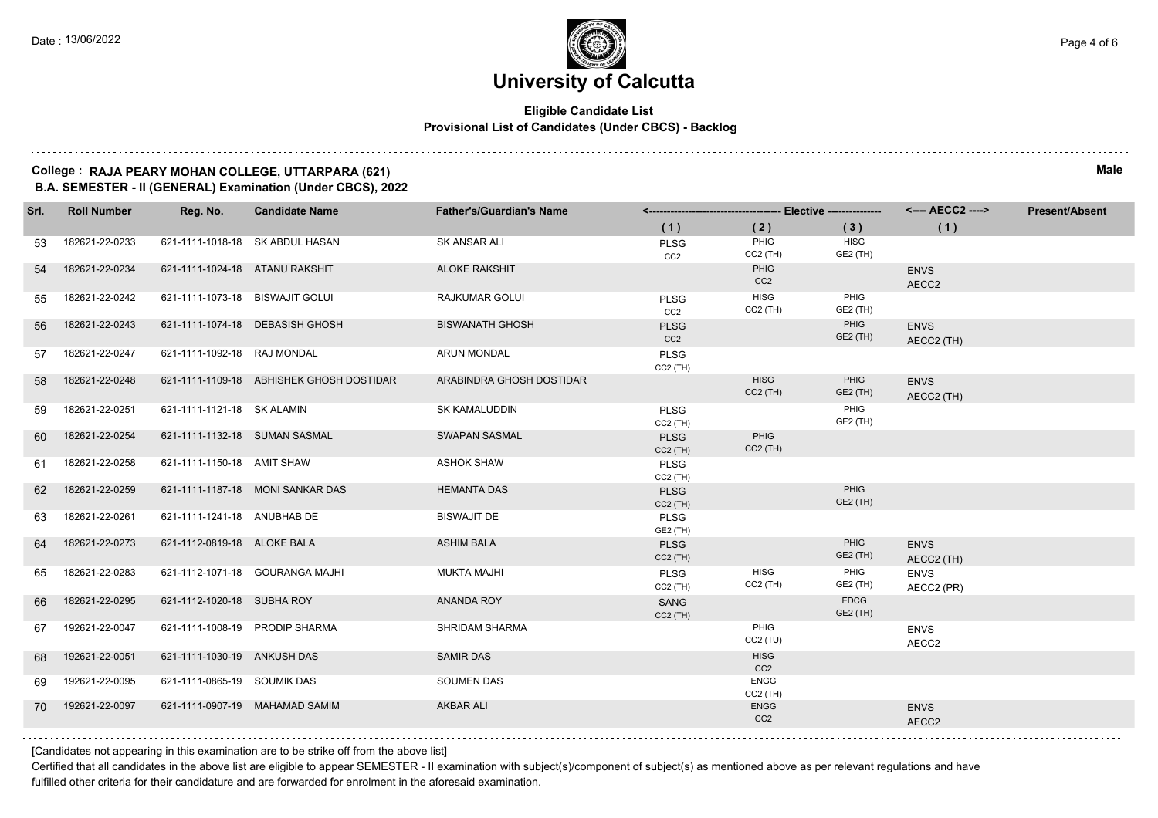#### **Eligible Candidate List Provisional List of Candidates (Under CBCS) - Backlog**

#### **College : RAJA PEARY MOHAN COLLEGE, UTTARPARA (621) Male B.A. SEMESTER - II (GENERAL) Examination (Under CBCS), 2022**

| Srl. | <b>Roll Number</b> | Reg. No.                        | <b>Candidate Name</b>                    | <b>Father's/Guardian's Name</b> |                                |                                |                                | <---- AECC2 ---->         | <b>Present/Absent</b> |
|------|--------------------|---------------------------------|------------------------------------------|---------------------------------|--------------------------------|--------------------------------|--------------------------------|---------------------------|-----------------------|
|      |                    |                                 |                                          |                                 | (1)                            | (2)                            | (3)                            | (1)                       |                       |
| 53   | 182621-22-0233     |                                 | 621-1111-1018-18 SK ABDUL HASAN          | SK ANSAR ALI                    | PLSG<br>CC <sub>2</sub>        | PHIG<br>$CC2$ (TH)             | <b>HISG</b><br>GE2 (TH)        |                           |                       |
| 54   | 182621-22-0234     | 621-1111-1024-18 ATANU RAKSHIT  |                                          | <b>ALOKE RAKSHIT</b>            |                                | PHIG<br>CC <sub>2</sub>        |                                | <b>ENVS</b><br>AECC2      |                       |
| 55   | 182621-22-0242     | 621-1111-1073-18 BISWAJIT GOLUI |                                          | RAJKUMAR GOLUI                  | <b>PLSG</b><br>CC2             | <b>HISG</b><br>$CC2$ (TH)      | PHIG<br>GE2 (TH)               |                           |                       |
| 56   | 182621-22-0243     |                                 | 621-1111-1074-18 DEBASISH GHOSH          | <b>BISWANATH GHOSH</b>          | <b>PLSG</b><br>CC <sub>2</sub> |                                | PHIG<br>GE2 (TH)               | <b>ENVS</b><br>AECC2 (TH) |                       |
| 57   | 182621-22-0247     | 621-1111-1092-18 RAJ MONDAL     |                                          | <b>ARUN MONDAL</b>              | <b>PLSG</b><br>$CC2$ (TH)      |                                |                                |                           |                       |
| 58   | 182621-22-0248     |                                 | 621-1111-1109-18 ABHISHEK GHOSH DOSTIDAR | ARABINDRA GHOSH DOSTIDAR        |                                | <b>HISG</b><br>$CC2$ (TH)      | PHIG<br>GE2 (TH)               | <b>ENVS</b><br>AECC2 (TH) |                       |
| 59   | 182621-22-0251     | 621-1111-1121-18 SK ALAMIN      |                                          | SK KAMALUDDIN                   | <b>PLSG</b><br>$CC2$ (TH)      |                                | PHIG<br>GE2 (TH)               |                           |                       |
| 60   | 182621-22-0254     | 621-1111-1132-18 SUMAN SASMAL   |                                          | <b>SWAPAN SASMAL</b>            | <b>PLSG</b><br>$CC2$ (TH)      | PHIG<br>$CC2$ (TH)             |                                |                           |                       |
| 61   | 182621-22-0258     | 621-1111-1150-18 AMIT SHAW      |                                          | <b>ASHOK SHAW</b>               | <b>PLSG</b><br>$CC2$ (TH)      |                                |                                |                           |                       |
| 62   | 182621-22-0259     |                                 | 621-1111-1187-18 MONI SANKAR DAS         | <b>HEMANTA DAS</b>              | <b>PLSG</b><br>$CC2$ (TH)      |                                | PHIG<br>GE2 (TH)               |                           |                       |
| 63   | 182621-22-0261     | 621-1111-1241-18 ANUBHAB DE     |                                          | <b>BISWAJIT DE</b>              | <b>PLSG</b><br>GE2 (TH)        |                                |                                |                           |                       |
| 64   | 182621-22-0273     | 621-1112-0819-18 ALOKE BALA     |                                          | <b>ASHIM BALA</b>               | <b>PLSG</b><br>$CC2$ (TH)      |                                | PHIG<br>GE2 (TH)               | <b>ENVS</b><br>AECC2 (TH) |                       |
| 65   | 182621-22-0283     |                                 | 621-1112-1071-18 GOURANGA MAJHI          | <b>MUKTA MAJHI</b>              | <b>PLSG</b><br>$CC2$ (TH)      | <b>HISG</b><br>$CC2$ (TH)      | PHIG<br>GE2 (TH)               | <b>ENVS</b><br>AECC2 (PR) |                       |
| 66   | 182621-22-0295     | 621-1112-1020-18 SUBHA ROY      |                                          | <b>ANANDA ROY</b>               | SANG<br>$CC2$ (TH)             |                                | <b>EDCG</b><br><b>GE2 (TH)</b> |                           |                       |
| 67   | 192621-22-0047     |                                 | 621-1111-1008-19 PRODIP SHARMA           | SHRIDAM SHARMA                  |                                | PHIG<br>$CC2$ (TU)             |                                | <b>ENVS</b><br>AECC2      |                       |
| 68   | 192621-22-0051     | 621-1111-1030-19 ANKUSH DAS     |                                          | <b>SAMIR DAS</b>                |                                | <b>HISG</b><br>CC <sub>2</sub> |                                |                           |                       |
| 69   | 192621-22-0095     | 621-1111-0865-19 SOUMIK DAS     |                                          | <b>SOUMEN DAS</b>               |                                | <b>ENGG</b><br>$CC2$ (TH)      |                                |                           |                       |
| 70   | 192621-22-0097     |                                 | 621-1111-0907-19 MAHAMAD SAMIM           | <b>AKBAR ALI</b>                |                                | <b>ENGG</b><br>CC <sub>2</sub> |                                | <b>ENVS</b><br>AECC2      |                       |
|      |                    |                                 |                                          |                                 |                                |                                |                                |                           |                       |

[Candidates not appearing in this examination are to be strike off from the above list]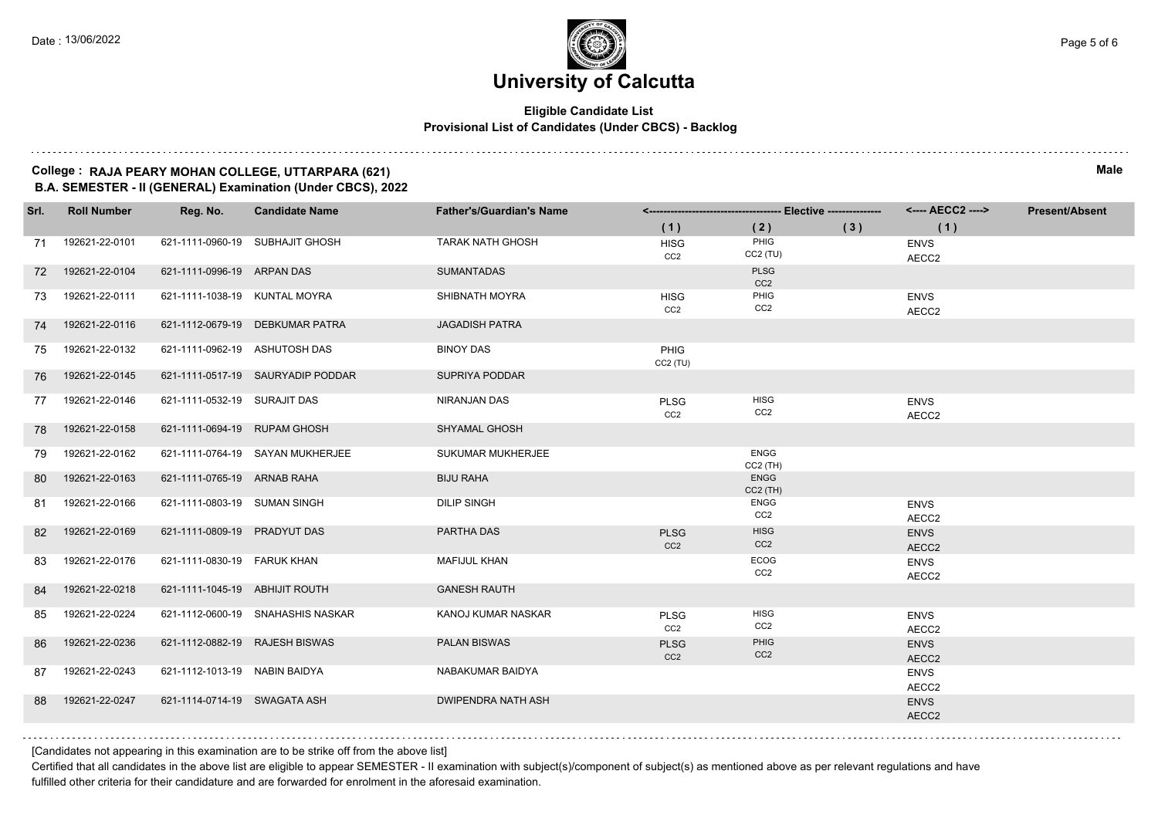#### **Eligible Candidate List Provisional List of Candidates (Under CBCS) - Backlog**

#### **College : RAJA PEARY MOHAN COLLEGE, UTTARPARA (621) Male B.A. SEMESTER - II (GENERAL) Examination (Under CBCS), 2022**

| Srl. | <b>Roll Number</b> | Reg. No.                       | <b>Candidate Name</b>             | <b>Father's/Guardian's Name</b> |                                |                                |     | <---- AECC2 ---->    | <b>Present/Absent</b> |
|------|--------------------|--------------------------------|-----------------------------------|---------------------------------|--------------------------------|--------------------------------|-----|----------------------|-----------------------|
|      |                    |                                |                                   |                                 | (1)                            | (2)                            | (3) | (1)                  |                       |
| 71   | 192621-22-0101     |                                | 621-1111-0960-19 SUBHAJIT GHOSH   | <b>TARAK NATH GHOSH</b>         | <b>HISG</b><br>CC <sub>2</sub> | PHIG<br>$CC2$ (TU)             |     | <b>ENVS</b><br>AECC2 |                       |
| 72   | 192621-22-0104     | 621-1111-0996-19 ARPAN DAS     |                                   | <b>SUMANTADAS</b>               |                                | <b>PLSG</b><br>CC <sub>2</sub> |     |                      |                       |
| 73   | 192621-22-0111     | 621-1111-1038-19 KUNTAL MOYRA  |                                   | SHIBNATH MOYRA                  | <b>HISG</b><br>CC <sub>2</sub> | PHIG<br>CC <sub>2</sub>        |     | <b>ENVS</b><br>AECC2 |                       |
| 74   | 192621-22-0116     |                                | 621-1112-0679-19 DEBKUMAR PATRA   | <b>JAGADISH PATRA</b>           |                                |                                |     |                      |                       |
| 75   | 192621-22-0132     | 621-1111-0962-19 ASHUTOSH DAS  |                                   | <b>BINOY DAS</b>                | PHIG<br>CC2(TU)                |                                |     |                      |                       |
| 76   | 192621-22-0145     |                                | 621-1111-0517-19 SAURYADIP PODDAR | SUPRIYA PODDAR                  |                                |                                |     |                      |                       |
| 77   | 192621-22-0146     | 621-1111-0532-19 SURAJIT DAS   |                                   | NIRANJAN DAS                    | <b>PLSG</b><br>CC2             | <b>HISG</b><br>CC <sub>2</sub> |     | <b>ENVS</b><br>AECC2 |                       |
| 78   | 192621-22-0158     | 621-1111-0694-19 RUPAM GHOSH   |                                   | SHYAMAL GHOSH                   |                                |                                |     |                      |                       |
| 79   | 192621-22-0162     |                                | 621-1111-0764-19 SAYAN MUKHERJEE  | SUKUMAR MUKHERJEE               |                                | <b>ENGG</b><br>$CC2$ (TH)      |     |                      |                       |
| 80   | 192621-22-0163     | 621-1111-0765-19 ARNAB RAHA    |                                   | <b>BIJU RAHA</b>                |                                | <b>ENGG</b><br>CC2 (TH)        |     |                      |                       |
| 81   | 192621-22-0166     | 621-1111-0803-19 SUMAN SINGH   |                                   | <b>DILIP SINGH</b>              |                                | <b>ENGG</b><br>CC <sub>2</sub> |     | <b>ENVS</b><br>AECC2 |                       |
| 82   | 192621-22-0169     | 621-1111-0809-19 PRADYUT DAS   |                                   | PARTHA DAS                      | <b>PLSG</b><br>CC <sub>2</sub> | <b>HISG</b><br>CC <sub>2</sub> |     | <b>ENVS</b><br>AECC2 |                       |
| 83   | 192621-22-0176     | 621-1111-0830-19 FARUK KHAN    |                                   | <b>MAFIJUL KHAN</b>             |                                | <b>ECOG</b><br>CC <sub>2</sub> |     | <b>ENVS</b><br>AECC2 |                       |
| 84   | 192621-22-0218     | 621-1111-1045-19 ABHIJIT ROUTH |                                   | <b>GANESH RAUTH</b>             |                                |                                |     |                      |                       |
| 85   | 192621-22-0224     |                                | 621-1112-0600-19 SNAHASHIS NASKAR | KANOJ KUMAR NASKAR              | <b>PLSG</b><br>CC <sub>2</sub> | <b>HISG</b><br>CC <sub>2</sub> |     | <b>ENVS</b><br>AECC2 |                       |
| 86   | 192621-22-0236     | 621-1112-0882-19 RAJESH BISWAS |                                   | <b>PALAN BISWAS</b>             | <b>PLSG</b><br>CC2             | PHIG<br>CC <sub>2</sub>        |     | <b>ENVS</b><br>AECC2 |                       |
| 87   | 192621-22-0243     | 621-1112-1013-19 NABIN BAIDYA  |                                   | NABAKUMAR BAIDYA                |                                |                                |     | <b>ENVS</b><br>AECC2 |                       |
| 88   | 192621-22-0247     | 621-1114-0714-19 SWAGATA ASH   |                                   | <b>DWIPENDRA NATH ASH</b>       |                                |                                |     | <b>ENVS</b><br>AECC2 |                       |
|      |                    |                                |                                   |                                 |                                |                                |     |                      |                       |

[Candidates not appearing in this examination are to be strike off from the above list]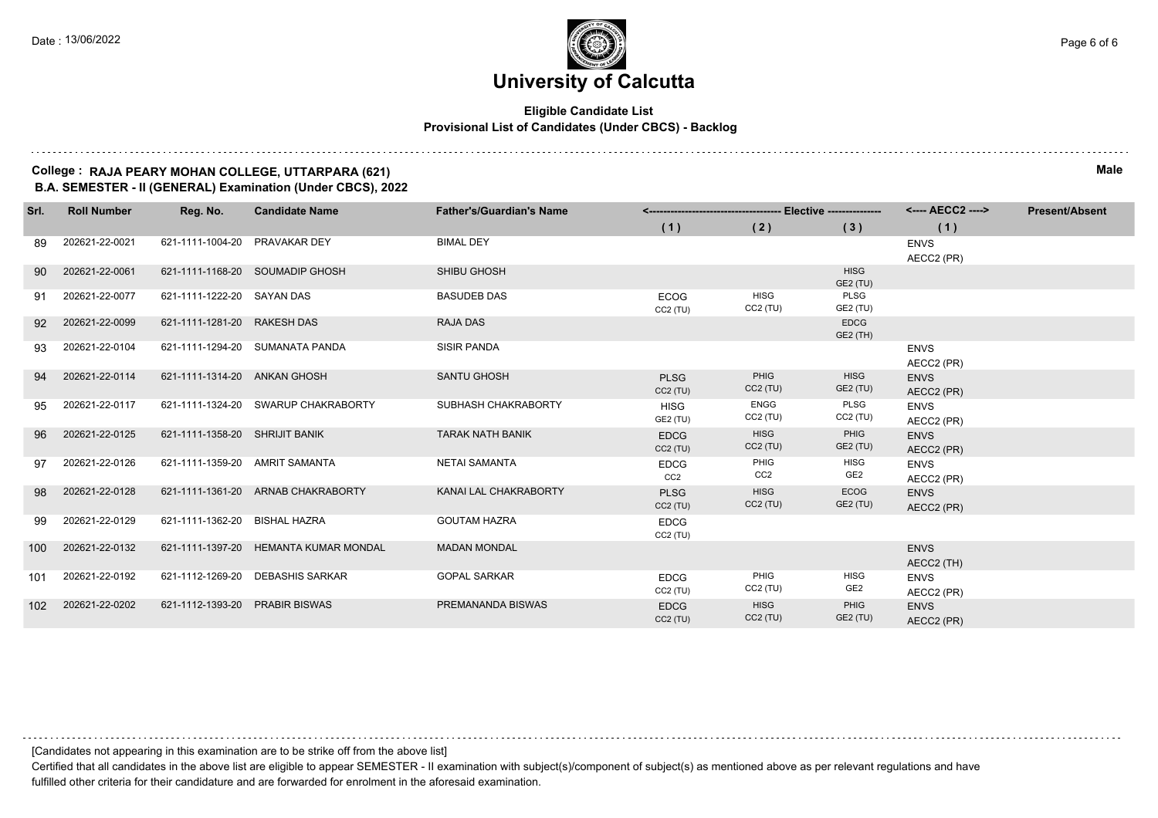#### **Eligible Candidate List Provisional List of Candidates (Under CBCS) - Backlog**

#### **College : RAJA PEARY MOHAN COLLEGE, UTTARPARA (621) Male B.A. SEMESTER - II (GENERAL) Examination (Under CBCS), 2022**

| Srl. | <b>Roll Number</b> | Reg. No.                       | <b>Candidate Name</b>                 | <b>Father's/Guardian's Name</b> |                                |                           | --- Elective --------------- | <---- AECC2 ---->                     | <b>Present/Absent</b> |
|------|--------------------|--------------------------------|---------------------------------------|---------------------------------|--------------------------------|---------------------------|------------------------------|---------------------------------------|-----------------------|
|      |                    |                                |                                       |                                 | (1)                            | (2)                       | (3)                          | (1)                                   |                       |
| -89  | 202621-22-0021     | 621-1111-1004-20 PRAVAKAR DEY  |                                       | <b>BIMAL DEY</b>                |                                |                           |                              | <b>ENVS</b><br>AECC2 (PR)             |                       |
| 90   | 202621-22-0061     |                                | 621-1111-1168-20 SOUMADIP GHOSH       | <b>SHIBU GHOSH</b>              |                                |                           | <b>HISG</b><br>GE2 (TU)      |                                       |                       |
| 91   | 202621-22-0077     | 621-1111-1222-20 SAYAN DAS     |                                       | <b>BASUDEB DAS</b>              | <b>ECOG</b><br>CC2(TU)         | <b>HISG</b><br>$CC2$ (TU) | PLSG<br>GE2 (TU)             |                                       |                       |
| 92   | 202621-22-0099     | 621-1111-1281-20 RAKESH DAS    |                                       | <b>RAJA DAS</b>                 |                                |                           | <b>EDCG</b><br>GE2 (TH)      |                                       |                       |
| 93   | 202621-22-0104     |                                | 621-1111-1294-20 SUMANATA PANDA       | <b>SISIR PANDA</b>              |                                |                           |                              | <b>ENVS</b><br>AECC2 (PR)             |                       |
| 94   | 202621-22-0114     | 621-1111-1314-20 ANKAN GHOSH   |                                       | <b>SANTU GHOSH</b>              | <b>PLSG</b><br>CC2(TU)         | <b>PHIG</b><br>$CC2$ (TU) | <b>HISG</b><br>GE2 (TU)      | <b>ENVS</b><br>AECC2 (PR)             |                       |
| 95   | 202621-22-0117     |                                | 621-1111-1324-20 SWARUP CHAKRABORTY   | SUBHASH CHAKRABORTY             | <b>HISG</b><br>GE2 (TU)        | <b>ENGG</b><br>$CC2$ (TU) | PLSG<br>$CC2$ (TU)           | <b>ENVS</b><br>AECC2 (PR)             |                       |
| 96   | 202621-22-0125     | 621-1111-1358-20 SHRIJIT BANIK |                                       | <b>TARAK NATH BANIK</b>         | <b>EDCG</b><br>CC2(TU)         | <b>HISG</b><br>$CC2$ (TU) | PHIG<br>GE2 (TU)             | <b>ENVS</b><br>AECC2 (PR)             |                       |
| 97   | 202621-22-0126     | 621-1111-1359-20 AMRIT SAMANTA |                                       | <b>NETAI SAMANTA</b>            | <b>EDCG</b><br>CC <sub>2</sub> | PHIG<br>CC2               | HISG<br>GE <sub>2</sub>      | <b>ENVS</b><br>AECC2 (PR)             |                       |
| 98   | 202621-22-0128     |                                | 621-1111-1361-20 ARNAB CHAKRABORTY    | KANAI LAL CHAKRABORTY           | <b>PLSG</b><br>CC2(TU)         | <b>HISG</b><br>$CC2$ (TU) | <b>ECOG</b><br>GE2 (TU)      | <b>ENVS</b><br>AECC2 (PR)             |                       |
| 99   | 202621-22-0129     | 621-1111-1362-20 BISHAL HAZRA  |                                       | <b>GOUTAM HAZRA</b>             | <b>EDCG</b><br>CC2(TU)         |                           |                              |                                       |                       |
| 100  | 202621-22-0132     |                                | 621-1111-1397-20 HEMANTA KUMAR MONDAL | <b>MADAN MONDAL</b>             |                                |                           |                              | <b>ENVS</b><br>AECC2 (TH)             |                       |
| 101  | 202621-22-0192     | 621-1112-1269-20               | <b>DEBASHIS SARKAR</b>                | <b>GOPAL SARKAR</b>             | <b>EDCG</b><br>CC2(TU)         | PHIG<br>$CC2$ (TU)        | <b>HISG</b><br>GE2           | <b>ENVS</b><br>AECC2 (PR)             |                       |
| 102  | 202621-22-0202     | 621-1112-1393-20 PRABIR BISWAS |                                       | PREMANANDA BISWAS               | <b>EDCG</b><br>CC2(TU)         | <b>HISG</b><br>$CC2$ (TU) | PHIG<br>GE2 (TU)             | <b>ENVS</b><br>AECC <sub>2</sub> (PR) |                       |

[Candidates not appearing in this examination are to be strike off from the above list]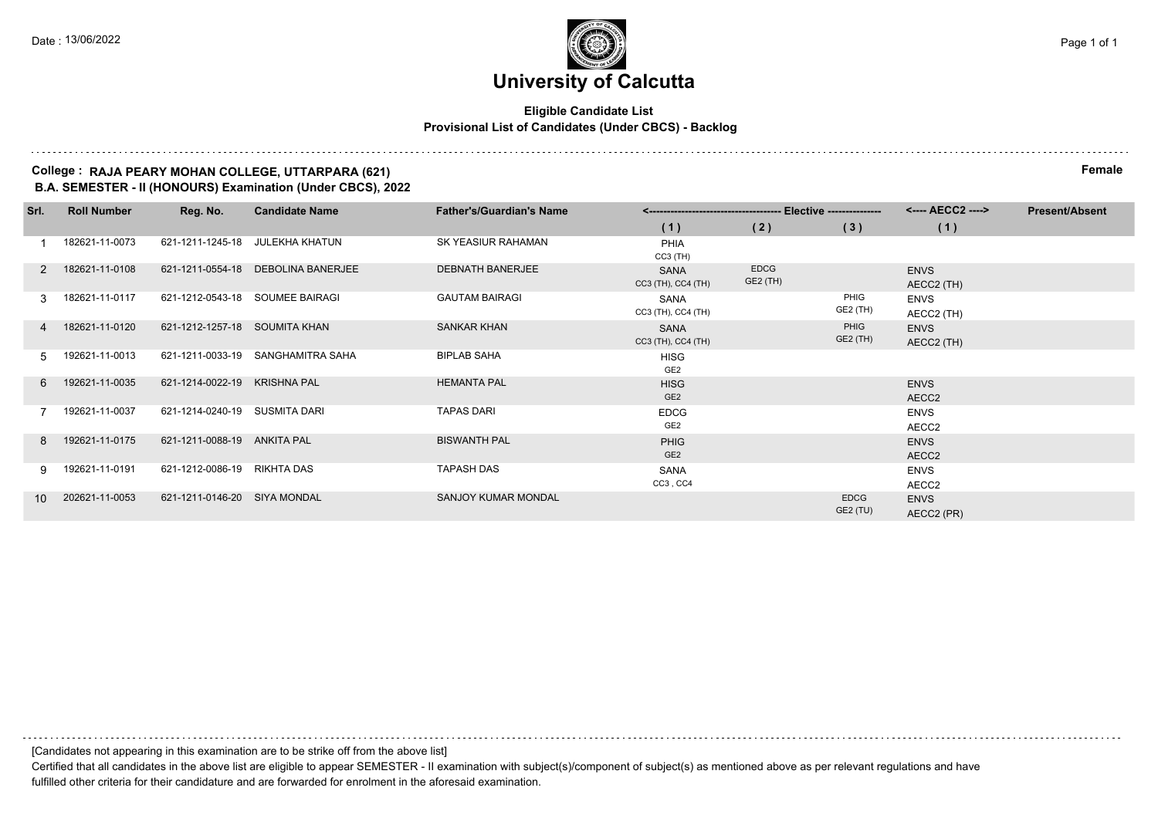#### **Eligible Candidate List Provisional List of Candidates (Under CBCS) - Backlog**

#### **College : RAJA PEARY MOHAN COLLEGE, UTTARPARA (621) Female B.A. SEMESTER - II (HONOURS) Examination (Under CBCS), 2022**

| Srl.          | <b>Roll Number</b> | Reg. No.                      | <b>Candidate Name</b>              | <b>Father's/Guardian's Name</b> |                                   |                         |                         | <---- AECC2 ---->         | <b>Present/Absent</b> |
|---------------|--------------------|-------------------------------|------------------------------------|---------------------------------|-----------------------------------|-------------------------|-------------------------|---------------------------|-----------------------|
|               |                    |                               |                                    |                                 | (1)                               | (2)                     | (3)                     | (1)                       |                       |
|               | 182621-11-0073     |                               | 621-1211-1245-18 JULEKHA KHATUN    | SK YEASIUR RAHAMAN              | <b>PHIA</b><br>$CC3$ (TH)         |                         |                         |                           |                       |
| $\mathcal{P}$ | 182621-11-0108     |                               | 621-1211-0554-18 DEBOLINA BANERJEE | <b>DEBNATH BANERJEE</b>         | <b>SANA</b><br>CC3 (TH), CC4 (TH) | <b>EDCG</b><br>GE2 (TH) |                         | <b>ENVS</b><br>AECC2 (TH) |                       |
| 3             | 182621-11-0117     |                               | 621-1212-0543-18 SOUMEE BAIRAGI    | <b>GAUTAM BAIRAGI</b>           | SANA<br>CC3 (TH), CC4 (TH)        |                         | PHIG<br>GE2 (TH)        | <b>ENVS</b><br>AECC2 (TH) |                       |
| 4             | 182621-11-0120     | 621-1212-1257-18 SOUMITA KHAN |                                    | <b>SANKAR KHAN</b>              | SANA<br>CC3 (TH), CC4 (TH)        |                         | PHIG<br>GE2 (TH)        | <b>ENVS</b><br>AECC2 (TH) |                       |
| .5            | 192621-11-0013     |                               | 621-1211-0033-19 SANGHAMITRA SAHA  | <b>BIPLAB SAHA</b>              | <b>HISG</b><br>GE <sub>2</sub>    |                         |                         |                           |                       |
| 6             | 192621-11-0035     | 621-1214-0022-19 KRISHNA PAL  |                                    | <b>HEMANTA PAL</b>              | <b>HISG</b><br>GE <sub>2</sub>    |                         |                         | <b>ENVS</b><br>AECC2      |                       |
|               | 192621-11-0037     | 621-1214-0240-19 SUSMITA DARI |                                    | <b>TAPAS DARI</b>               | <b>EDCG</b><br>GE <sub>2</sub>    |                         |                         | <b>ENVS</b><br>AECC2      |                       |
| 8             | 192621-11-0175     | 621-1211-0088-19 ANKITA PAL   |                                    | <b>BISWANTH PAL</b>             | <b>PHIG</b><br>GE <sub>2</sub>    |                         |                         | <b>ENVS</b><br>AECC2      |                       |
| 9.            | 192621-11-0191     | 621-1212-0086-19 RIKHTA DAS   |                                    | <b>TAPASH DAS</b>               | SANA<br>CC3, CC4                  |                         |                         | <b>ENVS</b><br>AECC2      |                       |
| 10            | 202621-11-0053     | 621-1211-0146-20 SIYA MONDAL  |                                    | SANJOY KUMAR MONDAL             |                                   |                         | <b>EDCG</b><br>GE2 (TU) | <b>ENVS</b><br>AECC2 (PR) |                       |

[Candidates not appearing in this examination are to be strike off from the above list]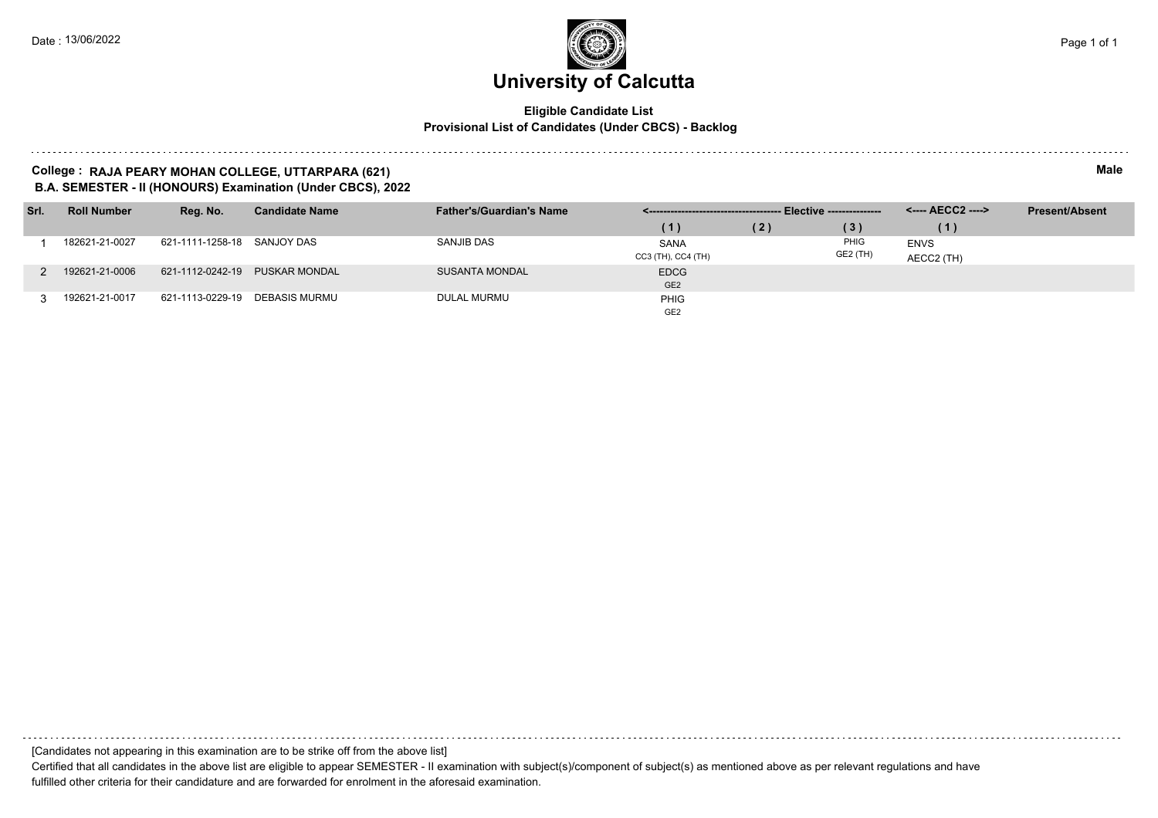#### **Eligible Candidate List Provisional List of Candidates (Under CBCS) - Backlog**

#### **College : RAJA PEARY MOHAN COLLEGE, UTTARPARA (621) Male B.A. SEMESTER - II (HONOURS) Examination (Under CBCS), 2022**

| Srl. | <b>Roll Number</b> | Reg. No.                    | <b>Candidate Name</b>          | <b>Father's/Guardian's Name</b> |                    |     |          |             | <b>Present/Absent</b> |
|------|--------------------|-----------------------------|--------------------------------|---------------------------------|--------------------|-----|----------|-------------|-----------------------|
|      |                    |                             |                                |                                 | (1)                | (2) | (3)      | (1)         |                       |
|      | 182621-21-0027     | 621-1111-1258-18 SANJOY DAS |                                | SANJIB DAS                      | <b>SANA</b>        |     | PHIG     | <b>ENVS</b> |                       |
|      |                    |                             |                                |                                 | CC3 (TH), CC4 (TH) |     | GE2 (TH) | AECC2 (TH)  |                       |
|      | 192621-21-0006     | 621-1112-0242-19            | <b>PUSKAR MONDAL</b>           | <b>SUSANTA MONDAL</b>           | <b>EDCG</b>        |     |          |             |                       |
|      |                    |                             |                                |                                 | GE <sub>2</sub>    |     |          |             |                       |
|      | 192621-21-0017     |                             | 621-1113-0229-19 DEBASIS MURMU | DULAL MURMU                     | <b>PHIG</b>        |     |          |             |                       |
|      |                    |                             |                                |                                 | GE <sub>2</sub>    |     |          |             |                       |

[Candidates not appearing in this examination are to be strike off from the above list]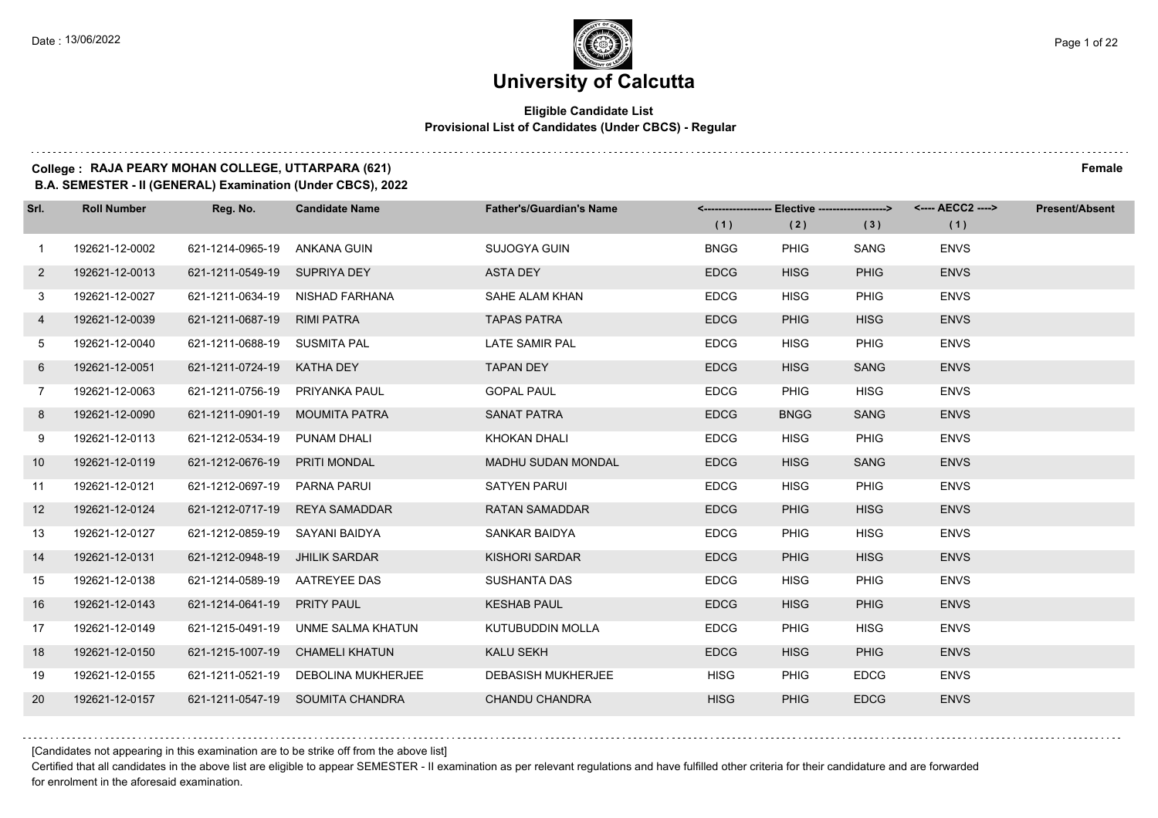#### **Eligible Candidate List Provisional List of Candidates (Under CBCS) - Regular**

#### **College : RAJA PEARY MOHAN COLLEGE, UTTARPARA (621) Female**

**B.A. SEMESTER - II (GENERAL) Examination (Under CBCS), 2022**

| Srl.           | <b>Roll Number</b> | Reg. No.                        | <b>Candidate Name</b>               | <b>Father's/Guardian's Name</b> | <-------------------- Elective ------------------> |             |             | <---- AECC2 ----> | <b>Present/Absent</b> |
|----------------|--------------------|---------------------------------|-------------------------------------|---------------------------------|----------------------------------------------------|-------------|-------------|-------------------|-----------------------|
|                |                    |                                 |                                     |                                 | (1)                                                | (2)         | (3)         | (1)               |                       |
| $\mathbf{1}$   | 192621-12-0002     | 621-1214-0965-19 ANKANA GUIN    |                                     | SUJOGYA GUIN                    | <b>BNGG</b>                                        | <b>PHIG</b> | SANG        | <b>ENVS</b>       |                       |
| $2^{\circ}$    | 192621-12-0013     | 621-1211-0549-19 SUPRIYA DEY    |                                     | <b>ASTA DEY</b>                 | <b>EDCG</b>                                        | <b>HISG</b> | <b>PHIG</b> | <b>ENVS</b>       |                       |
| 3              | 192621-12-0027     |                                 | 621-1211-0634-19 NISHAD FARHANA     | SAHE ALAM KHAN                  | <b>EDCG</b>                                        | <b>HISG</b> | <b>PHIG</b> | <b>ENVS</b>       |                       |
| 4              | 192621-12-0039     | 621-1211-0687-19 RIMI PATRA     |                                     | <b>TAPAS PATRA</b>              | <b>EDCG</b>                                        | <b>PHIG</b> | <b>HISG</b> | <b>ENVS</b>       |                       |
| 5              | 192621-12-0040     | 621-1211-0688-19 SUSMITA PAL    |                                     | LATE SAMIR PAL                  | <b>EDCG</b>                                        | <b>HISG</b> | <b>PHIG</b> | <b>ENVS</b>       |                       |
| 6              | 192621-12-0051     | 621-1211-0724-19                | <b>KATHA DEY</b>                    | <b>TAPAN DEY</b>                | <b>EDCG</b>                                        | <b>HISG</b> | <b>SANG</b> | <b>ENVS</b>       |                       |
| $\overline{7}$ | 192621-12-0063     | 621-1211-0756-19 PRIYANKA PAUL  |                                     | <b>GOPAL PAUL</b>               | <b>EDCG</b>                                        | PHIG        | <b>HISG</b> | <b>ENVS</b>       |                       |
| 8              | 192621-12-0090     | 621-1211-0901-19 MOUMITA PATRA  |                                     | <b>SANAT PATRA</b>              | <b>EDCG</b>                                        | <b>BNGG</b> | <b>SANG</b> | <b>ENVS</b>       |                       |
| 9              | 192621-12-0113     | 621-1212-0534-19 PUNAM DHALI    |                                     | KHOKAN DHALI                    | <b>EDCG</b>                                        | <b>HISG</b> | <b>PHIG</b> | <b>ENVS</b>       |                       |
| 10             | 192621-12-0119     | 621-1212-0676-19 PRITI MONDAL   |                                     | MADHU SUDAN MONDAL              | <b>EDCG</b>                                        | <b>HISG</b> | <b>SANG</b> | <b>ENVS</b>       |                       |
| 11             | 192621-12-0121     | 621-1212-0697-19    PARNA PARUI |                                     | <b>SATYEN PARUI</b>             | <b>EDCG</b>                                        | <b>HISG</b> | <b>PHIG</b> | <b>ENVS</b>       |                       |
| 12             | 192621-12-0124     |                                 | 621-1212-0717-19 REYA SAMADDAR      | <b>RATAN SAMADDAR</b>           | <b>EDCG</b>                                        | <b>PHIG</b> | <b>HISG</b> | <b>ENVS</b>       |                       |
| 13             | 192621-12-0127     | 621-1212-0859-19 SAYANI BAIDYA  |                                     | SANKAR BAIDYA                   | <b>EDCG</b>                                        | <b>PHIG</b> | <b>HISG</b> | <b>ENVS</b>       |                       |
| 14             | 192621-12-0131     | 621-1212-0948-19 JHILIK SARDAR  |                                     | KISHORI SARDAR                  | <b>EDCG</b>                                        | <b>PHIG</b> | <b>HISG</b> | <b>ENVS</b>       |                       |
| 15             | 192621-12-0138     | 621-1214-0589-19 AATREYEE DAS   |                                     | <b>SUSHANTA DAS</b>             | <b>EDCG</b>                                        | <b>HISG</b> | <b>PHIG</b> | <b>ENVS</b>       |                       |
| 16             | 192621-12-0143     | 621-1214-0641-19 PRITY PAUL     |                                     | <b>KESHAB PAUL</b>              | <b>EDCG</b>                                        | <b>HISG</b> | <b>PHIG</b> | <b>ENVS</b>       |                       |
| 17             | 192621-12-0149     | 621-1215-0491-19                | UNME SALMA KHATUN                   | KUTUBUDDIN MOLLA                | <b>EDCG</b>                                        | <b>PHIG</b> | <b>HISG</b> | <b>ENVS</b>       |                       |
| 18             | 192621-12-0150     |                                 | 621-1215-1007-19 CHAMELI KHATUN     | <b>KALU SEKH</b>                | <b>EDCG</b>                                        | <b>HISG</b> | <b>PHIG</b> | <b>ENVS</b>       |                       |
| 19             | 192621-12-0155     |                                 | 621-1211-0521-19 DEBOLINA MUKHERJEE | <b>DEBASISH MUKHERJEE</b>       | <b>HISG</b>                                        | PHIG        | <b>EDCG</b> | <b>ENVS</b>       |                       |
| 20             | 192621-12-0157     |                                 | 621-1211-0547-19 SOUMITA CHANDRA    | CHANDU CHANDRA                  | <b>HISG</b>                                        | <b>PHIG</b> | <b>EDCG</b> | <b>ENVS</b>       |                       |

[Candidates not appearing in this examination are to be strike off from the above list]

Certified that all candidates in the above list are eligible to appear SEMESTER - II examination as per relevant regulations and have fulfilled other criteria for their candidature and are forwarded for enrolment in the aforesaid examination.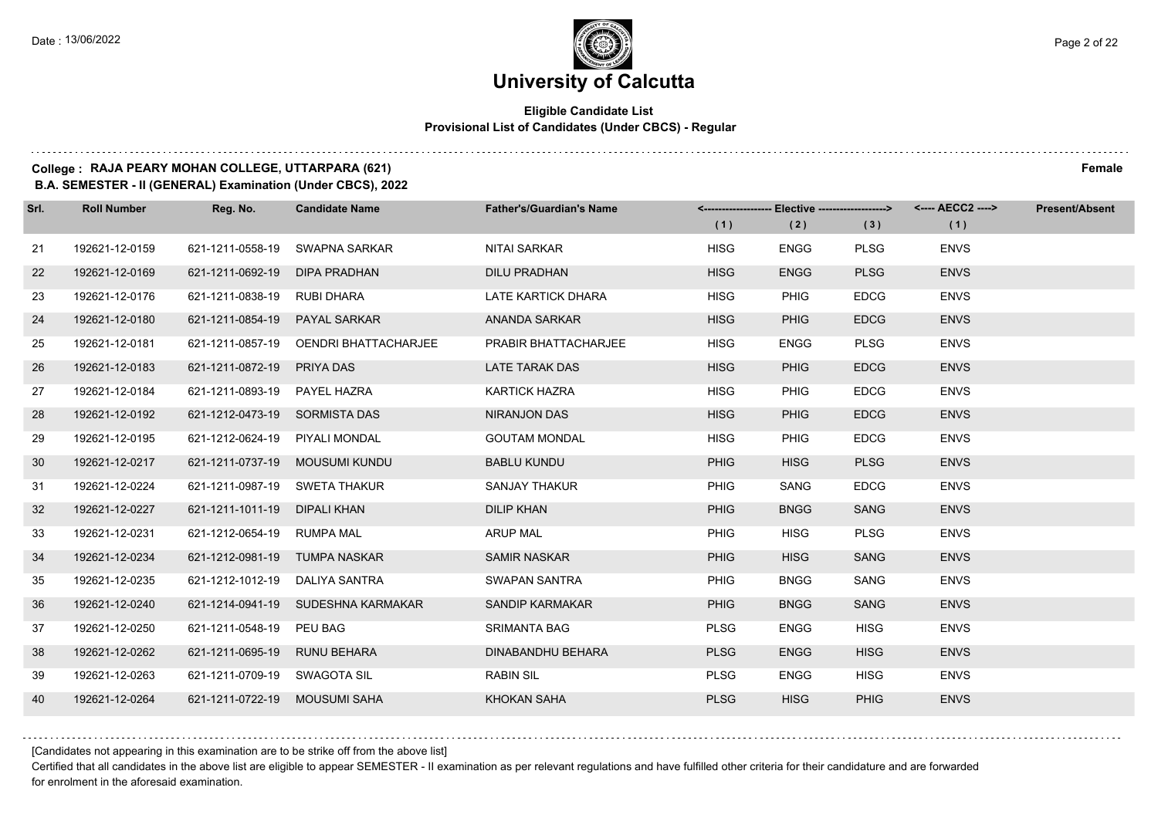#### **Eligible Candidate List Provisional List of Candidates (Under CBCS) - Regular**

#### **College : RAJA PEARY MOHAN COLLEGE, UTTARPARA (621) Female**

**B.A. SEMESTER - II (GENERAL) Examination (Under CBCS), 2022**

| Srl. | <b>Roll Number</b> | Reg. No.                       | <b>Candidate Name</b>                 | <b>Father's/Guardian's Name</b> | (1)         | <------------------- Elective ------------------> <---- AECC2 ----><br>(2) | (3)         | (1)         | <b>Present/Absent</b> |
|------|--------------------|--------------------------------|---------------------------------------|---------------------------------|-------------|----------------------------------------------------------------------------|-------------|-------------|-----------------------|
| 21   | 192621-12-0159     | 621-1211-0558-19               | SWAPNA SARKAR                         | NITAI SARKAR                    | <b>HISG</b> | <b>ENGG</b>                                                                | <b>PLSG</b> | <b>ENVS</b> |                       |
| 22   | 192621-12-0169     | 621-1211-0692-19               | DIPA PRADHAN                          | <b>DILU PRADHAN</b>             | <b>HISG</b> | <b>ENGG</b>                                                                | <b>PLSG</b> | <b>ENVS</b> |                       |
| 23   | 192621-12-0176     | 621-1211-0838-19 RUBI DHARA    |                                       | LATE KARTICK DHARA              | <b>HISG</b> | <b>PHIG</b>                                                                | <b>EDCG</b> | <b>ENVS</b> |                       |
| 24   | 192621-12-0180     | 621-1211-0854-19 PAYAL SARKAR  |                                       | ANANDA SARKAR                   | <b>HISG</b> | <b>PHIG</b>                                                                | <b>EDCG</b> | <b>ENVS</b> |                       |
| 25   | 192621-12-0181     |                                | 621-1211-0857-19 OENDRI BHATTACHARJEE | <b>PRABIR BHATTACHARJEE</b>     | <b>HISG</b> | <b>ENGG</b>                                                                | <b>PLSG</b> | <b>ENVS</b> |                       |
| 26   | 192621-12-0183     | 621-1211-0872-19 PRIYA DAS     |                                       | <b>LATE TARAK DAS</b>           | <b>HISG</b> | <b>PHIG</b>                                                                | <b>EDCG</b> | <b>ENVS</b> |                       |
| 27   | 192621-12-0184     | 621-1211-0893-19 PAYEL HAZRA   |                                       | <b>KARTICK HAZRA</b>            | <b>HISG</b> | <b>PHIG</b>                                                                | <b>EDCG</b> | <b>ENVS</b> |                       |
| 28   | 192621-12-0192     | 621-1212-0473-19 SORMISTA DAS  |                                       | NIRANJON DAS                    | <b>HISG</b> | <b>PHIG</b>                                                                | <b>EDCG</b> | <b>ENVS</b> |                       |
| 29   | 192621-12-0195     | 621-1212-0624-19 PIYALI MONDAL |                                       | <b>GOUTAM MONDAL</b>            | <b>HISG</b> | <b>PHIG</b>                                                                | <b>EDCG</b> | <b>ENVS</b> |                       |
| 30   | 192621-12-0217     |                                | 621-1211-0737-19 MOUSUMI KUNDU        | <b>BABLU KUNDU</b>              | <b>PHIG</b> | <b>HISG</b>                                                                | <b>PLSG</b> | <b>ENVS</b> |                       |
| 31   | 192621-12-0224     | 621-1211-0987-19 SWETA THAKUR  |                                       | <b>SANJAY THAKUR</b>            | <b>PHIG</b> | SANG                                                                       | <b>EDCG</b> | <b>ENVS</b> |                       |
| 32   | 192621-12-0227     | 621-1211-1011-19 DIPALI KHAN   |                                       | <b>DILIP KHAN</b>               | <b>PHIG</b> | <b>BNGG</b>                                                                | <b>SANG</b> | <b>ENVS</b> |                       |
| 33   | 192621-12-0231     | 621-1212-0654-19 RUMPA MAL     |                                       | <b>ARUP MAL</b>                 | <b>PHIG</b> | <b>HISG</b>                                                                | <b>PLSG</b> | <b>ENVS</b> |                       |
| 34   | 192621-12-0234     | 621-1212-0981-19 TUMPA NASKAR  |                                       | <b>SAMIR NASKAR</b>             | <b>PHIG</b> | <b>HISG</b>                                                                | <b>SANG</b> | <b>ENVS</b> |                       |
| 35   | 192621-12-0235     | 621-1212-1012-19 DALIYA SANTRA |                                       | SWAPAN SANTRA                   | <b>PHIG</b> | <b>BNGG</b>                                                                | SANG        | <b>ENVS</b> |                       |
| 36   | 192621-12-0240     |                                | 621-1214-0941-19 SUDESHNA KARMAKAR    | SANDIP KARMAKAR                 | <b>PHIG</b> | <b>BNGG</b>                                                                | <b>SANG</b> | <b>ENVS</b> |                       |
| 37   | 192621-12-0250     | 621-1211-0548-19 PEU BAG       |                                       | <b>SRIMANTA BAG</b>             | <b>PLSG</b> | <b>ENGG</b>                                                                | <b>HISG</b> | <b>ENVS</b> |                       |
| 38   | 192621-12-0262     | 621-1211-0695-19 RUNU BEHARA   |                                       | <b>DINABANDHU BEHARA</b>        | <b>PLSG</b> | <b>ENGG</b>                                                                | <b>HISG</b> | <b>ENVS</b> |                       |
| 39   | 192621-12-0263     | 621-1211-0709-19 SWAGOTA SIL   |                                       | <b>RABIN SIL</b>                | <b>PLSG</b> | <b>ENGG</b>                                                                | <b>HISG</b> | <b>ENVS</b> |                       |
| 40   | 192621-12-0264     | 621-1211-0722-19 MOUSUMI SAHA  |                                       | KHOKAN SAHA                     | <b>PLSG</b> | <b>HISG</b>                                                                | <b>PHIG</b> | <b>ENVS</b> |                       |

[Candidates not appearing in this examination are to be strike off from the above list]

Certified that all candidates in the above list are eligible to appear SEMESTER - II examination as per relevant regulations and have fulfilled other criteria for their candidature and are forwarded for enrolment in the aforesaid examination.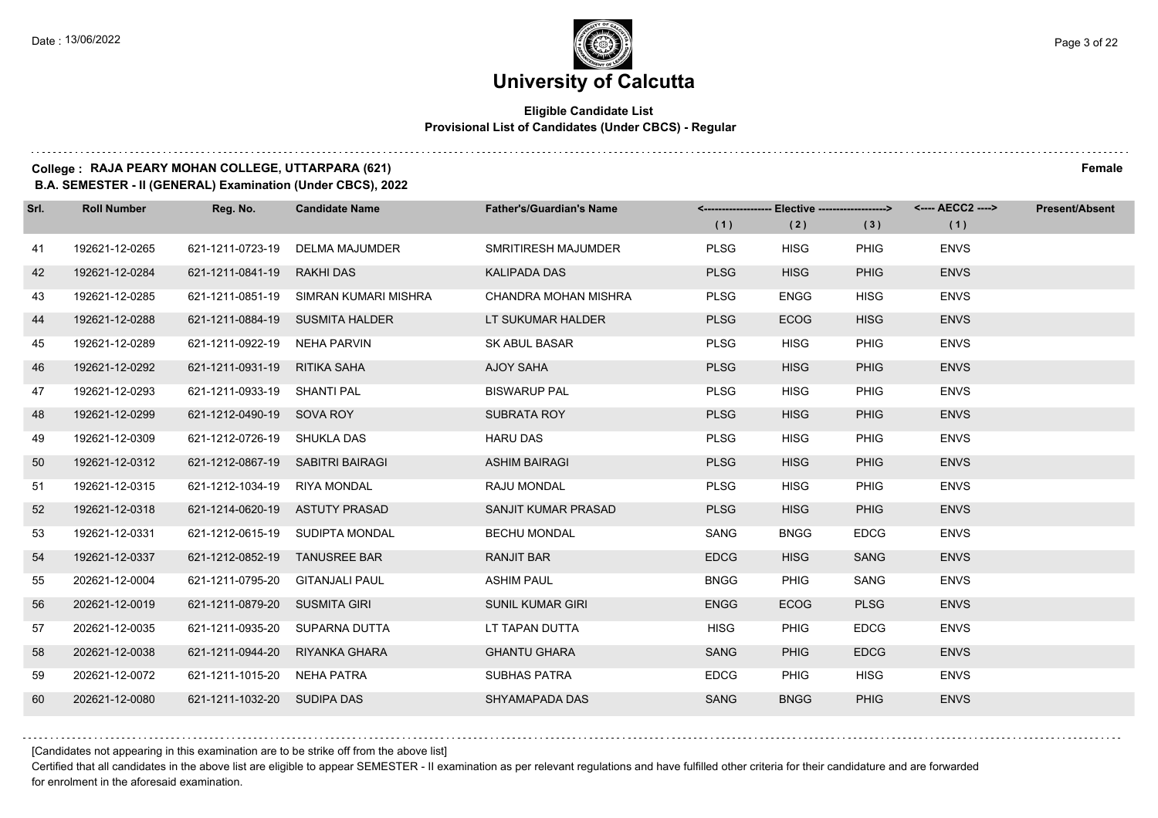### **University of Calcutta**

#### **Eligible Candidate List Provisional List of Candidates (Under CBCS) - Regular**

#### **College : RAJA PEARY MOHAN COLLEGE, UTTARPARA (621) Female**

**B.A. SEMESTER - II (GENERAL) Examination (Under CBCS), 2022**

| Srl. | <b>Roll Number</b> | Reg. No.                         | <b>Candidate Name</b>                 | <b>Father's/Guardian's Name</b> | (1)         | <------------------- Elective ------------------><br>(2) | (3)         | <---- AECC2 ----><br>(1) | <b>Present/Absent</b> |
|------|--------------------|----------------------------------|---------------------------------------|---------------------------------|-------------|----------------------------------------------------------|-------------|--------------------------|-----------------------|
| 41   | 192621-12-0265     |                                  | 621-1211-0723-19 DELMA MAJUMDER       | SMRITIRESH MAJUMDER             | <b>PLSG</b> | <b>HISG</b>                                              | <b>PHIG</b> | <b>ENVS</b>              |                       |
| 42   | 192621-12-0284     | 621-1211-0841-19 RAKHI DAS       |                                       | <b>KALIPADA DAS</b>             | <b>PLSG</b> | <b>HISG</b>                                              | <b>PHIG</b> | <b>ENVS</b>              |                       |
| 43   | 192621-12-0285     |                                  | 621-1211-0851-19 SIMRAN KUMARI MISHRA | CHANDRA MOHAN MISHRA            | <b>PLSG</b> | <b>ENGG</b>                                              | <b>HISG</b> | <b>ENVS</b>              |                       |
| 44   | 192621-12-0288     |                                  | 621-1211-0884-19 SUSMITA HALDER       | LT SUKUMAR HALDER               | <b>PLSG</b> | <b>ECOG</b>                                              | <b>HISG</b> | <b>ENVS</b>              |                       |
| 45   | 192621-12-0289     | 621-1211-0922-19 NEHA PARVIN     |                                       | <b>SK ABUL BASAR</b>            | <b>PLSG</b> | <b>HISG</b>                                              | PHIG        | <b>ENVS</b>              |                       |
| 46   | 192621-12-0292     | 621-1211-0931-19 RITIKA SAHA     |                                       | AJOY SAHA                       | <b>PLSG</b> | <b>HISG</b>                                              | <b>PHIG</b> | <b>ENVS</b>              |                       |
| 47   | 192621-12-0293     | 621-1211-0933-19 SHANTI PAL      |                                       | <b>BISWARUP PAL</b>             | <b>PLSG</b> | <b>HISG</b>                                              | PHIG        | <b>ENVS</b>              |                       |
| -48  | 192621-12-0299     | 621-1212-0490-19 SOVA ROY        |                                       | <b>SUBRATA ROY</b>              | <b>PLSG</b> | <b>HISG</b>                                              | <b>PHIG</b> | <b>ENVS</b>              |                       |
| 49   | 192621-12-0309     | 621-1212-0726-19 SHUKLA DAS      |                                       | <b>HARU DAS</b>                 | <b>PLSG</b> | <b>HISG</b>                                              | PHIG        | <b>ENVS</b>              |                       |
| 50   | 192621-12-0312     | 621-1212-0867-19 SABITRI BAIRAGI |                                       | <b>ASHIM BAIRAGI</b>            | <b>PLSG</b> | <b>HISG</b>                                              | <b>PHIG</b> | <b>ENVS</b>              |                       |
| 51   | 192621-12-0315     | 621-1212-1034-19 RIYA MONDAL     |                                       | RAJU MONDAL                     | <b>PLSG</b> | <b>HISG</b>                                              | PHIG        | <b>ENVS</b>              |                       |
| 52   | 192621-12-0318     |                                  | 621-1214-0620-19 ASTUTY PRASAD        | SANJIT KUMAR PRASAD             | <b>PLSG</b> | <b>HISG</b>                                              | <b>PHIG</b> | <b>ENVS</b>              |                       |
| 53   | 192621-12-0331     |                                  | 621-1212-0615-19 SUDIPTA MONDAL       | <b>BECHU MONDAL</b>             | SANG        | <b>BNGG</b>                                              | <b>EDCG</b> | <b>ENVS</b>              |                       |
| 54   | 192621-12-0337     | 621-1212-0852-19 TANUSREE BAR    |                                       | <b>RANJIT BAR</b>               | <b>EDCG</b> | <b>HISG</b>                                              | <b>SANG</b> | <b>ENVS</b>              |                       |
| 55   | 202621-12-0004     | 621-1211-0795-20 GITANJALI PAUL  |                                       | <b>ASHIM PAUL</b>               | <b>BNGG</b> | <b>PHIG</b>                                              | SANG        | <b>ENVS</b>              |                       |
| 56   | 202621-12-0019     | 621-1211-0879-20 SUSMITA GIRI    |                                       | <b>SUNIL KUMAR GIRI</b>         | <b>ENGG</b> | <b>ECOG</b>                                              | <b>PLSG</b> | <b>ENVS</b>              |                       |
| 57   | 202621-12-0035     |                                  | 621-1211-0935-20 SUPARNA DUTTA        | LT TAPAN DUTTA                  | <b>HISG</b> | <b>PHIG</b>                                              | <b>EDCG</b> | <b>ENVS</b>              |                       |
| 58   | 202621-12-0038     |                                  | 621-1211-0944-20 RIYANKA GHARA        | <b>GHANTU GHARA</b>             | <b>SANG</b> | <b>PHIG</b>                                              | <b>EDCG</b> | <b>ENVS</b>              |                       |
| 59   | 202621-12-0072     | 621-1211-1015-20 NEHA PATRA      |                                       | <b>SUBHAS PATRA</b>             | <b>EDCG</b> | <b>PHIG</b>                                              | <b>HISG</b> | <b>ENVS</b>              |                       |
| 60   | 202621-12-0080     | 621-1211-1032-20 SUDIPA DAS      |                                       | SHYAMAPADA DAS                  | <b>SANG</b> | <b>BNGG</b>                                              | <b>PHIG</b> | <b>ENVS</b>              |                       |

#### [Candidates not appearing in this examination are to be strike off from the above list]

Certified that all candidates in the above list are eligible to appear SEMESTER - II examination as per relevant regulations and have fulfilled other criteria for their candidature and are forwarded for enrolment in the aforesaid examination.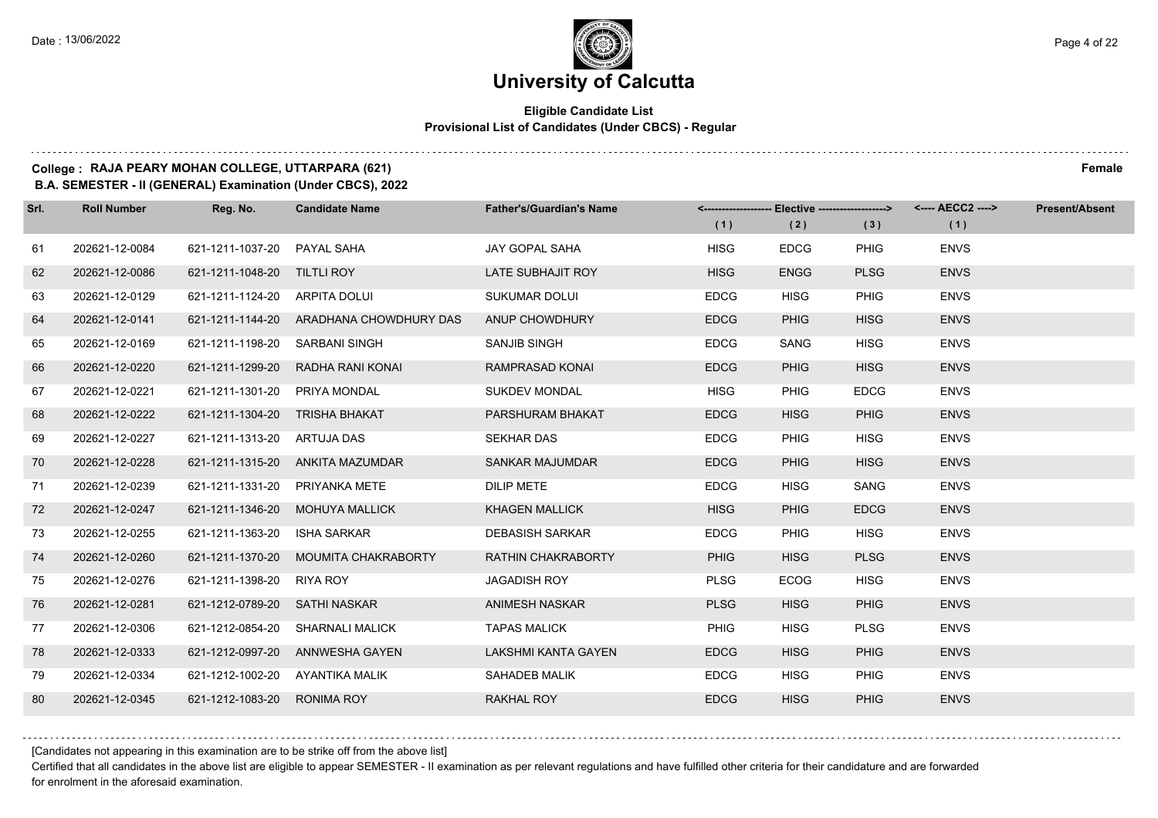### **University of Calcutta**

#### **Eligible Candidate List Provisional List of Candidates (Under CBCS) - Regular**

### **College : RAJA PEARY MOHAN COLLEGE, UTTARPARA (621) Female**

**B.A. SEMESTER - II (GENERAL) Examination (Under CBCS), 2022**

| Srl. | <b>Roll Number</b> | Reg. No.                        | <b>Candidate Name</b>                   | <b>Father's/Guardian's Name</b> |             | <------------------- Elective ------------------> |             | <---- AECC2 ----> | <b>Present/Absent</b> |
|------|--------------------|---------------------------------|-----------------------------------------|---------------------------------|-------------|---------------------------------------------------|-------------|-------------------|-----------------------|
|      |                    |                                 |                                         |                                 | (1)         | (2)                                               | (3)         | (1)               |                       |
| 61   | 202621-12-0084     | 621-1211-1037-20 PAYAL SAHA     |                                         | <b>JAY GOPAL SAHA</b>           | <b>HISG</b> | <b>EDCG</b>                                       | <b>PHIG</b> | <b>ENVS</b>       |                       |
| 62   | 202621-12-0086     | 621-1211-1048-20 TILTLI ROY     |                                         | LATE SUBHAJIT ROY               | <b>HISG</b> | <b>ENGG</b>                                       | <b>PLSG</b> | <b>ENVS</b>       |                       |
| 63   | 202621-12-0129     | 621-1211-1124-20 ARPITA DOLUI   |                                         | <b>SUKUMAR DOLUI</b>            | <b>EDCG</b> | <b>HISG</b>                                       | <b>PHIG</b> | <b>ENVS</b>       |                       |
| 64   | 202621-12-0141     |                                 | 621-1211-1144-20 ARADHANA CHOWDHURY DAS | ANUP CHOWDHURY                  | <b>EDCG</b> | <b>PHIG</b>                                       | <b>HISG</b> | <b>ENVS</b>       |                       |
| 65   | 202621-12-0169     | 621-1211-1198-20 SARBANI SINGH  |                                         | SANJIB SINGH                    | <b>EDCG</b> | <b>SANG</b>                                       | <b>HISG</b> | <b>ENVS</b>       |                       |
| 66   | 202621-12-0220     |                                 | 621-1211-1299-20 RADHA RANI KONAI       | RAMPRASAD KONAI                 | <b>EDCG</b> | <b>PHIG</b>                                       | <b>HISG</b> | <b>ENVS</b>       |                       |
| 67   | 202621-12-0221     | 621-1211-1301-20 PRIYA MONDAL   |                                         | <b>SUKDEV MONDAL</b>            | <b>HISG</b> | <b>PHIG</b>                                       | <b>EDCG</b> | <b>ENVS</b>       |                       |
| 68   | 202621-12-0222     | 621-1211-1304-20 TRISHA BHAKAT  |                                         | PARSHURAM BHAKAT                | <b>EDCG</b> | <b>HISG</b>                                       | <b>PHIG</b> | <b>ENVS</b>       |                       |
| 69   | 202621-12-0227     | 621-1211-1313-20 ARTUJA DAS     |                                         | <b>SEKHAR DAS</b>               | <b>EDCG</b> | <b>PHIG</b>                                       | <b>HISG</b> | <b>ENVS</b>       |                       |
| 70   | 202621-12-0228     |                                 | 621-1211-1315-20 ANKITA MAZUMDAR        | SANKAR MAJUMDAR                 | <b>EDCG</b> | <b>PHIG</b>                                       | <b>HISG</b> | <b>ENVS</b>       |                       |
| 71   | 202621-12-0239     | 621-1211-1331-20 PRIYANKA METE  |                                         | <b>DILIP METE</b>               | <b>EDCG</b> | <b>HISG</b>                                       | SANG        | <b>ENVS</b>       |                       |
| 72   | 202621-12-0247     |                                 | 621-1211-1346-20 MOHUYA MALLICK         | <b>KHAGEN MALLICK</b>           | <b>HISG</b> | <b>PHIG</b>                                       | <b>EDCG</b> | <b>ENVS</b>       |                       |
| 73   | 202621-12-0255     | 621-1211-1363-20                | <b>ISHA SARKAR</b>                      | <b>DEBASISH SARKAR</b>          | <b>EDCG</b> | <b>PHIG</b>                                       | <b>HISG</b> | <b>ENVS</b>       |                       |
| 74   | 202621-12-0260     |                                 | 621-1211-1370-20 MOUMITA CHAKRABORTY    | <b>RATHIN CHAKRABORTY</b>       | <b>PHIG</b> | <b>HISG</b>                                       | <b>PLSG</b> | <b>ENVS</b>       |                       |
| 75   | 202621-12-0276     | 621-1211-1398-20 RIYA ROY       |                                         | <b>JAGADISH ROY</b>             | <b>PLSG</b> | <b>ECOG</b>                                       | <b>HISG</b> | <b>ENVS</b>       |                       |
| 76   | 202621-12-0281     | 621-1212-0789-20 SATHI NASKAR   |                                         | <b>ANIMESH NASKAR</b>           | <b>PLSG</b> | <b>HISG</b>                                       | <b>PHIG</b> | <b>ENVS</b>       |                       |
| 77   | 202621-12-0306     | 621-1212-0854-20                | <b>SHARNALI MALICK</b>                  | <b>TAPAS MALICK</b>             | PHIG        | <b>HISG</b>                                       | <b>PLSG</b> | <b>ENVS</b>       |                       |
| 78   | 202621-12-0333     |                                 | 621-1212-0997-20 ANNWESHA GAYEN         | LAKSHMI KANTA GAYEN             | <b>EDCG</b> | <b>HISG</b>                                       | <b>PHIG</b> | <b>ENVS</b>       |                       |
| 79   | 202621-12-0334     | 621-1212-1002-20 AYANTIKA MALIK |                                         | SAHADEB MALIK                   | <b>EDCG</b> | <b>HISG</b>                                       | <b>PHIG</b> | <b>ENVS</b>       |                       |
| 80   | 202621-12-0345     | 621-1212-1083-20                | <b>RONIMA ROY</b>                       | <b>RAKHAL ROY</b>               | <b>EDCG</b> | <b>HISG</b>                                       | <b>PHIG</b> | <b>ENVS</b>       |                       |

[Candidates not appearing in this examination are to be strike off from the above list]

Certified that all candidates in the above list are eligible to appear SEMESTER - II examination as per relevant regulations and have fulfilled other criteria for their candidature and are forwarded for enrolment in the aforesaid examination.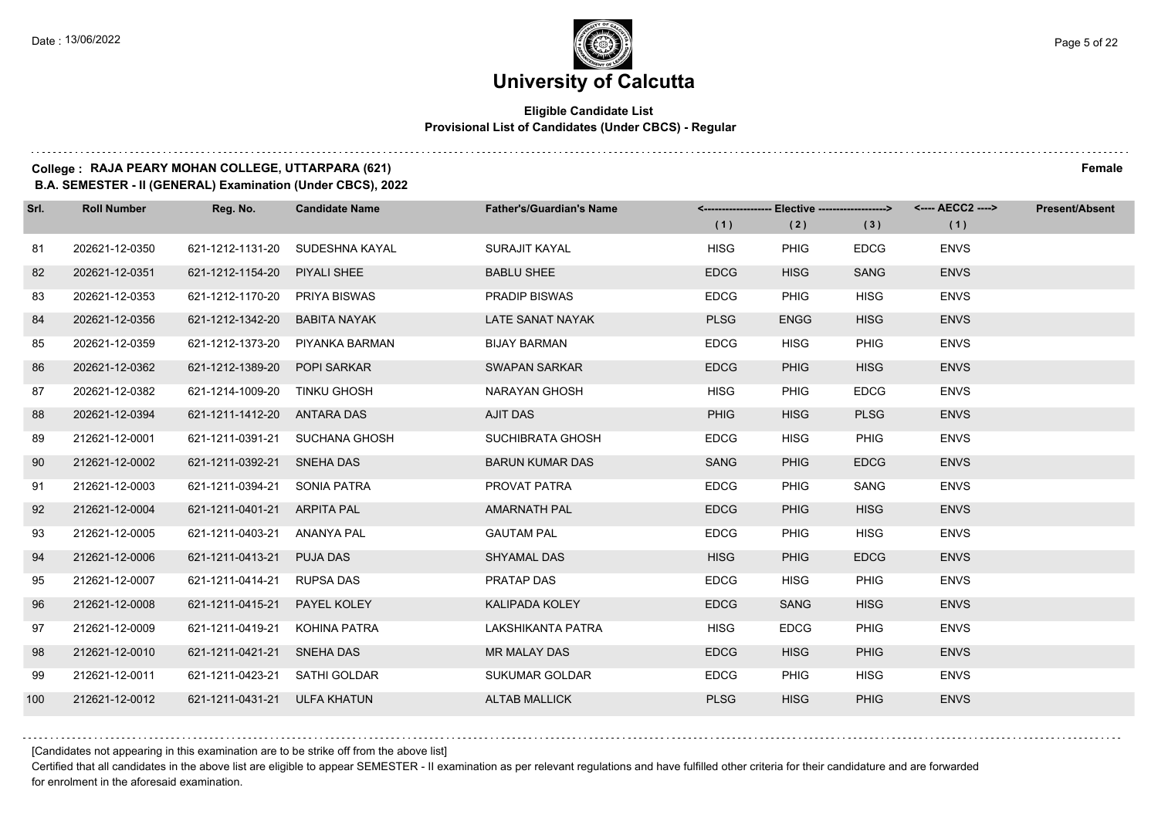### **University of Calcutta**

#### **Eligible Candidate List Provisional List of Candidates (Under CBCS) - Regular**

#### **College : RAJA PEARY MOHAN COLLEGE, UTTARPARA (621) Female**

**B.A. SEMESTER - II (GENERAL) Examination (Under CBCS), 2022**

| Srl. | <b>Roll Number</b> | Reg. No.                      | <b>Candidate Name</b>           | <b>Father's/Guardian's Name</b> | (1)         | <------------------- Elective ------------------><br>(2) | (3)         | (1)         | <b>Present/Absent</b> |
|------|--------------------|-------------------------------|---------------------------------|---------------------------------|-------------|----------------------------------------------------------|-------------|-------------|-----------------------|
| 81   | 202621-12-0350     |                               | 621-1212-1131-20 SUDESHNA KAYAL | SURAJIT KAYAL                   | <b>HISG</b> | <b>PHIG</b>                                              | <b>EDCG</b> | <b>ENVS</b> |                       |
| 82   | 202621-12-0351     | 621-1212-1154-20 PIYALI SHEE  |                                 | <b>BABLU SHEE</b>               | <b>EDCG</b> | <b>HISG</b>                                              | <b>SANG</b> | <b>ENVS</b> |                       |
| 83   | 202621-12-0353     | 621-1212-1170-20 PRIYA BISWAS |                                 | <b>PRADIP BISWAS</b>            | <b>EDCG</b> | <b>PHIG</b>                                              | <b>HISG</b> | <b>ENVS</b> |                       |
| 84   | 202621-12-0356     | 621-1212-1342-20              | BABITA NAYAK                    | LATE SANAT NAYAK                | <b>PLSG</b> | <b>ENGG</b>                                              | <b>HISG</b> | <b>ENVS</b> |                       |
| 85   | 202621-12-0359     |                               | 621-1212-1373-20 PIYANKA BARMAN | <b>BIJAY BARMAN</b>             | <b>EDCG</b> | <b>HISG</b>                                              | <b>PHIG</b> | <b>ENVS</b> |                       |
| 86   | 202621-12-0362     | 621-1212-1389-20              | <b>POPI SARKAR</b>              | <b>SWAPAN SARKAR</b>            | <b>EDCG</b> | <b>PHIG</b>                                              | <b>HISG</b> | <b>ENVS</b> |                       |
| 87   | 202621-12-0382     | 621-1214-1009-20 TINKU GHOSH  |                                 | NARAYAN GHOSH                   | <b>HISG</b> | <b>PHIG</b>                                              | <b>EDCG</b> | <b>ENVS</b> |                       |
| 88   | 202621-12-0394     | 621-1211-1412-20 ANTARA DAS   |                                 | AJIT DAS                        | <b>PHIG</b> | <b>HISG</b>                                              | <b>PLSG</b> | <b>ENVS</b> |                       |
| 89   | 212621-12-0001     |                               | 621-1211-0391-21 SUCHANA GHOSH  | SUCHIBRATA GHOSH                | <b>EDCG</b> | <b>HISG</b>                                              | <b>PHIG</b> | <b>ENVS</b> |                       |
| 90   | 212621-12-0002     | 621-1211-0392-21 SNEHA DAS    |                                 | <b>BARUN KUMAR DAS</b>          | <b>SANG</b> | <b>PHIG</b>                                              | <b>EDCG</b> | <b>ENVS</b> |                       |
| 91   | 212621-12-0003     | 621-1211-0394-21 SONIA PATRA  |                                 | PROVAT PATRA                    | <b>EDCG</b> | <b>PHIG</b>                                              | SANG        | <b>ENVS</b> |                       |
| 92   | 212621-12-0004     | 621-1211-0401-21 ARPITA PAL   |                                 | <b>AMARNATH PAL</b>             | <b>EDCG</b> | <b>PHIG</b>                                              | <b>HISG</b> | <b>ENVS</b> |                       |
| 93   | 212621-12-0005     | 621-1211-0403-21              | ANANYA PAL                      | <b>GAUTAM PAL</b>               | <b>EDCG</b> | <b>PHIG</b>                                              | <b>HISG</b> | <b>ENVS</b> |                       |
| 94   | 212621-12-0006     | 621-1211-0413-21              | <b>PUJA DAS</b>                 | SHYAMAL DAS                     | <b>HISG</b> | <b>PHIG</b>                                              | <b>EDCG</b> | <b>ENVS</b> |                       |
| 95   | 212621-12-0007     | 621-1211-0414-21 RUPSA DAS    |                                 | PRATAP DAS                      | <b>EDCG</b> | <b>HISG</b>                                              | <b>PHIG</b> | <b>ENVS</b> |                       |
| 96   | 212621-12-0008     | 621-1211-0415-21              | PAYEL KOLEY                     | <b>KALIPADA KOLEY</b>           | <b>EDCG</b> | <b>SANG</b>                                              | <b>HISG</b> | <b>ENVS</b> |                       |
| 97   | 212621-12-0009     | 621-1211-0419-21              | KOHINA PATRA                    | LAKSHIKANTA PATRA               | <b>HISG</b> | <b>EDCG</b>                                              | <b>PHIG</b> | <b>ENVS</b> |                       |
| 98   | 212621-12-0010     | 621-1211-0421-21 SNEHA DAS    |                                 | <b>MR MALAY DAS</b>             | <b>EDCG</b> | <b>HISG</b>                                              | <b>PHIG</b> | <b>ENVS</b> |                       |
| 99   | 212621-12-0011     | 621-1211-0423-21 SATHI GOLDAR |                                 | <b>SUKUMAR GOLDAR</b>           | <b>EDCG</b> | <b>PHIG</b>                                              | <b>HISG</b> | <b>ENVS</b> |                       |
| 100  | 212621-12-0012     | 621-1211-0431-21 ULFA KHATUN  |                                 | <b>ALTAB MALLICK</b>            | <b>PLSG</b> | <b>HISG</b>                                              | <b>PHIG</b> | <b>ENVS</b> |                       |

[Candidates not appearing in this examination are to be strike off from the above list]

Certified that all candidates in the above list are eligible to appear SEMESTER - II examination as per relevant regulations and have fulfilled other criteria for their candidature and are forwarded for enrolment in the aforesaid examination.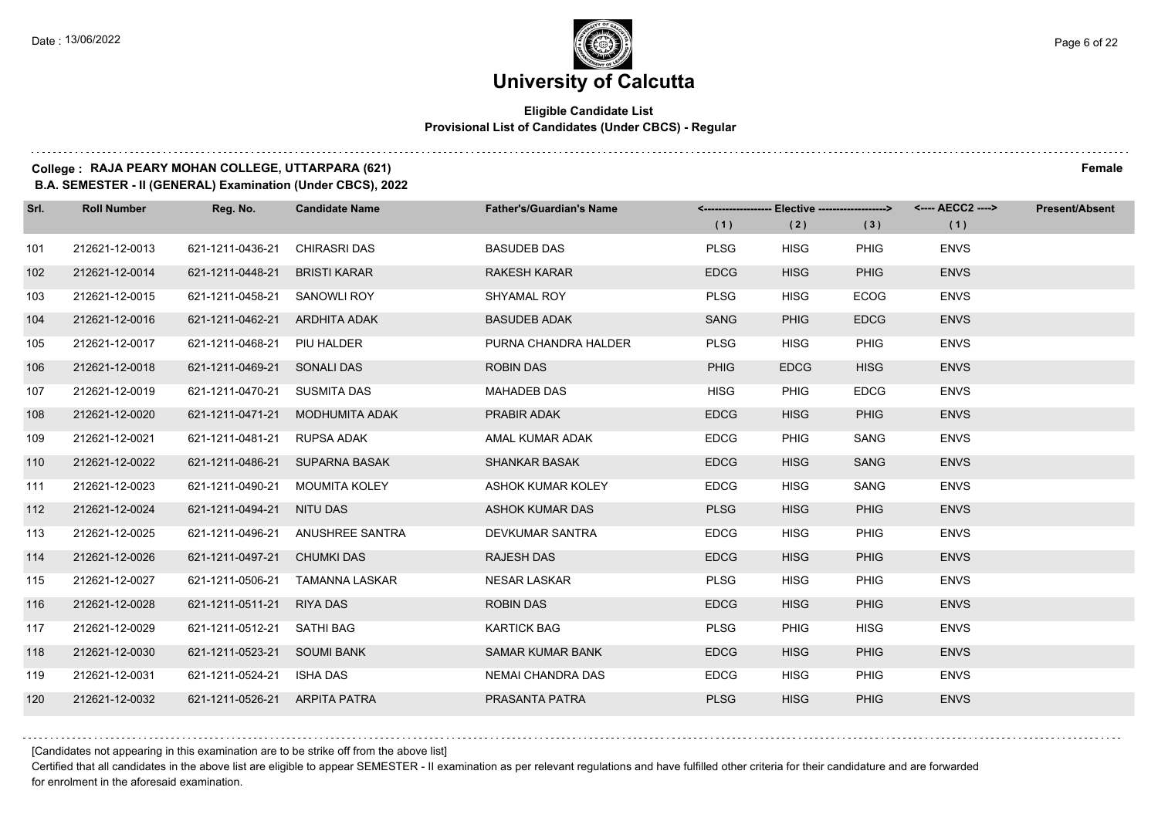#### **Eligible Candidate List Provisional List of Candidates (Under CBCS) - Regular**

#### **College : RAJA PEARY MOHAN COLLEGE, UTTARPARA (621) Female**

**B.A. SEMESTER - II (GENERAL) Examination (Under CBCS), 2022**

| Srl. | <b>Roll Number</b> | Reg. No.                      | <b>Candidate Name</b>            | <b>Father's/Guardian's Name</b> |             | <------------------- Elective -------------------> |             | <---- AECC2 ----> | Present/Absent |
|------|--------------------|-------------------------------|----------------------------------|---------------------------------|-------------|----------------------------------------------------|-------------|-------------------|----------------|
|      |                    |                               |                                  |                                 | (1)         | (2)                                                | (3)         | (1)               |                |
| 101  | 212621-12-0013     | 621-1211-0436-21              | <b>CHIRASRI DAS</b>              | <b>BASUDEB DAS</b>              | <b>PLSG</b> | <b>HISG</b>                                        | <b>PHIG</b> | <b>ENVS</b>       |                |
| 102  | 212621-12-0014     | 621-1211-0448-21              | <b>BRISTI KARAR</b>              | <b>RAKESH KARAR</b>             | <b>EDCG</b> | <b>HISG</b>                                        | <b>PHIG</b> | <b>ENVS</b>       |                |
| 103  | 212621-12-0015     | 621-1211-0458-21              | SANOWLI ROY                      | SHYAMAL ROY                     | <b>PLSG</b> | <b>HISG</b>                                        | <b>ECOG</b> | <b>ENVS</b>       |                |
| 104  | 212621-12-0016     | 621-1211-0462-21 ARDHITA ADAK |                                  | <b>BASUDEB ADAK</b>             | SANG        | <b>PHIG</b>                                        | <b>EDCG</b> | <b>ENVS</b>       |                |
| 105  | 212621-12-0017     | 621-1211-0468-21              | PIU HALDER                       | PURNA CHANDRA HALDER            | <b>PLSG</b> | <b>HISG</b>                                        | PHIG        | <b>ENVS</b>       |                |
| 106  | 212621-12-0018     | 621-1211-0469-21              | <b>SONALI DAS</b>                | <b>ROBIN DAS</b>                | <b>PHIG</b> | <b>EDCG</b>                                        | <b>HISG</b> | <b>ENVS</b>       |                |
| 107  | 212621-12-0019     | 621-1211-0470-21 SUSMITA DAS  |                                  | <b>MAHADEB DAS</b>              | <b>HISG</b> | <b>PHIG</b>                                        | <b>EDCG</b> | <b>ENVS</b>       |                |
| 108  | 212621-12-0020     | 621-1211-0471-21              | MODHUMITA ADAK                   | PRABIR ADAK                     | <b>EDCG</b> | <b>HISG</b>                                        | <b>PHIG</b> | <b>ENVS</b>       |                |
| 109  | 212621-12-0021     | 621-1211-0481-21              | RUPSA ADAK                       | AMAL KUMAR ADAK                 | <b>EDCG</b> | <b>PHIG</b>                                        | <b>SANG</b> | <b>ENVS</b>       |                |
| 110  | 212621-12-0022     |                               | 621-1211-0486-21 SUPARNA BASAK   | <b>SHANKAR BASAK</b>            | <b>EDCG</b> | <b>HISG</b>                                        | <b>SANG</b> | <b>ENVS</b>       |                |
| 111  | 212621-12-0023     | 621-1211-0490-21              | MOUMITA KOLEY                    | <b>ASHOK KUMAR KOLEY</b>        | <b>EDCG</b> | <b>HISG</b>                                        | SANG        | <b>ENVS</b>       |                |
| 112  | 212621-12-0024     | 621-1211-0494-21 NITU DAS     |                                  | <b>ASHOK KUMAR DAS</b>          | <b>PLSG</b> | <b>HISG</b>                                        | <b>PHIG</b> | <b>ENVS</b>       |                |
| 113  | 212621-12-0025     |                               | 621-1211-0496-21 ANUSHREE SANTRA | DEVKUMAR SANTRA                 | <b>EDCG</b> | <b>HISG</b>                                        | PHIG        | <b>ENVS</b>       |                |
| 114  | 212621-12-0026     | 621-1211-0497-21              | <b>CHUMKI DAS</b>                | <b>RAJESH DAS</b>               | <b>EDCG</b> | <b>HISG</b>                                        | <b>PHIG</b> | <b>ENVS</b>       |                |
| 115  | 212621-12-0027     | 621-1211-0506-21              | TAMANNA LASKAR                   | <b>NESAR LASKAR</b>             | <b>PLSG</b> | <b>HISG</b>                                        | PHIG        | <b>ENVS</b>       |                |
| 116  | 212621-12-0028     | 621-1211-0511-21              | <b>RIYA DAS</b>                  | <b>ROBIN DAS</b>                | <b>EDCG</b> | <b>HISG</b>                                        | <b>PHIG</b> | <b>ENVS</b>       |                |
| 117  | 212621-12-0029     | 621-1211-0512-21              | SATHI BAG                        | <b>KARTICK BAG</b>              | <b>PLSG</b> | <b>PHIG</b>                                        | <b>HISG</b> | <b>ENVS</b>       |                |
| 118  | 212621-12-0030     | 621-1211-0523-21 SOUMI BANK   |                                  | <b>SAMAR KUMAR BANK</b>         | <b>EDCG</b> | <b>HISG</b>                                        | <b>PHIG</b> | <b>ENVS</b>       |                |
| 119  | 212621-12-0031     | 621-1211-0524-21 ISHA DAS     |                                  | NEMAI CHANDRA DAS               | <b>EDCG</b> | <b>HISG</b>                                        | <b>PHIG</b> | <b>ENVS</b>       |                |
| 120  | 212621-12-0032     | 621-1211-0526-21 ARPITA PATRA |                                  | PRASANTA PATRA                  | <b>PLSG</b> | <b>HISG</b>                                        | PHIG        | <b>ENVS</b>       |                |

[Candidates not appearing in this examination are to be strike off from the above list]

Certified that all candidates in the above list are eligible to appear SEMESTER - II examination as per relevant regulations and have fulfilled other criteria for their candidature and are forwarded for enrolment in the aforesaid examination.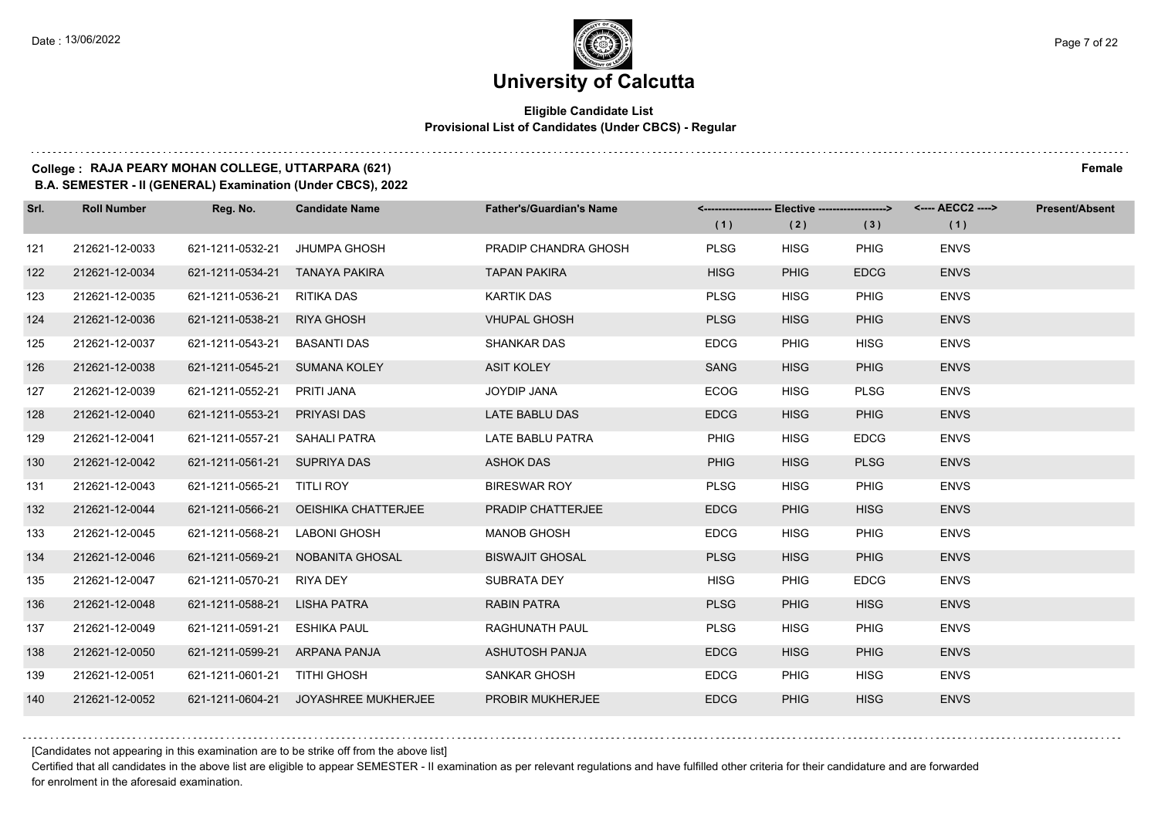#### **Eligible Candidate List Provisional List of Candidates (Under CBCS) - Regular**

#### **College : RAJA PEARY MOHAN COLLEGE, UTTARPARA (621) Female**

**B.A. SEMESTER - II (GENERAL) Examination (Under CBCS), 2022**

| Srl. | <b>Roll Number</b> | Reg. No.                       | <b>Candidate Name</b>                | <b>Father's/Guardian's Name</b> |             | <-------------------- Elective -------------------> |             | <---- AECC2 ----> | <b>Present/Absent</b> |
|------|--------------------|--------------------------------|--------------------------------------|---------------------------------|-------------|-----------------------------------------------------|-------------|-------------------|-----------------------|
|      |                    |                                |                                      |                                 | (1)         | (2)                                                 | (3)         | (1)               |                       |
| 121  | 212621-12-0033     | 621-1211-0532-21               | JHUMPA GHOSH                         | PRADIP CHANDRA GHOSH            | <b>PLSG</b> | <b>HISG</b>                                         | PHIG        | <b>ENVS</b>       |                       |
| 122  | 212621-12-0034     | 621-1211-0534-21 TANAYA PAKIRA |                                      | <b>TAPAN PAKIRA</b>             | <b>HISG</b> | <b>PHIG</b>                                         | <b>EDCG</b> | <b>ENVS</b>       |                       |
| 123  | 212621-12-0035     | 621-1211-0536-21 RITIKA DAS    |                                      | <b>KARTIK DAS</b>               | <b>PLSG</b> | <b>HISG</b>                                         | <b>PHIG</b> | <b>ENVS</b>       |                       |
| 124  | 212621-12-0036     | 621-1211-0538-21 RIYA GHOSH    |                                      | <b>VHUPAL GHOSH</b>             | <b>PLSG</b> | <b>HISG</b>                                         | <b>PHIG</b> | <b>ENVS</b>       |                       |
| 125  | 212621-12-0037     | 621-1211-0543-21 BASANTI DAS   |                                      | <b>SHANKAR DAS</b>              | <b>EDCG</b> | <b>PHIG</b>                                         | <b>HISG</b> | <b>ENVS</b>       |                       |
| 126  | 212621-12-0038     | 621-1211-0545-21 SUMANA KOLEY  |                                      | <b>ASIT KOLEY</b>               | <b>SANG</b> | <b>HISG</b>                                         | <b>PHIG</b> | <b>ENVS</b>       |                       |
| 127  | 212621-12-0039     | 621-1211-0552-21 PRITI JANA    |                                      | JOYDIP JANA                     | <b>ECOG</b> | <b>HISG</b>                                         | <b>PLSG</b> | <b>ENVS</b>       |                       |
| 128  | 212621-12-0040     | 621-1211-0553-21 PRIYASI DAS   |                                      | LATE BABLU DAS                  | <b>EDCG</b> | <b>HISG</b>                                         | <b>PHIG</b> | <b>ENVS</b>       |                       |
| 129  | 212621-12-0041     | 621-1211-0557-21 SAHALI PATRA  |                                      | LATE BABLU PATRA                | <b>PHIG</b> | <b>HISG</b>                                         | <b>EDCG</b> | <b>ENVS</b>       |                       |
| 130  | 212621-12-0042     | 621-1211-0561-21 SUPRIYA DAS   |                                      | <b>ASHOK DAS</b>                | <b>PHIG</b> | <b>HISG</b>                                         | <b>PLSG</b> | <b>ENVS</b>       |                       |
| 131  | 212621-12-0043     | 621-1211-0565-21 TITLI ROY     |                                      | <b>BIRESWAR ROY</b>             | <b>PLSG</b> | <b>HISG</b>                                         | <b>PHIG</b> | <b>ENVS</b>       |                       |
| 132  | 212621-12-0044     |                                | 621-1211-0566-21 OEISHIKA CHATTERJEE | PRADIP CHATTERJEE               | <b>EDCG</b> | <b>PHIG</b>                                         | <b>HISG</b> | <b>ENVS</b>       |                       |
| 133  | 212621-12-0045     | 621-1211-0568-21 LABONI GHOSH  |                                      | <b>MANOB GHOSH</b>              | <b>EDCG</b> | <b>HISG</b>                                         | <b>PHIG</b> | <b>ENVS</b>       |                       |
| 134  | 212621-12-0046     |                                | 621-1211-0569-21 NOBANITA GHOSAL     | <b>BISWAJIT GHOSAL</b>          | <b>PLSG</b> | <b>HISG</b>                                         | <b>PHIG</b> | <b>ENVS</b>       |                       |
| 135  | 212621-12-0047     | 621-1211-0570-21 RIYA DEY      |                                      | SUBRATA DEY                     | <b>HISG</b> | <b>PHIG</b>                                         | <b>EDCG</b> | <b>ENVS</b>       |                       |
| 136  | 212621-12-0048     | 621-1211-0588-21 LISHA PATRA   |                                      | <b>RABIN PATRA</b>              | <b>PLSG</b> | <b>PHIG</b>                                         | <b>HISG</b> | <b>ENVS</b>       |                       |
| 137  | 212621-12-0049     | 621-1211-0591-21 ESHIKA PAUL   |                                      | RAGHUNATH PAUL                  | <b>PLSG</b> | <b>HISG</b>                                         | <b>PHIG</b> | <b>ENVS</b>       |                       |
| 138  | 212621-12-0050     | 621-1211-0599-21 ARPANA PANJA  |                                      | ASHUTOSH PANJA                  | <b>EDCG</b> | <b>HISG</b>                                         | <b>PHIG</b> | <b>ENVS</b>       |                       |
| 139  | 212621-12-0051     | 621-1211-0601-21 TITHI GHOSH   |                                      | <b>SANKAR GHOSH</b>             | <b>EDCG</b> | <b>PHIG</b>                                         | <b>HISG</b> | <b>ENVS</b>       |                       |
| 140  | 212621-12-0052     |                                | 621-1211-0604-21 JOYASHREE MUKHERJEE | <b>PROBIR MUKHERJEE</b>         | <b>EDCG</b> | <b>PHIG</b>                                         | <b>HISG</b> | <b>ENVS</b>       |                       |

[Candidates not appearing in this examination are to be strike off from the above list]

Certified that all candidates in the above list are eligible to appear SEMESTER - II examination as per relevant regulations and have fulfilled other criteria for their candidature and are forwarded for enrolment in the aforesaid examination.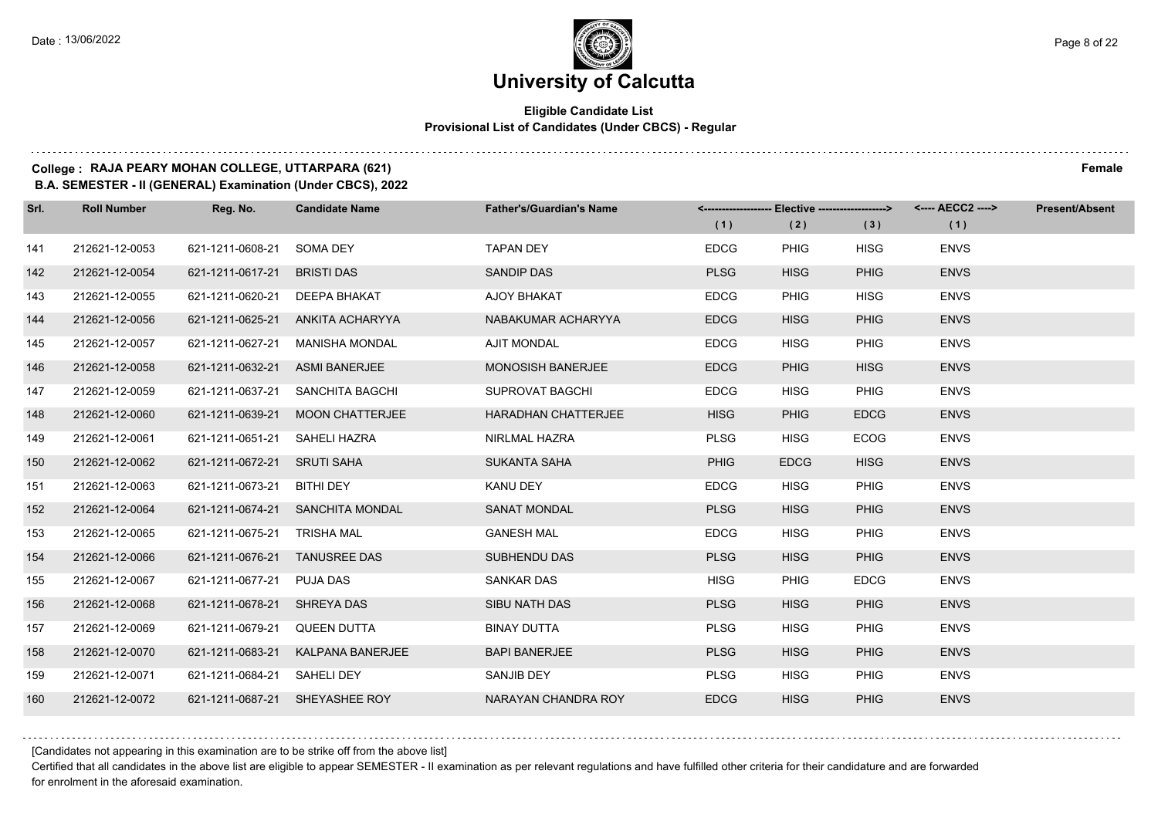#### **Eligible Candidate List Provisional List of Candidates (Under CBCS) - Regular**

#### **College : RAJA PEARY MOHAN COLLEGE, UTTARPARA (621) Female**

**B.A. SEMESTER - II (GENERAL) Examination (Under CBCS), 2022**

| Srl. | <b>Roll Number</b> | Reg. No.                      | <b>Candidate Name</b>             | <b>Father's/Guardian's Name</b> | (1)         | <-------------------- Elective ------------------><br>(2) | (3)         | (1)         | <b>Present/Absent</b> |
|------|--------------------|-------------------------------|-----------------------------------|---------------------------------|-------------|-----------------------------------------------------------|-------------|-------------|-----------------------|
| 141  | 212621-12-0053     | 621-1211-0608-21              | SOMA DEY                          | <b>TAPAN DEY</b>                | <b>EDCG</b> | <b>PHIG</b>                                               | <b>HISG</b> | <b>ENVS</b> |                       |
| 142  | 212621-12-0054     | 621-1211-0617-21              | <b>BRISTI DAS</b>                 | <b>SANDIP DAS</b>               | <b>PLSG</b> | <b>HISG</b>                                               | <b>PHIG</b> | <b>ENVS</b> |                       |
| 143  | 212621-12-0055     | 621-1211-0620-21 DEEPA BHAKAT |                                   | AJOY BHAKAT                     | <b>EDCG</b> | <b>PHIG</b>                                               | <b>HISG</b> | <b>ENVS</b> |                       |
| 144  | 212621-12-0056     |                               | 621-1211-0625-21 ANKITA ACHARYYA  | NABAKUMAR ACHARYYA              | <b>EDCG</b> | <b>HISG</b>                                               | <b>PHIG</b> | <b>ENVS</b> |                       |
| 145  | 212621-12-0057     | 621-1211-0627-21              | MANISHA MONDAL                    | <b>AJIT MONDAL</b>              | <b>EDCG</b> | <b>HISG</b>                                               | <b>PHIG</b> | <b>ENVS</b> |                       |
| 146  | 212621-12-0058     | 621-1211-0632-21              | <b>ASMI BANERJEE</b>              | <b>MONOSISH BANERJEE</b>        | <b>EDCG</b> | <b>PHIG</b>                                               | <b>HISG</b> | <b>ENVS</b> |                       |
| 147  | 212621-12-0059     |                               | 621-1211-0637-21 SANCHITA BAGCHI  | SUPROVAT BAGCHI                 | <b>EDCG</b> | <b>HISG</b>                                               | <b>PHIG</b> | <b>ENVS</b> |                       |
| 148  | 212621-12-0060     |                               | 621-1211-0639-21 MOON CHATTERJEE  | HARADHAN CHATTERJEE             | <b>HISG</b> | <b>PHIG</b>                                               | <b>EDCG</b> | <b>ENVS</b> |                       |
| 149  | 212621-12-0061     | 621-1211-0651-21 SAHELI HAZRA |                                   | NIRLMAL HAZRA                   | <b>PLSG</b> | <b>HISG</b>                                               | <b>ECOG</b> | <b>ENVS</b> |                       |
| 150  | 212621-12-0062     | 621-1211-0672-21 SRUTI SAHA   |                                   | <b>SUKANTA SAHA</b>             | <b>PHIG</b> | <b>EDCG</b>                                               | <b>HISG</b> | <b>ENVS</b> |                       |
| 151  | 212621-12-0063     | 621-1211-0673-21 BITHI DEY    |                                   | KANU DEY                        | <b>EDCG</b> | <b>HISG</b>                                               | <b>PHIG</b> | <b>ENVS</b> |                       |
| 152  | 212621-12-0064     |                               | 621-1211-0674-21 SANCHITA MONDAL  | <b>SANAT MONDAL</b>             | <b>PLSG</b> | <b>HISG</b>                                               | <b>PHIG</b> | <b>ENVS</b> |                       |
| 153  | 212621-12-0065     | 621-1211-0675-21              | TRISHA MAL                        | <b>GANESH MAL</b>               | <b>EDCG</b> | <b>HISG</b>                                               | <b>PHIG</b> | <b>ENVS</b> |                       |
| 154  | 212621-12-0066     | 621-1211-0676-21 TANUSREE DAS |                                   | <b>SUBHENDU DAS</b>             | <b>PLSG</b> | <b>HISG</b>                                               | <b>PHIG</b> | <b>ENVS</b> |                       |
| 155  | 212621-12-0067     | 621-1211-0677-21 PUJA DAS     |                                   | <b>SANKAR DAS</b>               | <b>HISG</b> | <b>PHIG</b>                                               | <b>EDCG</b> | <b>ENVS</b> |                       |
| 156  | 212621-12-0068     | 621-1211-0678-21 SHREYA DAS   |                                   | SIBU NATH DAS                   | <b>PLSG</b> | <b>HISG</b>                                               | <b>PHIG</b> | <b>ENVS</b> |                       |
| 157  | 212621-12-0069     | 621-1211-0679-21              | <b>QUEEN DUTTA</b>                | <b>BINAY DUTTA</b>              | <b>PLSG</b> | <b>HISG</b>                                               | <b>PHIG</b> | <b>ENVS</b> |                       |
| 158  | 212621-12-0070     |                               | 621-1211-0683-21 KALPANA BANERJEE | <b>BAPI BANERJEE</b>            | <b>PLSG</b> | <b>HISG</b>                                               | <b>PHIG</b> | <b>ENVS</b> |                       |
| 159  | 212621-12-0071     | 621-1211-0684-21 SAHELI DEY   |                                   | SANJIB DEY                      | <b>PLSG</b> | <b>HISG</b>                                               | <b>PHIG</b> | <b>ENVS</b> |                       |
| 160  | 212621-12-0072     |                               | 621-1211-0687-21 SHEYASHEE ROY    | NARAYAN CHANDRA ROY             | <b>EDCG</b> | <b>HISG</b>                                               | <b>PHIG</b> | <b>ENVS</b> |                       |

[Candidates not appearing in this examination are to be strike off from the above list]

Certified that all candidates in the above list are eligible to appear SEMESTER - II examination as per relevant regulations and have fulfilled other criteria for their candidature and are forwarded for enrolment in the aforesaid examination.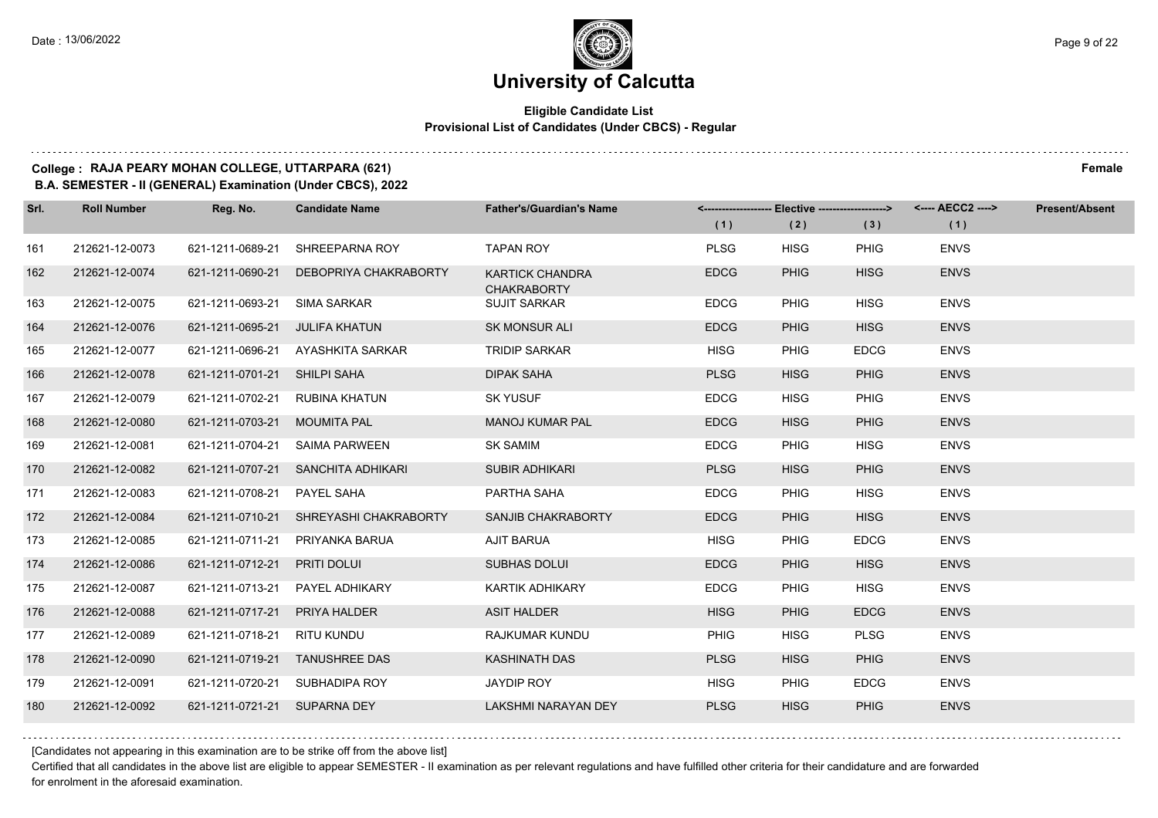#### **Eligible Candidate List Provisional List of Candidates (Under CBCS) - Regular**

#### **College : RAJA PEARY MOHAN COLLEGE, UTTARPARA (621) Female**

**B.A. SEMESTER - II (GENERAL) Examination (Under CBCS), 2022**

| Srl. | <b>Roll Number</b> | Reg. No.                       | <b>Candidate Name</b>                  | <b>Father's/Guardian's Name</b>              | (1)         | <-------------------- Elective ------------------><br>(2) | (3)         | <---- AECC2 ----><br>(1) | <b>Present/Absent</b> |
|------|--------------------|--------------------------------|----------------------------------------|----------------------------------------------|-------------|-----------------------------------------------------------|-------------|--------------------------|-----------------------|
| 161  | 212621-12-0073     | 621-1211-0689-21               | SHREEPARNA ROY                         | <b>TAPAN ROY</b>                             | <b>PLSG</b> | <b>HISG</b>                                               | <b>PHIG</b> | <b>ENVS</b>              |                       |
| 162  | 212621-12-0074     | 621-1211-0690-21               | DEBOPRIYA CHAKRABORTY                  | <b>KARTICK CHANDRA</b><br><b>CHAKRABORTY</b> | <b>EDCG</b> | <b>PHIG</b>                                               | <b>HISG</b> | <b>ENVS</b>              |                       |
| 163  | 212621-12-0075     | 621-1211-0693-21               | <b>SIMA SARKAR</b>                     | <b>SUJIT SARKAR</b>                          | <b>EDCG</b> | <b>PHIG</b>                                               | <b>HISG</b> | <b>ENVS</b>              |                       |
| 164  | 212621-12-0076     | 621-1211-0695-21 JULIFA KHATUN |                                        | <b>SK MONSUR ALI</b>                         | <b>EDCG</b> | <b>PHIG</b>                                               | <b>HISG</b> | <b>ENVS</b>              |                       |
| 165  | 212621-12-0077     |                                | 621-1211-0696-21 AYASHKITA SARKAR      | <b>TRIDIP SARKAR</b>                         | <b>HISG</b> | <b>PHIG</b>                                               | <b>EDCG</b> | <b>ENVS</b>              |                       |
| 166  | 212621-12-0078     | 621-1211-0701-21 SHILPI SAHA   |                                        | <b>DIPAK SAHA</b>                            | <b>PLSG</b> | <b>HISG</b>                                               | <b>PHIG</b> | <b>ENVS</b>              |                       |
| 167  | 212621-12-0079     | 621-1211-0702-21               | RUBINA KHATUN                          | <b>SK YUSUF</b>                              | <b>EDCG</b> | <b>HISG</b>                                               | <b>PHIG</b> | <b>ENVS</b>              |                       |
| 168  | 212621-12-0080     | 621-1211-0703-21 MOUMITA PAL   |                                        | <b>MANOJ KUMAR PAL</b>                       | <b>EDCG</b> | <b>HISG</b>                                               | <b>PHIG</b> | <b>ENVS</b>              |                       |
| 169  | 212621-12-0081     | 621-1211-0704-21               | SAIMA PARWEEN                          | <b>SK SAMIM</b>                              | <b>EDCG</b> | <b>PHIG</b>                                               | <b>HISG</b> | <b>ENVS</b>              |                       |
| 170  | 212621-12-0082     |                                | 621-1211-0707-21 SANCHITA ADHIKARI     | <b>SUBIR ADHIKARI</b>                        | <b>PLSG</b> | <b>HISG</b>                                               | <b>PHIG</b> | <b>ENVS</b>              |                       |
| 171  | 212621-12-0083     | 621-1211-0708-21               | PAYEL SAHA                             | PARTHA SAHA                                  | <b>EDCG</b> | <b>PHIG</b>                                               | <b>HISG</b> | <b>ENVS</b>              |                       |
| 172  | 212621-12-0084     |                                | 621-1211-0710-21 SHREYASHI CHAKRABORTY | SANJIB CHAKRABORTY                           | <b>EDCG</b> | <b>PHIG</b>                                               | <b>HISG</b> | <b>ENVS</b>              |                       |
| 173  | 212621-12-0085     |                                | 621-1211-0711-21 PRIYANKA BARUA        | <b>AJIT BARUA</b>                            | <b>HISG</b> | <b>PHIG</b>                                               | <b>EDCG</b> | <b>ENVS</b>              |                       |
| 174  | 212621-12-0086     | 621-1211-0712-21               | PRITI DOLUI                            | <b>SUBHAS DOLUI</b>                          | <b>EDCG</b> | <b>PHIG</b>                                               | <b>HISG</b> | <b>ENVS</b>              |                       |
| 175  | 212621-12-0087     |                                | 621-1211-0713-21 PAYEL ADHIKARY        | KARTIK ADHIKARY                              | <b>EDCG</b> | <b>PHIG</b>                                               | <b>HISG</b> | <b>ENVS</b>              |                       |
| 176  | 212621-12-0088     | 621-1211-0717-21 PRIYA HALDER  |                                        | <b>ASIT HALDER</b>                           | <b>HISG</b> | <b>PHIG</b>                                               | <b>EDCG</b> | <b>ENVS</b>              |                       |
| 177  | 212621-12-0089     | 621-1211-0718-21 RITU KUNDU    |                                        | RAJKUMAR KUNDU                               | <b>PHIG</b> | <b>HISG</b>                                               | <b>PLSG</b> | <b>ENVS</b>              |                       |
| 178  | 212621-12-0090     | 621-1211-0719-21               | <b>TANUSHREE DAS</b>                   | <b>KASHINATH DAS</b>                         | <b>PLSG</b> | <b>HISG</b>                                               | <b>PHIG</b> | <b>ENVS</b>              |                       |
| 179  | 212621-12-0091     |                                | 621-1211-0720-21 SUBHADIPA ROY         | JAYDIP ROY                                   | <b>HISG</b> | <b>PHIG</b>                                               | <b>EDCG</b> | <b>ENVS</b>              |                       |
| 180  | 212621-12-0092     | 621-1211-0721-21 SUPARNA DEY   |                                        | LAKSHMI NARAYAN DEY                          | <b>PLSG</b> | <b>HISG</b>                                               | <b>PHIG</b> | <b>ENVS</b>              |                       |

[Candidates not appearing in this examination are to be strike off from the above list]

Certified that all candidates in the above list are eligible to appear SEMESTER - II examination as per relevant regulations and have fulfilled other criteria for their candidature and are forwarded for enrolment in the aforesaid examination.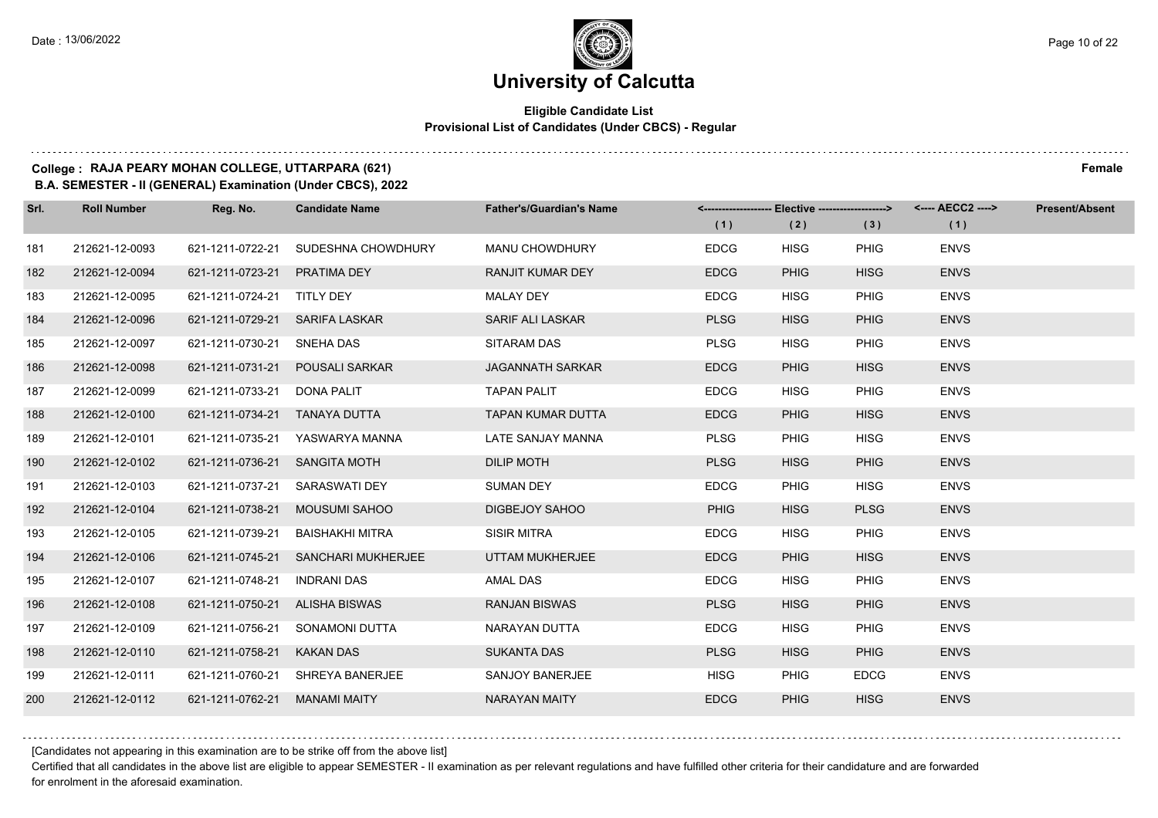#### **Eligible Candidate List Provisional List of Candidates (Under CBCS) - Regular**

**College : RAJA PEARY MOHAN COLLEGE, UTTARPARA (621) Female**

**B.A. SEMESTER - II (GENERAL) Examination (Under CBCS), 2022**

| Srl. | <b>Roll Number</b> | Reg. No.                       | <b>Candidate Name</b>               | <b>Father's/Guardian's Name</b> |             | <------------------- Elective ------------------> |             | <---- AECC2 ----> | <b>Present/Absent</b> |
|------|--------------------|--------------------------------|-------------------------------------|---------------------------------|-------------|---------------------------------------------------|-------------|-------------------|-----------------------|
|      |                    |                                |                                     |                                 | (1)         | (2)                                               | (3)         | (1)               |                       |
| 181  | 212621-12-0093     | 621-1211-0722-21               | SUDESHNA CHOWDHURY                  | <b>MANU CHOWDHURY</b>           | <b>EDCG</b> | <b>HISG</b>                                       | <b>PHIG</b> | <b>ENVS</b>       |                       |
| 182  | 212621-12-0094     | 621-1211-0723-21 PRATIMA DEY   |                                     | <b>RANJIT KUMAR DEY</b>         | <b>EDCG</b> | <b>PHIG</b>                                       | <b>HISG</b> | <b>ENVS</b>       |                       |
| 183  | 212621-12-0095     | 621-1211-0724-21 TITLY DEY     |                                     | <b>MALAY DEY</b>                | <b>EDCG</b> | <b>HISG</b>                                       | PHIG        | <b>ENVS</b>       |                       |
| 184  | 212621-12-0096     | 621-1211-0729-21 SARIFA LASKAR |                                     | <b>SARIF ALI LASKAR</b>         | <b>PLSG</b> | <b>HISG</b>                                       | <b>PHIG</b> | <b>ENVS</b>       |                       |
| 185  | 212621-12-0097     | 621-1211-0730-21               | SNEHA DAS                           | SITARAM DAS                     | <b>PLSG</b> | <b>HISG</b>                                       | PHIG        | <b>ENVS</b>       |                       |
| 186  | 212621-12-0098     | 621-1211-0731-21               | <b>POUSALI SARKAR</b>               | <b>JAGANNATH SARKAR</b>         | <b>EDCG</b> | <b>PHIG</b>                                       | <b>HISG</b> | <b>ENVS</b>       |                       |
| 187  | 212621-12-0099     | 621-1211-0733-21               | DONA PALIT                          | <b>TAPAN PALIT</b>              | <b>EDCG</b> | <b>HISG</b>                                       | PHIG        | <b>ENVS</b>       |                       |
| 188  | 212621-12-0100     | 621-1211-0734-21 TANAYA DUTTA  |                                     | <b>TAPAN KUMAR DUTTA</b>        | <b>EDCG</b> | <b>PHIG</b>                                       | <b>HISG</b> | <b>ENVS</b>       |                       |
| 189  | 212621-12-0101     | 621-1211-0735-21               | YASWARYA MANNA                      | LATE SANJAY MANNA               | <b>PLSG</b> | <b>PHIG</b>                                       | <b>HISG</b> | <b>ENVS</b>       |                       |
| 190  | 212621-12-0102     | 621-1211-0736-21 SANGITA MOTH  |                                     | <b>DILIP MOTH</b>               | <b>PLSG</b> | <b>HISG</b>                                       | <b>PHIG</b> | <b>ENVS</b>       |                       |
| 191  | 212621-12-0103     | 621-1211-0737-21               | SARASWATI DEY                       | <b>SUMAN DEY</b>                | <b>EDCG</b> | <b>PHIG</b>                                       | <b>HISG</b> | <b>ENVS</b>       |                       |
| 192  | 212621-12-0104     | 621-1211-0738-21               | <b>MOUSUMI SAHOO</b>                | DIGBEJOY SAHOO                  | <b>PHIG</b> | <b>HISG</b>                                       | <b>PLSG</b> | <b>ENVS</b>       |                       |
| 193  | 212621-12-0105     | 621-1211-0739-21               | <b>BAISHAKHI MITRA</b>              | <b>SISIR MITRA</b>              | <b>EDCG</b> | <b>HISG</b>                                       | <b>PHIG</b> | <b>ENVS</b>       |                       |
| 194  | 212621-12-0106     |                                | 621-1211-0745-21 SANCHARI MUKHERJEE | UTTAM MUKHERJEE                 | <b>EDCG</b> | <b>PHIG</b>                                       | <b>HISG</b> | <b>ENVS</b>       |                       |
| 195  | 212621-12-0107     | 621-1211-0748-21               | INDRANI DAS                         | AMAL DAS                        | <b>EDCG</b> | <b>HISG</b>                                       | <b>PHIG</b> | <b>ENVS</b>       |                       |
| 196  | 212621-12-0108     | 621-1211-0750-21 ALISHA BISWAS |                                     | <b>RANJAN BISWAS</b>            | <b>PLSG</b> | <b>HISG</b>                                       | <b>PHIG</b> | <b>ENVS</b>       |                       |
| 197  | 212621-12-0109     | 621-1211-0756-21               | <b>SONAMONI DUTTA</b>               | NARAYAN DUTTA                   | <b>EDCG</b> | <b>HISG</b>                                       | <b>PHIG</b> | <b>ENVS</b>       |                       |
| 198  | 212621-12-0110     | 621-1211-0758-21               | <b>KAKAN DAS</b>                    | <b>SUKANTA DAS</b>              | <b>PLSG</b> | <b>HISG</b>                                       | <b>PHIG</b> | <b>ENVS</b>       |                       |
| 199  | 212621-12-0111     | 621-1211-0760-21               | SHREYA BANERJEE                     | <b>SANJOY BANERJEE</b>          | <b>HISG</b> | <b>PHIG</b>                                       | <b>EDCG</b> | <b>ENVS</b>       |                       |
| 200  | 212621-12-0112     | 621-1211-0762-21               | <b>MANAMI MAITY</b>                 | <b>NARAYAN MAITY</b>            | <b>EDCG</b> | <b>PHIG</b>                                       | <b>HISG</b> | <b>ENVS</b>       |                       |

[Candidates not appearing in this examination are to be strike off from the above list]

Certified that all candidates in the above list are eligible to appear SEMESTER - II examination as per relevant regulations and have fulfilled other criteria for their candidature and are forwarded for enrolment in the aforesaid examination.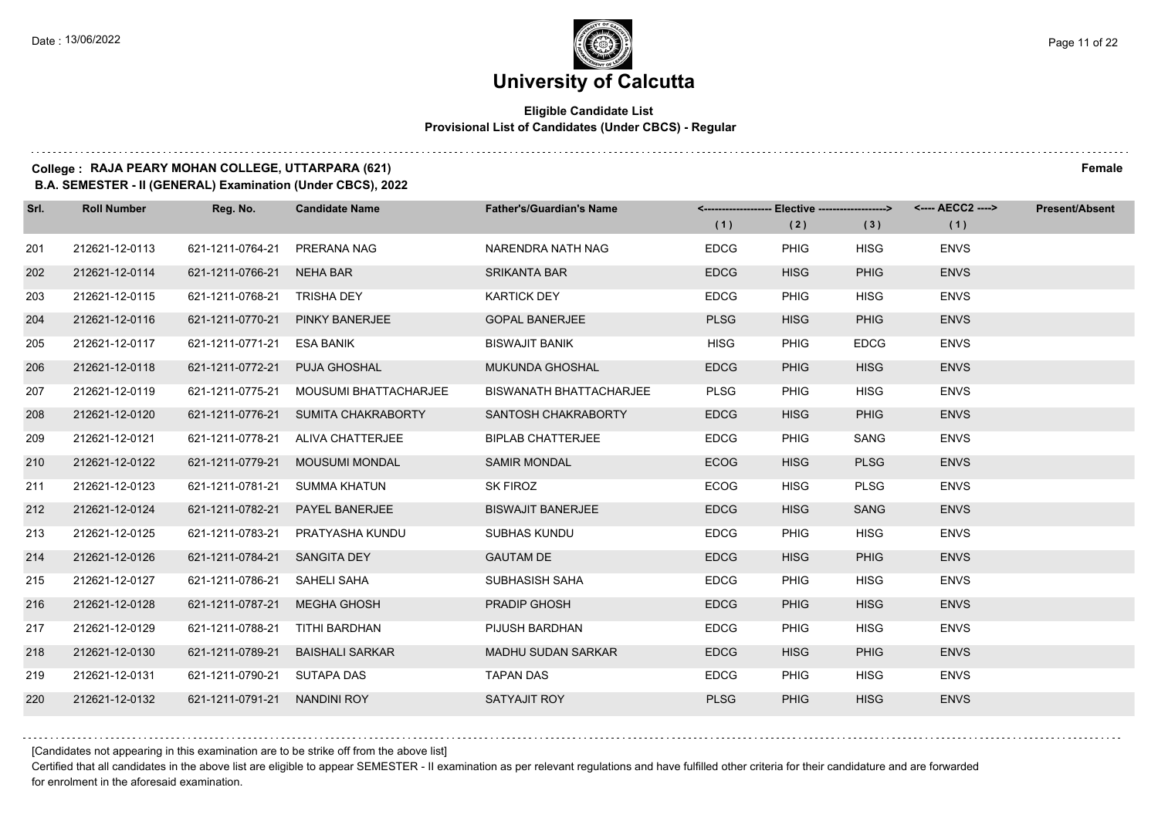$1.1.1.1$ 

### **University of Calcutta**

#### **Eligible Candidate List Provisional List of Candidates (Under CBCS) - Regular**

. . . . . . . . . .

#### **College : RAJA PEARY MOHAN COLLEGE, UTTARPARA (621) Female**

**B.A. SEMESTER - II (GENERAL) Examination (Under CBCS), 2022**

| Srl. | <b>Roll Number</b> | Reg. No.                     | <b>Candidate Name</b>               | <b>Father's/Guardian's Name</b> | (1)         | <------------------- Elective ------------------><br>(2) | (3)         | <---- AECC2 ----><br>(1) | <b>Present/Absent</b> |
|------|--------------------|------------------------------|-------------------------------------|---------------------------------|-------------|----------------------------------------------------------|-------------|--------------------------|-----------------------|
| 201  | 212621-12-0113     | 621-1211-0764-21             | PRERANA NAG                         | NARENDRA NATH NAG               | <b>EDCG</b> | <b>PHIG</b>                                              | <b>HISG</b> | <b>ENVS</b>              |                       |
| 202  | 212621-12-0114     | 621-1211-0766-21             | NEHA BAR                            | <b>SRIKANTA BAR</b>             | <b>EDCG</b> | <b>HISG</b>                                              | <b>PHIG</b> | <b>ENVS</b>              |                       |
| 203  | 212621-12-0115     | 621-1211-0768-21 TRISHA DEY  |                                     | <b>KARTICK DEY</b>              | <b>EDCG</b> | <b>PHIG</b>                                              | <b>HISG</b> | <b>ENVS</b>              |                       |
| 204  | 212621-12-0116     | 621-1211-0770-21             | <b>PINKY BANERJEE</b>               | <b>GOPAL BANERJEE</b>           | <b>PLSG</b> | <b>HISG</b>                                              | <b>PHIG</b> | <b>ENVS</b>              |                       |
| 205  | 212621-12-0117     | 621-1211-0771-21             | ESA BANIK                           | <b>BISWAJIT BANIK</b>           | <b>HISG</b> | <b>PHIG</b>                                              | <b>EDCG</b> | <b>ENVS</b>              |                       |
| 206  | 212621-12-0118     | 621-1211-0772-21             | <b>PUJA GHOSHAL</b>                 | MUKUNDA GHOSHAL                 | <b>EDCG</b> | <b>PHIG</b>                                              | <b>HISG</b> | <b>ENVS</b>              |                       |
| 207  | 212621-12-0119     | 621-1211-0775-21             | MOUSUMI BHATTACHARJEE               | <b>BISWANATH BHATTACHARJEE</b>  | <b>PLSG</b> | <b>PHIG</b>                                              | <b>HISG</b> | <b>ENVS</b>              |                       |
| 208  | 212621-12-0120     |                              | 621-1211-0776-21 SUMITA CHAKRABORTY | SANTOSH CHAKRABORTY             | <b>EDCG</b> | <b>HISG</b>                                              | <b>PHIG</b> | <b>ENVS</b>              |                       |
| 209  | 212621-12-0121     | 621-1211-0778-21             | ALIVA CHATTERJEE                    | <b>BIPLAB CHATTERJEE</b>        | <b>EDCG</b> | <b>PHIG</b>                                              | SANG        | <b>ENVS</b>              |                       |
| 210  | 212621-12-0122     | 621-1211-0779-21             | <b>MOUSUMI MONDAL</b>               | <b>SAMIR MONDAL</b>             | <b>ECOG</b> | <b>HISG</b>                                              | <b>PLSG</b> | <b>ENVS</b>              |                       |
| 211  | 212621-12-0123     | 621-1211-0781-21             | SUMMA KHATUN                        | SK FIROZ                        | <b>ECOG</b> | <b>HISG</b>                                              | <b>PLSG</b> | <b>ENVS</b>              |                       |
| 212  | 212621-12-0124     | 621-1211-0782-21             | PAYEL BANERJEE                      | <b>BISWAJIT BANERJEE</b>        | <b>EDCG</b> | <b>HISG</b>                                              | <b>SANG</b> | <b>ENVS</b>              |                       |
| 213  | 212621-12-0125     | 621-1211-0783-21             | PRATYASHA KUNDU                     | <b>SUBHAS KUNDU</b>             | <b>EDCG</b> | <b>PHIG</b>                                              | <b>HISG</b> | <b>ENVS</b>              |                       |
| 214  | 212621-12-0126     | 621-1211-0784-21 SANGITA DEY |                                     | <b>GAUTAM DE</b>                | <b>EDCG</b> | <b>HISG</b>                                              | <b>PHIG</b> | <b>ENVS</b>              |                       |
| 215  | 212621-12-0127     | 621-1211-0786-21             | SAHELI SAHA                         | SUBHASISH SAHA                  | <b>EDCG</b> | <b>PHIG</b>                                              | <b>HISG</b> | <b>ENVS</b>              |                       |
| 216  | 212621-12-0128     | 621-1211-0787-21             | MEGHA GHOSH                         | <b>PRADIP GHOSH</b>             | <b>EDCG</b> | <b>PHIG</b>                                              | <b>HISG</b> | <b>ENVS</b>              |                       |
| 217  | 212621-12-0129     | 621-1211-0788-21             | TITHI BARDHAN                       | PIJUSH BARDHAN                  | <b>EDCG</b> | <b>PHIG</b>                                              | <b>HISG</b> | <b>ENVS</b>              |                       |
| 218  | 212621-12-0130     | 621-1211-0789-21             | <b>BAISHALI SARKAR</b>              | <b>MADHU SUDAN SARKAR</b>       | <b>EDCG</b> | <b>HISG</b>                                              | <b>PHIG</b> | <b>ENVS</b>              |                       |
| 219  | 212621-12-0131     | 621-1211-0790-21 SUTAPA DAS  |                                     | <b>TAPAN DAS</b>                | <b>EDCG</b> | <b>PHIG</b>                                              | <b>HISG</b> | <b>ENVS</b>              |                       |
| 220  | 212621-12-0132     | 621-1211-0791-21 NANDINI ROY |                                     | <b>SATYAJIT ROY</b>             | <b>PLSG</b> | <b>PHIG</b>                                              | <b>HISG</b> | <b>ENVS</b>              |                       |

[Candidates not appearing in this examination are to be strike off from the above list]

Certified that all candidates in the above list are eligible to appear SEMESTER - II examination as per relevant regulations and have fulfilled other criteria for their candidature and are forwarded for enrolment in the aforesaid examination.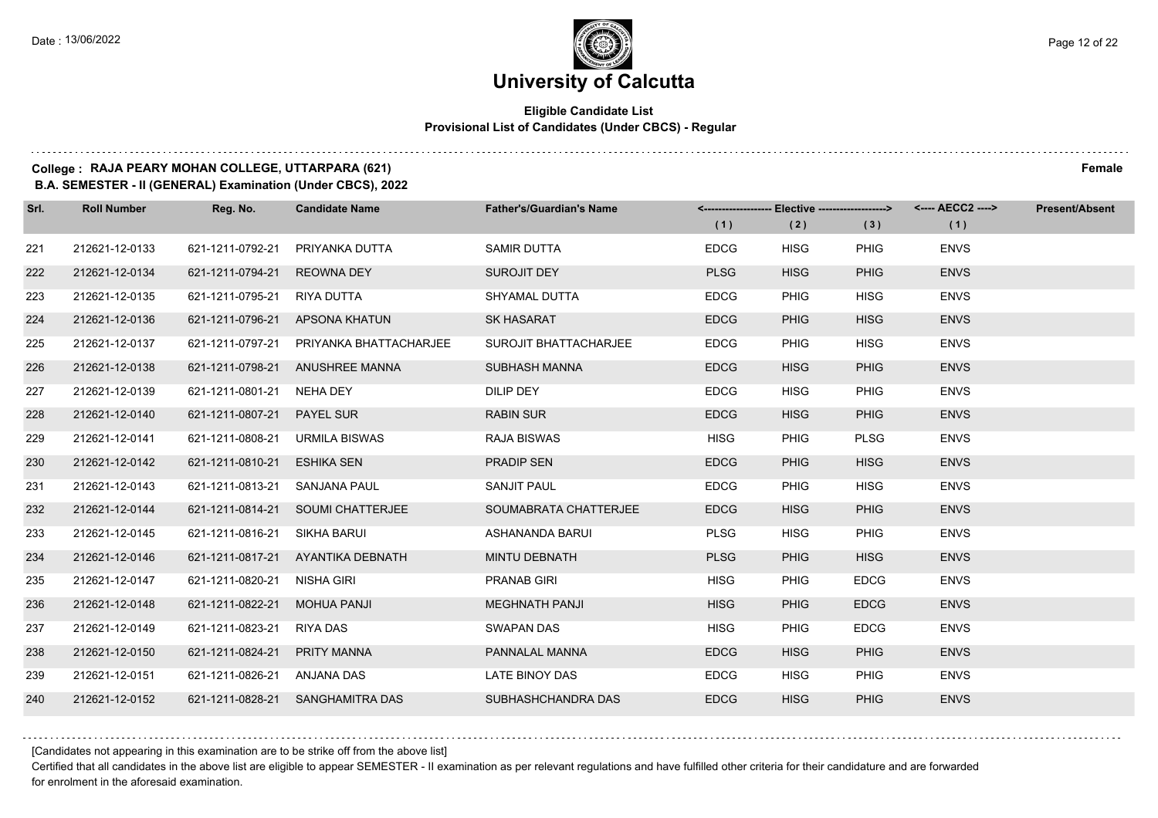#### **Eligible Candidate List Provisional List of Candidates (Under CBCS) - Regular**

### **College : RAJA PEARY MOHAN COLLEGE, UTTARPARA (621) Female**

**B.A. SEMESTER - II (GENERAL) Examination (Under CBCS), 2022**

| Srl. | <b>Roll Number</b> | Reg. No.                      | <b>Candidate Name</b>             | <b>Father's/Guardian's Name</b> |             | <------------------- Elective ------------------> |             | <---- AECC2 ----> | <b>Present/Absent</b> |
|------|--------------------|-------------------------------|-----------------------------------|---------------------------------|-------------|---------------------------------------------------|-------------|-------------------|-----------------------|
|      |                    |                               |                                   |                                 | (1)         | (2)                                               | (3)         | (1)               |                       |
| 221  | 212621-12-0133     | 621-1211-0792-21              | PRIYANKA DUTTA                    | <b>SAMIR DUTTA</b>              | <b>EDCG</b> | <b>HISG</b>                                       | <b>PHIG</b> | <b>ENVS</b>       |                       |
| 222  | 212621-12-0134     | 621-1211-0794-21 REOWNA DEY   |                                   | <b>SUROJIT DEY</b>              | <b>PLSG</b> | <b>HISG</b>                                       | <b>PHIG</b> | <b>ENVS</b>       |                       |
| 223  | 212621-12-0135     | 621-1211-0795-21 RIYA DUTTA   |                                   | SHYAMAL DUTTA                   | <b>EDCG</b> | <b>PHIG</b>                                       | <b>HISG</b> | <b>ENVS</b>       |                       |
| 224  | 212621-12-0136     |                               | 621-1211-0796-21 APSONA KHATUN    | <b>SK HASARAT</b>               | <b>EDCG</b> | <b>PHIG</b>                                       | <b>HISG</b> | <b>ENVS</b>       |                       |
| 225  | 212621-12-0137     | 621-1211-0797-21              | PRIYANKA BHATTACHARJEE            | SUROJIT BHATTACHARJEE           | <b>EDCG</b> | <b>PHIG</b>                                       | <b>HISG</b> | <b>ENVS</b>       |                       |
| 226  | 212621-12-0138     |                               | 621-1211-0798-21 ANUSHREE MANNA   | SUBHASH MANNA                   | <b>EDCG</b> | <b>HISG</b>                                       | <b>PHIG</b> | <b>ENVS</b>       |                       |
| 227  | 212621-12-0139     | 621-1211-0801-21 NEHA DEY     |                                   | DILIP DEY                       | <b>EDCG</b> | <b>HISG</b>                                       | <b>PHIG</b> | <b>ENVS</b>       |                       |
| 228  | 212621-12-0140     | 621-1211-0807-21  PAYEL SUR   |                                   | <b>RABIN SUR</b>                | <b>EDCG</b> | <b>HISG</b>                                       | <b>PHIG</b> | <b>ENVS</b>       |                       |
| 229  | 212621-12-0141     | 621-1211-0808-21              | URMILA BISWAS                     | RAJA BISWAS                     | <b>HISG</b> | <b>PHIG</b>                                       | <b>PLSG</b> | <b>ENVS</b>       |                       |
| 230  | 212621-12-0142     | 621-1211-0810-21              | <b>ESHIKA SEN</b>                 | <b>PRADIP SEN</b>               | <b>EDCG</b> | <b>PHIG</b>                                       | <b>HISG</b> | <b>ENVS</b>       |                       |
| 231  | 212621-12-0143     | 621-1211-0813-21 SANJANA PAUL |                                   | SANJIT PAUL                     | <b>EDCG</b> | <b>PHIG</b>                                       | <b>HISG</b> | <b>ENVS</b>       |                       |
| 232  | 212621-12-0144     |                               | 621-1211-0814-21 SOUMI CHATTERJEE | SOUMABRATA CHATTERJEE           | <b>EDCG</b> | <b>HISG</b>                                       | <b>PHIG</b> | <b>ENVS</b>       |                       |
| 233  | 212621-12-0145     | 621-1211-0816-21              | SIKHA BARUI                       | ASHANANDA BARUI                 | <b>PLSG</b> | <b>HISG</b>                                       | <b>PHIG</b> | <b>ENVS</b>       |                       |
| 234  | 212621-12-0146     |                               | 621-1211-0817-21 AYANTIKA DEBNATH | <b>MINTU DEBNATH</b>            | <b>PLSG</b> | <b>PHIG</b>                                       | <b>HISG</b> | <b>ENVS</b>       |                       |
| 235  | 212621-12-0147     | 621-1211-0820-21              | NISHA GIRI                        | <b>PRANAB GIRI</b>              | <b>HISG</b> | <b>PHIG</b>                                       | <b>EDCG</b> | <b>ENVS</b>       |                       |
| 236  | 212621-12-0148     | 621-1211-0822-21              | <b>MOHUA PANJI</b>                | <b>MEGHNATH PANJI</b>           | <b>HISG</b> | <b>PHIG</b>                                       | <b>EDCG</b> | <b>ENVS</b>       |                       |
| 237  | 212621-12-0149     | 621-1211-0823-21              | <b>RIYA DAS</b>                   | <b>SWAPAN DAS</b>               | <b>HISG</b> | <b>PHIG</b>                                       | <b>EDCG</b> | <b>ENVS</b>       |                       |
| 238  | 212621-12-0150     | 621-1211-0824-21 PRITY MANNA  |                                   | PANNALAL MANNA                  | <b>EDCG</b> | <b>HISG</b>                                       | <b>PHIG</b> | <b>ENVS</b>       |                       |
| 239  | 212621-12-0151     | 621-1211-0826-21 ANJANA DAS   |                                   | <b>LATE BINOY DAS</b>           | <b>EDCG</b> | <b>HISG</b>                                       | PHIG        | <b>ENVS</b>       |                       |
| 240  | 212621-12-0152     |                               | 621-1211-0828-21 SANGHAMITRA DAS  | SUBHASHCHANDRA DAS              | <b>EDCG</b> | <b>HISG</b>                                       | <b>PHIG</b> | <b>ENVS</b>       |                       |

[Candidates not appearing in this examination are to be strike off from the above list]

Certified that all candidates in the above list are eligible to appear SEMESTER - II examination as per relevant regulations and have fulfilled other criteria for their candidature and are forwarded for enrolment in the aforesaid examination.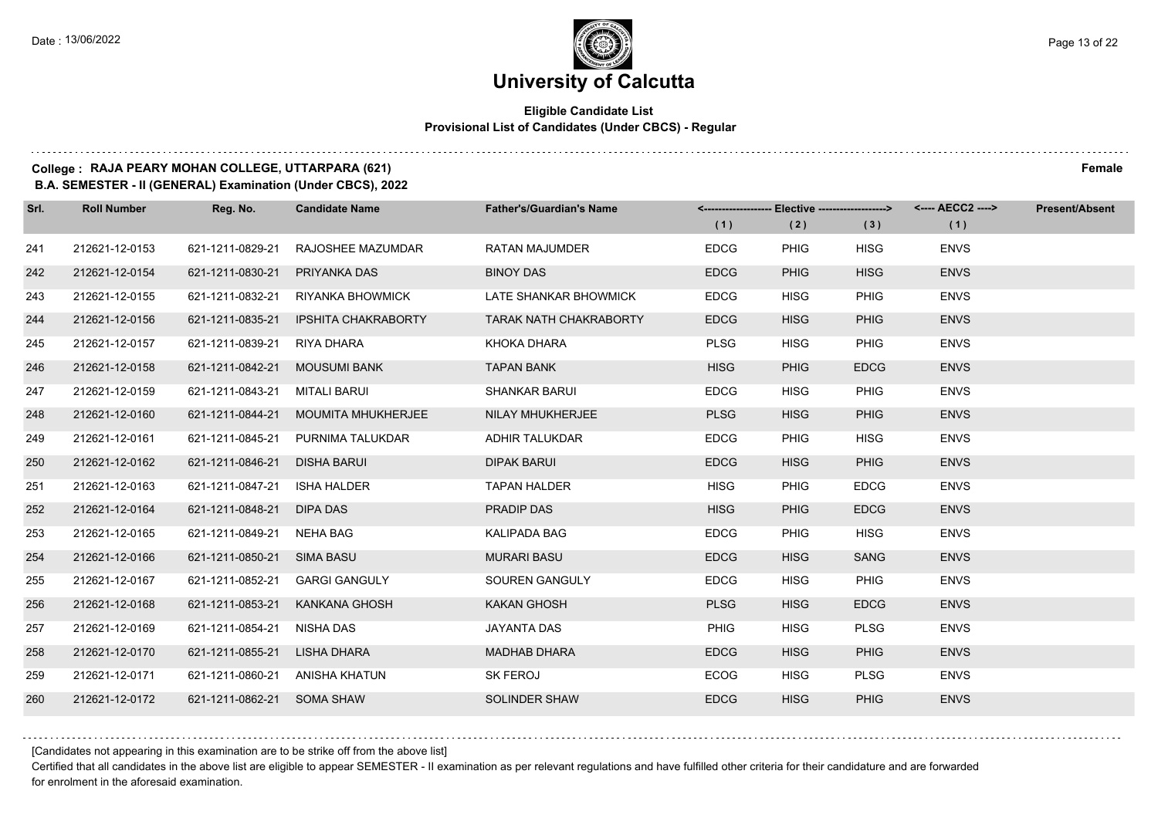### **University of Calcutta**

#### **Eligible Candidate List Provisional List of Candidates (Under CBCS) - Regular**

#### **College : RAJA PEARY MOHAN COLLEGE, UTTARPARA (621) Female**

**B.A. SEMESTER - II (GENERAL) Examination (Under CBCS), 2022**

| Srl. | <b>Roll Number</b> | Reg. No.         | <b>Candidate Name</b>      | <b>Father's/Guardian's Name</b> | <-------------------- Elective ------------------> |             |             | <---- AECC2 ----> | <b>Present/Absent</b> |
|------|--------------------|------------------|----------------------------|---------------------------------|----------------------------------------------------|-------------|-------------|-------------------|-----------------------|
|      |                    |                  |                            |                                 | (1)                                                | (2)         | (3)         | (1)               |                       |
| 241  | 212621-12-0153     | 621-1211-0829-21 | RAJOSHEE MAZUMDAR          | <b>RATAN MAJUMDER</b>           | <b>EDCG</b>                                        | <b>PHIG</b> | <b>HISG</b> | <b>ENVS</b>       |                       |
| 242  | 212621-12-0154     | 621-1211-0830-21 | PRIYANKA DAS               | <b>BINOY DAS</b>                | <b>EDCG</b>                                        | <b>PHIG</b> | <b>HISG</b> | <b>ENVS</b>       |                       |
| 243  | 212621-12-0155     | 621-1211-0832-21 | <b>RIYANKA BHOWMICK</b>    | LATE SHANKAR BHOWMICK           | <b>EDCG</b>                                        | <b>HISG</b> | <b>PHIG</b> | <b>ENVS</b>       |                       |
| 244  | 212621-12-0156     | 621-1211-0835-21 | <b>IPSHITA CHAKRABORTY</b> | <b>TARAK NATH CHAKRABORTY</b>   | <b>EDCG</b>                                        | <b>HISG</b> | <b>PHIG</b> | <b>ENVS</b>       |                       |
| 245  | 212621-12-0157     | 621-1211-0839-21 | RIYA DHARA                 | KHOKA DHARA                     | <b>PLSG</b>                                        | <b>HISG</b> | <b>PHIG</b> | <b>ENVS</b>       |                       |
| 246  | 212621-12-0158     | 621-1211-0842-21 | <b>MOUSUMI BANK</b>        | <b>TAPAN BANK</b>               | <b>HISG</b>                                        | <b>PHIG</b> | <b>EDCG</b> | <b>ENVS</b>       |                       |
| 247  | 212621-12-0159     | 621-1211-0843-21 | MITALI BARUI               | <b>SHANKAR BARUI</b>            | <b>EDCG</b>                                        | <b>HISG</b> | <b>PHIG</b> | <b>ENVS</b>       |                       |
| 248  | 212621-12-0160     | 621-1211-0844-21 | <b>MOUMITA MHUKHERJEE</b>  | NILAY MHUKHERJEE                | <b>PLSG</b>                                        | <b>HISG</b> | <b>PHIG</b> | <b>ENVS</b>       |                       |
| 249  | 212621-12-0161     | 621-1211-0845-21 | PURNIMA TALUKDAR           | <b>ADHIR TALUKDAR</b>           | <b>EDCG</b>                                        | <b>PHIG</b> | <b>HISG</b> | <b>ENVS</b>       |                       |
| 250  | 212621-12-0162     | 621-1211-0846-21 | <b>DISHA BARUI</b>         | <b>DIPAK BARUI</b>              | <b>EDCG</b>                                        | <b>HISG</b> | <b>PHIG</b> | <b>ENVS</b>       |                       |
| 251  | 212621-12-0163     | 621-1211-0847-21 | <b>ISHA HALDER</b>         | <b>TAPAN HALDER</b>             | <b>HISG</b>                                        | <b>PHIG</b> | <b>EDCG</b> | <b>ENVS</b>       |                       |
| 252  | 212621-12-0164     | 621-1211-0848-21 | DIPA DAS                   | PRADIP DAS                      | <b>HISG</b>                                        | <b>PHIG</b> | <b>EDCG</b> | <b>ENVS</b>       |                       |
| 253  | 212621-12-0165     | 621-1211-0849-21 | <b>NEHA BAG</b>            | <b>KALIPADA BAG</b>             | <b>EDCG</b>                                        | <b>PHIG</b> | <b>HISG</b> | <b>ENVS</b>       |                       |
| 254  | 212621-12-0166     | 621-1211-0850-21 | SIMA BASU                  | <b>MURARI BASU</b>              | <b>EDCG</b>                                        | <b>HISG</b> | <b>SANG</b> | <b>ENVS</b>       |                       |
| 255  | 212621-12-0167     | 621-1211-0852-21 | <b>GARGI GANGULY</b>       | <b>SOUREN GANGULY</b>           | <b>EDCG</b>                                        | <b>HISG</b> | <b>PHIG</b> | <b>ENVS</b>       |                       |
| 256  | 212621-12-0168     | 621-1211-0853-21 | <b>KANKANA GHOSH</b>       | <b>KAKAN GHOSH</b>              | <b>PLSG</b>                                        | <b>HISG</b> | <b>EDCG</b> | <b>ENVS</b>       |                       |
| 257  | 212621-12-0169     | 621-1211-0854-21 | <b>NISHA DAS</b>           | <b>JAYANTA DAS</b>              | <b>PHIG</b>                                        | <b>HISG</b> | <b>PLSG</b> | <b>ENVS</b>       |                       |
| 258  | 212621-12-0170     | 621-1211-0855-21 | LISHA DHARA                | <b>MADHAB DHARA</b>             | <b>EDCG</b>                                        | <b>HISG</b> | <b>PHIG</b> | <b>ENVS</b>       |                       |
| 259  | 212621-12-0171     | 621-1211-0860-21 | ANISHA KHATUN              | SK FEROJ                        | <b>ECOG</b>                                        | <b>HISG</b> | <b>PLSG</b> | <b>ENVS</b>       |                       |
| 260  | 212621-12-0172     | 621-1211-0862-21 | <b>SOMA SHAW</b>           | <b>SOLINDER SHAW</b>            | <b>EDCG</b>                                        | <b>HISG</b> | <b>PHIG</b> | <b>ENVS</b>       |                       |

[Candidates not appearing in this examination are to be strike off from the above list]

Certified that all candidates in the above list are eligible to appear SEMESTER - II examination as per relevant regulations and have fulfilled other criteria for their candidature and are forwarded for enrolment in the aforesaid examination.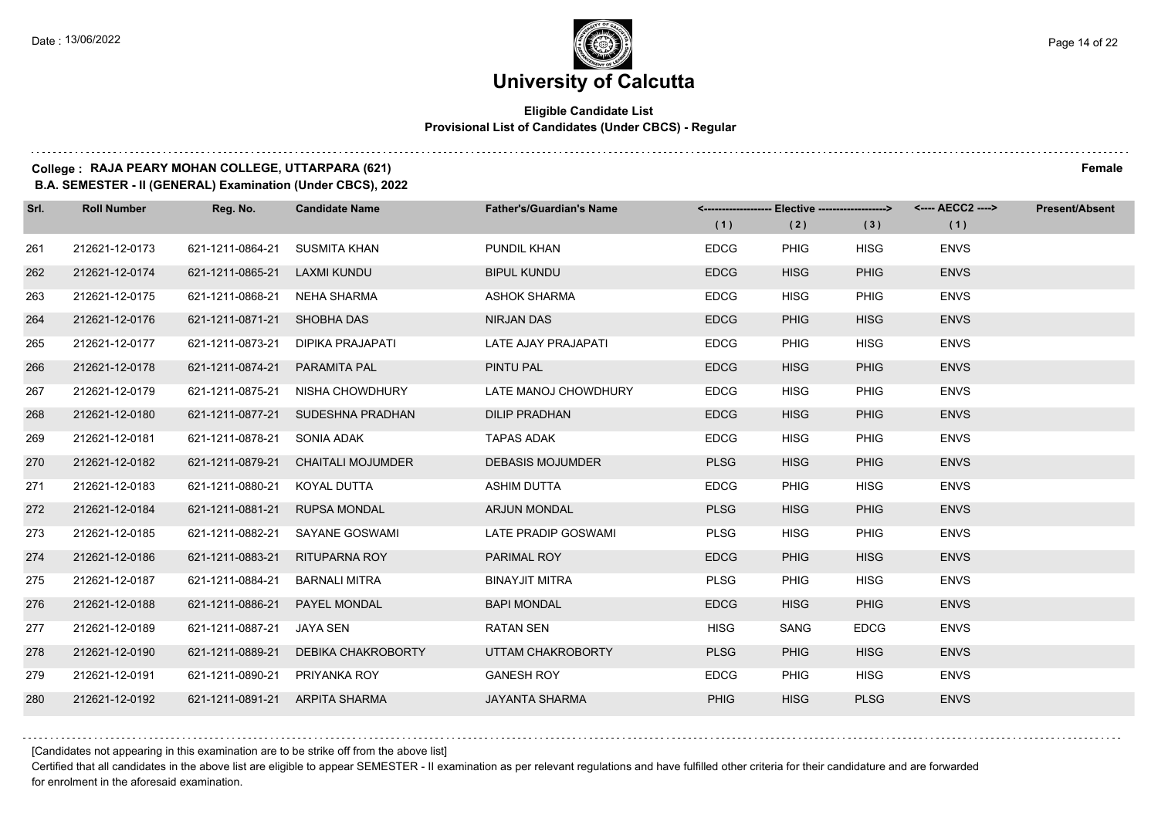#### **Eligible Candidate List Provisional List of Candidates (Under CBCS) - Regular**

### **College : RAJA PEARY MOHAN COLLEGE, UTTARPARA (621) Female**

**B.A. SEMESTER - II (GENERAL) Examination (Under CBCS), 2022**

| Srl. | <b>Roll Number</b> | Reg. No.                       | <b>Candidate Name</b>             | <b>Father's/Guardian's Name</b> | (1)         | <-------------------- Elective ------------------><br>(2) | (3)         | <---- AECC2 ----><br>(1) | <b>Present/Absent</b> |
|------|--------------------|--------------------------------|-----------------------------------|---------------------------------|-------------|-----------------------------------------------------------|-------------|--------------------------|-----------------------|
| 261  | 212621-12-0173     | 621-1211-0864-21               | SUSMITA KHAN                      | PUNDIL KHAN                     | <b>EDCG</b> | <b>PHIG</b>                                               | <b>HISG</b> | <b>ENVS</b>              |                       |
| 262  | 212621-12-0174     | 621-1211-0865-21               | <b>LAXMI KUNDU</b>                | <b>BIPUL KUNDU</b>              | <b>EDCG</b> | <b>HISG</b>                                               | <b>PHIG</b> | <b>ENVS</b>              |                       |
| 263  | 212621-12-0175     | 621-1211-0868-21 NEHA SHARMA   |                                   | <b>ASHOK SHARMA</b>             | <b>EDCG</b> | <b>HISG</b>                                               | PHIG        | <b>ENVS</b>              |                       |
| 264  | 212621-12-0176     | 621-1211-0871-21 SHOBHA DAS    |                                   | NIRJAN DAS                      | <b>EDCG</b> | <b>PHIG</b>                                               | <b>HISG</b> | <b>ENVS</b>              |                       |
| 265  | 212621-12-0177     | 621-1211-0873-21               | DIPIKA PRAJAPATI                  | LATE AJAY PRAJAPATI             | <b>EDCG</b> | <b>PHIG</b>                                               | <b>HISG</b> | <b>ENVS</b>              |                       |
| 266  | 212621-12-0178     | 621-1211-0874-21               | PARAMITA PAL                      | PINTU PAL                       | <b>EDCG</b> | <b>HISG</b>                                               | <b>PHIG</b> | <b>ENVS</b>              |                       |
| 267  | 212621-12-0179     | 621-1211-0875-21               | NISHA CHOWDHURY                   | LATE MANOJ CHOWDHURY            | <b>EDCG</b> | <b>HISG</b>                                               | PHIG        | <b>ENVS</b>              |                       |
| 268  | 212621-12-0180     |                                | 621-1211-0877-21 SUDESHNA PRADHAN | <b>DILIP PRADHAN</b>            | <b>EDCG</b> | <b>HISG</b>                                               | <b>PHIG</b> | <b>ENVS</b>              |                       |
| 269  | 212621-12-0181     | 621-1211-0878-21               | SONIA ADAK                        | <b>TAPAS ADAK</b>               | <b>EDCG</b> | <b>HISG</b>                                               | PHIG        | <b>ENVS</b>              |                       |
| 270  | 212621-12-0182     | 621-1211-0879-21               | <b>CHAITALI MOJUMDER</b>          | <b>DEBASIS MOJUMDER</b>         | <b>PLSG</b> | <b>HISG</b>                                               | <b>PHIG</b> | <b>ENVS</b>              |                       |
| 271  | 212621-12-0183     | 621-1211-0880-21 KOYAL DUTTA   |                                   | <b>ASHIM DUTTA</b>              | <b>EDCG</b> | PHIG                                                      | <b>HISG</b> | <b>ENVS</b>              |                       |
| 272  | 212621-12-0184     | 621-1211-0881-21 RUPSA MONDAL  |                                   | <b>ARJUN MONDAL</b>             | <b>PLSG</b> | <b>HISG</b>                                               | <b>PHIG</b> | <b>ENVS</b>              |                       |
| 273  | 212621-12-0185     | 621-1211-0882-21               | SAYANE GOSWAMI                    | LATE PRADIP GOSWAMI             | <b>PLSG</b> | <b>HISG</b>                                               | PHIG        | <b>ENVS</b>              |                       |
| 274  | 212621-12-0186     | 621-1211-0883-21               | RITUPARNA ROY                     | PARIMAL ROY                     | <b>EDCG</b> | <b>PHIG</b>                                               | <b>HISG</b> | <b>ENVS</b>              |                       |
| 275  | 212621-12-0187     | 621-1211-0884-21               | BARNALI MITRA                     | <b>BINAYJIT MITRA</b>           | <b>PLSG</b> | <b>PHIG</b>                                               | <b>HISG</b> | <b>ENVS</b>              |                       |
| 276  | 212621-12-0188     | 621-1211-0886-21               | PAYEL MONDAL                      | <b>BAPI MONDAL</b>              | <b>EDCG</b> | <b>HISG</b>                                               | <b>PHIG</b> | <b>ENVS</b>              |                       |
| 277  | 212621-12-0189     | 621-1211-0887-21               | JAYA SEN                          | <b>RATAN SEN</b>                | <b>HISG</b> | SANG                                                      | <b>EDCG</b> | <b>ENVS</b>              |                       |
| 278  | 212621-12-0190     | 621-1211-0889-21               | DEBIKA CHAKROBORTY                | UTTAM CHAKROBORTY               | <b>PLSG</b> | <b>PHIG</b>                                               | <b>HISG</b> | <b>ENVS</b>              |                       |
| 279  | 212621-12-0191     | 621-1211-0890-21 PRIYANKA ROY  |                                   | <b>GANESH ROY</b>               | <b>EDCG</b> | <b>PHIG</b>                                               | <b>HISG</b> | <b>ENVS</b>              |                       |
| 280  | 212621-12-0192     | 621-1211-0891-21 ARPITA SHARMA |                                   | <b>JAYANTA SHARMA</b>           | <b>PHIG</b> | <b>HISG</b>                                               | <b>PLSG</b> | <b>ENVS</b>              |                       |

[Candidates not appearing in this examination are to be strike off from the above list]

Certified that all candidates in the above list are eligible to appear SEMESTER - II examination as per relevant regulations and have fulfilled other criteria for their candidature and are forwarded for enrolment in the aforesaid examination.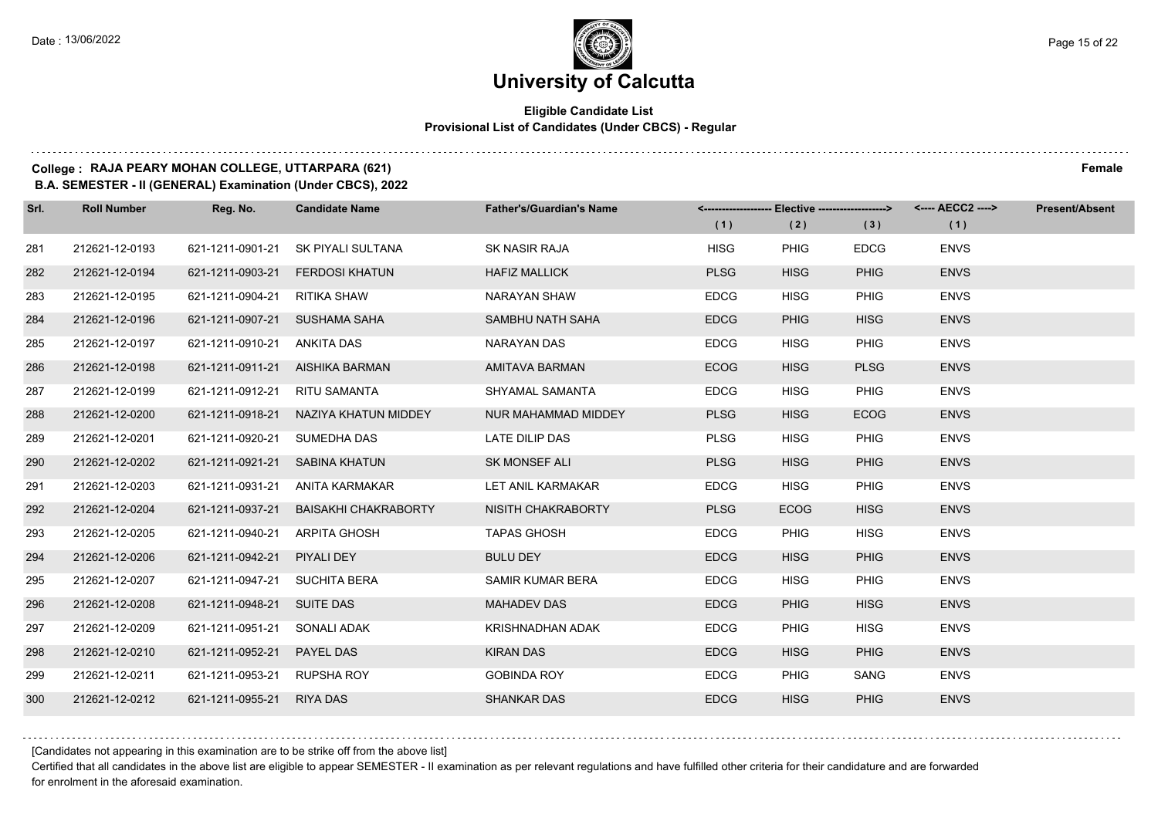### **University of Calcutta**

#### **Eligible Candidate List Provisional List of Candidates (Under CBCS) - Regular**

**College : RAJA PEARY MOHAN COLLEGE, UTTARPARA (621) Female**

**B.A. SEMESTER - II (GENERAL) Examination (Under CBCS), 2022**

| Srl. | <b>Roll Number</b> | Reg. No.                       | <b>Candidate Name</b>           | <b>Father's/Guardian's Name</b> | <------------------- Elective ------------------> |             |             | <---- AECC2 ----> | <b>Present/Absent</b> |
|------|--------------------|--------------------------------|---------------------------------|---------------------------------|---------------------------------------------------|-------------|-------------|-------------------|-----------------------|
|      |                    |                                |                                 |                                 | (1)                                               | (2)         | (3)         | (1)               |                       |
| 281  | 212621-12-0193     | 621-1211-0901-21               | SK PIYALI SULTANA               | SK NASIR RAJA                   | <b>HISG</b>                                       | <b>PHIG</b> | <b>EDCG</b> | <b>ENVS</b>       |                       |
| 282  | 212621-12-0194     | 621-1211-0903-21               | <b>FERDOSI KHATUN</b>           | <b>HAFIZ MALLICK</b>            | <b>PLSG</b>                                       | <b>HISG</b> | <b>PHIG</b> | <b>ENVS</b>       |                       |
| 283  | 212621-12-0195     | 621-1211-0904-21               | RITIKA SHAW                     | NARAYAN SHAW                    | <b>EDCG</b>                                       | <b>HISG</b> | PHIG        | <b>ENVS</b>       |                       |
| 284  | 212621-12-0196     | 621-1211-0907-21 SUSHAMA SAHA  |                                 | SAMBHU NATH SAHA                | <b>EDCG</b>                                       | <b>PHIG</b> | <b>HISG</b> | <b>ENVS</b>       |                       |
| 285  | 212621-12-0197     | 621-1211-0910-21               | ANKITA DAS                      | NARAYAN DAS                     | <b>EDCG</b>                                       | <b>HISG</b> | PHIG        | <b>ENVS</b>       |                       |
| 286  | 212621-12-0198     |                                | 621-1211-0911-21 AISHIKA BARMAN | <b>AMITAVA BARMAN</b>           | <b>ECOG</b>                                       | <b>HISG</b> | <b>PLSG</b> | <b>ENVS</b>       |                       |
| 287  | 212621-12-0199     | 621-1211-0912-21               | <b>RITU SAMANTA</b>             | SHYAMAL SAMANTA                 | <b>EDCG</b>                                       | <b>HISG</b> | <b>PHIG</b> | <b>ENVS</b>       |                       |
| 288  | 212621-12-0200     | 621-1211-0918-21               | NAZIYA KHATUN MIDDEY            | NUR MAHAMMAD MIDDEY             | <b>PLSG</b>                                       | <b>HISG</b> | <b>ECOG</b> | <b>ENVS</b>       |                       |
| 289  | 212621-12-0201     | 621-1211-0920-21               | SUMEDHA DAS                     | LATE DILIP DAS                  | <b>PLSG</b>                                       | <b>HISG</b> | PHIG        | <b>ENVS</b>       |                       |
| 290  | 212621-12-0202     | 621-1211-0921-21 SABINA KHATUN |                                 | <b>SK MONSEF ALI</b>            | <b>PLSG</b>                                       | <b>HISG</b> | <b>PHIG</b> | <b>ENVS</b>       |                       |
| 291  | 212621-12-0203     | 621-1211-0931-21               | ANITA KARMAKAR                  | LET ANIL KARMAKAR               | <b>EDCG</b>                                       | <b>HISG</b> | <b>PHIG</b> | <b>ENVS</b>       |                       |
| 292  | 212621-12-0204     | 621-1211-0937-21               | BAISAKHI CHAKRABORTY            | NISITH CHAKRABORTY              | <b>PLSG</b>                                       | <b>ECOG</b> | <b>HISG</b> | <b>ENVS</b>       |                       |
| 293  | 212621-12-0205     | 621-1211-0940-21               | <b>ARPITA GHOSH</b>             | <b>TAPAS GHOSH</b>              | <b>EDCG</b>                                       | <b>PHIG</b> | <b>HISG</b> | <b>ENVS</b>       |                       |
| 294  | 212621-12-0206     | 621-1211-0942-21               | PIYALI DEY                      | <b>BULU DEY</b>                 | <b>EDCG</b>                                       | <b>HISG</b> | <b>PHIG</b> | <b>ENVS</b>       |                       |
| 295  | 212621-12-0207     | 621-1211-0947-21               | SUCHITA BERA                    | SAMIR KUMAR BERA                | <b>EDCG</b>                                       | <b>HISG</b> | PHIG        | <b>ENVS</b>       |                       |
| 296  | 212621-12-0208     | 621-1211-0948-21 SUITE DAS     |                                 | <b>MAHADEV DAS</b>              | <b>EDCG</b>                                       | <b>PHIG</b> | <b>HISG</b> | <b>ENVS</b>       |                       |
| 297  | 212621-12-0209     | 621-1211-0951-21               | SONALI ADAK                     | <b>KRISHNADHAN ADAK</b>         | <b>EDCG</b>                                       | <b>PHIG</b> | <b>HISG</b> | <b>ENVS</b>       |                       |
| 298  | 212621-12-0210     | 621-1211-0952-21               | <b>PAYEL DAS</b>                | <b>KIRAN DAS</b>                | <b>EDCG</b>                                       | <b>HISG</b> | <b>PHIG</b> | <b>ENVS</b>       |                       |
| 299  | 212621-12-0211     | 621-1211-0953-21               | <b>RUPSHA ROY</b>               | <b>GOBINDA ROY</b>              | <b>EDCG</b>                                       | <b>PHIG</b> | SANG        | <b>ENVS</b>       |                       |
| 300  | 212621-12-0212     | 621-1211-0955-21               | <b>RIYA DAS</b>                 | <b>SHANKAR DAS</b>              | <b>EDCG</b>                                       | <b>HISG</b> | <b>PHIG</b> | <b>ENVS</b>       |                       |

[Candidates not appearing in this examination are to be strike off from the above list]

Certified that all candidates in the above list are eligible to appear SEMESTER - II examination as per relevant regulations and have fulfilled other criteria for their candidature and are forwarded for enrolment in the aforesaid examination.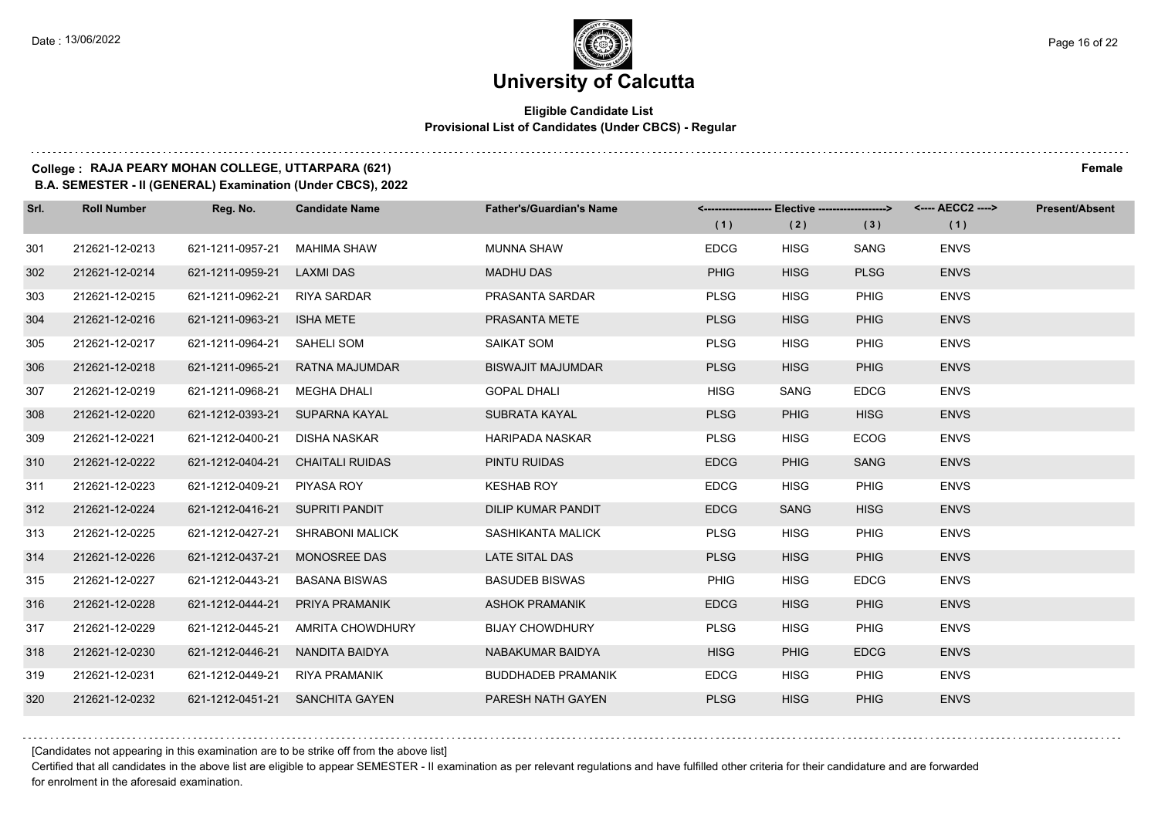#### **Eligible Candidate List Provisional List of Candidates (Under CBCS) - Regular**

### **College : RAJA PEARY MOHAN COLLEGE, UTTARPARA (621) Female**

**B.A. SEMESTER - II (GENERAL) Examination (Under CBCS), 2022**

| Srl. | <b>Roll Number</b> | Reg. No.                        | <b>Candidate Name</b>            | <b>Father's/Guardian's Name</b> |             | <------------------- Elective ------------------> |             | <---- AECC2 ----> | <b>Present/Absent</b> |
|------|--------------------|---------------------------------|----------------------------------|---------------------------------|-------------|---------------------------------------------------|-------------|-------------------|-----------------------|
|      |                    |                                 |                                  |                                 | (1)         | (2)                                               | (3)         | (1)               |                       |
| 301  | 212621-12-0213     | 621-1211-0957-21                | MAHIMA SHAW                      | <b>MUNNA SHAW</b>               | <b>EDCG</b> | <b>HISG</b>                                       | <b>SANG</b> | <b>ENVS</b>       |                       |
| 302  | 212621-12-0214     | 621-1211-0959-21 LAXMI DAS      |                                  | <b>MADHU DAS</b>                | <b>PHIG</b> | <b>HISG</b>                                       | <b>PLSG</b> | <b>ENVS</b>       |                       |
| 303  | 212621-12-0215     | 621-1211-0962-21 RIYA SARDAR    |                                  | PRASANTA SARDAR                 | <b>PLSG</b> | <b>HISG</b>                                       | <b>PHIG</b> | <b>ENVS</b>       |                       |
| 304  | 212621-12-0216     | 621-1211-0963-21 ISHA METE      |                                  | PRASANTA METE                   | <b>PLSG</b> | <b>HISG</b>                                       | <b>PHIG</b> | <b>ENVS</b>       |                       |
| 305  | 212621-12-0217     | 621-1211-0964-21                | SAHELI SOM                       | SAIKAT SOM                      | <b>PLSG</b> | <b>HISG</b>                                       | <b>PHIG</b> | <b>ENVS</b>       |                       |
| 306  | 212621-12-0218     |                                 | 621-1211-0965-21 RATNA MAJUMDAR  | <b>BISWAJIT MAJUMDAR</b>        | <b>PLSG</b> | <b>HISG</b>                                       | <b>PHIG</b> | <b>ENVS</b>       |                       |
| 307  | 212621-12-0219     | 621-1211-0968-21 MEGHA DHALI    |                                  | <b>GOPAL DHALI</b>              | <b>HISG</b> | SANG                                              | <b>EDCG</b> | <b>ENVS</b>       |                       |
| 308  | 212621-12-0220     | 621-1212-0393-21 SUPARNA KAYAL  |                                  | SUBRATA KAYAL                   | <b>PLSG</b> | <b>PHIG</b>                                       | <b>HISG</b> | <b>ENVS</b>       |                       |
| 309  | 212621-12-0221     | 621-1212-0400-21                | DISHA NASKAR                     | <b>HARIPADA NASKAR</b>          | <b>PLSG</b> | <b>HISG</b>                                       | <b>ECOG</b> | <b>ENVS</b>       |                       |
| 310  | 212621-12-0222     |                                 | 621-1212-0404-21 CHAITALI RUIDAS | PINTU RUIDAS                    | <b>EDCG</b> | <b>PHIG</b>                                       | <b>SANG</b> | <b>ENVS</b>       |                       |
| 311  | 212621-12-0223     | 621-1212-0409-21 PIYASA ROY     |                                  | <b>KESHAB ROY</b>               | <b>EDCG</b> | <b>HISG</b>                                       | <b>PHIG</b> | <b>ENVS</b>       |                       |
| 312  | 212621-12-0224     | 621-1212-0416-21 SUPRITI PANDIT |                                  | <b>DILIP KUMAR PANDIT</b>       | <b>EDCG</b> | <b>SANG</b>                                       | <b>HISG</b> | <b>ENVS</b>       |                       |
| 313  | 212621-12-0225     | 621-1212-0427-21                | <b>SHRABONI MALICK</b>           | SASHIKANTA MALICK               | <b>PLSG</b> | <b>HISG</b>                                       | <b>PHIG</b> | <b>ENVS</b>       |                       |
| 314  | 212621-12-0226     | 621-1212-0437-21 MONOSREE DAS   |                                  | <b>LATE SITAL DAS</b>           | <b>PLSG</b> | <b>HISG</b>                                       | <b>PHIG</b> | <b>ENVS</b>       |                       |
| 315  | 212621-12-0227     | 621-1212-0443-21                | <b>BASANA BISWAS</b>             | <b>BASUDEB BISWAS</b>           | <b>PHIG</b> | <b>HISG</b>                                       | <b>EDCG</b> | <b>ENVS</b>       |                       |
| 316  | 212621-12-0228     | 621-1212-0444-21                | PRIYA PRAMANIK                   | <b>ASHOK PRAMANIK</b>           | <b>EDCG</b> | <b>HISG</b>                                       | <b>PHIG</b> | <b>ENVS</b>       |                       |
| 317  | 212621-12-0229     | 621-1212-0445-21                | AMRITA CHOWDHURY                 | <b>BIJAY CHOWDHURY</b>          | <b>PLSG</b> | <b>HISG</b>                                       | <b>PHIG</b> | <b>ENVS</b>       |                       |
| 318  | 212621-12-0230     | 621-1212-0446-21                | NANDITA BAIDYA                   | NABAKUMAR BAIDYA                | <b>HISG</b> | <b>PHIG</b>                                       | <b>EDCG</b> | <b>ENVS</b>       |                       |
| 319  | 212621-12-0231     | 621-1212-0449-21                | RIYA PRAMANIK                    | <b>BUDDHADEB PRAMANIK</b>       | <b>EDCG</b> | <b>HISG</b>                                       | <b>PHIG</b> | <b>ENVS</b>       |                       |
| 320  | 212621-12-0232     |                                 | 621-1212-0451-21 SANCHITA GAYEN  | PARESH NATH GAYEN               | <b>PLSG</b> | <b>HISG</b>                                       | <b>PHIG</b> | <b>ENVS</b>       |                       |

[Candidates not appearing in this examination are to be strike off from the above list]

Certified that all candidates in the above list are eligible to appear SEMESTER - II examination as per relevant regulations and have fulfilled other criteria for their candidature and are forwarded for enrolment in the aforesaid examination.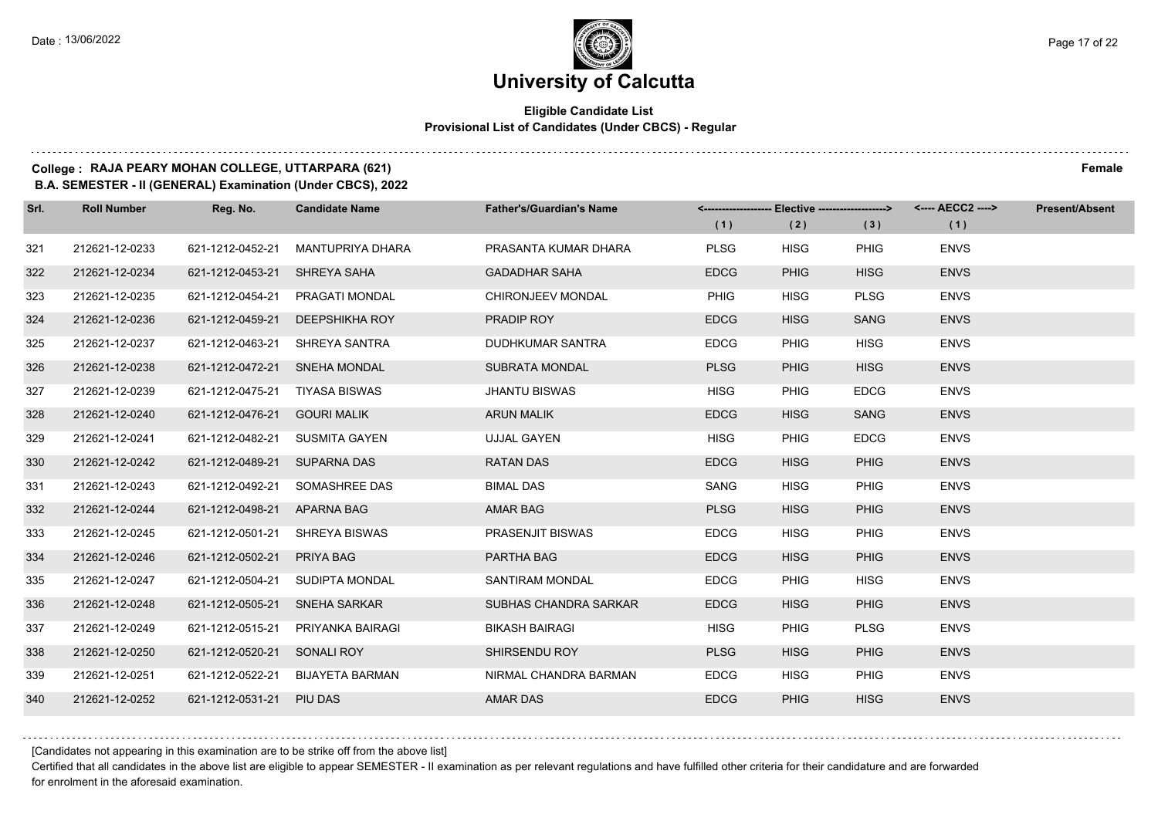#### **Eligible Candidate List Provisional List of Candidates (Under CBCS) - Regular**

### **College : RAJA PEARY MOHAN COLLEGE, UTTARPARA (621) Female**

**B.A. SEMESTER - II (GENERAL) Examination (Under CBCS), 2022**

| Srl. | <b>Roll Number</b> | Reg. No.                       | <b>Candidate Name</b>            | <b>Father's/Guardian's Name</b> | (1)         | (2)         | <------------------- Elective ------------------> <---- AECC2 ----><br>(3) | (1)         | <b>Present/Absent</b> |
|------|--------------------|--------------------------------|----------------------------------|---------------------------------|-------------|-------------|----------------------------------------------------------------------------|-------------|-----------------------|
| 321  | 212621-12-0233     | 621-1212-0452-21               | MANTUPRIYA DHARA                 | PRASANTA KUMAR DHARA            | <b>PLSG</b> | <b>HISG</b> | <b>PHIG</b>                                                                | <b>ENVS</b> |                       |
| 322  | 212621-12-0234     | 621-1212-0453-21               | SHREYA SAHA                      | <b>GADADHAR SAHA</b>            | <b>EDCG</b> | <b>PHIG</b> | <b>HISG</b>                                                                | <b>ENVS</b> |                       |
| 323  | 212621-12-0235     | 621-1212-0454-21               | PRAGATI MONDAL                   | CHIRONJEEV MONDAL               | <b>PHIG</b> | <b>HISG</b> | <b>PLSG</b>                                                                | <b>ENVS</b> |                       |
| 324  | 212621-12-0236     | 621-1212-0459-21               | DEEPSHIKHA ROY                   | PRADIP ROY                      | <b>EDCG</b> | <b>HISG</b> | <b>SANG</b>                                                                | <b>ENVS</b> |                       |
| 325  | 212621-12-0237     | 621-1212-0463-21               | SHREYA SANTRA                    | <b>DUDHKUMAR SANTRA</b>         | <b>EDCG</b> | <b>PHIG</b> | <b>HISG</b>                                                                | <b>ENVS</b> |                       |
| 326  | 212621-12-0238     | 621-1212-0472-21 SNEHA MONDAL  |                                  | <b>SUBRATA MONDAL</b>           | <b>PLSG</b> | <b>PHIG</b> | <b>HISG</b>                                                                | <b>ENVS</b> |                       |
| 327  | 212621-12-0239     | 621-1212-0475-21 TIYASA BISWAS |                                  | <b>JHANTU BISWAS</b>            | <b>HISG</b> | <b>PHIG</b> | <b>EDCG</b>                                                                | <b>ENVS</b> |                       |
| 328  | 212621-12-0240     | 621-1212-0476-21 GOURI MALIK   |                                  | <b>ARUN MALIK</b>               | <b>EDCG</b> | <b>HISG</b> | <b>SANG</b>                                                                | <b>ENVS</b> |                       |
| 329  | 212621-12-0241     | 621-1212-0482-21               | <b>SUSMITA GAYEN</b>             | <b>UJJAL GAYEN</b>              | <b>HISG</b> | <b>PHIG</b> | <b>EDCG</b>                                                                | <b>ENVS</b> |                       |
| 330  | 212621-12-0242     | 621-1212-0489-21 SUPARNA DAS   |                                  | <b>RATAN DAS</b>                | <b>EDCG</b> | <b>HISG</b> | <b>PHIG</b>                                                                | <b>ENVS</b> |                       |
| 331  | 212621-12-0243     | 621-1212-0492-21               | SOMASHREE DAS                    | <b>BIMAL DAS</b>                | SANG        | <b>HISG</b> | <b>PHIG</b>                                                                | <b>ENVS</b> |                       |
| 332  | 212621-12-0244     | 621-1212-0498-21 APARNA BAG    |                                  | <b>AMAR BAG</b>                 | <b>PLSG</b> | <b>HISG</b> | <b>PHIG</b>                                                                | <b>ENVS</b> |                       |
| 333  | 212621-12-0245     | 621-1212-0501-21               | <b>SHREYA BISWAS</b>             | PRASENJIT BISWAS                | <b>EDCG</b> | <b>HISG</b> | <b>PHIG</b>                                                                | <b>ENVS</b> |                       |
| 334  | 212621-12-0246     | 621-1212-0502-21 PRIYA BAG     |                                  | PARTHA BAG                      | <b>EDCG</b> | <b>HISG</b> | <b>PHIG</b>                                                                | <b>ENVS</b> |                       |
| 335  | 212621-12-0247     |                                | 621-1212-0504-21 SUDIPTA MONDAL  | SANTIRAM MONDAL                 | <b>EDCG</b> | <b>PHIG</b> | <b>HISG</b>                                                                | <b>ENVS</b> |                       |
| 336  | 212621-12-0248     | 621-1212-0505-21               | <b>SNEHA SARKAR</b>              | SUBHAS CHANDRA SARKAR           | <b>EDCG</b> | <b>HISG</b> | PHIG                                                                       | <b>ENVS</b> |                       |
| 337  | 212621-12-0249     | 621-1212-0515-21               | PRIYANKA BAIRAGI                 | <b>BIKASH BAIRAGI</b>           | <b>HISG</b> | <b>PHIG</b> | <b>PLSG</b>                                                                | <b>ENVS</b> |                       |
| 338  | 212621-12-0250     | 621-1212-0520-21 SONALI ROY    |                                  | SHIRSENDU ROY                   | <b>PLSG</b> | <b>HISG</b> | <b>PHIG</b>                                                                | <b>ENVS</b> |                       |
| 339  | 212621-12-0251     |                                | 621-1212-0522-21 BIJAYETA BARMAN | NIRMAL CHANDRA BARMAN           | <b>EDCG</b> | <b>HISG</b> | <b>PHIG</b>                                                                | <b>ENVS</b> |                       |
| 340  | 212621-12-0252     | 621-1212-0531-21 PIU DAS       |                                  | <b>AMAR DAS</b>                 | <b>EDCG</b> | <b>PHIG</b> | <b>HISG</b>                                                                | <b>ENVS</b> |                       |

[Candidates not appearing in this examination are to be strike off from the above list]

Certified that all candidates in the above list are eligible to appear SEMESTER - II examination as per relevant regulations and have fulfilled other criteria for their candidature and are forwarded for enrolment in the aforesaid examination.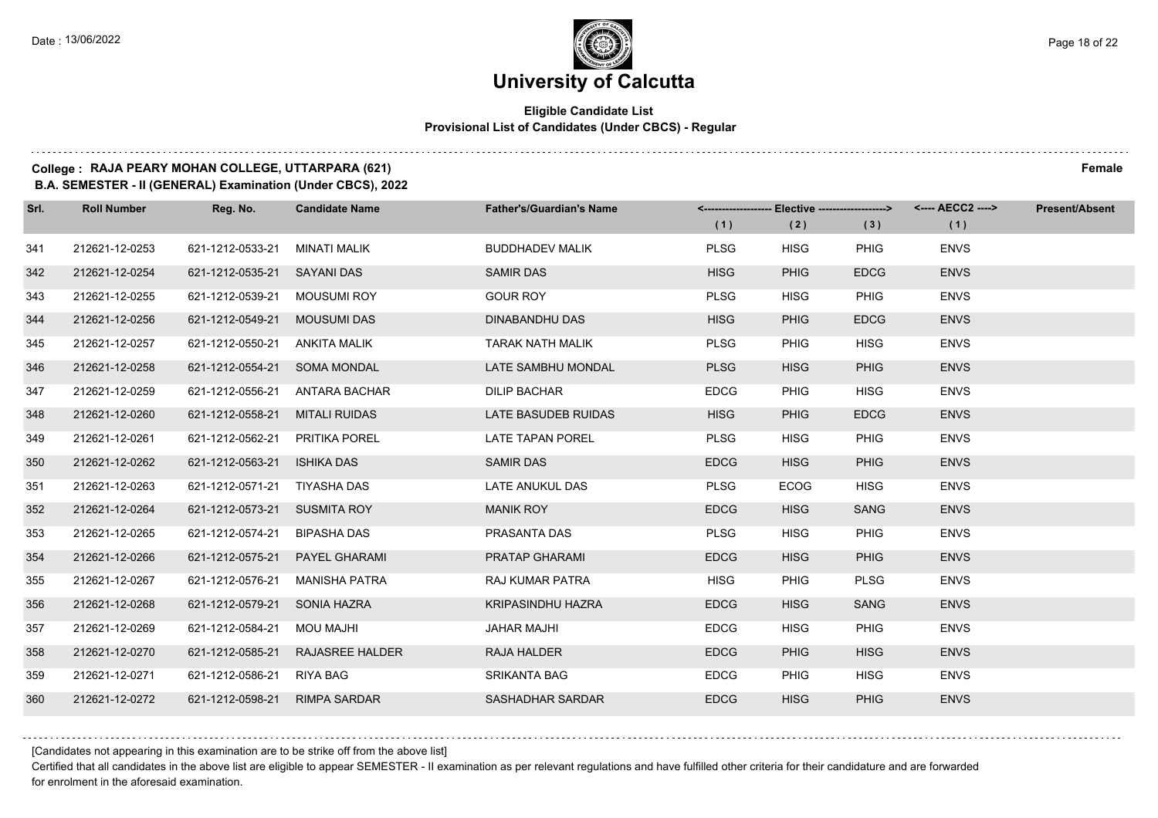#### **Eligible Candidate List Provisional List of Candidates (Under CBCS) - Regular**

#### **College : RAJA PEARY MOHAN COLLEGE, UTTARPARA (621) Female**

**B.A. SEMESTER - II (GENERAL) Examination (Under CBCS), 2022**

| Srl. | <b>Roll Number</b> | Reg. No.                        | <b>Candidate Name</b>            | <b>Father's/Guardian's Name</b> | <------------------- Elective ------------------> |             |             | <---- AECC2 ----> | <b>Present/Absent</b> |
|------|--------------------|---------------------------------|----------------------------------|---------------------------------|---------------------------------------------------|-------------|-------------|-------------------|-----------------------|
|      |                    |                                 |                                  |                                 | (1)                                               | (2)         | (3)         | (1)               |                       |
| 341  | 212621-12-0253     | 621-1212-0533-21                | MINATI MALIK                     | <b>BUDDHADEV MALIK</b>          | <b>PLSG</b>                                       | <b>HISG</b> | <b>PHIG</b> | <b>ENVS</b>       |                       |
| 342  | 212621-12-0254     | 621-1212-0535-21 SAYANI DAS     |                                  | <b>SAMIR DAS</b>                | <b>HISG</b>                                       | <b>PHIG</b> | <b>EDCG</b> | <b>ENVS</b>       |                       |
| 343  | 212621-12-0255     | 621-1212-0539-21                | MOUSUMI ROY                      | <b>GOUR ROY</b>                 | <b>PLSG</b>                                       | <b>HISG</b> | <b>PHIG</b> | <b>ENVS</b>       |                       |
| 344  | 212621-12-0256     | 621-1212-0549-21 MOUSUMI DAS    |                                  | DINABANDHU DAS                  | <b>HISG</b>                                       | <b>PHIG</b> | <b>EDCG</b> | <b>ENVS</b>       |                       |
| 345  | 212621-12-0257     | 621-1212-0550-21                | ANKITA MALIK                     | <b>TARAK NATH MALIK</b>         | <b>PLSG</b>                                       | <b>PHIG</b> | <b>HISG</b> | <b>ENVS</b>       |                       |
| 346  | 212621-12-0258     | 621-1212-0554-21 SOMA MONDAL    |                                  | LATE SAMBHU MONDAL              | <b>PLSG</b>                                       | <b>HISG</b> | <b>PHIG</b> | <b>ENVS</b>       |                       |
| 347  | 212621-12-0259     |                                 | 621-1212-0556-21 ANTARA BACHAR   | <b>DILIP BACHAR</b>             | <b>EDCG</b>                                       | <b>PHIG</b> | <b>HISG</b> | <b>ENVS</b>       |                       |
| 348  | 212621-12-0260     | 621-1212-0558-21                | MITALI RUIDAS                    | LATE BASUDEB RUIDAS             | <b>HISG</b>                                       | <b>PHIG</b> | <b>EDCG</b> | <b>ENVS</b>       |                       |
| 349  | 212621-12-0261     | 621-1212-0562-21                | PRITIKA POREL                    | LATE TAPAN POREL                | <b>PLSG</b>                                       | <b>HISG</b> | <b>PHIG</b> | <b>ENVS</b>       |                       |
| 350  | 212621-12-0262     | 621-1212-0563-21                | <b>ISHIKA DAS</b>                | <b>SAMIR DAS</b>                | <b>EDCG</b>                                       | <b>HISG</b> | <b>PHIG</b> | <b>ENVS</b>       |                       |
| 351  | 212621-12-0263     | 621-1212-0571-21 TIYASHA DAS    |                                  | LATE ANUKUL DAS                 | <b>PLSG</b>                                       | <b>ECOG</b> | <b>HISG</b> | <b>ENVS</b>       |                       |
| 352  | 212621-12-0264     | 621-1212-0573-21 SUSMITA ROY    |                                  | <b>MANIK ROY</b>                | <b>EDCG</b>                                       | <b>HISG</b> | <b>SANG</b> | <b>ENVS</b>       |                       |
| 353  | 212621-12-0265     | 621-1212-0574-21                | <b>BIPASHA DAS</b>               | PRASANTA DAS                    | <b>PLSG</b>                                       | <b>HISG</b> | <b>PHIG</b> | <b>ENVS</b>       |                       |
| 354  | 212621-12-0266     | 621-1212-0575-21  PAYEL GHARAMI |                                  | PRATAP GHARAMI                  | <b>EDCG</b>                                       | <b>HISG</b> | <b>PHIG</b> | <b>ENVS</b>       |                       |
| 355  | 212621-12-0267     | 621-1212-0576-21                | <b>MANISHA PATRA</b>             | RAJ KUMAR PATRA                 | <b>HISG</b>                                       | <b>PHIG</b> | <b>PLSG</b> | <b>ENVS</b>       |                       |
| 356  | 212621-12-0268     | 621-1212-0579-21 SONIA HAZRA    |                                  | <b>KRIPASINDHU HAZRA</b>        | <b>EDCG</b>                                       | <b>HISG</b> | <b>SANG</b> | <b>ENVS</b>       |                       |
| 357  | 212621-12-0269     | 621-1212-0584-21                | <b>MOU MAJHI</b>                 | <b>JAHAR MAJHI</b>              | <b>EDCG</b>                                       | <b>HISG</b> | <b>PHIG</b> | <b>ENVS</b>       |                       |
| 358  | 212621-12-0270     |                                 | 621-1212-0585-21 RAJASREE HALDER | <b>RAJA HALDER</b>              | <b>EDCG</b>                                       | <b>PHIG</b> | <b>HISG</b> | <b>ENVS</b>       |                       |
| 359  | 212621-12-0271     | 621-1212-0586-21                | RIYA BAG                         | <b>SRIKANTA BAG</b>             | <b>EDCG</b>                                       | PHIG        | <b>HISG</b> | <b>ENVS</b>       |                       |
| 360  | 212621-12-0272     | 621-1212-0598-21 RIMPA SARDAR   |                                  | SASHADHAR SARDAR                | <b>EDCG</b>                                       | <b>HISG</b> | <b>PHIG</b> | <b>ENVS</b>       |                       |

[Candidates not appearing in this examination are to be strike off from the above list]

Certified that all candidates in the above list are eligible to appear SEMESTER - II examination as per relevant regulations and have fulfilled other criteria for their candidature and are forwarded for enrolment in the aforesaid examination.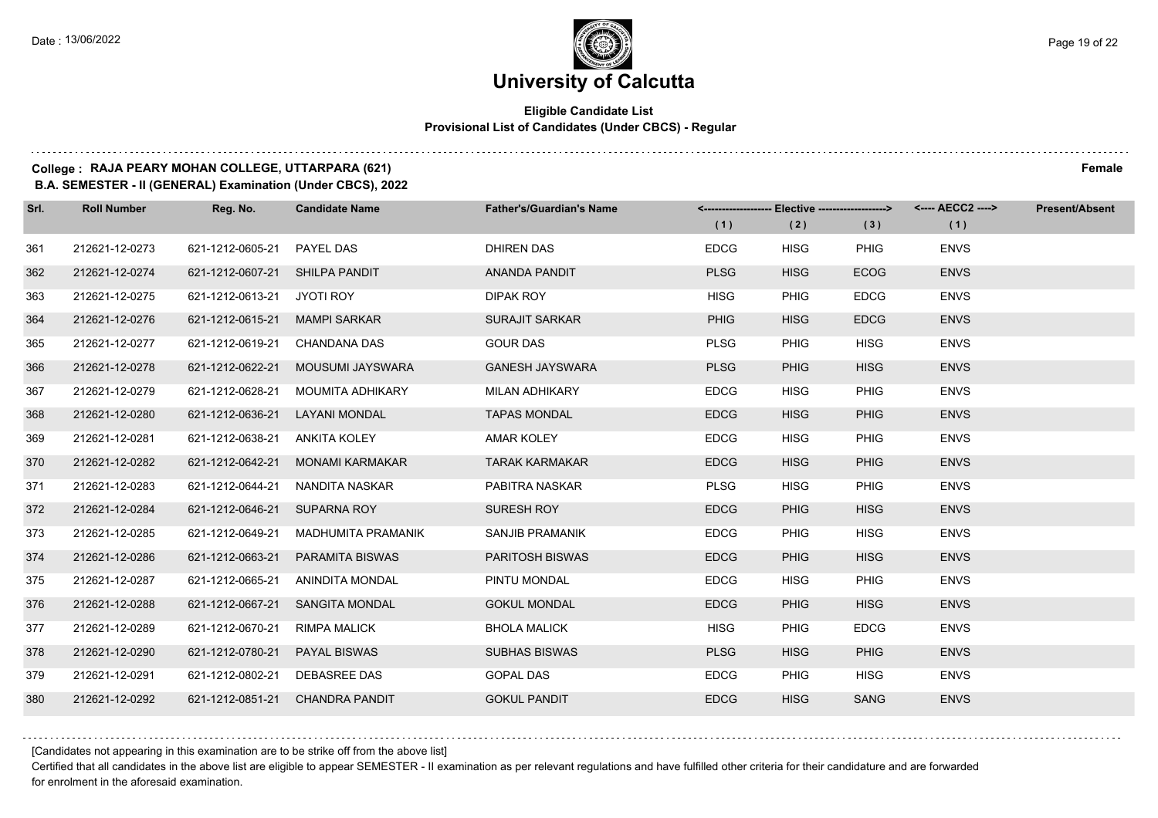### **University of Calcutta**

#### **Eligible Candidate List Provisional List of Candidates (Under CBCS) - Regular**

### **College : RAJA PEARY MOHAN COLLEGE, UTTARPARA (621) Female**

**B.A. SEMESTER - II (GENERAL) Examination (Under CBCS), 2022**

| Srl. | <b>Roll Number</b> | Reg. No.                       | <b>Candidate Name</b>             | <b>Father's/Guardian's Name</b> | <------------------- Elective ------------------> |             |             | <---- AECC2 ----> | <b>Present/Absent</b> |
|------|--------------------|--------------------------------|-----------------------------------|---------------------------------|---------------------------------------------------|-------------|-------------|-------------------|-----------------------|
|      |                    |                                |                                   |                                 | (1)                                               | (2)         | (3)         | (1)               |                       |
| 361  | 212621-12-0273     | 621-1212-0605-21               | <b>PAYEL DAS</b>                  | <b>DHIREN DAS</b>               | <b>EDCG</b>                                       | <b>HISG</b> | <b>PHIG</b> | <b>ENVS</b>       |                       |
| 362  | 212621-12-0274     | 621-1212-0607-21 SHILPA PANDIT |                                   | ANANDA PANDIT                   | <b>PLSG</b>                                       | <b>HISG</b> | <b>ECOG</b> | <b>ENVS</b>       |                       |
| 363  | 212621-12-0275     | 621-1212-0613-21 JYOTI ROY     |                                   | DIPAK ROY                       | <b>HISG</b>                                       | <b>PHIG</b> | <b>EDCG</b> | <b>ENVS</b>       |                       |
| 364  | 212621-12-0276     | 621-1212-0615-21 MAMPI SARKAR  |                                   | <b>SURAJIT SARKAR</b>           | <b>PHIG</b>                                       | <b>HISG</b> | <b>EDCG</b> | <b>ENVS</b>       |                       |
| 365  | 212621-12-0277     | 621-1212-0619-21               | CHANDANA DAS                      | <b>GOUR DAS</b>                 | <b>PLSG</b>                                       | <b>PHIG</b> | <b>HISG</b> | <b>ENVS</b>       |                       |
| 366  | 212621-12-0278     |                                | 621-1212-0622-21 MOUSUMI JAYSWARA | <b>GANESH JAYSWARA</b>          | <b>PLSG</b>                                       | <b>PHIG</b> | <b>HISG</b> | <b>ENVS</b>       |                       |
| 367  | 212621-12-0279     | 621-1212-0628-21               | MOUMITA ADHIKARY                  | <b>MILAN ADHIKARY</b>           | <b>EDCG</b>                                       | <b>HISG</b> | <b>PHIG</b> | <b>ENVS</b>       |                       |
| 368  | 212621-12-0280     | 621-1212-0636-21               | LAYANI MONDAL                     | <b>TAPAS MONDAL</b>             | <b>EDCG</b>                                       | <b>HISG</b> | <b>PHIG</b> | <b>ENVS</b>       |                       |
| 369  | 212621-12-0281     | 621-1212-0638-21               | ANKITA KOLEY                      | <b>AMAR KOLEY</b>               | <b>EDCG</b>                                       | <b>HISG</b> | <b>PHIG</b> | <b>ENVS</b>       |                       |
| 370  | 212621-12-0282     |                                | 621-1212-0642-21 MONAMI KARMAKAR  | <b>TARAK KARMAKAR</b>           | <b>EDCG</b>                                       | <b>HISG</b> | <b>PHIG</b> | <b>ENVS</b>       |                       |
| 371  | 212621-12-0283     | 621-1212-0644-21               | NANDITA NASKAR                    | PABITRA NASKAR                  | <b>PLSG</b>                                       | <b>HISG</b> | PHIG        | <b>ENVS</b>       |                       |
| 372  | 212621-12-0284     | 621-1212-0646-21 SUPARNA ROY   |                                   | SURESH ROY                      | <b>EDCG</b>                                       | <b>PHIG</b> | <b>HISG</b> | <b>ENVS</b>       |                       |
| 373  | 212621-12-0285     | 621-1212-0649-21               | MADHUMITA PRAMANIK                | <b>SANJIB PRAMANIK</b>          | <b>EDCG</b>                                       | <b>PHIG</b> | <b>HISG</b> | <b>ENVS</b>       |                       |
| 374  | 212621-12-0286     | 621-1212-0663-21               | <b>PARAMITA BISWAS</b>            | <b>PARITOSH BISWAS</b>          | <b>EDCG</b>                                       | <b>PHIG</b> | <b>HISG</b> | <b>ENVS</b>       |                       |
| 375  | 212621-12-0287     | 621-1212-0665-21               | ANINDITA MONDAL                   | PINTU MONDAL                    | <b>EDCG</b>                                       | <b>HISG</b> | <b>PHIG</b> | <b>ENVS</b>       |                       |
| 376  | 212621-12-0288     | 621-1212-0667-21               | <b>SANGITA MONDAL</b>             | <b>GOKUL MONDAL</b>             | <b>EDCG</b>                                       | <b>PHIG</b> | <b>HISG</b> | <b>ENVS</b>       |                       |
| 377  | 212621-12-0289     | 621-1212-0670-21               | <b>RIMPA MALICK</b>               | <b>BHOLA MALICK</b>             | <b>HISG</b>                                       | <b>PHIG</b> | <b>EDCG</b> | <b>ENVS</b>       |                       |
| 378  | 212621-12-0290     | 621-1212-0780-21 PAYAL BISWAS  |                                   | <b>SUBHAS BISWAS</b>            | <b>PLSG</b>                                       | <b>HISG</b> | <b>PHIG</b> | <b>ENVS</b>       |                       |
| 379  | 212621-12-0291     | 621-1212-0802-21 DEBASREE DAS  |                                   | <b>GOPAL DAS</b>                | <b>EDCG</b>                                       | <b>PHIG</b> | <b>HISG</b> | <b>ENVS</b>       |                       |
| 380  | 212621-12-0292     |                                | 621-1212-0851-21 CHANDRA PANDIT   | <b>GOKUL PANDIT</b>             | <b>EDCG</b>                                       | <b>HISG</b> | <b>SANG</b> | <b>ENVS</b>       |                       |

[Candidates not appearing in this examination are to be strike off from the above list]

Certified that all candidates in the above list are eligible to appear SEMESTER - II examination as per relevant regulations and have fulfilled other criteria for their candidature and are forwarded for enrolment in the aforesaid examination.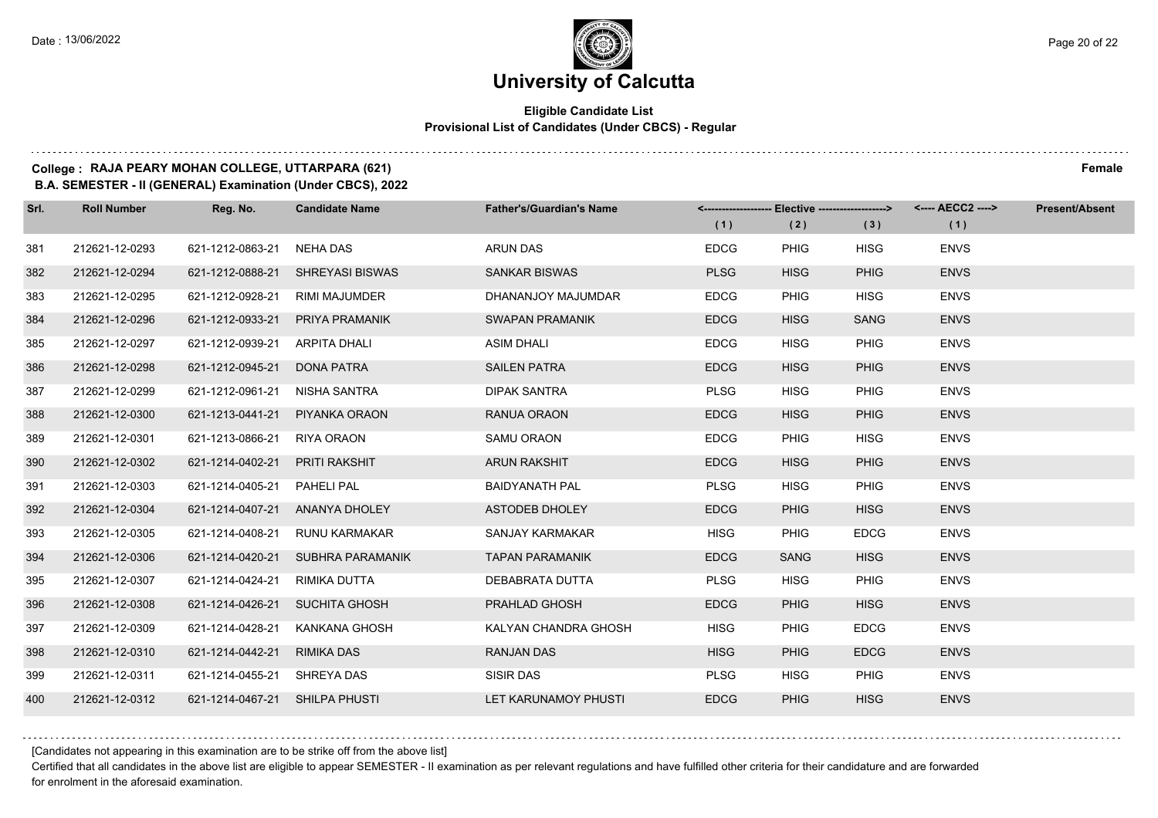#### **Eligible Candidate List Provisional List of Candidates (Under CBCS) - Regular**

### **College : RAJA PEARY MOHAN COLLEGE, UTTARPARA (621) Female**

**B.A. SEMESTER - II (GENERAL) Examination (Under CBCS), 2022**

| Srl. | <b>Roll Number</b> | Reg. No.                       | <b>Candidate Name</b>             | <b>Father's/Guardian's Name</b> | (1)         | <------------------- Elective -------------------><br>(2) | (3)         | (1)         | <b>Present/Absent</b> |
|------|--------------------|--------------------------------|-----------------------------------|---------------------------------|-------------|-----------------------------------------------------------|-------------|-------------|-----------------------|
| 381  | 212621-12-0293     | 621-1212-0863-21               | NEHA DAS                          | <b>ARUN DAS</b>                 | <b>EDCG</b> | <b>PHIG</b>                                               | <b>HISG</b> | <b>ENVS</b> |                       |
| 382  | 212621-12-0294     |                                | 621-1212-0888-21 SHREYASI BISWAS  | <b>SANKAR BISWAS</b>            | <b>PLSG</b> | <b>HISG</b>                                               | <b>PHIG</b> | <b>ENVS</b> |                       |
| 383  | 212621-12-0295     | 621-1212-0928-21 RIMI MAJUMDER |                                   | DHANANJOY MAJUMDAR              | <b>EDCG</b> | <b>PHIG</b>                                               | <b>HISG</b> | <b>ENVS</b> |                       |
| 384  | 212621-12-0296     |                                | 621-1212-0933-21 PRIYA PRAMANIK   | <b>SWAPAN PRAMANIK</b>          | <b>EDCG</b> | <b>HISG</b>                                               | <b>SANG</b> | <b>ENVS</b> |                       |
| 385  | 212621-12-0297     | 621-1212-0939-21               | ARPITA DHALI                      | <b>ASIM DHALI</b>               | <b>EDCG</b> | <b>HISG</b>                                               | <b>PHIG</b> | <b>ENVS</b> |                       |
| 386  | 212621-12-0298     | 621-1212-0945-21               | <b>DONA PATRA</b>                 | <b>SAILEN PATRA</b>             | <b>EDCG</b> | <b>HISG</b>                                               | <b>PHIG</b> | <b>ENVS</b> |                       |
| 387  | 212621-12-0299     | 621-1212-0961-21 NISHA SANTRA  |                                   | <b>DIPAK SANTRA</b>             | <b>PLSG</b> | <b>HISG</b>                                               | <b>PHIG</b> | <b>ENVS</b> |                       |
| 388  | 212621-12-0300     | 621-1213-0441-21 PIYANKA ORAON |                                   | RANUA ORAON                     | <b>EDCG</b> | <b>HISG</b>                                               | <b>PHIG</b> | <b>ENVS</b> |                       |
| 389  | 212621-12-0301     | 621-1213-0866-21 RIYA ORAON    |                                   | SAMU ORAON                      | <b>EDCG</b> | <b>PHIG</b>                                               | <b>HISG</b> | <b>ENVS</b> |                       |
| 390  | 212621-12-0302     | 621-1214-0402-21 PRITI RAKSHIT |                                   | <b>ARUN RAKSHIT</b>             | <b>EDCG</b> | <b>HISG</b>                                               | <b>PHIG</b> | <b>ENVS</b> |                       |
| 391  | 212621-12-0303     | 621-1214-0405-21 PAHELI PAL    |                                   | <b>BAIDYANATH PAL</b>           | <b>PLSG</b> | <b>HISG</b>                                               | <b>PHIG</b> | <b>ENVS</b> |                       |
| 392  | 212621-12-0304     |                                | 621-1214-0407-21 ANANYA DHOLEY    | ASTODEB DHOLEY                  | <b>EDCG</b> | <b>PHIG</b>                                               | <b>HISG</b> | <b>ENVS</b> |                       |
| 393  | 212621-12-0305     |                                | 621-1214-0408-21 RUNU KARMAKAR    | <b>SANJAY KARMAKAR</b>          | <b>HISG</b> | <b>PHIG</b>                                               | <b>EDCG</b> | <b>ENVS</b> |                       |
| 394  | 212621-12-0306     |                                | 621-1214-0420-21 SUBHRA PARAMANIK | <b>TAPAN PARAMANIK</b>          | <b>EDCG</b> | <b>SANG</b>                                               | <b>HISG</b> | <b>ENVS</b> |                       |
| 395  | 212621-12-0307     | 621-1214-0424-21 RIMIKA DUTTA  |                                   | DEBABRATA DUTTA                 | <b>PLSG</b> | <b>HISG</b>                                               | <b>PHIG</b> | <b>ENVS</b> |                       |
| 396  | 212621-12-0308     | 621-1214-0426-21 SUCHITA GHOSH |                                   | PRAHLAD GHOSH                   | <b>EDCG</b> | <b>PHIG</b>                                               | <b>HISG</b> | <b>ENVS</b> |                       |
| 397  | 212621-12-0309     | 621-1214-0428-21               | KANKANA GHOSH                     | KALYAN CHANDRA GHOSH            | <b>HISG</b> | <b>PHIG</b>                                               | <b>EDCG</b> | <b>ENVS</b> |                       |
| 398  | 212621-12-0310     | 621-1214-0442-21               | RIMIKA DAS                        | <b>RANJAN DAS</b>               | <b>HISG</b> | <b>PHIG</b>                                               | <b>EDCG</b> | <b>ENVS</b> |                       |
| 399  | 212621-12-0311     | 621-1214-0455-21 SHREYA DAS    |                                   | SISIR DAS                       | <b>PLSG</b> | <b>HISG</b>                                               | <b>PHIG</b> | <b>ENVS</b> |                       |
| 400  | 212621-12-0312     | 621-1214-0467-21 SHILPA PHUSTI |                                   | LET KARUNAMOY PHUSTI            | <b>EDCG</b> | <b>PHIG</b>                                               | <b>HISG</b> | <b>ENVS</b> |                       |

[Candidates not appearing in this examination are to be strike off from the above list]

Certified that all candidates in the above list are eligible to appear SEMESTER - II examination as per relevant regulations and have fulfilled other criteria for their candidature and are forwarded for enrolment in the aforesaid examination.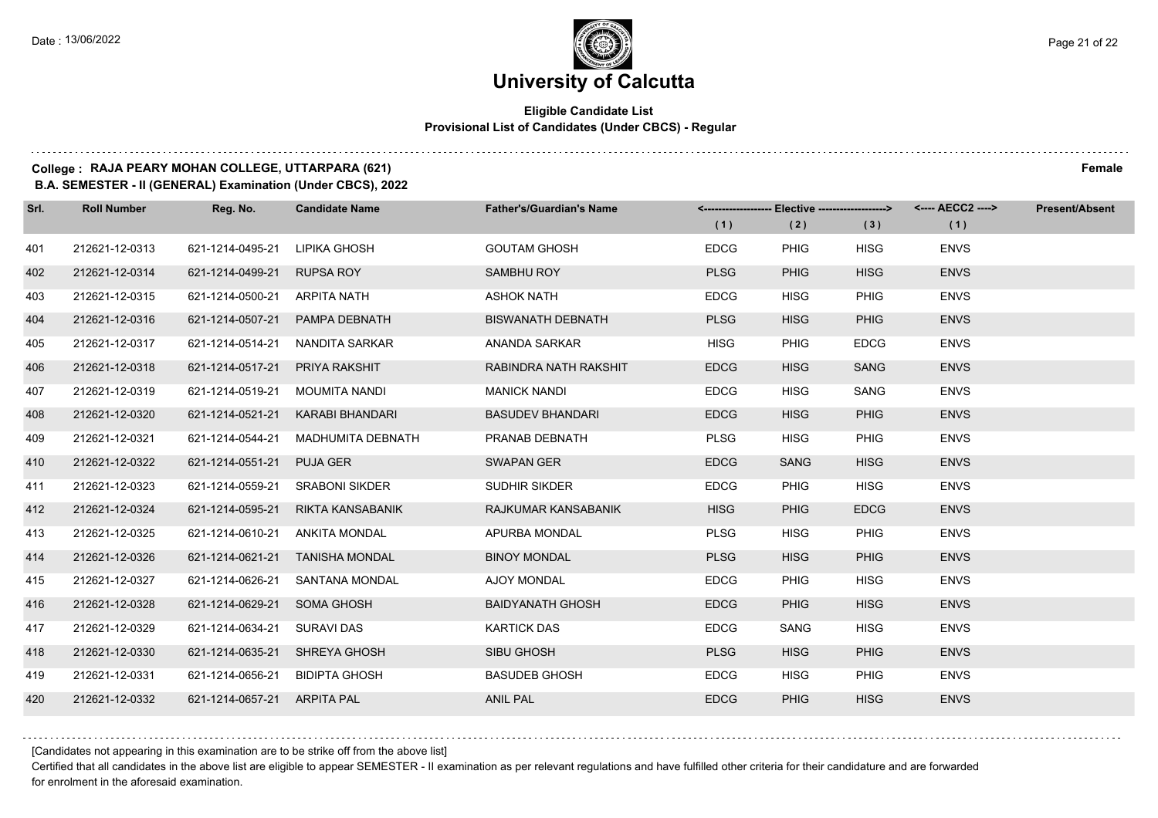#### **Eligible Candidate List Provisional List of Candidates (Under CBCS) - Regular**

### **College : RAJA PEARY MOHAN COLLEGE, UTTARPARA (621) Female**

**B.A. SEMESTER - II (GENERAL) Examination (Under CBCS), 2022**

| Srl. | <b>Roll Number</b> | Reg. No.                       | <b>Candidate Name</b>             | <b>Father's/Guardian's Name</b> | <-------------------- Elective ------------------> |             |             | <---- AECC2 ----> | <b>Present/Absent</b> |
|------|--------------------|--------------------------------|-----------------------------------|---------------------------------|----------------------------------------------------|-------------|-------------|-------------------|-----------------------|
|      |                    |                                |                                   |                                 | (1)                                                | (2)         | (3)         | (1)               |                       |
| 401  | 212621-12-0313     | 621-1214-0495-21               | LIPIKA GHOSH                      | <b>GOUTAM GHOSH</b>             | <b>EDCG</b>                                        | <b>PHIG</b> | <b>HISG</b> | <b>ENVS</b>       |                       |
| 402  | 212621-12-0314     | 621-1214-0499-21 RUPSA ROY     |                                   | <b>SAMBHU ROY</b>               | <b>PLSG</b>                                        | <b>PHIG</b> | <b>HISG</b> | <b>ENVS</b>       |                       |
| 403  | 212621-12-0315     | 621-1214-0500-21 ARPITA NATH   |                                   | <b>ASHOK NATH</b>               | <b>EDCG</b>                                        | <b>HISG</b> | <b>PHIG</b> | <b>ENVS</b>       |                       |
| 404  | 212621-12-0316     |                                | 621-1214-0507-21 PAMPA DEBNATH    | <b>BISWANATH DEBNATH</b>        | <b>PLSG</b>                                        | <b>HISG</b> | <b>PHIG</b> | <b>ENVS</b>       |                       |
| 405  | 212621-12-0317     | 621-1214-0514-21               | NANDITA SARKAR                    | ANANDA SARKAR                   | <b>HISG</b>                                        | <b>PHIG</b> | <b>EDCG</b> | <b>ENVS</b>       |                       |
| 406  | 212621-12-0318     | 621-1214-0517-21 PRIYA RAKSHIT |                                   | RABINDRA NATH RAKSHIT           | <b>EDCG</b>                                        | <b>HISG</b> | <b>SANG</b> | <b>ENVS</b>       |                       |
| 407  | 212621-12-0319     | 621-1214-0519-21 MOUMITA NANDI |                                   | <b>MANICK NANDI</b>             | <b>EDCG</b>                                        | <b>HISG</b> | SANG        | <b>ENVS</b>       |                       |
| 408  | 212621-12-0320     |                                | 621-1214-0521-21 KARABI BHANDARI  | <b>BASUDEV BHANDARI</b>         | <b>EDCG</b>                                        | <b>HISG</b> | <b>PHIG</b> | <b>ENVS</b>       |                       |
| 409  | 212621-12-0321     | 621-1214-0544-21               | MADHUMITA DEBNATH                 | PRANAB DEBNATH                  | <b>PLSG</b>                                        | <b>HISG</b> | <b>PHIG</b> | <b>ENVS</b>       |                       |
| 410  | 212621-12-0322     | 621-1214-0551-21 PUJA GER      |                                   | <b>SWAPAN GER</b>               | <b>EDCG</b>                                        | <b>SANG</b> | <b>HISG</b> | <b>ENVS</b>       |                       |
| 411  | 212621-12-0323     |                                | 621-1214-0559-21 SRABONI SIKDER   | <b>SUDHIR SIKDER</b>            | <b>EDCG</b>                                        | <b>PHIG</b> | <b>HISG</b> | <b>ENVS</b>       |                       |
| 412  | 212621-12-0324     |                                | 621-1214-0595-21 RIKTA KANSABANIK | RAJKUMAR KANSABANIK             | <b>HISG</b>                                        | <b>PHIG</b> | <b>EDCG</b> | <b>ENVS</b>       |                       |
| 413  | 212621-12-0325     | 621-1214-0610-21               | <b>ANKITA MONDAL</b>              | APURBA MONDAL                   | <b>PLSG</b>                                        | <b>HISG</b> | <b>PHIG</b> | <b>ENVS</b>       |                       |
| 414  | 212621-12-0326     |                                | 621-1214-0621-21 TANISHA MONDAL   | <b>BINOY MONDAL</b>             | <b>PLSG</b>                                        | <b>HISG</b> | <b>PHIG</b> | <b>ENVS</b>       |                       |
| 415  | 212621-12-0327     | 621-1214-0626-21               | SANTANA MONDAL                    | <b>AJOY MONDAL</b>              | <b>EDCG</b>                                        | <b>PHIG</b> | <b>HISG</b> | <b>ENVS</b>       |                       |
| 416  | 212621-12-0328     | 621-1214-0629-21 SOMA GHOSH    |                                   | <b>BAIDYANATH GHOSH</b>         | <b>EDCG</b>                                        | <b>PHIG</b> | <b>HISG</b> | <b>ENVS</b>       |                       |
| 417  | 212621-12-0329     | 621-1214-0634-21               | <b>SURAVI DAS</b>                 | <b>KARTICK DAS</b>              | <b>EDCG</b>                                        | SANG        | <b>HISG</b> | <b>ENVS</b>       |                       |
| 418  | 212621-12-0330     | 621-1214-0635-21 SHREYA GHOSH  |                                   | <b>SIBU GHOSH</b>               | <b>PLSG</b>                                        | <b>HISG</b> | <b>PHIG</b> | <b>ENVS</b>       |                       |
| 419  | 212621-12-0331     | 621-1214-0656-21 BIDIPTA GHOSH |                                   | <b>BASUDEB GHOSH</b>            | <b>EDCG</b>                                        | <b>HISG</b> | <b>PHIG</b> | <b>ENVS</b>       |                       |
| 420  | 212621-12-0332     | 621-1214-0657-21 ARPITA PAL    |                                   | <b>ANIL PAL</b>                 | <b>EDCG</b>                                        | <b>PHIG</b> | <b>HISG</b> | <b>ENVS</b>       |                       |

[Candidates not appearing in this examination are to be strike off from the above list]

Certified that all candidates in the above list are eligible to appear SEMESTER - II examination as per relevant regulations and have fulfilled other criteria for their candidature and are forwarded for enrolment in the aforesaid examination.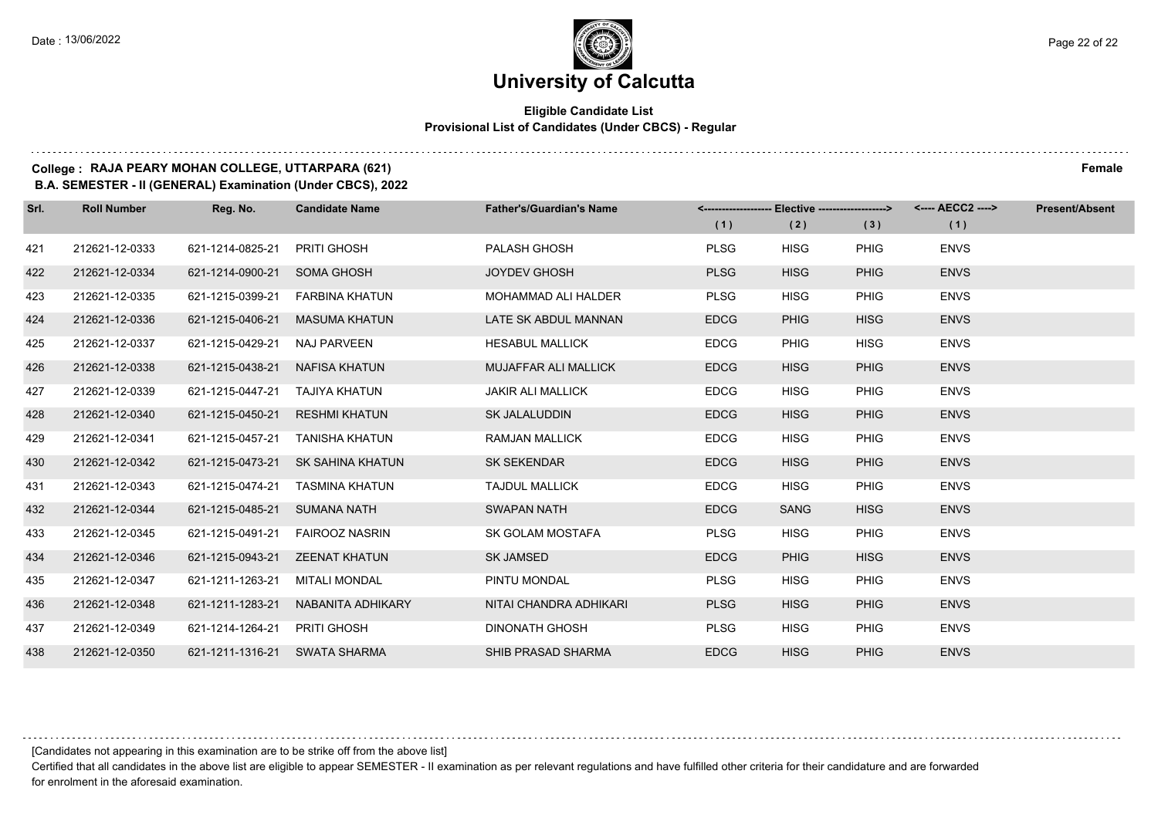#### **Eligible Candidate List Provisional List of Candidates (Under CBCS) - Regular**

#### **College : RAJA PEARY MOHAN COLLEGE, UTTARPARA (621) Female**

**B.A. SEMESTER - II (GENERAL) Examination (Under CBCS), 2022**

| Srl. | <b>Roll Number</b> | Reg. No.                      | <b>Candidate Name</b>              | <b>Father's/Guardian's Name</b> |             | <------------------- Elective ------------------> |             | <---- AECC2 ----> | <b>Present/Absent</b> |
|------|--------------------|-------------------------------|------------------------------------|---------------------------------|-------------|---------------------------------------------------|-------------|-------------------|-----------------------|
|      |                    |                               |                                    |                                 | (1)         | (2)                                               | (3)         | (1)               |                       |
| 421  | 212621-12-0333     | 621-1214-0825-21 PRITI GHOSH  |                                    | PALASH GHOSH                    | <b>PLSG</b> | <b>HISG</b>                                       | <b>PHIG</b> | <b>ENVS</b>       |                       |
| 422  | 212621-12-0334     | 621-1214-0900-21 SOMA GHOSH   |                                    | <b>JOYDEV GHOSH</b>             | <b>PLSG</b> | <b>HISG</b>                                       | <b>PHIG</b> | <b>ENVS</b>       |                       |
| 423  | 212621-12-0335     |                               | 621-1215-0399-21    FARBINA KHATUN | MOHAMMAD ALI HALDER             | <b>PLSG</b> | <b>HISG</b>                                       | <b>PHIG</b> | <b>ENVS</b>       |                       |
| 424  | 212621-12-0336     | 621-1215-0406-21              | MASUMA KHATUN                      | LATE SK ABDUL MANNAN            | <b>EDCG</b> | <b>PHIG</b>                                       | <b>HISG</b> | <b>ENVS</b>       |                       |
| 425  | 212621-12-0337     | 621-1215-0429-21              | NAJ PARVEEN                        | <b>HESABUL MALLICK</b>          | <b>EDCG</b> | <b>PHIG</b>                                       | <b>HISG</b> | <b>ENVS</b>       |                       |
| 426  | 212621-12-0338     | 621-1215-0438-21              | NAFISA KHATUN                      | <b>MUJAFFAR ALI MALLICK</b>     | <b>EDCG</b> | <b>HISG</b>                                       | <b>PHIG</b> | <b>ENVS</b>       |                       |
| 427  | 212621-12-0339     | 621-1215-0447-21              | TAJIYA KHATUN                      | <b>JAKIR ALI MALLICK</b>        | <b>EDCG</b> | <b>HISG</b>                                       | <b>PHIG</b> | <b>ENVS</b>       |                       |
| 428  | 212621-12-0340     | 621-1215-0450-21              | <b>RESHMI KHATUN</b>               | SK JALALUDDIN                   | <b>EDCG</b> | <b>HISG</b>                                       | <b>PHIG</b> | <b>ENVS</b>       |                       |
| 429  | 212621-12-0341     | 621-1215-0457-21              | TANISHA KHATUN                     | <b>RAMJAN MALLICK</b>           | <b>EDCG</b> | <b>HISG</b>                                       | <b>PHIG</b> | <b>ENVS</b>       |                       |
| 430  | 212621-12-0342     | 621-1215-0473-21              | SK SAHINA KHATUN                   | <b>SK SEKENDAR</b>              | <b>EDCG</b> | <b>HISG</b>                                       | <b>PHIG</b> | <b>ENVS</b>       |                       |
| 431  | 212621-12-0343     | 621-1215-0474-21              | TASMINA KHATUN                     | <b>TAJDUL MALLICK</b>           | <b>EDCG</b> | <b>HISG</b>                                       | <b>PHIG</b> | <b>ENVS</b>       |                       |
| 432  | 212621-12-0344     | 621-1215-0485-21              | <b>SUMANA NATH</b>                 | <b>SWAPAN NATH</b>              | <b>EDCG</b> | <b>SANG</b>                                       | <b>HISG</b> | <b>ENVS</b>       |                       |
| 433  | 212621-12-0345     | 621-1215-0491-21              | <b>FAIROOZ NASRIN</b>              | SK GOLAM MOSTAFA                | <b>PLSG</b> | <b>HISG</b>                                       | <b>PHIG</b> | <b>ENVS</b>       |                       |
| 434  | 212621-12-0346     | 621-1215-0943-21              | <b>ZEENAT KHATUN</b>               | <b>SK JAMSED</b>                | <b>EDCG</b> | <b>PHIG</b>                                       | <b>HISG</b> | <b>ENVS</b>       |                       |
| 435  | 212621-12-0347     | 621-1211-1263-21              | MITALI MONDAL                      | PINTU MONDAL                    | <b>PLSG</b> | <b>HISG</b>                                       | <b>PHIG</b> | <b>ENVS</b>       |                       |
| 436  | 212621-12-0348     | 621-1211-1283-21              | NABANITA ADHIKARY                  | NITAI CHANDRA ADHIKARI          | <b>PLSG</b> | <b>HISG</b>                                       | <b>PHIG</b> | <b>ENVS</b>       |                       |
| 437  | 212621-12-0349     | 621-1214-1264-21 PRITI GHOSH  |                                    | <b>DINONATH GHOSH</b>           | <b>PLSG</b> | <b>HISG</b>                                       | <b>PHIG</b> | <b>ENVS</b>       |                       |
| 438  | 212621-12-0350     | 621-1211-1316-21 SWATA SHARMA |                                    | <b>SHIB PRASAD SHARMA</b>       | <b>EDCG</b> | <b>HISG</b>                                       | <b>PHIG</b> | <b>ENVS</b>       |                       |

[Candidates not appearing in this examination are to be strike off from the above list]

Certified that all candidates in the above list are eligible to appear SEMESTER - II examination as per relevant regulations and have fulfilled other criteria for their candidature and are forwarded for enrolment in the aforesaid examination.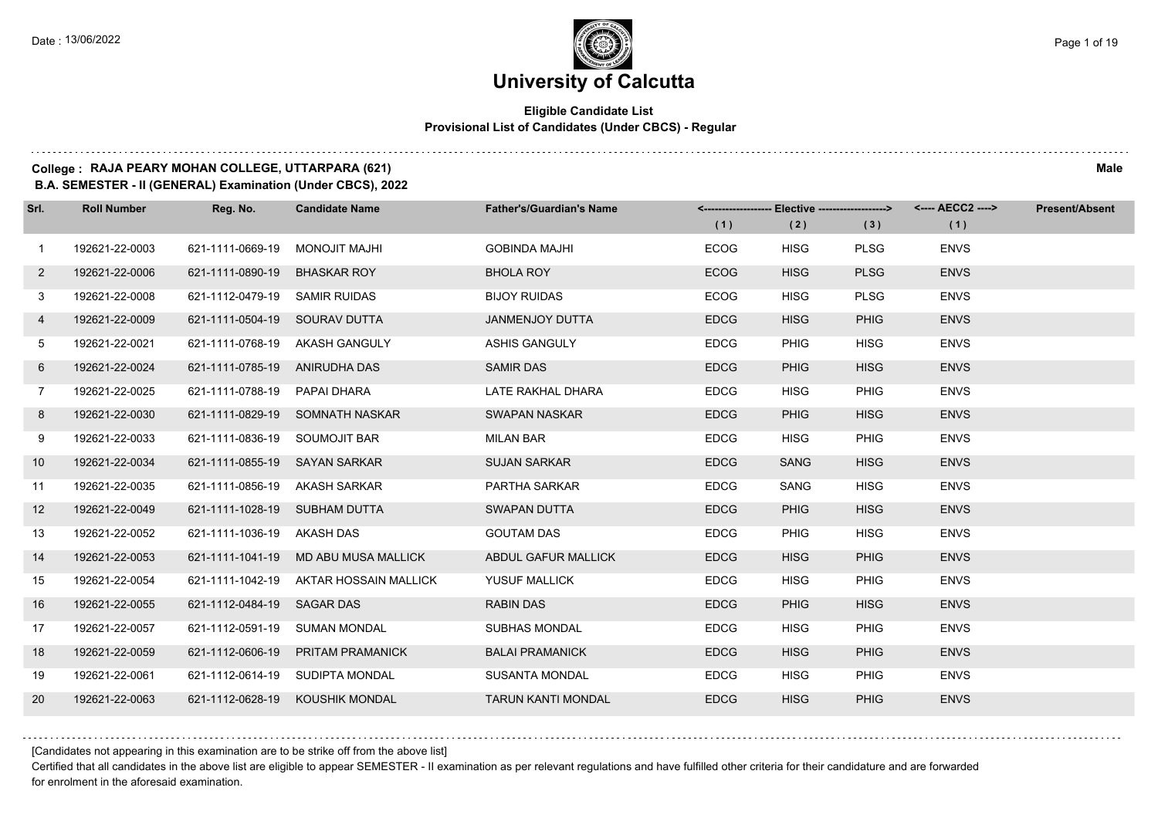#### **Eligible Candidate List Provisional List of Candidates (Under CBCS) - Regular**

#### **College : RAJA PEARY MOHAN COLLEGE, UTTARPARA (621) Male**

**B.A. SEMESTER - II (GENERAL) Examination (Under CBCS), 2022**

| Srl.        | <b>Roll Number</b> | Reg. No.                       | <b>Candidate Name</b>                  | <b>Father's/Guardian's Name</b> | (1)         | (2)         | (3)         | <------------------- Elective ------------------> <---- AECC2 ----><br>(1) | <b>Present/Absent</b> |
|-------------|--------------------|--------------------------------|----------------------------------------|---------------------------------|-------------|-------------|-------------|----------------------------------------------------------------------------|-----------------------|
| $\mathbf 1$ | 192621-22-0003     | 621-1111-0669-19 MONOJIT MAJHI |                                        | <b>GOBINDA MAJHI</b>            | <b>ECOG</b> | <b>HISG</b> | <b>PLSG</b> | <b>ENVS</b>                                                                |                       |
| $2^{\circ}$ | 192621-22-0006     | 621-1111-0890-19 BHASKAR ROY   |                                        | <b>BHOLA ROY</b>                | <b>ECOG</b> | <b>HISG</b> | <b>PLSG</b> | <b>ENVS</b>                                                                |                       |
| 3           | 192621-22-0008     | 621-1112-0479-19 SAMIR RUIDAS  |                                        | <b>BIJOY RUIDAS</b>             | <b>ECOG</b> | <b>HISG</b> | <b>PLSG</b> | <b>ENVS</b>                                                                |                       |
| 4           | 192621-22-0009     | 621-1111-0504-19 SOURAV DUTTA  |                                        | JANMENJOY DUTTA                 | <b>EDCG</b> | <b>HISG</b> | <b>PHIG</b> | <b>ENVS</b>                                                                |                       |
| 5           | 192621-22-0021     |                                | 621-1111-0768-19 AKASH GANGULY         | <b>ASHIS GANGULY</b>            | <b>EDCG</b> | <b>PHIG</b> | <b>HISG</b> | <b>ENVS</b>                                                                |                       |
| 6           | 192621-22-0024     | 621-1111-0785-19 ANIRUDHA DAS  |                                        | <b>SAMIR DAS</b>                | <b>EDCG</b> | <b>PHIG</b> | <b>HISG</b> | <b>ENVS</b>                                                                |                       |
| $7^{\circ}$ | 192621-22-0025     | 621-1111-0788-19 PAPAI DHARA   |                                        | LATE RAKHAL DHARA               | <b>EDCG</b> | <b>HISG</b> | PHIG        | <b>ENVS</b>                                                                |                       |
| 8           | 192621-22-0030     |                                | 621-1111-0829-19 SOMNATH NASKAR        | SWAPAN NASKAR                   | <b>EDCG</b> | <b>PHIG</b> | <b>HISG</b> | <b>ENVS</b>                                                                |                       |
| 9           | 192621-22-0033     | 621-1111-0836-19 SOUMOJIT BAR  |                                        | <b>MILAN BAR</b>                | <b>EDCG</b> | <b>HISG</b> | <b>PHIG</b> | <b>ENVS</b>                                                                |                       |
| 10          | 192621-22-0034     | 621-1111-0855-19 SAYAN SARKAR  |                                        | <b>SUJAN SARKAR</b>             | <b>EDCG</b> | <b>SANG</b> | <b>HISG</b> | <b>ENVS</b>                                                                |                       |
| 11          | 192621-22-0035     | 621-1111-0856-19 AKASH SARKAR  |                                        | <b>PARTHA SARKAR</b>            | <b>EDCG</b> | SANG        | <b>HISG</b> | <b>ENVS</b>                                                                |                       |
| 12          | 192621-22-0049     | 621-1111-1028-19 SUBHAM DUTTA  |                                        | <b>SWAPAN DUTTA</b>             | <b>EDCG</b> | <b>PHIG</b> | <b>HISG</b> | <b>ENVS</b>                                                                |                       |
| 13          | 192621-22-0052     | 621-1111-1036-19 AKASH DAS     |                                        | <b>GOUTAM DAS</b>               | <b>EDCG</b> | <b>PHIG</b> | <b>HISG</b> | <b>ENVS</b>                                                                |                       |
| 14          | 192621-22-0053     |                                | 621-1111-1041-19 MD ABU MUSA MALLICK   | ABDUL GAFUR MALLICK             | <b>EDCG</b> | <b>HISG</b> | <b>PHIG</b> | <b>ENVS</b>                                                                |                       |
| 15          | 192621-22-0054     |                                | 621-1111-1042-19 AKTAR HOSSAIN MALLICK | <b>YUSUF MALLICK</b>            | <b>EDCG</b> | <b>HISG</b> | <b>PHIG</b> | <b>ENVS</b>                                                                |                       |
| 16          | 192621-22-0055     | 621-1112-0484-19 SAGAR DAS     |                                        | <b>RABIN DAS</b>                | <b>EDCG</b> | <b>PHIG</b> | <b>HISG</b> | <b>ENVS</b>                                                                |                       |
| 17          | 192621-22-0057     | 621-1112-0591-19 SUMAN MONDAL  |                                        | <b>SUBHAS MONDAL</b>            | <b>EDCG</b> | <b>HISG</b> | <b>PHIG</b> | <b>ENVS</b>                                                                |                       |
| 18          | 192621-22-0059     |                                | 621-1112-0606-19 PRITAM PRAMANICK      | <b>BALAI PRAMANICK</b>          | <b>EDCG</b> | <b>HISG</b> | <b>PHIG</b> | <b>ENVS</b>                                                                |                       |
| 19          | 192621-22-0061     |                                | 621-1112-0614-19 SUDIPTA MONDAL        | <b>SUSANTA MONDAL</b>           | <b>EDCG</b> | <b>HISG</b> | <b>PHIG</b> | <b>ENVS</b>                                                                |                       |
| 20          | 192621-22-0063     |                                | 621-1112-0628-19 KOUSHIK MONDAL        | <b>TARUN KANTI MONDAL</b>       | <b>EDCG</b> | <b>HISG</b> | <b>PHIG</b> | <b>ENVS</b>                                                                |                       |

[Candidates not appearing in this examination are to be strike off from the above list]

Certified that all candidates in the above list are eligible to appear SEMESTER - II examination as per relevant regulations and have fulfilled other criteria for their candidature and are forwarded for enrolment in the aforesaid examination.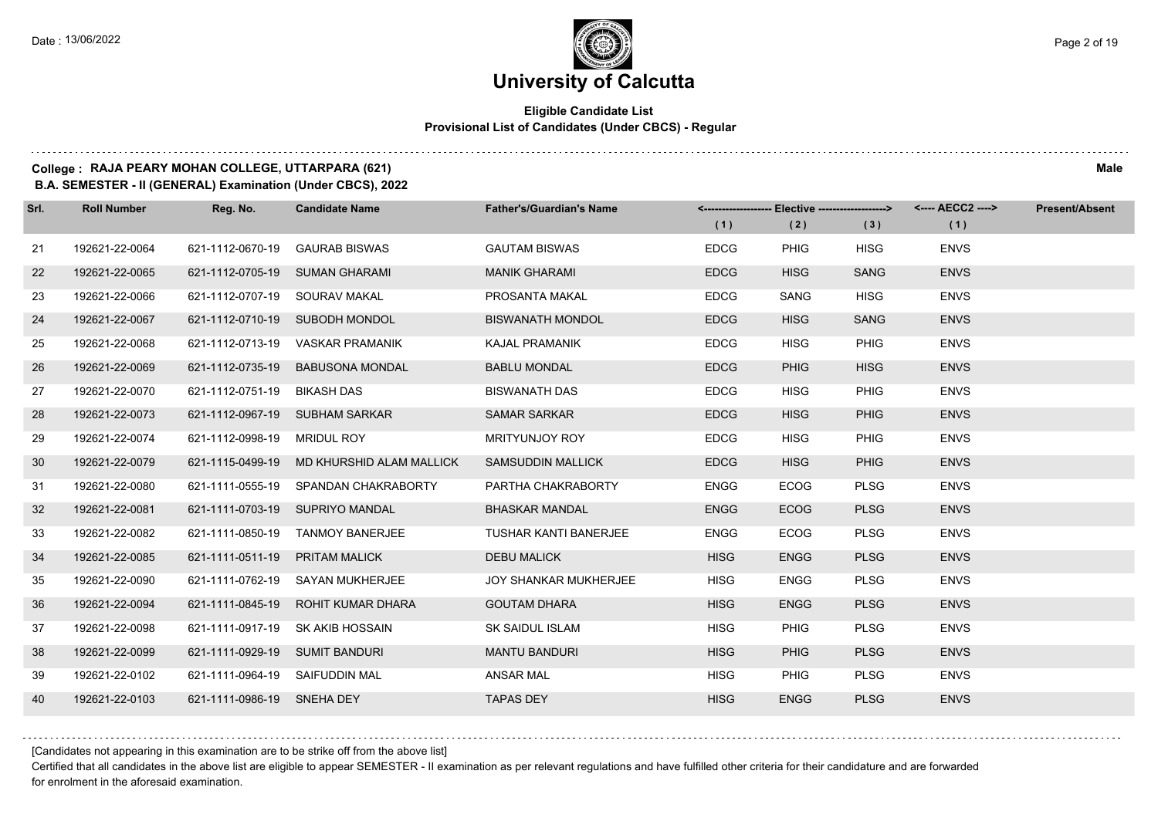#### **Eligible Candidate List Provisional List of Candidates (Under CBCS) - Regular**

#### **College : RAJA PEARY MOHAN COLLEGE, UTTARPARA (621) Male**

**B.A. SEMESTER - II (GENERAL) Examination (Under CBCS), 2022**

| Srl. | <b>Roll Number</b> | Reg. No.                       | <b>Candidate Name</b>                     | <b>Father's/Guardian's Name</b> | (1)         | <-------------------- Elective -------------------><br>(2) | (3)         | <---- AECC2 ----><br>(1) | <b>Present/Absent</b> |
|------|--------------------|--------------------------------|-------------------------------------------|---------------------------------|-------------|------------------------------------------------------------|-------------|--------------------------|-----------------------|
| 21   | 192621-22-0064     | 621-1112-0670-19               | <b>GAURAB BISWAS</b>                      | <b>GAUTAM BISWAS</b>            | <b>EDCG</b> | <b>PHIG</b>                                                | <b>HISG</b> | <b>ENVS</b>              |                       |
| 22   | 192621-22-0065     |                                | 621-1112-0705-19 SUMAN GHARAMI            | <b>MANIK GHARAMI</b>            | <b>EDCG</b> | <b>HISG</b>                                                | <b>SANG</b> | <b>ENVS</b>              |                       |
| 23   | 192621-22-0066     | 621-1112-0707-19 SOURAV MAKAL  |                                           | PROSANTA MAKAL                  | <b>EDCG</b> | SANG                                                       | <b>HISG</b> | <b>ENVS</b>              |                       |
| 24   | 192621-22-0067     |                                | 621-1112-0710-19 SUBODH MONDOL            | <b>BISWANATH MONDOL</b>         | <b>EDCG</b> | <b>HISG</b>                                                | <b>SANG</b> | <b>ENVS</b>              |                       |
| 25   | 192621-22-0068     | 621-1112-0713-19               | VASKAR PRAMANIK                           | <b>KAJAL PRAMANIK</b>           | <b>EDCG</b> | <b>HISG</b>                                                | PHIG        | <b>ENVS</b>              |                       |
| 26   | 192621-22-0069     | 621-1112-0735-19               | <b>BABUSONA MONDAL</b>                    | <b>BABLU MONDAL</b>             | <b>EDCG</b> | <b>PHIG</b>                                                | <b>HISG</b> | <b>ENVS</b>              |                       |
| 27   | 192621-22-0070     | 621-1112-0751-19 BIKASH DAS    |                                           | <b>BISWANATH DAS</b>            | <b>EDCG</b> | <b>HISG</b>                                                | <b>PHIG</b> | <b>ENVS</b>              |                       |
| 28   | 192621-22-0073     |                                | 621-1112-0967-19 SUBHAM SARKAR            | <b>SAMAR SARKAR</b>             | <b>EDCG</b> | <b>HISG</b>                                                | <b>PHIG</b> | <b>ENVS</b>              |                       |
| 29   | 192621-22-0074     | 621-1112-0998-19 MRIDUL ROY    |                                           | <b>MRITYUNJOY ROY</b>           | <b>EDCG</b> | <b>HISG</b>                                                | <b>PHIG</b> | <b>ENVS</b>              |                       |
| 30   | 192621-22-0079     |                                | 621-1115-0499-19 MD KHURSHID ALAM MALLICK | <b>SAMSUDDIN MALLICK</b>        | <b>EDCG</b> | <b>HISG</b>                                                | <b>PHIG</b> | <b>ENVS</b>              |                       |
| -31  | 192621-22-0080     |                                | 621-1111-0555-19 SPANDAN CHAKRABORTY      | PARTHA CHAKRABORTY              | <b>ENGG</b> | <b>ECOG</b>                                                | <b>PLSG</b> | <b>ENVS</b>              |                       |
| 32   | 192621-22-0081     |                                | 621-1111-0703-19 SUPRIYO MANDAL           | <b>BHASKAR MANDAL</b>           | <b>ENGG</b> | <b>ECOG</b>                                                | <b>PLSG</b> | <b>ENVS</b>              |                       |
| 33   | 192621-22-0082     |                                | 621-1111-0850-19 TANMOY BANERJEE          | <b>TUSHAR KANTI BANERJEE</b>    | <b>ENGG</b> | <b>ECOG</b>                                                | <b>PLSG</b> | <b>ENVS</b>              |                       |
| 34   | 192621-22-0085     | 621-1111-0511-19 PRITAM MALICK |                                           | <b>DEBU MALICK</b>              | <b>HISG</b> | <b>ENGG</b>                                                | <b>PLSG</b> | <b>ENVS</b>              |                       |
| 35   | 192621-22-0090     |                                | 621-1111-0762-19 SAYAN MUKHERJEE          | <b>JOY SHANKAR MUKHERJEE</b>    | <b>HISG</b> | <b>ENGG</b>                                                | <b>PLSG</b> | <b>ENVS</b>              |                       |
| 36   | 192621-22-0094     |                                | 621-1111-0845-19 ROHIT KUMAR DHARA        | <b>GOUTAM DHARA</b>             | <b>HISG</b> | <b>ENGG</b>                                                | <b>PLSG</b> | <b>ENVS</b>              |                       |
| 37   | 192621-22-0098     |                                | 621-1111-0917-19 SK AKIB HOSSAIN          | SK SAIDUL ISLAM                 | <b>HISG</b> | <b>PHIG</b>                                                | <b>PLSG</b> | <b>ENVS</b>              |                       |
| 38   | 192621-22-0099     | 621-1111-0929-19 SUMIT BANDURI |                                           | <b>MANTU BANDURI</b>            | <b>HISG</b> | <b>PHIG</b>                                                | <b>PLSG</b> | <b>ENVS</b>              |                       |
| 39   | 192621-22-0102     | 621-1111-0964-19 SAIFUDDIN MAL |                                           | <b>ANSAR MAL</b>                | <b>HISG</b> | PHIG                                                       | <b>PLSG</b> | <b>ENVS</b>              |                       |
| 40   | 192621-22-0103     | 621-1111-0986-19 SNEHA DEY     |                                           | <b>TAPAS DEY</b>                | <b>HISG</b> | <b>ENGG</b>                                                | <b>PLSG</b> | <b>ENVS</b>              |                       |

[Candidates not appearing in this examination are to be strike off from the above list]

Certified that all candidates in the above list are eligible to appear SEMESTER - II examination as per relevant regulations and have fulfilled other criteria for their candidature and are forwarded for enrolment in the aforesaid examination.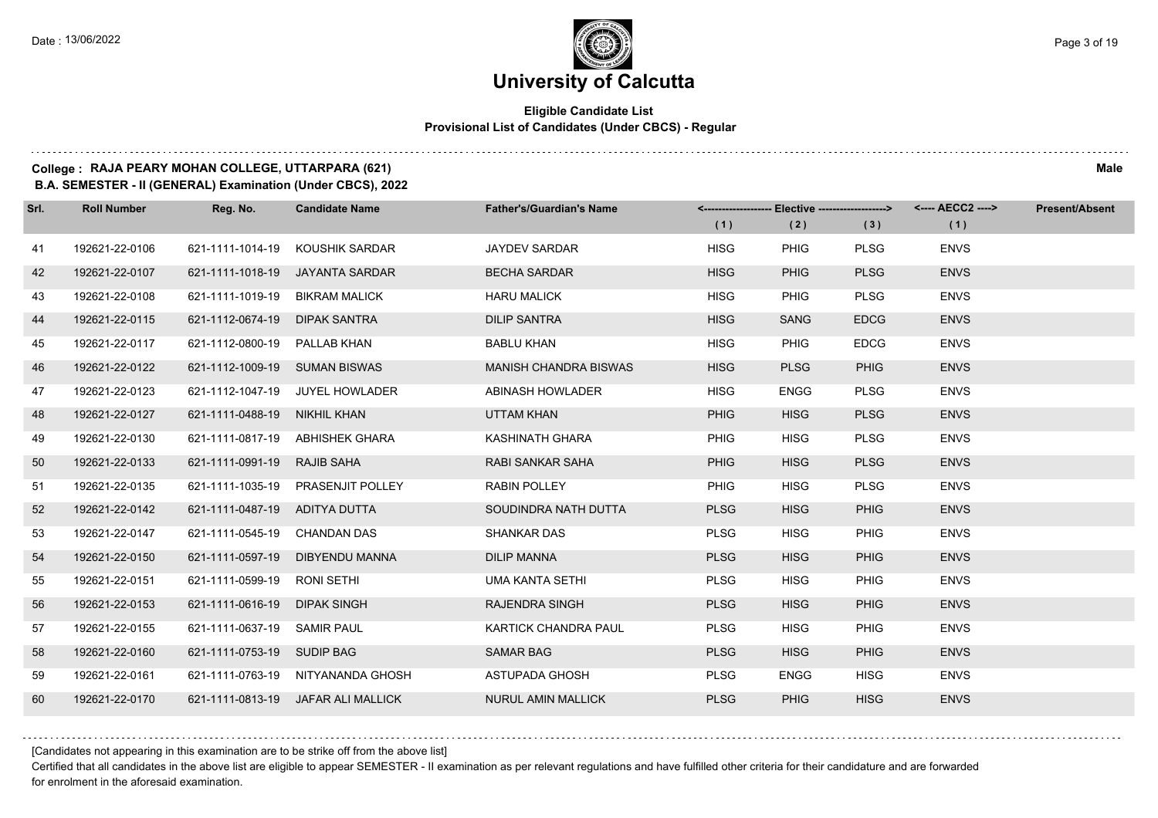#### **Eligible Candidate List Provisional List of Candidates (Under CBCS) - Regular**

#### **College : RAJA PEARY MOHAN COLLEGE, UTTARPARA (621) Male**

**B.A. SEMESTER - II (GENERAL) Examination (Under CBCS), 2022**

| Srl. | <b>Roll Number</b> | Reg. No.                      | <b>Candidate Name</b>              | <b>Father's/Guardian's Name</b> |             | <------------------- Elective -------------------> |             | <---- AECC2 ----> | <b>Present/Absent</b> |
|------|--------------------|-------------------------------|------------------------------------|---------------------------------|-------------|----------------------------------------------------|-------------|-------------------|-----------------------|
|      |                    |                               |                                    |                                 | (1)         | (2)                                                | (3)         | (1)               |                       |
| 41   | 192621-22-0106     | 621-1111-1014-19              | KOUSHIK SARDAR                     | <b>JAYDEV SARDAR</b>            | <b>HISG</b> | <b>PHIG</b>                                        | <b>PLSG</b> | <b>ENVS</b>       |                       |
| 42   | 192621-22-0107     | 621-1111-1018-19              | JAYANTA SARDAR                     | <b>BECHA SARDAR</b>             | <b>HISG</b> | <b>PHIG</b>                                        | <b>PLSG</b> | <b>ENVS</b>       |                       |
| 43   | 192621-22-0108     | 621-1111-1019-19              | <b>BIKRAM MALICK</b>               | <b>HARU MALICK</b>              | <b>HISG</b> | <b>PHIG</b>                                        | <b>PLSG</b> | <b>ENVS</b>       |                       |
| 44   | 192621-22-0115     | 621-1112-0674-19 DIPAK SANTRA |                                    | <b>DILIP SANTRA</b>             | <b>HISG</b> | <b>SANG</b>                                        | <b>EDCG</b> | <b>ENVS</b>       |                       |
| 45   | 192621-22-0117     | 621-1112-0800-19              | PALLAB KHAN                        | <b>BABLU KHAN</b>               | <b>HISG</b> | <b>PHIG</b>                                        | <b>EDCG</b> | <b>ENVS</b>       |                       |
| 46   | 192621-22-0122     | 621-1112-1009-19 SUMAN BISWAS |                                    | <b>MANISH CHANDRA BISWAS</b>    | <b>HISG</b> | <b>PLSG</b>                                        | <b>PHIG</b> | <b>ENVS</b>       |                       |
| 47   | 192621-22-0123     |                               | 621-1112-1047-19 JUYEL HOWLADER    | ABINASH HOWLADER                | <b>HISG</b> | <b>ENGG</b>                                        | <b>PLSG</b> | <b>ENVS</b>       |                       |
| 48   | 192621-22-0127     | 621-1111-0488-19 NIKHIL KHAN  |                                    | UTTAM KHAN                      | <b>PHIG</b> | <b>HISG</b>                                        | <b>PLSG</b> | <b>ENVS</b>       |                       |
| 49   | 192621-22-0130     | 621-1111-0817-19              | ABHISHEK GHARA                     | KASHINATH GHARA                 | <b>PHIG</b> | <b>HISG</b>                                        | <b>PLSG</b> | <b>ENVS</b>       |                       |
| 50   | 192621-22-0133     | 621-1111-0991-19              | <b>RAJIB SAHA</b>                  | <b>RABI SANKAR SAHA</b>         | <b>PHIG</b> | <b>HISG</b>                                        | <b>PLSG</b> | <b>ENVS</b>       |                       |
| 51   | 192621-22-0135     |                               | 621-1111-1035-19 PRASENJIT POLLEY  | <b>RABIN POLLEY</b>             | <b>PHIG</b> | <b>HISG</b>                                        | <b>PLSG</b> | <b>ENVS</b>       |                       |
| 52   | 192621-22-0142     | 621-1111-0487-19 ADITYA DUTTA |                                    | SOUDINDRA NATH DUTTA            | <b>PLSG</b> | <b>HISG</b>                                        | <b>PHIG</b> | <b>ENVS</b>       |                       |
| 53   | 192621-22-0147     | 621-1111-0545-19 CHANDAN DAS  |                                    | <b>SHANKAR DAS</b>              | <b>PLSG</b> | HISG                                               | <b>PHIG</b> | <b>ENVS</b>       |                       |
| 54   | 192621-22-0150     | 621-1111-0597-19              | DIBYENDU MANNA                     | <b>DILIP MANNA</b>              | <b>PLSG</b> | <b>HISG</b>                                        | <b>PHIG</b> | <b>ENVS</b>       |                       |
| 55   | 192621-22-0151     | 621-1111-0599-19 RONI SETHI   |                                    | <b>UMA KANTA SETHI</b>          | <b>PLSG</b> | <b>HISG</b>                                        | PHIG        | <b>ENVS</b>       |                       |
| 56   | 192621-22-0153     | 621-1111-0616-19              | <b>DIPAK SINGH</b>                 | <b>RAJENDRA SINGH</b>           | <b>PLSG</b> | <b>HISG</b>                                        | <b>PHIG</b> | <b>ENVS</b>       |                       |
| 57   | 192621-22-0155     | 621-1111-0637-19 SAMIR PAUL   |                                    | KARTICK CHANDRA PAUL            | <b>PLSG</b> | <b>HISG</b>                                        | <b>PHIG</b> | <b>ENVS</b>       |                       |
| 58   | 192621-22-0160     | 621-1111-0753-19 SUDIP BAG    |                                    | <b>SAMAR BAG</b>                | <b>PLSG</b> | <b>HISG</b>                                        | <b>PHIG</b> | <b>ENVS</b>       |                       |
| 59   | 192621-22-0161     |                               | 621-1111-0763-19 NITYANANDA GHOSH  | ASTUPADA GHOSH                  | <b>PLSG</b> | <b>ENGG</b>                                        | <b>HISG</b> | <b>ENVS</b>       |                       |
| 60   | 192621-22-0170     |                               | 621-1111-0813-19 JAFAR ALI MALLICK | <b>NURUL AMIN MALLICK</b>       | <b>PLSG</b> | <b>PHIG</b>                                        | <b>HISG</b> | <b>ENVS</b>       |                       |

[Candidates not appearing in this examination are to be strike off from the above list]

Certified that all candidates in the above list are eligible to appear SEMESTER - II examination as per relevant regulations and have fulfilled other criteria for their candidature and are forwarded for enrolment in the aforesaid examination.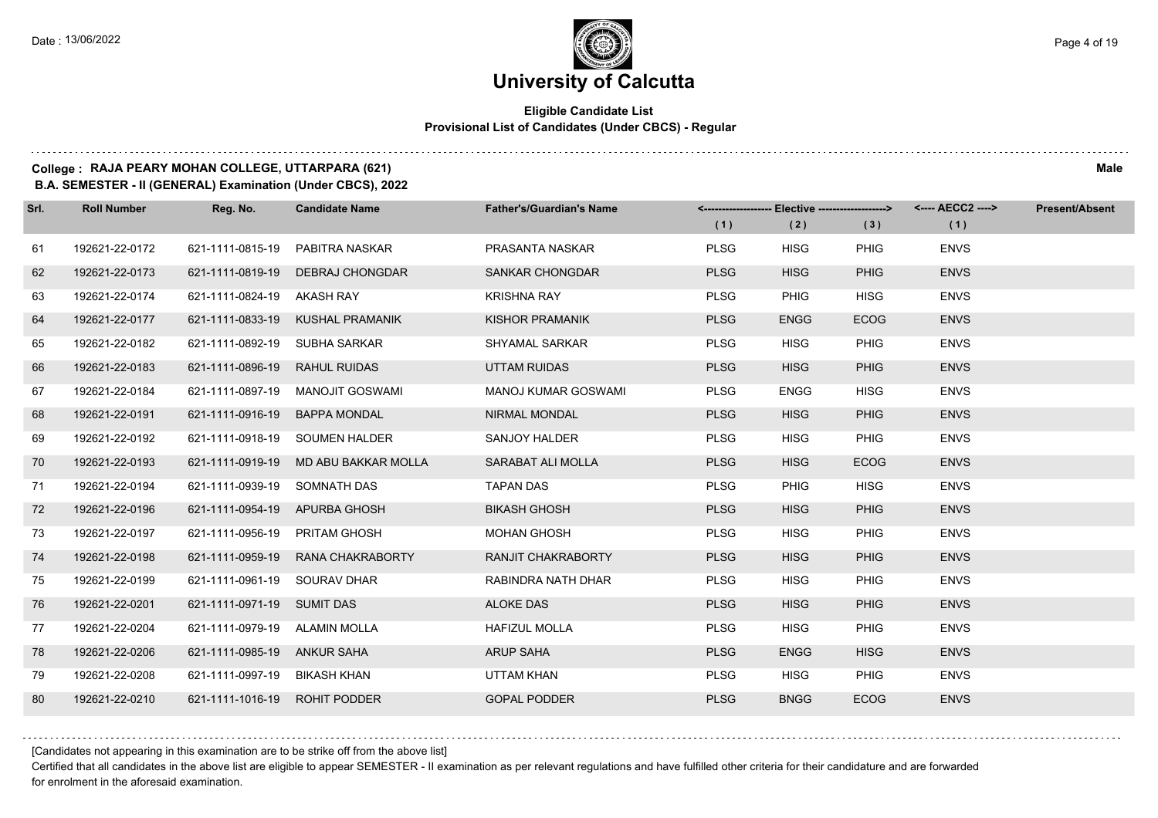# **University of Calcutta**

#### **Eligible Candidate List Provisional List of Candidates (Under CBCS) - Regular**

### **College : RAJA PEARY MOHAN COLLEGE, UTTARPARA (621) Male**

**B.A. SEMESTER - II (GENERAL) Examination (Under CBCS), 2022**

| Srl. | <b>Roll Number</b> | Reg. No.                      | <b>Candidate Name</b>                | <b>Father's/Guardian's Name</b> | (1)         | <-------------------- Elective -------------------><br>(2) | (3)         | <---- AECC2 ----><br>(1) | <b>Present/Absent</b> |
|------|--------------------|-------------------------------|--------------------------------------|---------------------------------|-------------|------------------------------------------------------------|-------------|--------------------------|-----------------------|
| 61   | 192621-22-0172     | 621-1111-0815-19              | PABITRA NASKAR                       | PRASANTA NASKAR                 | <b>PLSG</b> | <b>HISG</b>                                                | <b>PHIG</b> | <b>ENVS</b>              |                       |
| 62   | 192621-22-0173     | 621-1111-0819-19              | <b>DEBRAJ CHONGDAR</b>               | <b>SANKAR CHONGDAR</b>          | <b>PLSG</b> | <b>HISG</b>                                                | <b>PHIG</b> | <b>ENVS</b>              |                       |
| 63   | 192621-22-0174     | 621-1111-0824-19 AKASH RAY    |                                      | <b>KRISHNA RAY</b>              | <b>PLSG</b> | <b>PHIG</b>                                                | <b>HISG</b> | <b>ENVS</b>              |                       |
| 64   | 192621-22-0177     |                               | 621-1111-0833-19 KUSHAL PRAMANIK     | KISHOR PRAMANIK                 | <b>PLSG</b> | <b>ENGG</b>                                                | <b>ECOG</b> | <b>ENVS</b>              |                       |
| 65   | 192621-22-0182     | 621-1111-0892-19              | SUBHA SARKAR                         | <b>SHYAMAL SARKAR</b>           | <b>PLSG</b> | <b>HISG</b>                                                | <b>PHIG</b> | <b>ENVS</b>              |                       |
| 66   | 192621-22-0183     | 621-1111-0896-19              | <b>RAHUL RUIDAS</b>                  | UTTAM RUIDAS                    | <b>PLSG</b> | <b>HISG</b>                                                | <b>PHIG</b> | <b>ENVS</b>              |                       |
| 67   | 192621-22-0184     |                               | 621-1111-0897-19 MANOJIT GOSWAMI     | <b>MANOJ KUMAR GOSWAMI</b>      | <b>PLSG</b> | <b>ENGG</b>                                                | <b>HISG</b> | <b>ENVS</b>              |                       |
| 68   | 192621-22-0191     | 621-1111-0916-19 BAPPA MONDAL |                                      | <b>NIRMAL MONDAL</b>            | <b>PLSG</b> | <b>HISG</b>                                                | <b>PHIG</b> | <b>ENVS</b>              |                       |
| 69   | 192621-22-0192     |                               | 621-1111-0918-19 SOUMEN HALDER       | SANJOY HALDER                   | <b>PLSG</b> | <b>HISG</b>                                                | PHIG        | <b>ENVS</b>              |                       |
| 70   | 192621-22-0193     |                               | 621-1111-0919-19 MD ABU BAKKAR MOLLA | SARABAT ALI MOLLA               | <b>PLSG</b> | <b>HISG</b>                                                | <b>ECOG</b> | <b>ENVS</b>              |                       |
| 71   | 192621-22-0194     | 621-1111-0939-19 SOMNATH DAS  |                                      | <b>TAPAN DAS</b>                | <b>PLSG</b> | <b>PHIG</b>                                                | <b>HISG</b> | <b>ENVS</b>              |                       |
| 72   | 192621-22-0196     | 621-1111-0954-19 APURBA GHOSH |                                      | <b>BIKASH GHOSH</b>             | <b>PLSG</b> | <b>HISG</b>                                                | <b>PHIG</b> | <b>ENVS</b>              |                       |
| 73   | 192621-22-0197     | 621-1111-0956-19 PRITAM GHOSH |                                      | <b>MOHAN GHOSH</b>              | <b>PLSG</b> | <b>HISG</b>                                                | <b>PHIG</b> | <b>ENVS</b>              |                       |
| 74   | 192621-22-0198     |                               | 621-1111-0959-19 RANA CHAKRABORTY    | RANJIT CHAKRABORTY              | <b>PLSG</b> | <b>HISG</b>                                                | <b>PHIG</b> | <b>ENVS</b>              |                       |
| 75   | 192621-22-0199     | 621-1111-0961-19 SOURAV DHAR  |                                      | RABINDRA NATH DHAR              | <b>PLSG</b> | <b>HISG</b>                                                | <b>PHIG</b> | <b>ENVS</b>              |                       |
| 76   | 192621-22-0201     | 621-1111-0971-19 SUMIT DAS    |                                      | <b>ALOKE DAS</b>                | <b>PLSG</b> | <b>HISG</b>                                                | <b>PHIG</b> | <b>ENVS</b>              |                       |
| 77   | 192621-22-0204     | 621-1111-0979-19 ALAMIN MOLLA |                                      | <b>HAFIZUL MOLLA</b>            | <b>PLSG</b> | <b>HISG</b>                                                | <b>PHIG</b> | <b>ENVS</b>              |                       |
| 78   | 192621-22-0206     | 621-1111-0985-19 ANKUR SAHA   |                                      | <b>ARUP SAHA</b>                | <b>PLSG</b> | <b>ENGG</b>                                                | <b>HISG</b> | <b>ENVS</b>              |                       |
| 79   | 192621-22-0208     | 621-1111-0997-19 BIKASH KHAN  |                                      | UTTAM KHAN                      | <b>PLSG</b> | <b>HISG</b>                                                | <b>PHIG</b> | <b>ENVS</b>              |                       |
| 80   | 192621-22-0210     | 621-1111-1016-19 ROHIT PODDER |                                      | <b>GOPAL PODDER</b>             | <b>PLSG</b> | <b>BNGG</b>                                                | <b>ECOG</b> | <b>ENVS</b>              |                       |

[Candidates not appearing in this examination are to be strike off from the above list]

Certified that all candidates in the above list are eligible to appear SEMESTER - II examination as per relevant regulations and have fulfilled other criteria for their candidature and are forwarded for enrolment in the aforesaid examination.

. . . . . . .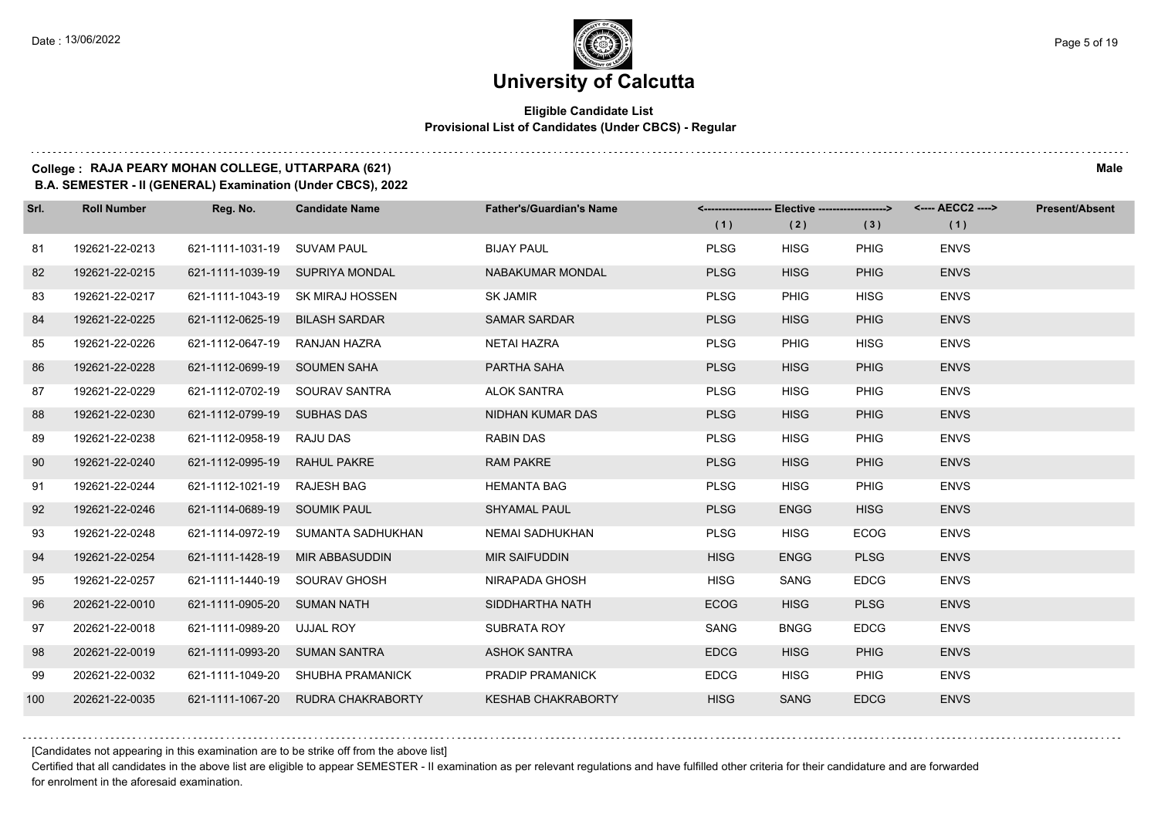#### **Eligible Candidate List Provisional List of Candidates (Under CBCS) - Regular**

#### **College : RAJA PEARY MOHAN COLLEGE, UTTARPARA (621) Male**

**B.A. SEMESTER - II (GENERAL) Examination (Under CBCS), 2022**

| Srl. | <b>Roll Number</b> | Reg. No.                       | <b>Candidate Name</b>              | <b>Father's/Guardian's Name</b> | (1)         | <------------------- Elective ------------------><br>(2) | (3)         | <---- AECC2 ----><br>(1) | <b>Present/Absent</b> |
|------|--------------------|--------------------------------|------------------------------------|---------------------------------|-------------|----------------------------------------------------------|-------------|--------------------------|-----------------------|
| 81   | 192621-22-0213     | 621-1111-1031-19 SUVAM PAUL    |                                    | <b>BIJAY PAUL</b>               | <b>PLSG</b> | <b>HISG</b>                                              | <b>PHIG</b> | <b>ENVS</b>              |                       |
| 82   | 192621-22-0215     |                                | 621-1111-1039-19 SUPRIYA MONDAL    | <b>NABAKUMAR MONDAL</b>         | <b>PLSG</b> | <b>HISG</b>                                              | <b>PHIG</b> | <b>ENVS</b>              |                       |
| 83   | 192621-22-0217     |                                | 621-1111-1043-19 SK MIRAJ HOSSEN   | SK JAMIR                        | <b>PLSG</b> | PHIG                                                     | <b>HISG</b> | <b>ENVS</b>              |                       |
| 84   | 192621-22-0225     | 621-1112-0625-19 BILASH SARDAR |                                    | <b>SAMAR SARDAR</b>             | <b>PLSG</b> | <b>HISG</b>                                              | <b>PHIG</b> | <b>ENVS</b>              |                       |
| 85   | 192621-22-0226     | 621-1112-0647-19               | RANJAN HAZRA                       | <b>NETAI HAZRA</b>              | <b>PLSG</b> | PHIG                                                     | <b>HISG</b> | <b>ENVS</b>              |                       |
| 86   | 192621-22-0228     | 621-1112-0699-19 SOUMEN SAHA   |                                    | PARTHA SAHA                     | <b>PLSG</b> | <b>HISG</b>                                              | <b>PHIG</b> | <b>ENVS</b>              |                       |
| 87   | 192621-22-0229     |                                | 621-1112-0702-19 SOURAV SANTRA     | <b>ALOK SANTRA</b>              | <b>PLSG</b> | <b>HISG</b>                                              | PHIG        | <b>ENVS</b>              |                       |
| 88   | 192621-22-0230     | 621-1112-0799-19 SUBHAS DAS    |                                    | NIDHAN KUMAR DAS                | <b>PLSG</b> | <b>HISG</b>                                              | <b>PHIG</b> | <b>ENVS</b>              |                       |
| 89   | 192621-22-0238     | 621-1112-0958-19 RAJU DAS      |                                    | <b>RABIN DAS</b>                | <b>PLSG</b> | <b>HISG</b>                                              | <b>PHIG</b> | <b>ENVS</b>              |                       |
| 90   | 192621-22-0240     | 621-1112-0995-19 RAHUL PAKRE   |                                    | <b>RAM PAKRE</b>                | <b>PLSG</b> | <b>HISG</b>                                              | <b>PHIG</b> | <b>ENVS</b>              |                       |
| 91   | 192621-22-0244     | 621-1112-1021-19 RAJESH BAG    |                                    | <b>HEMANTA BAG</b>              | <b>PLSG</b> | <b>HISG</b>                                              | PHIG        | <b>ENVS</b>              |                       |
| 92   | 192621-22-0246     | 621-1114-0689-19 SOUMIK PAUL   |                                    | <b>SHYAMAL PAUL</b>             | <b>PLSG</b> | <b>ENGG</b>                                              | <b>HISG</b> | <b>ENVS</b>              |                       |
| 93   | 192621-22-0248     |                                | 621-1114-0972-19 SUMANTA SADHUKHAN | NEMAI SADHUKHAN                 | <b>PLSG</b> | <b>HISG</b>                                              | <b>ECOG</b> | <b>ENVS</b>              |                       |
| 94   | 192621-22-0254     |                                | 621-1111-1428-19 MIR ABBASUDDIN    | <b>MIR SAIFUDDIN</b>            | <b>HISG</b> | <b>ENGG</b>                                              | <b>PLSG</b> | <b>ENVS</b>              |                       |
| 95   | 192621-22-0257     | 621-1111-1440-19 SOURAV GHOSH  |                                    | NIRAPADA GHOSH                  | <b>HISG</b> | <b>SANG</b>                                              | <b>EDCG</b> | <b>ENVS</b>              |                       |
| 96   | 202621-22-0010     | 621-1111-0905-20 SUMAN NATH    |                                    | SIDDHARTHA NATH                 | <b>ECOG</b> | <b>HISG</b>                                              | <b>PLSG</b> | <b>ENVS</b>              |                       |
| 97   | 202621-22-0018     | 621-1111-0989-20 UJJAL ROY     |                                    | SUBRATA ROY                     | SANG        | <b>BNGG</b>                                              | <b>EDCG</b> | <b>ENVS</b>              |                       |
| 98   | 202621-22-0019     | 621-1111-0993-20 SUMAN SANTRA  |                                    | <b>ASHOK SANTRA</b>             | <b>EDCG</b> | <b>HISG</b>                                              | <b>PHIG</b> | <b>ENVS</b>              |                       |
| 99   | 202621-22-0032     |                                | 621-1111-1049-20 SHUBHA PRAMANICK  | PRADIP PRAMANICK                | <b>EDCG</b> | <b>HISG</b>                                              | <b>PHIG</b> | <b>ENVS</b>              |                       |
| 100  | 202621-22-0035     |                                | 621-1111-1067-20 RUDRA CHAKRABORTY | <b>KESHAB CHAKRABORTY</b>       | <b>HISG</b> | <b>SANG</b>                                              | <b>EDCG</b> | <b>ENVS</b>              |                       |

[Candidates not appearing in this examination are to be strike off from the above list]

Certified that all candidates in the above list are eligible to appear SEMESTER - II examination as per relevant regulations and have fulfilled other criteria for their candidature and are forwarded for enrolment in the aforesaid examination.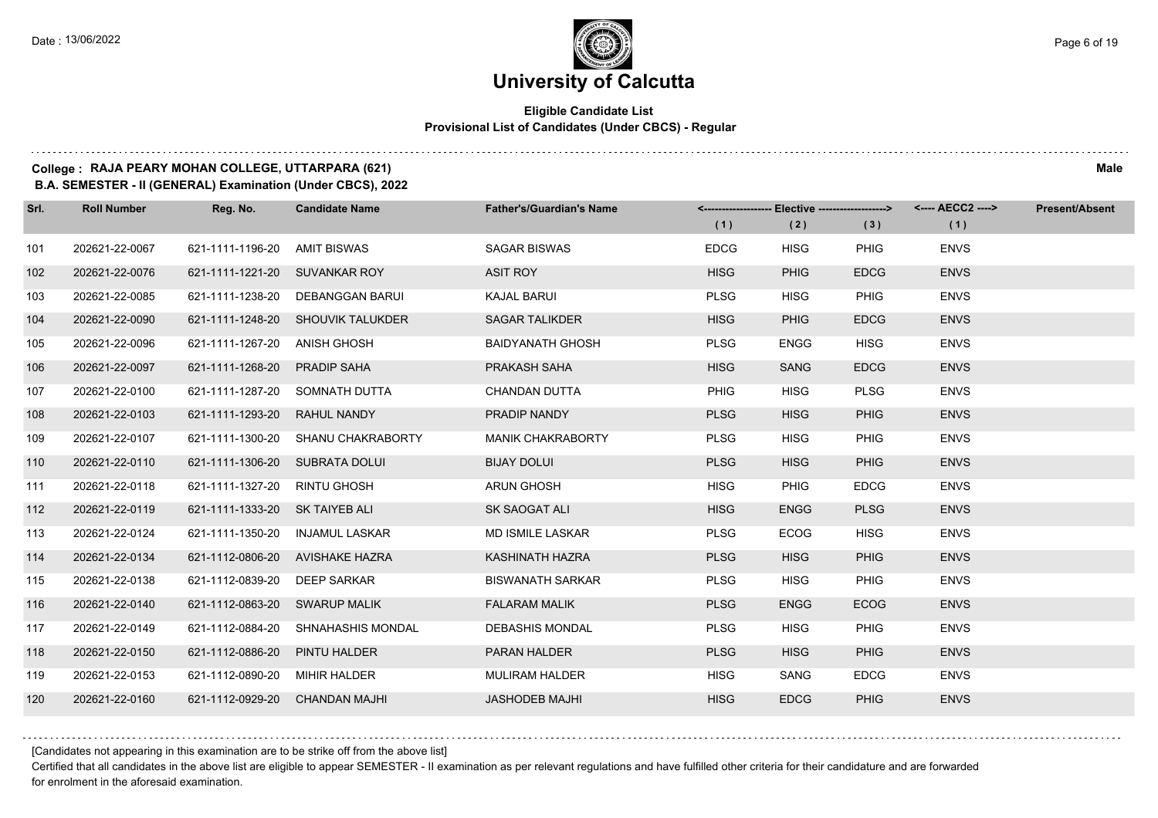#### **Eligible Candidate List Provisional List of Candidates (Under CBCS) - Regular**

#### **College : RAJA PEARY MOHAN COLLEGE, UTTARPARA (621) Male**

**B.A. SEMESTER - II (GENERAL) Examination (Under CBCS), 2022**

| Srl. | <b>Roll Number</b> | Reg. No.                       | <b>Candidate Name</b>             | <b>Father's/Guardian's Name</b> |             | <------------------- Elective ------------------> |             | <---- AECC2 ----> | <b>Present/Absent</b> |
|------|--------------------|--------------------------------|-----------------------------------|---------------------------------|-------------|---------------------------------------------------|-------------|-------------------|-----------------------|
|      |                    |                                |                                   |                                 | (1)         | (2)                                               | (3)         | (1)               |                       |
| 101  | 202621-22-0067     | 621-1111-1196-20               | <b>AMIT BISWAS</b>                | <b>SAGAR BISWAS</b>             | <b>EDCG</b> | <b>HISG</b>                                       | <b>PHIG</b> | <b>ENVS</b>       |                       |
| 102  | 202621-22-0076     | 621-1111-1221-20               | <b>SUVANKAR ROY</b>               | <b>ASIT ROY</b>                 | <b>HISG</b> | <b>PHIG</b>                                       | <b>EDCG</b> | <b>ENVS</b>       |                       |
| 103  | 202621-22-0085     | 621-1111-1238-20               | <b>DEBANGGAN BARUI</b>            | <b>KAJAL BARUI</b>              | <b>PLSG</b> | <b>HISG</b>                                       | <b>PHIG</b> | <b>ENVS</b>       |                       |
| 104  | 202621-22-0090     |                                | 621-1111-1248-20 SHOUVIK TALUKDER | <b>SAGAR TALIKDER</b>           | <b>HISG</b> | <b>PHIG</b>                                       | <b>EDCG</b> | <b>ENVS</b>       |                       |
| 105  | 202621-22-0096     | 621-1111-1267-20               | <b>ANISH GHOSH</b>                | <b>BAIDYANATH GHOSH</b>         | <b>PLSG</b> | <b>ENGG</b>                                       | <b>HISG</b> | <b>ENVS</b>       |                       |
| 106  | 202621-22-0097     | 621-1111-1268-20               | PRADIP SAHA                       | PRAKASH SAHA                    | <b>HISG</b> | SANG                                              | <b>EDCG</b> | <b>ENVS</b>       |                       |
| 107  | 202621-22-0100     | 621-1111-1287-20               | SOMNATH DUTTA                     | <b>CHANDAN DUTTA</b>            | <b>PHIG</b> | <b>HISG</b>                                       | <b>PLSG</b> | <b>ENVS</b>       |                       |
| 108  | 202621-22-0103     | 621-1111-1293-20               | <b>RAHUL NANDY</b>                | PRADIP NANDY                    | <b>PLSG</b> | <b>HISG</b>                                       | <b>PHIG</b> | <b>ENVS</b>       |                       |
| 109  | 202621-22-0107     | 621-1111-1300-20               | SHANU CHAKRABORTY                 | <b>MANIK CHAKRABORTY</b>        | <b>PLSG</b> | <b>HISG</b>                                       | <b>PHIG</b> | <b>ENVS</b>       |                       |
| 110  | 202621-22-0110     | 621-1111-1306-20               | <b>SUBRATA DOLUI</b>              | <b>BIJAY DOLUI</b>              | <b>PLSG</b> | <b>HISG</b>                                       | <b>PHIG</b> | <b>ENVS</b>       |                       |
| 111  | 202621-22-0118     | 621-1111-1327-20               | <b>RINTU GHOSH</b>                | <b>ARUN GHOSH</b>               | <b>HISG</b> | <b>PHIG</b>                                       | <b>EDCG</b> | <b>ENVS</b>       |                       |
| 112  | 202621-22-0119     | 621-1111-1333-20 SK TAIYEB ALI |                                   | <b>SK SAOGAT ALI</b>            | <b>HISG</b> | <b>ENGG</b>                                       | <b>PLSG</b> | <b>ENVS</b>       |                       |
| 113  | 202621-22-0124     | 621-1111-1350-20               | <b>INJAMUL LASKAR</b>             | <b>MD ISMILE LASKAR</b>         | <b>PLSG</b> | <b>ECOG</b>                                       | <b>HISG</b> | <b>ENVS</b>       |                       |
| 114  | 202621-22-0134     | 621-1112-0806-20               | AVISHAKE HAZRA                    | KASHINATH HAZRA                 | <b>PLSG</b> | <b>HISG</b>                                       | <b>PHIG</b> | <b>ENVS</b>       |                       |
| 115  | 202621-22-0138     | 621-1112-0839-20               | <b>DEEP SARKAR</b>                | <b>BISWANATH SARKAR</b>         | <b>PLSG</b> | <b>HISG</b>                                       | <b>PHIG</b> | <b>ENVS</b>       |                       |
| 116  | 202621-22-0140     | 621-1112-0863-20               | <b>SWARUP MALIK</b>               | <b>FALARAM MALIK</b>            | <b>PLSG</b> | <b>ENGG</b>                                       | <b>ECOG</b> | <b>ENVS</b>       |                       |
| 117  | 202621-22-0149     | 621-1112-0884-20               | SHNAHASHIS MONDAL                 | <b>DEBASHIS MONDAL</b>          | <b>PLSG</b> | <b>HISG</b>                                       | <b>PHIG</b> | <b>ENVS</b>       |                       |
| 118  | 202621-22-0150     | 621-1112-0886-20               | PINTU HALDER                      | <b>PARAN HALDER</b>             | <b>PLSG</b> | <b>HISG</b>                                       | <b>PHIG</b> | <b>ENVS</b>       |                       |
| 119  | 202621-22-0153     | 621-1112-0890-20               | MIHIR HALDER                      | <b>MULIRAM HALDER</b>           | <b>HISG</b> | SANG                                              | <b>EDCG</b> | <b>ENVS</b>       |                       |
| 120  | 202621-22-0160     | 621-1112-0929-20               | <b>CHANDAN MAJHI</b>              | <b>JASHODEB MAJHI</b>           | <b>HISG</b> | <b>EDCG</b>                                       | <b>PHIG</b> | <b>ENVS</b>       |                       |

[Candidates not appearing in this examination are to be strike off from the above list]

Certified that all candidates in the above list are eligible to appear SEMESTER - II examination as per relevant regulations and have fulfilled other criteria for their candidature and are forwarded for enrolment in the aforesaid examination.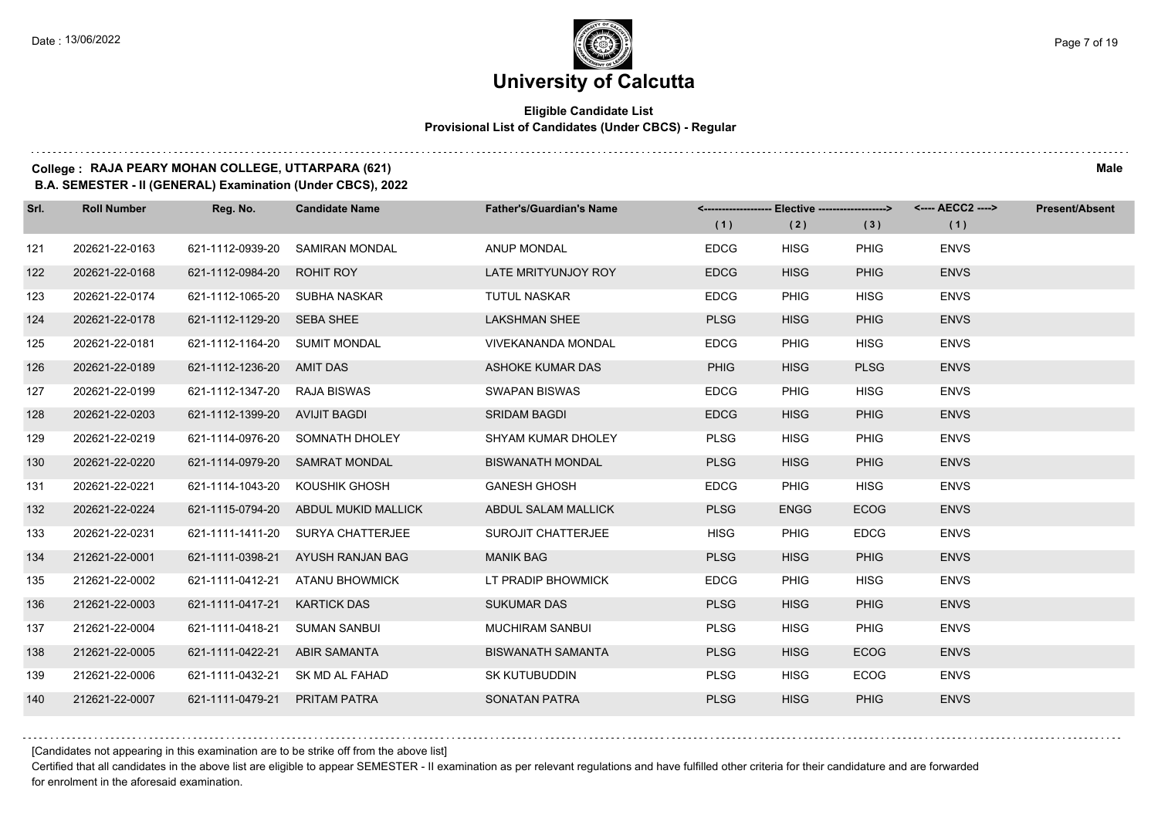#### **Eligible Candidate List Provisional List of Candidates (Under CBCS) - Regular**

#### **College : RAJA PEARY MOHAN COLLEGE, UTTARPARA (621) Male**

**B.A. SEMESTER - II (GENERAL) Examination (Under CBCS), 2022**

| Srl. | <b>Roll Number</b> | Reg. No.                      | <b>Candidate Name</b>                | <b>Father's/Guardian's Name</b> |             | <------------------- Elective ------------------> |             | <---- AECC2 ----> | <b>Present/Absent</b> |
|------|--------------------|-------------------------------|--------------------------------------|---------------------------------|-------------|---------------------------------------------------|-------------|-------------------|-----------------------|
|      |                    |                               |                                      |                                 | (1)         | (2)                                               | (3)         | (1)               |                       |
| 121  | 202621-22-0163     | 621-1112-0939-20              | <b>SAMIRAN MONDAL</b>                | <b>ANUP MONDAL</b>              | <b>EDCG</b> | <b>HISG</b>                                       | <b>PHIG</b> | <b>ENVS</b>       |                       |
| 122  | 202621-22-0168     | 621-1112-0984-20              | <b>ROHIT ROY</b>                     | LATE MRITYUNJOY ROY             | <b>EDCG</b> | <b>HISG</b>                                       | <b>PHIG</b> | <b>ENVS</b>       |                       |
| 123  | 202621-22-0174     | 621-1112-1065-20 SUBHA NASKAR |                                      | <b>TUTUL NASKAR</b>             | <b>EDCG</b> | <b>PHIG</b>                                       | <b>HISG</b> | <b>ENVS</b>       |                       |
| 124  | 202621-22-0178     | 621-1112-1129-20 SEBA SHEE    |                                      | <b>LAKSHMAN SHEE</b>            | <b>PLSG</b> | <b>HISG</b>                                       | <b>PHIG</b> | <b>ENVS</b>       |                       |
| 125  | 202621-22-0181     | 621-1112-1164-20              | SUMIT MONDAL                         | <b>VIVEKANANDA MONDAL</b>       | <b>EDCG</b> | <b>PHIG</b>                                       | <b>HISG</b> | <b>ENVS</b>       |                       |
| 126  | 202621-22-0189     | 621-1112-1236-20              | AMIT DAS                             | <b>ASHOKE KUMAR DAS</b>         | <b>PHIG</b> | <b>HISG</b>                                       | <b>PLSG</b> | <b>ENVS</b>       |                       |
| 127  | 202621-22-0199     | 621-1112-1347-20 RAJA BISWAS  |                                      | <b>SWAPAN BISWAS</b>            | <b>EDCG</b> | <b>PHIG</b>                                       | <b>HISG</b> | <b>ENVS</b>       |                       |
| 128  | 202621-22-0203     | 621-1112-1399-20 AVIJIT BAGDI |                                      | <b>SRIDAM BAGDI</b>             | <b>EDCG</b> | <b>HISG</b>                                       | <b>PHIG</b> | <b>ENVS</b>       |                       |
| 129  | 202621-22-0219     | 621-1114-0976-20              | SOMNATH DHOLEY                       | SHYAM KUMAR DHOLEY              | <b>PLSG</b> | <b>HISG</b>                                       | <b>PHIG</b> | <b>ENVS</b>       |                       |
| 130  | 202621-22-0220     | 621-1114-0979-20              | <b>SAMRAT MONDAL</b>                 | <b>BISWANATH MONDAL</b>         | <b>PLSG</b> | <b>HISG</b>                                       | <b>PHIG</b> | <b>ENVS</b>       |                       |
| 131  | 202621-22-0221     |                               | 621-1114-1043-20 KOUSHIK GHOSH       | <b>GANESH GHOSH</b>             | <b>EDCG</b> | <b>PHIG</b>                                       | <b>HISG</b> | <b>ENVS</b>       |                       |
| 132  | 202621-22-0224     |                               | 621-1115-0794-20 ABDUL MUKID MALLICK | ABDUL SALAM MALLICK             | <b>PLSG</b> | <b>ENGG</b>                                       | <b>ECOG</b> | <b>ENVS</b>       |                       |
| 133  | 202621-22-0231     |                               | 621-1111-1411-20 SURYA CHATTERJEE    | SUROJIT CHATTERJEE              | <b>HISG</b> | <b>PHIG</b>                                       | <b>EDCG</b> | <b>ENVS</b>       |                       |
| 134  | 212621-22-0001     | 621-1111-0398-21              | AYUSH RANJAN BAG                     | <b>MANIK BAG</b>                | <b>PLSG</b> | <b>HISG</b>                                       | <b>PHIG</b> | <b>ENVS</b>       |                       |
| 135  | 212621-22-0002     | 621-1111-0412-21              | ATANU BHOWMICK                       | LT PRADIP BHOWMICK              | <b>EDCG</b> | <b>PHIG</b>                                       | <b>HISG</b> | <b>ENVS</b>       |                       |
| 136  | 212621-22-0003     | 621-1111-0417-21              | <b>KARTICK DAS</b>                   | <b>SUKUMAR DAS</b>              | <b>PLSG</b> | <b>HISG</b>                                       | <b>PHIG</b> | <b>ENVS</b>       |                       |
| 137  | 212621-22-0004     | 621-1111-0418-21              | <b>SUMAN SANBUI</b>                  | <b>MUCHIRAM SANBUI</b>          | <b>PLSG</b> | <b>HISG</b>                                       | <b>PHIG</b> | <b>ENVS</b>       |                       |
| 138  | 212621-22-0005     | 621-1111-0422-21              | ABIR SAMANTA                         | <b>BISWANATH SAMANTA</b>        | <b>PLSG</b> | <b>HISG</b>                                       | <b>ECOG</b> | <b>ENVS</b>       |                       |
| 139  | 212621-22-0006     |                               | 621-1111-0432-21 SK MD AL FAHAD      | <b>SK KUTUBUDDIN</b>            | <b>PLSG</b> | <b>HISG</b>                                       | <b>ECOG</b> | <b>ENVS</b>       |                       |
| 140  | 212621-22-0007     | 621-1111-0479-21 PRITAM PATRA |                                      | <b>SONATAN PATRA</b>            | <b>PLSG</b> | <b>HISG</b>                                       | <b>PHIG</b> | <b>ENVS</b>       |                       |

[Candidates not appearing in this examination are to be strike off from the above list]

Certified that all candidates in the above list are eligible to appear SEMESTER - II examination as per relevant regulations and have fulfilled other criteria for their candidature and are forwarded for enrolment in the aforesaid examination.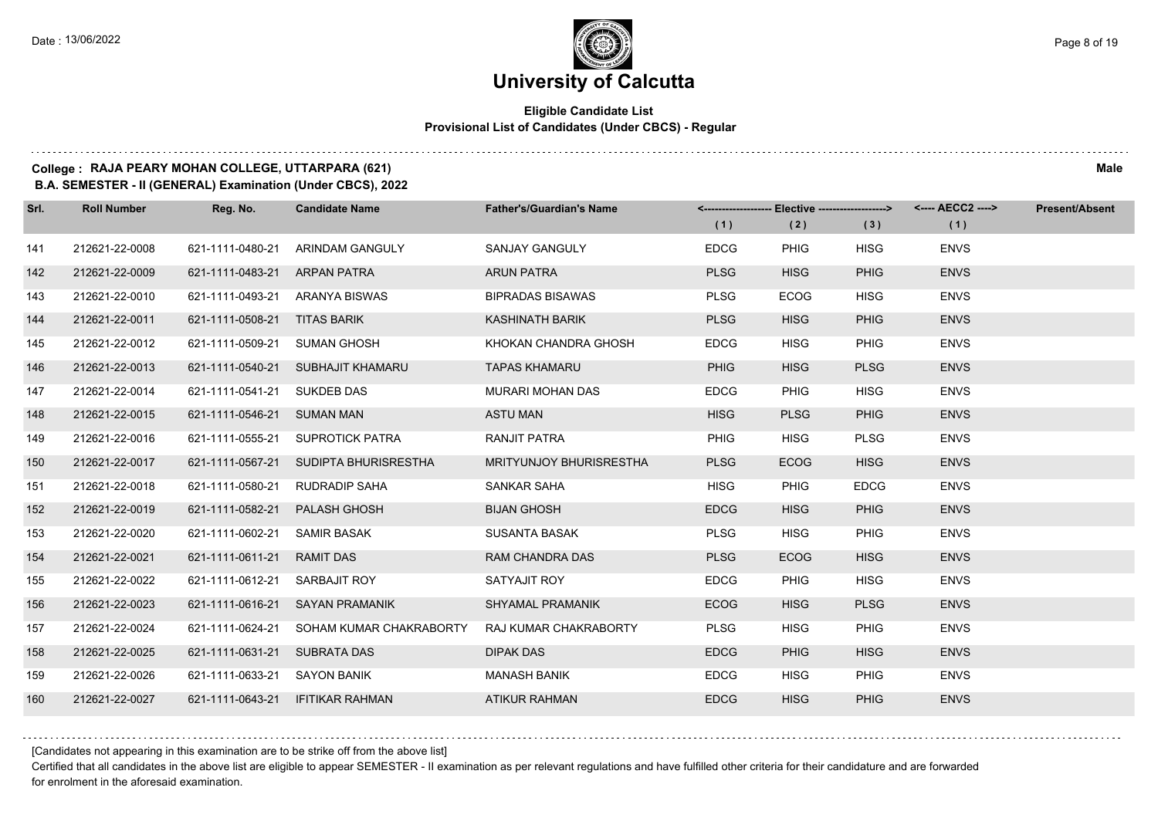# **University of Calcutta**

#### **Eligible Candidate List Provisional List of Candidates (Under CBCS) - Regular**

#### **College : RAJA PEARY MOHAN COLLEGE, UTTARPARA (621) Male**

**B.A. SEMESTER - II (GENERAL) Examination (Under CBCS), 2022**

| Srl. | <b>Roll Number</b> | Reg. No.                      | <b>Candidate Name</b>                 | <b>Father's/Guardian's Name</b> | (1)         | (2)         | (3)         | <-------------------- Elective -------------------> <---- AECC2 ----><br>(1) | <b>Present/Absent</b> |
|------|--------------------|-------------------------------|---------------------------------------|---------------------------------|-------------|-------------|-------------|------------------------------------------------------------------------------|-----------------------|
| 141  | 212621-22-0008     | 621-1111-0480-21              | ARINDAM GANGULY                       | <b>SANJAY GANGULY</b>           | <b>EDCG</b> | <b>PHIG</b> | <b>HISG</b> | <b>ENVS</b>                                                                  |                       |
| 142  | 212621-22-0009     | 621-1111-0483-21              | <b>ARPAN PATRA</b>                    | <b>ARUN PATRA</b>               | <b>PLSG</b> | <b>HISG</b> | <b>PHIG</b> | <b>ENVS</b>                                                                  |                       |
| 143  | 212621-22-0010     |                               | 621-1111-0493-21 ARANYA BISWAS        | <b>BIPRADAS BISAWAS</b>         | <b>PLSG</b> | ECOG        | <b>HISG</b> | <b>ENVS</b>                                                                  |                       |
| 144  | 212621-22-0011     | 621-1111-0508-21 TITAS BARIK  |                                       | <b>KASHINATH BARIK</b>          | <b>PLSG</b> | <b>HISG</b> | <b>PHIG</b> | <b>ENVS</b>                                                                  |                       |
| 145  | 212621-22-0012     | 621-1111-0509-21              | <b>SUMAN GHOSH</b>                    | KHOKAN CHANDRA GHOSH            | <b>EDCG</b> | <b>HISG</b> | PHIG        | <b>ENVS</b>                                                                  |                       |
| 146  | 212621-22-0013     |                               | 621-1111-0540-21 SUBHAJIT KHAMARU     | <b>TAPAS KHAMARU</b>            | <b>PHIG</b> | <b>HISG</b> | <b>PLSG</b> | <b>ENVS</b>                                                                  |                       |
| 147  | 212621-22-0014     | 621-1111-0541-21 SUKDEB DAS   |                                       | MURARI MOHAN DAS                | <b>EDCG</b> | <b>PHIG</b> | <b>HISG</b> | <b>ENVS</b>                                                                  |                       |
| 148  | 212621-22-0015     | 621-1111-0546-21 SUMAN MAN    |                                       | <b>ASTU MAN</b>                 | <b>HISG</b> | <b>PLSG</b> | <b>PHIG</b> | <b>ENVS</b>                                                                  |                       |
| 149  | 212621-22-0016     | 621-1111-0555-21              | SUPROTICK PATRA                       | RANJIT PATRA                    | <b>PHIG</b> | <b>HISG</b> | <b>PLSG</b> | <b>ENVS</b>                                                                  |                       |
| 150  | 212621-22-0017     |                               | 621-1111-0567-21 SUDIPTA BHURISRESTHA | <b>MRITYUNJOY BHURISRESTHA</b>  | <b>PLSG</b> | <b>ECOG</b> | <b>HISG</b> | <b>ENVS</b>                                                                  |                       |
| 151  | 212621-22-0018     | 621-1111-0580-21              | RUDRADIP SAHA                         | SANKAR SAHA                     | <b>HISG</b> | PHIG        | <b>EDCG</b> | <b>ENVS</b>                                                                  |                       |
| 152  | 212621-22-0019     | 621-1111-0582-21              | PALASH GHOSH                          | <b>BIJAN GHOSH</b>              | <b>EDCG</b> | <b>HISG</b> | <b>PHIG</b> | <b>ENVS</b>                                                                  |                       |
| 153  | 212621-22-0020     | 621-1111-0602-21              | <b>SAMIR BASAK</b>                    | <b>SUSANTA BASAK</b>            | <b>PLSG</b> | <b>HISG</b> | PHIG        | <b>ENVS</b>                                                                  |                       |
| 154  | 212621-22-0021     | 621-1111-0611-21 RAMIT DAS    |                                       | <b>RAM CHANDRA DAS</b>          | <b>PLSG</b> | <b>ECOG</b> | <b>HISG</b> | <b>ENVS</b>                                                                  |                       |
| 155  | 212621-22-0022     | 621-1111-0612-21 SARBAJIT ROY |                                       | SATYAJIT ROY                    | <b>EDCG</b> | PHIG        | <b>HISG</b> | <b>ENVS</b>                                                                  |                       |
| 156  | 212621-22-0023     | 621-1111-0616-21              | SAYAN PRAMANIK                        | <b>SHYAMAL PRAMANIK</b>         | <b>ECOG</b> | <b>HISG</b> | <b>PLSG</b> | <b>ENVS</b>                                                                  |                       |
| 157  | 212621-22-0024     | 621-1111-0624-21              | SOHAM KUMAR CHAKRABORTY               | RAJ KUMAR CHAKRABORTY           | <b>PLSG</b> | <b>HISG</b> | PHIG        | <b>ENVS</b>                                                                  |                       |
| 158  | 212621-22-0025     | 621-1111-0631-21 SUBRATA DAS  |                                       | <b>DIPAK DAS</b>                | <b>EDCG</b> | <b>PHIG</b> | <b>HISG</b> | <b>ENVS</b>                                                                  |                       |
| 159  | 212621-22-0026     | 621-1111-0633-21 SAYON BANIK  |                                       | <b>MANASH BANIK</b>             | <b>EDCG</b> | <b>HISG</b> | PHIG        | <b>ENVS</b>                                                                  |                       |
| 160  | 212621-22-0027     |                               | 621-1111-0643-21 IFITIKAR RAHMAN      | <b>ATIKUR RAHMAN</b>            | <b>EDCG</b> | <b>HISG</b> | <b>PHIG</b> | <b>ENVS</b>                                                                  |                       |

[Candidates not appearing in this examination are to be strike off from the above list]

Certified that all candidates in the above list are eligible to appear SEMESTER - II examination as per relevant regulations and have fulfilled other criteria for their candidature and are forwarded for enrolment in the aforesaid examination.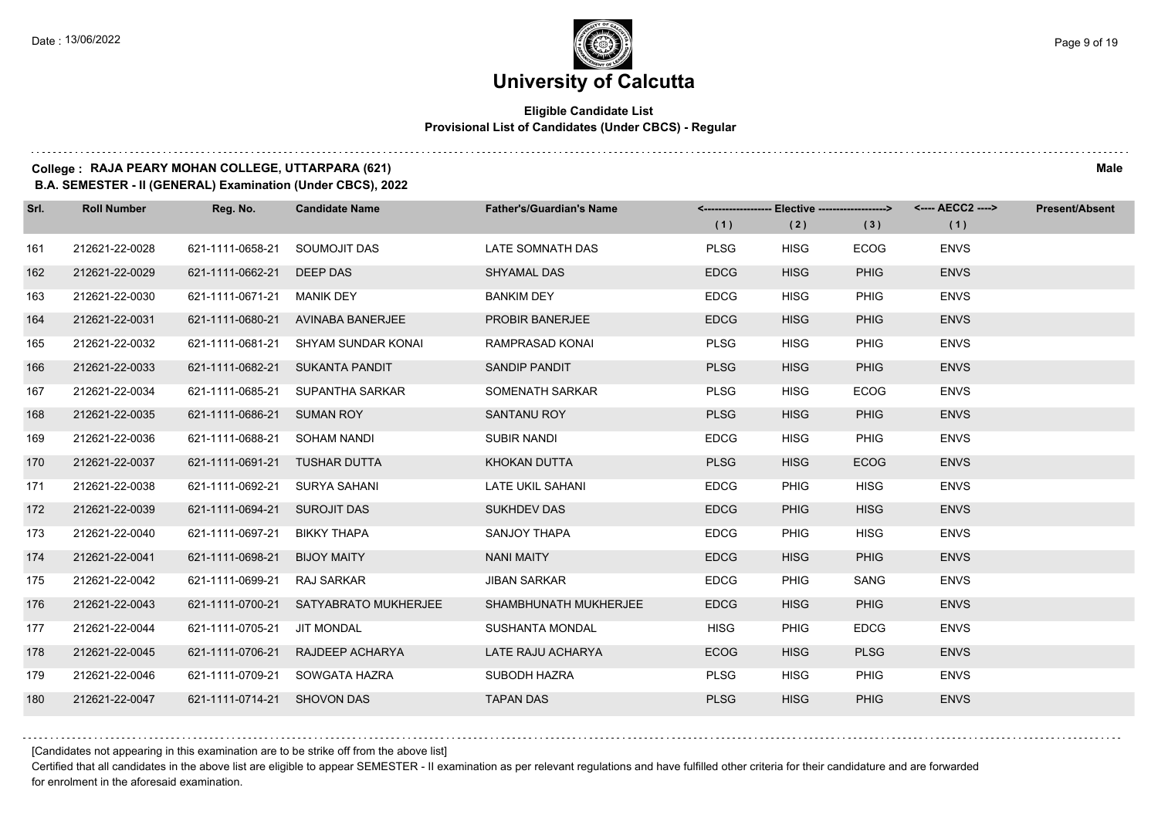# **University of Calcutta**

#### **Eligible Candidate List Provisional List of Candidates (Under CBCS) - Regular**

#### **College : RAJA PEARY MOHAN COLLEGE, UTTARPARA (621) Male**

**B.A. SEMESTER - II (GENERAL) Examination (Under CBCS), 2022**

| Srl. | <b>Roll Number</b> | Reg. No.                      | <b>Candidate Name</b>            | <b>Father's/Guardian's Name</b> | (1)         | <-------------------- Elective ------------------><br>(2) | (3)         | (1)         | <b>Present/Absent</b> |
|------|--------------------|-------------------------------|----------------------------------|---------------------------------|-------------|-----------------------------------------------------------|-------------|-------------|-----------------------|
| 161  | 212621-22-0028     | 621-1111-0658-21              | SOUMOJIT DAS                     | LATE SOMNATH DAS                | <b>PLSG</b> | <b>HISG</b>                                               | <b>ECOG</b> | <b>ENVS</b> |                       |
| 162  | 212621-22-0029     | 621-1111-0662-21              | DEEP DAS                         | <b>SHYAMAL DAS</b>              | <b>EDCG</b> | <b>HISG</b>                                               | <b>PHIG</b> | <b>ENVS</b> |                       |
| 163  | 212621-22-0030     | 621-1111-0671-21 MANIK DEY    |                                  | <b>BANKIM DEY</b>               | <b>EDCG</b> | <b>HISG</b>                                               | <b>PHIG</b> | <b>ENVS</b> |                       |
| 164  | 212621-22-0031     | 621-1111-0680-21              | AVINABA BANERJEE                 | <b>PROBIR BANERJEE</b>          | <b>EDCG</b> | <b>HISG</b>                                               | <b>PHIG</b> | <b>ENVS</b> |                       |
| 165  | 212621-22-0032     | 621-1111-0681-21              | SHYAM SUNDAR KONAI               | RAMPRASAD KONAI                 | <b>PLSG</b> | <b>HISG</b>                                               | <b>PHIG</b> | <b>ENVS</b> |                       |
| 166  | 212621-22-0033     | 621-1111-0682-21              | SUKANTA PANDIT                   | SANDIP PANDIT                   | <b>PLSG</b> | <b>HISG</b>                                               | <b>PHIG</b> | <b>ENVS</b> |                       |
| 167  | 212621-22-0034     |                               | 621-1111-0685-21 SUPANTHA SARKAR | SOMENATH SARKAR                 | <b>PLSG</b> | <b>HISG</b>                                               | <b>ECOG</b> | <b>ENVS</b> |                       |
| 168  | 212621-22-0035     | 621-1111-0686-21 SUMAN ROY    |                                  | <b>SANTANU ROY</b>              | <b>PLSG</b> | <b>HISG</b>                                               | <b>PHIG</b> | <b>ENVS</b> |                       |
| 169  | 212621-22-0036     | 621-1111-0688-21              | SOHAM NANDI                      | <b>SUBIR NANDI</b>              | <b>EDCG</b> | <b>HISG</b>                                               | <b>PHIG</b> | <b>ENVS</b> |                       |
| 170  | 212621-22-0037     | 621-1111-0691-21 TUSHAR DUTTA |                                  | KHOKAN DUTTA                    | <b>PLSG</b> | <b>HISG</b>                                               | <b>ECOG</b> | <b>ENVS</b> |                       |
| 171  | 212621-22-0038     | 621-1111-0692-21 SURYA SAHANI |                                  | LATE UKIL SAHANI                | <b>EDCG</b> | <b>PHIG</b>                                               | <b>HISG</b> | <b>ENVS</b> |                       |
| 172  | 212621-22-0039     | 621-1111-0694-21 SUROJIT DAS  |                                  | <b>SUKHDEV DAS</b>              | <b>EDCG</b> | <b>PHIG</b>                                               | <b>HISG</b> | <b>ENVS</b> |                       |
| 173  | 212621-22-0040     | 621-1111-0697-21              | <b>BIKKY THAPA</b>               | SANJOY THAPA                    | <b>EDCG</b> | <b>PHIG</b>                                               | <b>HISG</b> | <b>ENVS</b> |                       |
| 174  | 212621-22-0041     | 621-1111-0698-21              | <b>BIJOY MAITY</b>               | <b>NANI MAITY</b>               | <b>EDCG</b> | <b>HISG</b>                                               | <b>PHIG</b> | <b>ENVS</b> |                       |
| 175  | 212621-22-0042     | 621-1111-0699-21 RAJ SARKAR   |                                  | <b>JIBAN SARKAR</b>             | <b>EDCG</b> | <b>PHIG</b>                                               | <b>SANG</b> | <b>ENVS</b> |                       |
| 176  | 212621-22-0043     | 621-1111-0700-21              | SATYABRATO MUKHERJEE             | SHAMBHUNATH MUKHERJEE           | <b>EDCG</b> | <b>HISG</b>                                               | <b>PHIG</b> | <b>ENVS</b> |                       |
| 177  | 212621-22-0044     | 621-1111-0705-21              | <b>JIT MONDAL</b>                | <b>SUSHANTA MONDAL</b>          | <b>HISG</b> | <b>PHIG</b>                                               | <b>EDCG</b> | <b>ENVS</b> |                       |
| 178  | 212621-22-0045     |                               | 621-1111-0706-21 RAJDEEP ACHARYA | LATE RAJU ACHARYA               | <b>ECOG</b> | <b>HISG</b>                                               | <b>PLSG</b> | <b>ENVS</b> |                       |
| 179  | 212621-22-0046     |                               | 621-1111-0709-21 SOWGATA HAZRA   | SUBODH HAZRA                    | <b>PLSG</b> | <b>HISG</b>                                               | <b>PHIG</b> | <b>ENVS</b> |                       |
| 180  | 212621-22-0047     | 621-1111-0714-21 SHOVON DAS   |                                  | <b>TAPAN DAS</b>                | <b>PLSG</b> | <b>HISG</b>                                               | <b>PHIG</b> | <b>ENVS</b> |                       |

[Candidates not appearing in this examination are to be strike off from the above list]

Certified that all candidates in the above list are eligible to appear SEMESTER - II examination as per relevant regulations and have fulfilled other criteria for their candidature and are forwarded for enrolment in the aforesaid examination.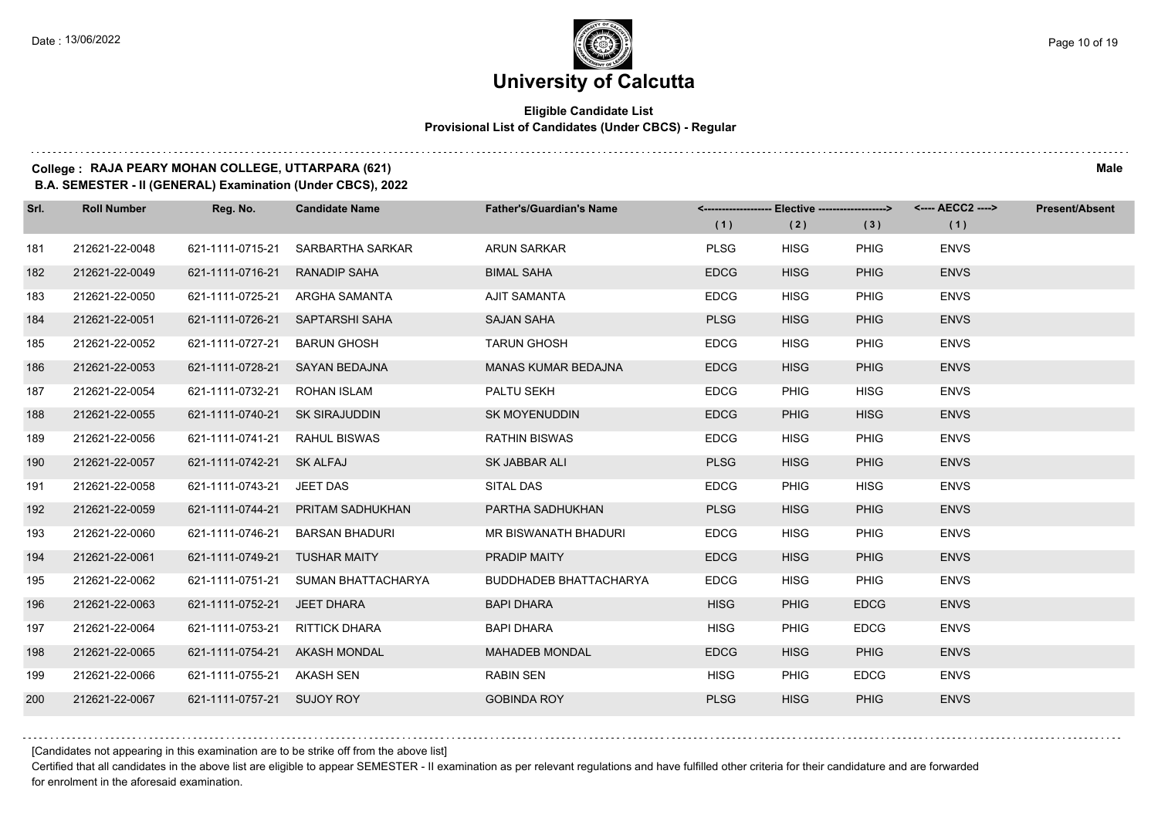#### **Eligible Candidate List Provisional List of Candidates (Under CBCS) - Regular**

**College : RAJA PEARY MOHAN COLLEGE, UTTARPARA (621) Male**

**B.A. SEMESTER - II (GENERAL) Examination (Under CBCS), 2022**

| Srl. | <b>Roll Number</b> | Reg. No.                       | <b>Candidate Name</b>               | <b>Father's/Guardian's Name</b> |             | <-------------------- Elective -------------------> |             | <---- AECC2 ----> | <b>Present/Absent</b> |
|------|--------------------|--------------------------------|-------------------------------------|---------------------------------|-------------|-----------------------------------------------------|-------------|-------------------|-----------------------|
|      |                    |                                |                                     |                                 | (1)         | (2)                                                 | (3)         | (1)               |                       |
| 181  | 212621-22-0048     | 621-1111-0715-21               | SARBARTHA SARKAR                    | <b>ARUN SARKAR</b>              | <b>PLSG</b> | <b>HISG</b>                                         | <b>PHIG</b> | <b>ENVS</b>       |                       |
| 182  | 212621-22-0049     | 621-1111-0716-21               | <b>RANADIP SAHA</b>                 | <b>BIMAL SAHA</b>               | <b>EDCG</b> | <b>HISG</b>                                         | <b>PHIG</b> | <b>ENVS</b>       |                       |
| 183  | 212621-22-0050     |                                | 621-1111-0725-21 ARGHA SAMANTA      | AJIT SAMANTA                    | <b>EDCG</b> | <b>HISG</b>                                         | <b>PHIG</b> | <b>ENVS</b>       |                       |
| 184  | 212621-22-0051     |                                | 621-1111-0726-21 SAPTARSHI SAHA     | <b>SAJAN SAHA</b>               | <b>PLSG</b> | <b>HISG</b>                                         | <b>PHIG</b> | <b>ENVS</b>       |                       |
| 185  | 212621-22-0052     | 621-1111-0727-21 BARUN GHOSH   |                                     | <b>TARUN GHOSH</b>              | <b>EDCG</b> | <b>HISG</b>                                         | PHIG        | <b>ENVS</b>       |                       |
| 186  | 212621-22-0053     | 621-1111-0728-21 SAYAN BEDAJNA |                                     | MANAS KUMAR BEDAJNA             | <b>EDCG</b> | <b>HISG</b>                                         | <b>PHIG</b> | <b>ENVS</b>       |                       |
| 187  | 212621-22-0054     | 621-1111-0732-21 ROHAN ISLAM   |                                     | PALTU SEKH                      | <b>EDCG</b> | <b>PHIG</b>                                         | <b>HISG</b> | <b>ENVS</b>       |                       |
| 188  | 212621-22-0055     | 621-1111-0740-21 SK SIRAJUDDIN |                                     | <b>SK MOYENUDDIN</b>            | <b>EDCG</b> | <b>PHIG</b>                                         | <b>HISG</b> | <b>ENVS</b>       |                       |
| 189  | 212621-22-0056     | 621-1111-0741-21 RAHUL BISWAS  |                                     | <b>RATHIN BISWAS</b>            | <b>EDCG</b> | <b>HISG</b>                                         | PHIG        | <b>ENVS</b>       |                       |
| 190  | 212621-22-0057     | 621-1111-0742-21 SK ALFAJ      |                                     | SK JABBAR ALI                   | <b>PLSG</b> | <b>HISG</b>                                         | <b>PHIG</b> | <b>ENVS</b>       |                       |
| 191  | 212621-22-0058     | 621-1111-0743-21 JEET DAS      |                                     | SITAL DAS                       | <b>EDCG</b> | <b>PHIG</b>                                         | <b>HISG</b> | <b>ENVS</b>       |                       |
| 192  | 212621-22-0059     |                                | 621-1111-0744-21 PRITAM SADHUKHAN   | PARTHA SADHUKHAN                | <b>PLSG</b> | <b>HISG</b>                                         | <b>PHIG</b> | <b>ENVS</b>       |                       |
| 193  | 212621-22-0060     |                                | 621-1111-0746-21 BARSAN BHADURI     | MR BISWANATH BHADURI            | <b>EDCG</b> | <b>HISG</b>                                         | PHIG        | <b>ENVS</b>       |                       |
| 194  | 212621-22-0061     | 621-1111-0749-21 TUSHAR MAITY  |                                     | PRADIP MAITY                    | <b>EDCG</b> | <b>HISG</b>                                         | <b>PHIG</b> | <b>ENVS</b>       |                       |
| 195  | 212621-22-0062     |                                | 621-1111-0751-21 SUMAN BHATTACHARYA | <b>BUDDHADEB BHATTACHARYA</b>   | <b>EDCG</b> | <b>HISG</b>                                         | PHIG        | <b>ENVS</b>       |                       |
| 196  | 212621-22-0063     | 621-1111-0752-21 JEET DHARA    |                                     | <b>BAPI DHARA</b>               | <b>HISG</b> | <b>PHIG</b>                                         | <b>EDCG</b> | <b>ENVS</b>       |                       |
| 197  | 212621-22-0064     | 621-1111-0753-21 RITTICK DHARA |                                     | <b>BAPI DHARA</b>               | <b>HISG</b> | <b>PHIG</b>                                         | <b>EDCG</b> | <b>ENVS</b>       |                       |
| 198  | 212621-22-0065     | 621-1111-0754-21 AKASH MONDAL  |                                     | <b>MAHADEB MONDAL</b>           | <b>EDCG</b> | <b>HISG</b>                                         | <b>PHIG</b> | <b>ENVS</b>       |                       |
| 199  | 212621-22-0066     | 621-1111-0755-21 AKASH SEN     |                                     | <b>RABIN SEN</b>                | <b>HISG</b> | <b>PHIG</b>                                         | <b>EDCG</b> | <b>ENVS</b>       |                       |
| 200  | 212621-22-0067     | 621-1111-0757-21 SUJOY ROY     |                                     | <b>GOBINDA ROY</b>              | <b>PLSG</b> | <b>HISG</b>                                         | <b>PHIG</b> | <b>ENVS</b>       |                       |

[Candidates not appearing in this examination are to be strike off from the above list]

Certified that all candidates in the above list are eligible to appear SEMESTER - II examination as per relevant regulations and have fulfilled other criteria for their candidature and are forwarded for enrolment in the aforesaid examination.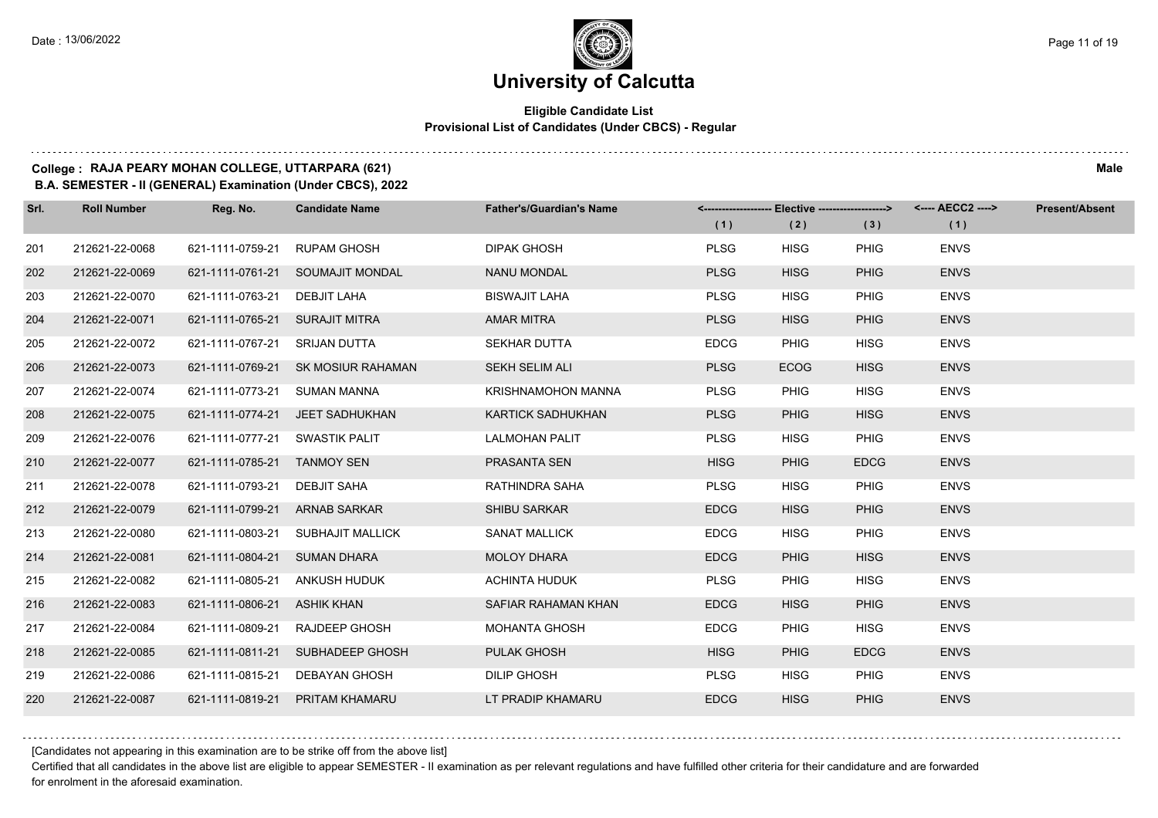#### **Eligible Candidate List Provisional List of Candidates (Under CBCS) - Regular**

### **College : RAJA PEARY MOHAN COLLEGE, UTTARPARA (621) Male**

**B.A. SEMESTER - II (GENERAL) Examination (Under CBCS), 2022**

| Srl. | <b>Roll Number</b> | Reg. No.                       | <b>Candidate Name</b>              | <b>Father's/Guardian's Name</b> | (1)         | <-------------------- Elective ------------------><br>(2) | (3)         | (1)         | Present/Absent |
|------|--------------------|--------------------------------|------------------------------------|---------------------------------|-------------|-----------------------------------------------------------|-------------|-------------|----------------|
| 201  | 212621-22-0068     | 621-1111-0759-21               | <b>RUPAM GHOSH</b>                 | <b>DIPAK GHOSH</b>              | <b>PLSG</b> | <b>HISG</b>                                               | <b>PHIG</b> | <b>ENVS</b> |                |
| 202  | 212621-22-0069     |                                | 621-1111-0761-21 SOUMAJIT MONDAL   | <b>NANU MONDAL</b>              | <b>PLSG</b> | <b>HISG</b>                                               | <b>PHIG</b> | <b>ENVS</b> |                |
| 203  | 212621-22-0070     | 621-1111-0763-21               | DEBJIT LAHA                        | <b>BISWAJIT LAHA</b>            | <b>PLSG</b> | <b>HISG</b>                                               | <b>PHIG</b> | <b>ENVS</b> |                |
| 204  | 212621-22-0071     | 621-1111-0765-21 SURAJIT MITRA |                                    | <b>AMAR MITRA</b>               | <b>PLSG</b> | <b>HISG</b>                                               | <b>PHIG</b> | <b>ENVS</b> |                |
| 205  | 212621-22-0072     | 621-1111-0767-21 SRIJAN DUTTA  |                                    | <b>SEKHAR DUTTA</b>             | <b>EDCG</b> | <b>PHIG</b>                                               | <b>HISG</b> | <b>ENVS</b> |                |
| 206  | 212621-22-0073     |                                | 621-1111-0769-21 SK MOSIUR RAHAMAN | SEKH SELIM ALI                  | <b>PLSG</b> | <b>ECOG</b>                                               | <b>HISG</b> | <b>ENVS</b> |                |
| 207  | 212621-22-0074     | 621-1111-0773-21 SUMAN MANNA   |                                    | <b>KRISHNAMOHON MANNA</b>       | <b>PLSG</b> | <b>PHIG</b>                                               | <b>HISG</b> | <b>ENVS</b> |                |
| 208  | 212621-22-0075     |                                | 621-1111-0774-21 JEET SADHUKHAN    | <b>KARTICK SADHUKHAN</b>        | <b>PLSG</b> | <b>PHIG</b>                                               | <b>HISG</b> | <b>ENVS</b> |                |
| 209  | 212621-22-0076     | 621-1111-0777-21 SWASTIK PALIT |                                    | <b>LALMOHAN PALIT</b>           | <b>PLSG</b> | <b>HISG</b>                                               | <b>PHIG</b> | <b>ENVS</b> |                |
| 210  | 212621-22-0077     | 621-1111-0785-21 TANMOY SEN    |                                    | PRASANTA SEN                    | <b>HISG</b> | <b>PHIG</b>                                               | <b>EDCG</b> | <b>ENVS</b> |                |
| 211  | 212621-22-0078     | 621-1111-0793-21               | DEBJIT SAHA                        | RATHINDRA SAHA                  | <b>PLSG</b> | <b>HISG</b>                                               | <b>PHIG</b> | <b>ENVS</b> |                |
| 212  | 212621-22-0079     | 621-1111-0799-21 ARNAB SARKAR  |                                    | <b>SHIBU SARKAR</b>             | <b>EDCG</b> | <b>HISG</b>                                               | <b>PHIG</b> | <b>ENVS</b> |                |
| 213  | 212621-22-0080     | 621-1111-0803-21               | <b>SUBHAJIT MALLICK</b>            | <b>SANAT MALLICK</b>            | <b>EDCG</b> | <b>HISG</b>                                               | <b>PHIG</b> | <b>ENVS</b> |                |
| 214  | 212621-22-0081     | 621-1111-0804-21 SUMAN DHARA   |                                    | <b>MOLOY DHARA</b>              | <b>EDCG</b> | <b>PHIG</b>                                               | <b>HISG</b> | <b>ENVS</b> |                |
| 215  | 212621-22-0082     | 621-1111-0805-21 ANKUSH HUDUK  |                                    | <b>ACHINTA HUDUK</b>            | <b>PLSG</b> | <b>PHIG</b>                                               | <b>HISG</b> | <b>ENVS</b> |                |
| 216  | 212621-22-0083     | 621-1111-0806-21 ASHIK KHAN    |                                    | SAFIAR RAHAMAN KHAN             | <b>EDCG</b> | <b>HISG</b>                                               | <b>PHIG</b> | <b>ENVS</b> |                |
| 217  | 212621-22-0084     | 621-1111-0809-21               | <b>RAJDEEP GHOSH</b>               | <b>MOHANTA GHOSH</b>            | <b>EDCG</b> | <b>PHIG</b>                                               | <b>HISG</b> | <b>ENVS</b> |                |
| 218  | 212621-22-0085     |                                | 621-1111-0811-21 SUBHADEEP GHOSH   | <b>PULAK GHOSH</b>              | <b>HISG</b> | <b>PHIG</b>                                               | <b>EDCG</b> | <b>ENVS</b> |                |
| 219  | 212621-22-0086     | 621-1111-0815-21               | DEBAYAN GHOSH                      | <b>DILIP GHOSH</b>              | <b>PLSG</b> | <b>HISG</b>                                               | <b>PHIG</b> | <b>ENVS</b> |                |
| 220  | 212621-22-0087     | 621-1111-0819-21               | PRITAM KHAMARU                     | LT PRADIP KHAMARU               | <b>EDCG</b> | <b>HISG</b>                                               | <b>PHIG</b> | <b>ENVS</b> |                |

[Candidates not appearing in this examination are to be strike off from the above list]

Certified that all candidates in the above list are eligible to appear SEMESTER - II examination as per relevant regulations and have fulfilled other criteria for their candidature and are forwarded for enrolment in the aforesaid examination.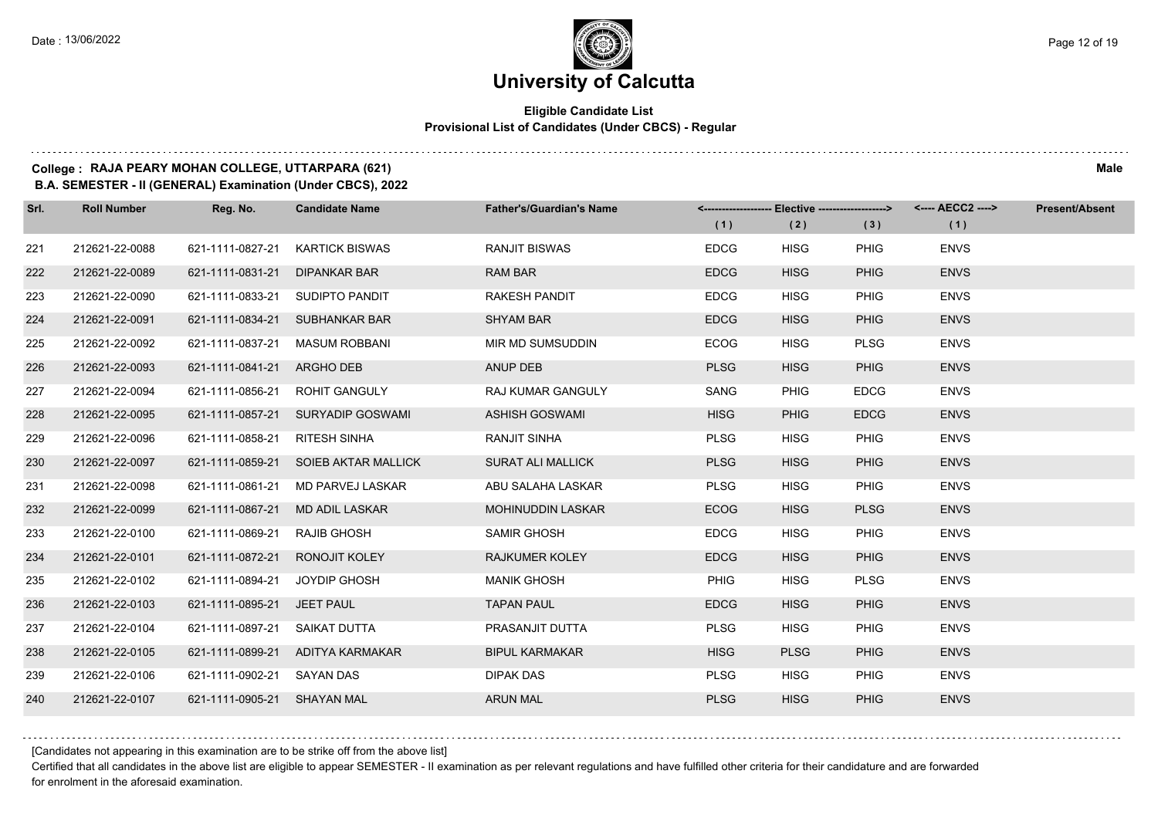#### **Eligible Candidate List Provisional List of Candidates (Under CBCS) - Regular**

### **College : RAJA PEARY MOHAN COLLEGE, UTTARPARA (621) Male**

**B.A. SEMESTER - II (GENERAL) Examination (Under CBCS), 2022**

| Srl. | <b>Roll Number</b> | Reg. No.                        | <b>Candidate Name</b>             | <b>Father's/Guardian's Name</b> | (1)         | <-------------------- Elective ------------------><br>(2) | (3)         | <---- AECC2 ----><br>(1) | <b>Present/Absent</b> |
|------|--------------------|---------------------------------|-----------------------------------|---------------------------------|-------------|-----------------------------------------------------------|-------------|--------------------------|-----------------------|
|      | 212621-22-0088     | 621-1111-0827-21                | <b>KARTICK BISWAS</b>             | <b>RANJIT BISWAS</b>            | <b>EDCG</b> | <b>HISG</b>                                               | PHIG        | <b>ENVS</b>              |                       |
| 221  |                    |                                 |                                   |                                 |             |                                                           |             |                          |                       |
| 222  | 212621-22-0089     | 621-1111-0831-21                | <b>DIPANKAR BAR</b>               | <b>RAM BAR</b>                  | <b>EDCG</b> | <b>HISG</b>                                               | <b>PHIG</b> | <b>ENVS</b>              |                       |
| 223  | 212621-22-0090     | 621-1111-0833-21 SUDIPTO PANDIT |                                   | <b>RAKESH PANDIT</b>            | <b>EDCG</b> | <b>HISG</b>                                               | PHIG        | <b>ENVS</b>              |                       |
| 224  | 212621-22-0091     |                                 | 621-1111-0834-21 SUBHANKAR BAR    | <b>SHYAM BAR</b>                | <b>EDCG</b> | <b>HISG</b>                                               | <b>PHIG</b> | <b>ENVS</b>              |                       |
| 225  | 212621-22-0092     | 621-1111-0837-21                | <b>MASUM ROBBANI</b>              | MIR MD SUMSUDDIN                | <b>ECOG</b> | <b>HISG</b>                                               | <b>PLSG</b> | <b>ENVS</b>              |                       |
| 226  | 212621-22-0093     | 621-1111-0841-21                | ARGHO DEB                         | ANUP DEB                        | <b>PLSG</b> | <b>HISG</b>                                               | <b>PHIG</b> | <b>ENVS</b>              |                       |
| 227  | 212621-22-0094     | 621-1111-0856-21                | <b>ROHIT GANGULY</b>              | RAJ KUMAR GANGULY               | SANG        | <b>PHIG</b>                                               | <b>EDCG</b> | <b>ENVS</b>              |                       |
| 228  | 212621-22-0095     |                                 | 621-1111-0857-21 SURYADIP GOSWAMI | ASHISH GOSWAMI                  | <b>HISG</b> | <b>PHIG</b>                                               | <b>EDCG</b> | <b>ENVS</b>              |                       |
| 229  | 212621-22-0096     | 621-1111-0858-21                | <b>RITESH SINHA</b>               | <b>RANJIT SINHA</b>             | <b>PLSG</b> | <b>HISG</b>                                               | PHIG        | <b>ENVS</b>              |                       |
| 230  | 212621-22-0097     | 621-1111-0859-21                | SOIEB AKTAR MALLICK               | <b>SURAT ALI MALLICK</b>        | <b>PLSG</b> | <b>HISG</b>                                               | <b>PHIG</b> | <b>ENVS</b>              |                       |
| 231  | 212621-22-0098     | 621-1111-0861-21                | MD PARVEJ LASKAR                  | ABU SALAHA LASKAR               | <b>PLSG</b> | <b>HISG</b>                                               | PHIG        | <b>ENVS</b>              |                       |
| 232  | 212621-22-0099     | 621-1111-0867-21                | MD ADIL LASKAR                    | <b>MOHINUDDIN LASKAR</b>        | ECOG        | <b>HISG</b>                                               | <b>PLSG</b> | <b>ENVS</b>              |                       |
| 233  | 212621-22-0100     | 621-1111-0869-21                | <b>RAJIB GHOSH</b>                | <b>SAMIR GHOSH</b>              | <b>EDCG</b> | <b>HISG</b>                                               | PHIG        | <b>ENVS</b>              |                       |
| 234  | 212621-22-0101     | 621-1111-0872-21                | RONOJIT KOLEY                     | <b>RAJKUMER KOLEY</b>           | <b>EDCG</b> | <b>HISG</b>                                               | <b>PHIG</b> | <b>ENVS</b>              |                       |
| 235  | 212621-22-0102     | 621-1111-0894-21                | JOYDIP GHOSH                      | <b>MANIK GHOSH</b>              | PHIG        | <b>HISG</b>                                               | <b>PLSG</b> | <b>ENVS</b>              |                       |
| 236  | 212621-22-0103     | 621-1111-0895-21                | JEET PAUL                         | <b>TAPAN PAUL</b>               | <b>EDCG</b> | <b>HISG</b>                                               | <b>PHIG</b> | <b>ENVS</b>              |                       |
| 237  | 212621-22-0104     | 621-1111-0897-21                | SAIKAT DUTTA                      | PRASANJIT DUTTA                 | <b>PLSG</b> | <b>HISG</b>                                               | PHIG        | <b>ENVS</b>              |                       |
| 238  | 212621-22-0105     |                                 | 621-1111-0899-21 ADITYA KARMAKAR  | <b>BIPUL KARMAKAR</b>           | <b>HISG</b> | <b>PLSG</b>                                               | <b>PHIG</b> | <b>ENVS</b>              |                       |
| 239  | 212621-22-0106     | 621-1111-0902-21                | <b>SAYAN DAS</b>                  | DIPAK DAS                       | <b>PLSG</b> | <b>HISG</b>                                               | PHIG        | <b>ENVS</b>              |                       |
| 240  | 212621-22-0107     | 621-1111-0905-21 SHAYAN MAL     |                                   | <b>ARUN MAL</b>                 | <b>PLSG</b> | <b>HISG</b>                                               | <b>PHIG</b> | <b>ENVS</b>              |                       |

[Candidates not appearing in this examination are to be strike off from the above list]

Certified that all candidates in the above list are eligible to appear SEMESTER - II examination as per relevant regulations and have fulfilled other criteria for their candidature and are forwarded for enrolment in the aforesaid examination.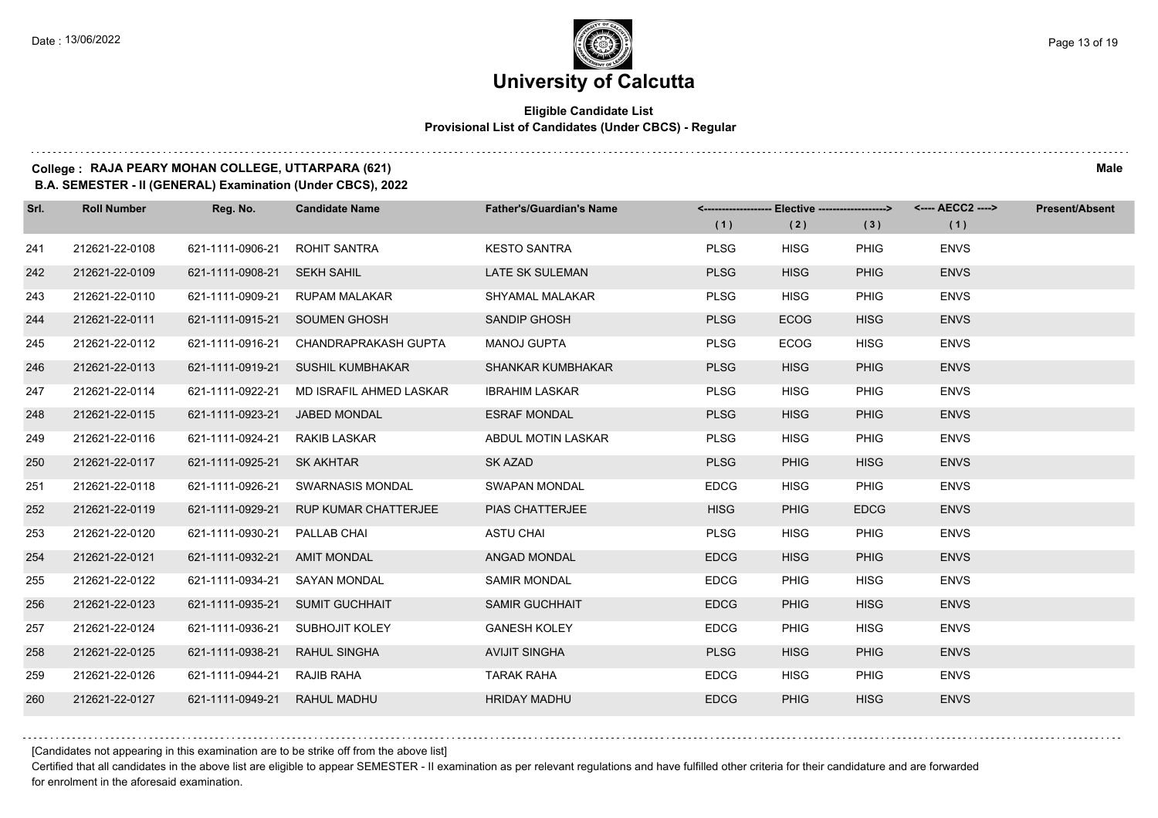# **University of Calcutta**

#### **Eligible Candidate List Provisional List of Candidates (Under CBCS) - Regular**

#### **College : RAJA PEARY MOHAN COLLEGE, UTTARPARA (621) Male**

**B.A. SEMESTER - II (GENERAL) Examination (Under CBCS), 2022**

| Srl. | <b>Roll Number</b> | Reg. No.                      | <b>Candidate Name</b>                    | <b>Father's/Guardian's Name</b> | (1)         | <-------------------- Elective -------------------><br>(2) | (3)         | <---- AECC2 ----><br>(1) | Present/Absent |
|------|--------------------|-------------------------------|------------------------------------------|---------------------------------|-------------|------------------------------------------------------------|-------------|--------------------------|----------------|
| 241  | 212621-22-0108     | 621-1111-0906-21              | <b>ROHIT SANTRA</b>                      | <b>KESTO SANTRA</b>             | <b>PLSG</b> | <b>HISG</b>                                                | <b>PHIG</b> | <b>ENVS</b>              |                |
| 242  | 212621-22-0109     | 621-1111-0908-21 SEKH SAHIL   |                                          | <b>LATE SK SULEMAN</b>          | <b>PLSG</b> | <b>HISG</b>                                                | <b>PHIG</b> | <b>ENVS</b>              |                |
| 243  | 212621-22-0110     |                               | 621-1111-0909-21 RUPAM MALAKAR           | <b>SHYAMAL MALAKAR</b>          | <b>PLSG</b> | <b>HISG</b>                                                | <b>PHIG</b> | <b>ENVS</b>              |                |
| 244  | 212621-22-0111     |                               | 621-1111-0915-21 SOUMEN GHOSH            | SANDIP GHOSH                    | <b>PLSG</b> | <b>ECOG</b>                                                | <b>HISG</b> | <b>ENVS</b>              |                |
| 245  | 212621-22-0112     | 621-1111-0916-21              | CHANDRAPRAKASH GUPTA                     | <b>MANOJ GUPTA</b>              | <b>PLSG</b> | <b>ECOG</b>                                                | <b>HISG</b> | <b>ENVS</b>              |                |
| 246  | 212621-22-0113     |                               | 621-1111-0919-21 SUSHIL KUMBHAKAR        | <b>SHANKAR KUMBHAKAR</b>        | <b>PLSG</b> | <b>HISG</b>                                                | <b>PHIG</b> | <b>ENVS</b>              |                |
| 247  | 212621-22-0114     |                               | 621-1111-0922-21 MD ISRAFIL AHMED LASKAR | <b>IBRAHIM LASKAR</b>           | <b>PLSG</b> | <b>HISG</b>                                                | <b>PHIG</b> | <b>ENVS</b>              |                |
| 248  | 212621-22-0115     | 621-1111-0923-21 JABED MONDAL |                                          | <b>ESRAF MONDAL</b>             | <b>PLSG</b> | <b>HISG</b>                                                | <b>PHIG</b> | <b>ENVS</b>              |                |
| 249  | 212621-22-0116     | 621-1111-0924-21 RAKIB LASKAR |                                          | ABDUL MOTIN LASKAR              | <b>PLSG</b> | <b>HISG</b>                                                | <b>PHIG</b> | <b>ENVS</b>              |                |
| 250  | 212621-22-0117     | 621-1111-0925-21 SK AKHTAR    |                                          | SK AZAD                         | <b>PLSG</b> | <b>PHIG</b>                                                | <b>HISG</b> | <b>ENVS</b>              |                |
| 251  | 212621-22-0118     |                               | 621-1111-0926-21 SWARNASIS MONDAL        | <b>SWAPAN MONDAL</b>            | <b>EDCG</b> | <b>HISG</b>                                                | <b>PHIG</b> | <b>ENVS</b>              |                |
| 252  | 212621-22-0119     |                               | 621-1111-0929-21 RUP KUMAR CHATTERJEE    | PIAS CHATTERJEE                 | <b>HISG</b> | <b>PHIG</b>                                                | <b>EDCG</b> | <b>ENVS</b>              |                |
| 253  | 212621-22-0120     | 621-1111-0930-21              | PALLAB CHAI                              | <b>ASTU CHAI</b>                | <b>PLSG</b> | <b>HISG</b>                                                | <b>PHIG</b> | <b>ENVS</b>              |                |
| 254  | 212621-22-0121     | 621-1111-0932-21 AMIT MONDAL  |                                          | ANGAD MONDAL                    | <b>EDCG</b> | <b>HISG</b>                                                | <b>PHIG</b> | <b>ENVS</b>              |                |
| 255  | 212621-22-0122     | 621-1111-0934-21 SAYAN MONDAL |                                          | <b>SAMIR MONDAL</b>             | <b>EDCG</b> | <b>PHIG</b>                                                | <b>HISG</b> | <b>ENVS</b>              |                |
| 256  | 212621-22-0123     |                               | 621-1111-0935-21 SUMIT GUCHHAIT          | <b>SAMIR GUCHHAIT</b>           | <b>EDCG</b> | <b>PHIG</b>                                                | <b>HISG</b> | <b>ENVS</b>              |                |
| 257  | 212621-22-0124     | 621-1111-0936-21              | SUBHOJIT KOLEY                           | <b>GANESH KOLEY</b>             | <b>EDCG</b> | <b>PHIG</b>                                                | <b>HISG</b> | <b>ENVS</b>              |                |
| 258  | 212621-22-0125     | 621-1111-0938-21 RAHUL SINGHA |                                          | <b>AVIJIT SINGHA</b>            | <b>PLSG</b> | <b>HISG</b>                                                | <b>PHIG</b> | <b>ENVS</b>              |                |
| 259  | 212621-22-0126     | 621-1111-0944-21 RAJIB RAHA   |                                          | TARAK RAHA                      | <b>EDCG</b> | <b>HISG</b>                                                | <b>PHIG</b> | <b>ENVS</b>              |                |
| 260  | 212621-22-0127     | 621-1111-0949-21 RAHUL MADHU  |                                          | <b>HRIDAY MADHU</b>             | <b>EDCG</b> | <b>PHIG</b>                                                | <b>HISG</b> | <b>ENVS</b>              |                |

[Candidates not appearing in this examination are to be strike off from the above list]

Certified that all candidates in the above list are eligible to appear SEMESTER - II examination as per relevant regulations and have fulfilled other criteria for their candidature and are forwarded for enrolment in the aforesaid examination.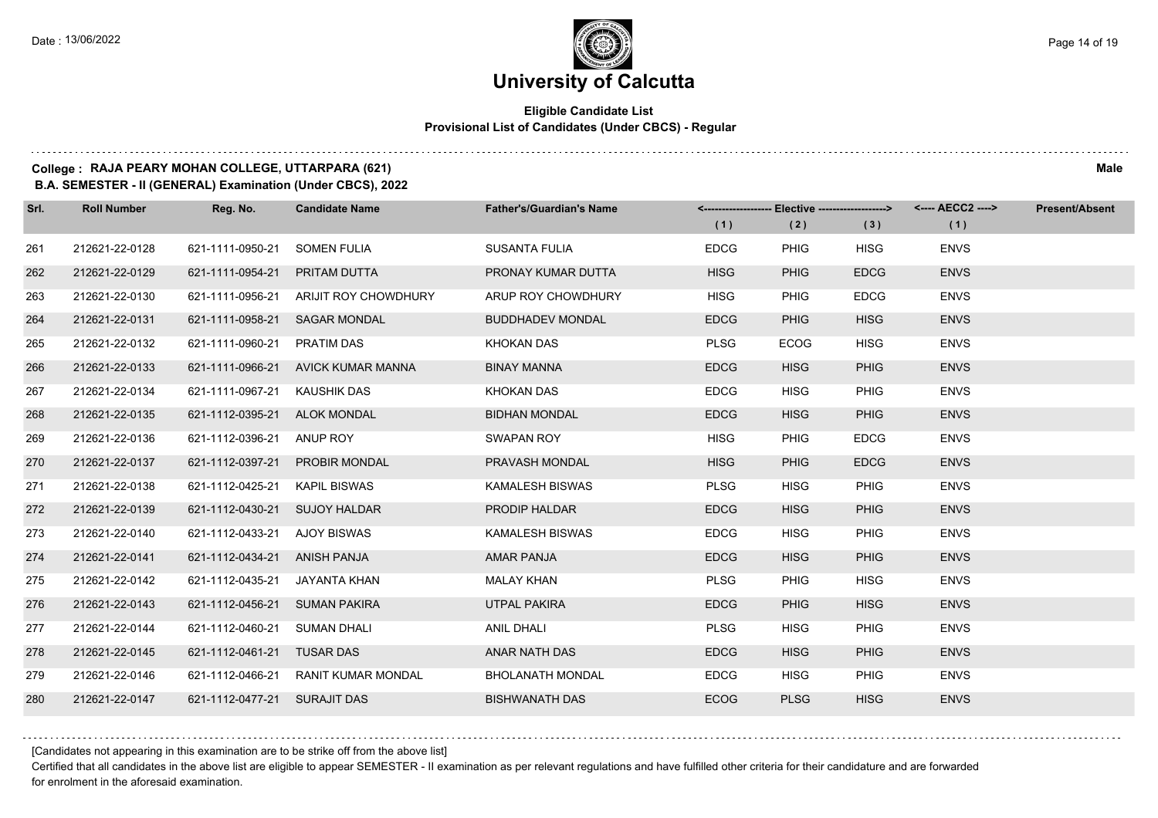#### **Eligible Candidate List Provisional List of Candidates (Under CBCS) - Regular**

#### **College : RAJA PEARY MOHAN COLLEGE, UTTARPARA (621) Male**

**B.A. SEMESTER - II (GENERAL) Examination (Under CBCS), 2022**

| Srl. | <b>Roll Number</b> | Reg. No.                     | <b>Candidate Name</b>       | <b>Father's/Guardian's Name</b> |             | <-------------------- Elective -------------------> |             | <---- AECC2 ----> | <b>Present/Absent</b> |
|------|--------------------|------------------------------|-----------------------------|---------------------------------|-------------|-----------------------------------------------------|-------------|-------------------|-----------------------|
|      |                    |                              |                             |                                 | (1)         | (2)                                                 | (3)         | (1)               |                       |
| 261  | 212621-22-0128     | 621-1111-0950-21             | <b>SOMEN FULIA</b>          | <b>SUSANTA FULIA</b>            | <b>EDCG</b> | <b>PHIG</b>                                         | <b>HISG</b> | <b>ENVS</b>       |                       |
| 262  | 212621-22-0129     | 621-1111-0954-21             | PRITAM DUTTA                | PRONAY KUMAR DUTTA              | <b>HISG</b> | <b>PHIG</b>                                         | <b>EDCG</b> | <b>ENVS</b>       |                       |
| 263  | 212621-22-0130     | 621-1111-0956-21             | <b>ARIJIT ROY CHOWDHURY</b> | ARUP ROY CHOWDHURY              | <b>HISG</b> | <b>PHIG</b>                                         | <b>EDCG</b> | <b>ENVS</b>       |                       |
| 264  | 212621-22-0131     | 621-1111-0958-21             | <b>SAGAR MONDAL</b>         | <b>BUDDHADEV MONDAL</b>         | <b>EDCG</b> | <b>PHIG</b>                                         | <b>HISG</b> | <b>ENVS</b>       |                       |
| 265  | 212621-22-0132     | 621-1111-0960-21             | PRATIM DAS                  | KHOKAN DAS                      | <b>PLSG</b> | <b>ECOG</b>                                         | <b>HISG</b> | <b>ENVS</b>       |                       |
| 266  | 212621-22-0133     | 621-1111-0966-21             | AVICK KUMAR MANNA           | <b>BINAY MANNA</b>              | <b>EDCG</b> | <b>HISG</b>                                         | <b>PHIG</b> | <b>ENVS</b>       |                       |
| 267  | 212621-22-0134     | 621-1111-0967-21             | <b>KAUSHIK DAS</b>          | KHOKAN DAS                      | <b>EDCG</b> | <b>HISG</b>                                         | PHIG        | <b>ENVS</b>       |                       |
| 268  | 212621-22-0135     | 621-1112-0395-21             | <b>ALOK MONDAL</b>          | <b>BIDHAN MONDAL</b>            | <b>EDCG</b> | <b>HISG</b>                                         | <b>PHIG</b> | <b>ENVS</b>       |                       |
| 269  | 212621-22-0136     | 621-1112-0396-21             | ANUP ROY                    | <b>SWAPAN ROY</b>               | <b>HISG</b> | <b>PHIG</b>                                         | <b>EDCG</b> | <b>ENVS</b>       |                       |
| 270  | 212621-22-0137     | 621-1112-0397-21             | PROBIR MONDAL               | PRAVASH MONDAL                  | <b>HISG</b> | <b>PHIG</b>                                         | <b>EDCG</b> | <b>ENVS</b>       |                       |
| 271  | 212621-22-0138     | 621-1112-0425-21             | <b>KAPIL BISWAS</b>         | <b>KAMALESH BISWAS</b>          | <b>PLSG</b> | <b>HISG</b>                                         | <b>PHIG</b> | <b>ENVS</b>       |                       |
| 272  | 212621-22-0139     | 621-1112-0430-21             | <b>SUJOY HALDAR</b>         | <b>PRODIP HALDAR</b>            | <b>EDCG</b> | <b>HISG</b>                                         | <b>PHIG</b> | <b>ENVS</b>       |                       |
| 273  | 212621-22-0140     | 621-1112-0433-21             | AJOY BISWAS                 | <b>KAMALESH BISWAS</b>          | <b>EDCG</b> | <b>HISG</b>                                         | <b>PHIG</b> | <b>ENVS</b>       |                       |
| 274  | 212621-22-0141     | 621-1112-0434-21             | <b>ANISH PANJA</b>          | <b>AMAR PANJA</b>               | <b>EDCG</b> | <b>HISG</b>                                         | <b>PHIG</b> | <b>ENVS</b>       |                       |
| 275  | 212621-22-0142     | 621-1112-0435-21             | JAYANTA KHAN                | MALAY KHAN                      | <b>PLSG</b> | <b>PHIG</b>                                         | <b>HISG</b> | <b>ENVS</b>       |                       |
| 276  | 212621-22-0143     | 621-1112-0456-21             | <b>SUMAN PAKIRA</b>         | <b>UTPAL PAKIRA</b>             | <b>EDCG</b> | <b>PHIG</b>                                         | <b>HISG</b> | <b>ENVS</b>       |                       |
| 277  | 212621-22-0144     | 621-1112-0460-21             | <b>SUMAN DHALI</b>          | <b>ANIL DHALI</b>               | <b>PLSG</b> | <b>HISG</b>                                         | <b>PHIG</b> | <b>ENVS</b>       |                       |
| 278  | 212621-22-0145     | 621-1112-0461-21 TUSAR DAS   |                             | ANAR NATH DAS                   | <b>EDCG</b> | <b>HISG</b>                                         | <b>PHIG</b> | <b>ENVS</b>       |                       |
| 279  | 212621-22-0146     | 621-1112-0466-21             | <b>RANIT KUMAR MONDAL</b>   | <b>BHOLANATH MONDAL</b>         | <b>EDCG</b> | <b>HISG</b>                                         | <b>PHIG</b> | <b>ENVS</b>       |                       |
| 280  | 212621-22-0147     | 621-1112-0477-21 SURAJIT DAS |                             | <b>BISHWANATH DAS</b>           | <b>ECOG</b> | <b>PLSG</b>                                         | <b>HISG</b> | <b>ENVS</b>       |                       |

[Candidates not appearing in this examination are to be strike off from the above list]

Certified that all candidates in the above list are eligible to appear SEMESTER - II examination as per relevant regulations and have fulfilled other criteria for their candidature and are forwarded for enrolment in the aforesaid examination.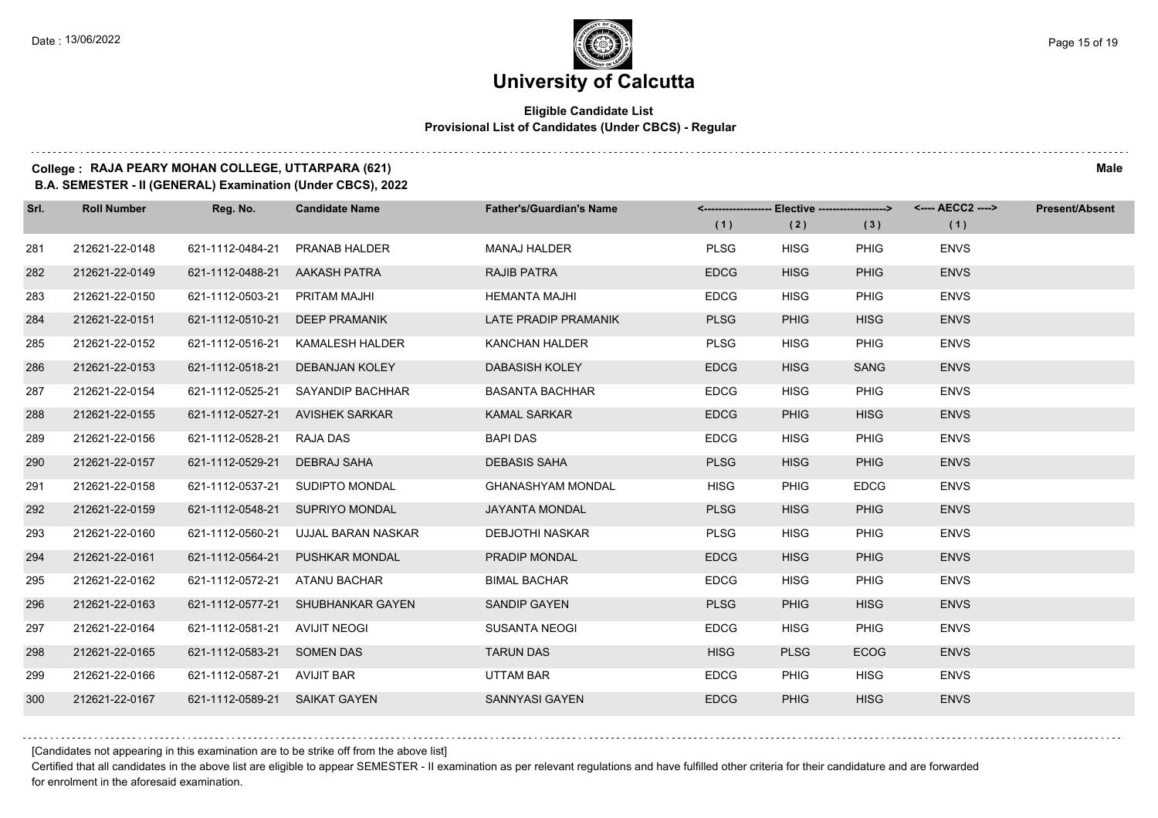#### **Eligible Candidate List Provisional List of Candidates (Under CBCS) - Regular**

### **College : RAJA PEARY MOHAN COLLEGE, UTTARPARA (621) Male**

**B.A. SEMESTER - II (GENERAL) Examination (Under CBCS), 2022**

| Srl. | <b>Roll Number</b> | Reg. No.                      | <b>Candidate Name</b>             | <b>Father's/Guardian's Name</b> |             | <------------------- Elective ------------------> |             | <---- AECC2 ----> | <b>Present/Absent</b> |
|------|--------------------|-------------------------------|-----------------------------------|---------------------------------|-------------|---------------------------------------------------|-------------|-------------------|-----------------------|
|      |                    |                               |                                   |                                 | (1)         | (2)                                               | (3)         | (1)               |                       |
| 281  | 212621-22-0148     | 621-1112-0484-21              | <b>PRANAB HALDER</b>              | <b>MANAJ HALDER</b>             | <b>PLSG</b> | <b>HISG</b>                                       | <b>PHIG</b> | <b>ENVS</b>       |                       |
| 282  | 212621-22-0149     | 621-1112-0488-21 AAKASH PATRA |                                   | <b>RAJIB PATRA</b>              | <b>EDCG</b> | <b>HISG</b>                                       | <b>PHIG</b> | <b>ENVS</b>       |                       |
| 283  | 212621-22-0150     | 621-1112-0503-21              | PRITAM MAJHI                      | <b>HEMANTA MAJHI</b>            | <b>EDCG</b> | <b>HISG</b>                                       | <b>PHIG</b> | <b>ENVS</b>       |                       |
| 284  | 212621-22-0151     | 621-1112-0510-21              | <b>DEEP PRAMANIK</b>              | LATE PRADIP PRAMANIK            | <b>PLSG</b> | <b>PHIG</b>                                       | <b>HISG</b> | <b>ENVS</b>       |                       |
| 285  | 212621-22-0152     | 621-1112-0516-21              | KAMALESH HALDER                   | <b>KANCHAN HALDER</b>           | <b>PLSG</b> | <b>HISG</b>                                       | <b>PHIG</b> | <b>ENVS</b>       |                       |
| 286  | 212621-22-0153     | 621-1112-0518-21              | <b>DEBANJAN KOLEY</b>             | <b>DABASISH KOLEY</b>           | <b>EDCG</b> | <b>HISG</b>                                       | <b>SANG</b> | <b>ENVS</b>       |                       |
| 287  | 212621-22-0154     | 621-1112-0525-21              | SAYANDIP BACHHAR                  | <b>BASANTA BACHHAR</b>          | <b>EDCG</b> | <b>HISG</b>                                       | <b>PHIG</b> | <b>ENVS</b>       |                       |
| 288  | 212621-22-0155     |                               | 621-1112-0527-21 AVISHEK SARKAR   | <b>KAMAL SARKAR</b>             | <b>EDCG</b> | <b>PHIG</b>                                       | <b>HISG</b> | <b>ENVS</b>       |                       |
| 289  | 212621-22-0156     | 621-1112-0528-21              | <b>RAJA DAS</b>                   | <b>BAPI DAS</b>                 | <b>EDCG</b> | <b>HISG</b>                                       | <b>PHIG</b> | <b>ENVS</b>       |                       |
| 290  | 212621-22-0157     | 621-1112-0529-21              | DEBRAJ SAHA                       | <b>DEBASIS SAHA</b>             | <b>PLSG</b> | <b>HISG</b>                                       | <b>PHIG</b> | <b>ENVS</b>       |                       |
| 291  | 212621-22-0158     | 621-1112-0537-21              | SUDIPTO MONDAL                    | <b>GHANASHYAM MONDAL</b>        | <b>HISG</b> | <b>PHIG</b>                                       | <b>EDCG</b> | <b>ENVS</b>       |                       |
| 292  | 212621-22-0159     |                               | 621-1112-0548-21 SUPRIYO MONDAL   | <b>JAYANTA MONDAL</b>           | <b>PLSG</b> | <b>HISG</b>                                       | <b>PHIG</b> | <b>ENVS</b>       |                       |
| 293  | 212621-22-0160     | 621-1112-0560-21              | UJJAL BARAN NASKAR                | <b>DEBJOTHI NASKAR</b>          | <b>PLSG</b> | <b>HISG</b>                                       | <b>PHIG</b> | <b>ENVS</b>       |                       |
| 294  | 212621-22-0161     | 621-1112-0564-21              | <b>PUSHKAR MONDAL</b>             | PRADIP MONDAL                   | <b>EDCG</b> | <b>HISG</b>                                       | <b>PHIG</b> | <b>ENVS</b>       |                       |
| 295  | 212621-22-0162     | 621-1112-0572-21              | ATANU BACHAR                      | <b>BIMAL BACHAR</b>             | <b>EDCG</b> | <b>HISG</b>                                       | <b>PHIG</b> | <b>ENVS</b>       |                       |
| 296  | 212621-22-0163     |                               | 621-1112-0577-21 SHUBHANKAR GAYEN | <b>SANDIP GAYEN</b>             | <b>PLSG</b> | <b>PHIG</b>                                       | <b>HISG</b> | <b>ENVS</b>       |                       |
| 297  | 212621-22-0164     | 621-1112-0581-21              | <b>AVIJIT NEOGI</b>               | <b>SUSANTA NEOGI</b>            | <b>EDCG</b> | <b>HISG</b>                                       | <b>PHIG</b> | <b>ENVS</b>       |                       |
| 298  | 212621-22-0165     | 621-1112-0583-21 SOMEN DAS    |                                   | <b>TARUN DAS</b>                | <b>HISG</b> | <b>PLSG</b>                                       | <b>ECOG</b> | <b>ENVS</b>       |                       |
| 299  | 212621-22-0166     | 621-1112-0587-21 AVIJIT BAR   |                                   | <b>UTTAM BAR</b>                | <b>EDCG</b> | <b>PHIG</b>                                       | <b>HISG</b> | <b>ENVS</b>       |                       |
| 300  | 212621-22-0167     | 621-1112-0589-21 SAIKAT GAYEN |                                   | SANNYASI GAYEN                  | <b>EDCG</b> | <b>PHIG</b>                                       | <b>HISG</b> | <b>ENVS</b>       |                       |

[Candidates not appearing in this examination are to be strike off from the above list]

Certified that all candidates in the above list are eligible to appear SEMESTER - II examination as per relevant regulations and have fulfilled other criteria for their candidature and are forwarded for enrolment in the aforesaid examination.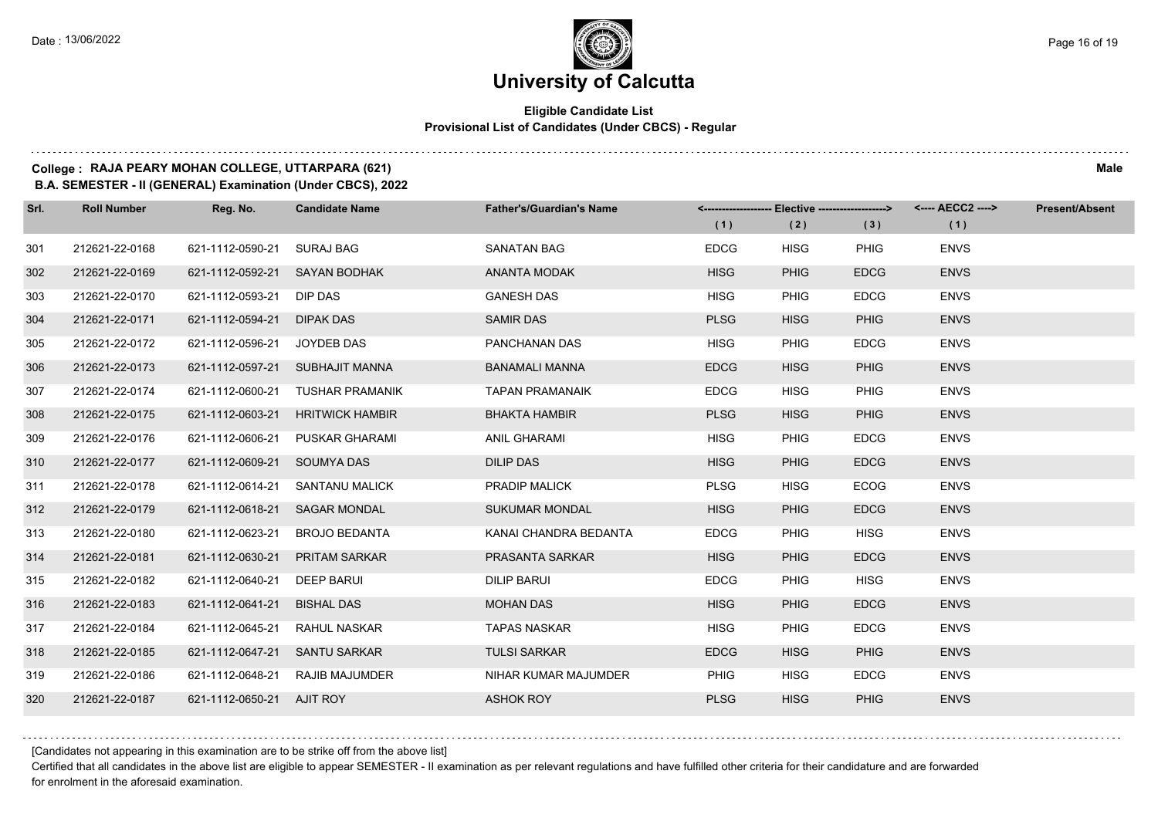#### **Eligible Candidate List Provisional List of Candidates (Under CBCS) - Regular**

### **College : RAJA PEARY MOHAN COLLEGE, UTTARPARA (621) Male**

**B.A. SEMESTER - II (GENERAL) Examination (Under CBCS), 2022**

| Srl. | <b>Roll Number</b> | Reg. No.                  | <b>Candidate Name</b>  | <b>Father's/Guardian's Name</b> | (1)         | <-------------------- Elective -------------------><br>(2) | (3)         | <---- AECC2 ----><br>(1) | <b>Present/Absent</b> |
|------|--------------------|---------------------------|------------------------|---------------------------------|-------------|------------------------------------------------------------|-------------|--------------------------|-----------------------|
| 301  | 212621-22-0168     | 621-1112-0590-21          | SURAJ BAG              | <b>SANATAN BAG</b>              | <b>EDCG</b> | <b>HISG</b>                                                | <b>PHIG</b> | <b>ENVS</b>              |                       |
| 302  | 212621-22-0169     | 621-1112-0592-21          | SAYAN BODHAK           | <b>ANANTA MODAK</b>             | <b>HISG</b> | <b>PHIG</b>                                                | <b>EDCG</b> | <b>ENVS</b>              |                       |
| 303  | 212621-22-0170     | 621-1112-0593-21          | DIP DAS                | <b>GANESH DAS</b>               | <b>HISG</b> | <b>PHIG</b>                                                | <b>EDCG</b> | <b>ENVS</b>              |                       |
| 304  | 212621-22-0171     | 621-1112-0594-21          | DIPAK DAS              | <b>SAMIR DAS</b>                | <b>PLSG</b> | <b>HISG</b>                                                | <b>PHIG</b> | <b>ENVS</b>              |                       |
| 305  | 212621-22-0172     | 621-1112-0596-21          | JOYDEB DAS             | PANCHANAN DAS                   | <b>HISG</b> | <b>PHIG</b>                                                | <b>EDCG</b> | <b>ENVS</b>              |                       |
| 306  | 212621-22-0173     | 621-1112-0597-21          | SUBHAJIT MANNA         | <b>BANAMALI MANNA</b>           | <b>EDCG</b> | <b>HISG</b>                                                | <b>PHIG</b> | <b>ENVS</b>              |                       |
| 307  | 212621-22-0174     | 621-1112-0600-21          | TUSHAR PRAMANIK        | <b>TAPAN PRAMANAIK</b>          | <b>EDCG</b> | <b>HISG</b>                                                | <b>PHIG</b> | <b>ENVS</b>              |                       |
| 308  | 212621-22-0175     | 621-1112-0603-21          | <b>HRITWICK HAMBIR</b> | <b>BHAKTA HAMBIR</b>            | <b>PLSG</b> | <b>HISG</b>                                                | <b>PHIG</b> | <b>ENVS</b>              |                       |
| 309  | 212621-22-0176     | 621-1112-0606-21          | <b>PUSKAR GHARAMI</b>  | ANIL GHARAMI                    | <b>HISG</b> | <b>PHIG</b>                                                | <b>EDCG</b> | <b>ENVS</b>              |                       |
| 310  | 212621-22-0177     | 621-1112-0609-21          | <b>SOUMYA DAS</b>      | <b>DILIP DAS</b>                | <b>HISG</b> | <b>PHIG</b>                                                | <b>EDCG</b> | <b>ENVS</b>              |                       |
| 311  | 212621-22-0178     | 621-1112-0614-21          | SANTANU MALICK         | <b>PRADIP MALICK</b>            | <b>PLSG</b> | <b>HISG</b>                                                | <b>ECOG</b> | <b>ENVS</b>              |                       |
| 312  | 212621-22-0179     | 621-1112-0618-21          | <b>SAGAR MONDAL</b>    | <b>SUKUMAR MONDAL</b>           | <b>HISG</b> | <b>PHIG</b>                                                | <b>EDCG</b> | <b>ENVS</b>              |                       |
| 313  | 212621-22-0180     | 621-1112-0623-21          | <b>BROJO BEDANTA</b>   | KANAI CHANDRA BEDANTA           | <b>EDCG</b> | <b>PHIG</b>                                                | <b>HISG</b> | <b>ENVS</b>              |                       |
| 314  | 212621-22-0181     | 621-1112-0630-21          | <b>PRITAM SARKAR</b>   | PRASANTA SARKAR                 | <b>HISG</b> | <b>PHIG</b>                                                | <b>EDCG</b> | <b>ENVS</b>              |                       |
| 315  | 212621-22-0182     | 621-1112-0640-21          | <b>DEEP BARUI</b>      | DILIP BARUI                     | <b>EDCG</b> | <b>PHIG</b>                                                | <b>HISG</b> | <b>ENVS</b>              |                       |
| 316  | 212621-22-0183     | 621-1112-0641-21          | <b>BISHAL DAS</b>      | <b>MOHAN DAS</b>                | <b>HISG</b> | <b>PHIG</b>                                                | <b>EDCG</b> | <b>ENVS</b>              |                       |
| 317  | 212621-22-0184     | 621-1112-0645-21          | RAHUL NASKAR           | <b>TAPAS NASKAR</b>             | <b>HISG</b> | <b>PHIG</b>                                                | <b>EDCG</b> | <b>ENVS</b>              |                       |
| 318  | 212621-22-0185     | 621-1112-0647-21          | <b>SANTU SARKAR</b>    | <b>TULSI SARKAR</b>             | <b>EDCG</b> | <b>HISG</b>                                                | <b>PHIG</b> | <b>ENVS</b>              |                       |
| 319  | 212621-22-0186     | 621-1112-0648-21          | RAJIB MAJUMDER         | NIHAR KUMAR MAJUMDER            | <b>PHIG</b> | <b>HISG</b>                                                | <b>EDCG</b> | <b>ENVS</b>              |                       |
| 320  | 212621-22-0187     | 621-1112-0650-21 AJIT ROY |                        | <b>ASHOK ROY</b>                | <b>PLSG</b> | <b>HISG</b>                                                | <b>PHIG</b> | <b>ENVS</b>              |                       |

[Candidates not appearing in this examination are to be strike off from the above list]

Certified that all candidates in the above list are eligible to appear SEMESTER - II examination as per relevant regulations and have fulfilled other criteria for their candidature and are forwarded for enrolment in the aforesaid examination.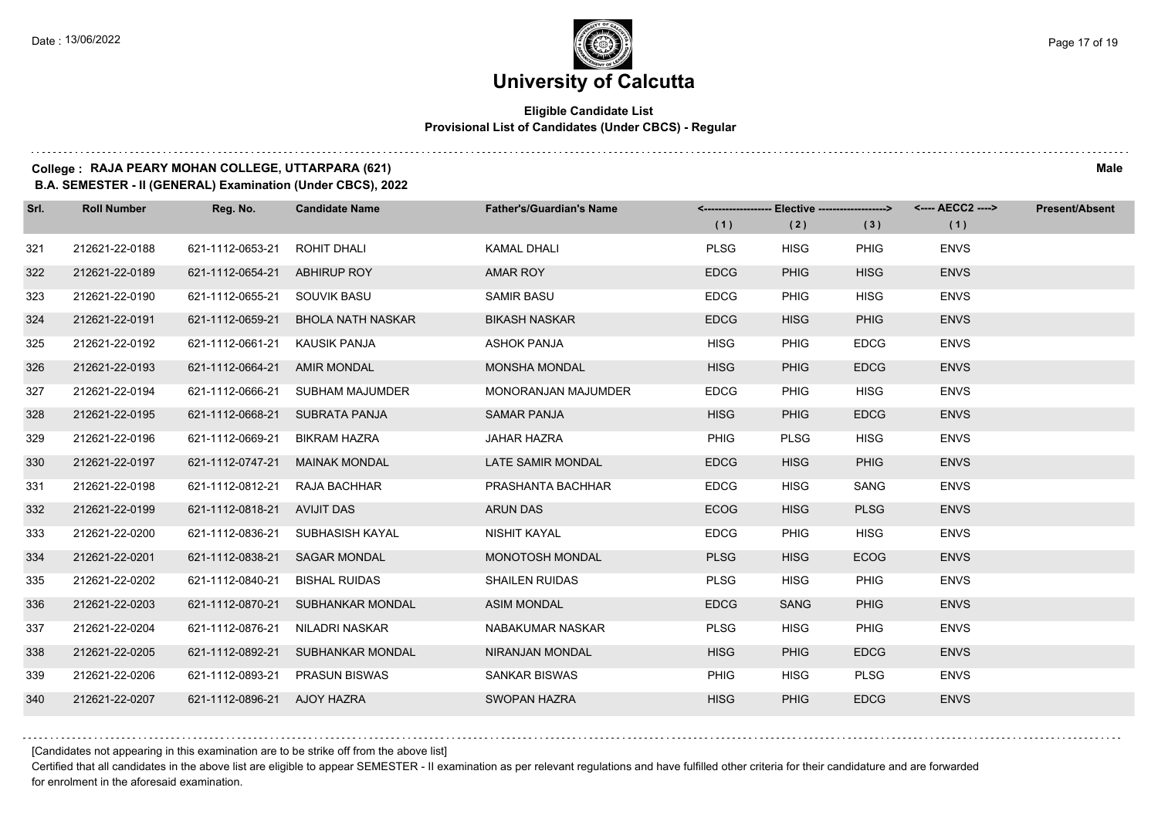#### **Eligible Candidate List Provisional List of Candidates (Under CBCS) - Regular**

### **College : RAJA PEARY MOHAN COLLEGE, UTTARPARA (621) Male**

**B.A. SEMESTER - II (GENERAL) Examination (Under CBCS), 2022**

| Srl. | <b>Roll Number</b> | Reg. No.                       | <b>Candidate Name</b>             | <b>Father's/Guardian's Name</b> | (1)         | (2)         | <------------------- Elective ------------------> <---- AECC2 ----><br>(3) | (1)         | <b>Present/Absent</b> |
|------|--------------------|--------------------------------|-----------------------------------|---------------------------------|-------------|-------------|----------------------------------------------------------------------------|-------------|-----------------------|
| 321  | 212621-22-0188     | 621-1112-0653-21               | ROHIT DHALI                       | <b>KAMAL DHALI</b>              | <b>PLSG</b> | <b>HISG</b> | <b>PHIG</b>                                                                | <b>ENVS</b> |                       |
| 322  | 212621-22-0189     | 621-1112-0654-21 ABHIRUP ROY   |                                   | <b>AMAR ROY</b>                 | <b>EDCG</b> | <b>PHIG</b> | <b>HISG</b>                                                                | <b>ENVS</b> |                       |
| 323  | 212621-22-0190     | 621-1112-0655-21 SOUVIK BASU   |                                   | <b>SAMIR BASU</b>               | <b>EDCG</b> | <b>PHIG</b> | <b>HISG</b>                                                                | <b>ENVS</b> |                       |
| 324  | 212621-22-0191     | 621-1112-0659-21               | BHOLA NATH NASKAR                 | <b>BIKASH NASKAR</b>            | <b>EDCG</b> | <b>HISG</b> | <b>PHIG</b>                                                                | <b>ENVS</b> |                       |
| 325  | 212621-22-0192     | 621-1112-0661-21               | KAUSIK PANJA                      | <b>ASHOK PANJA</b>              | <b>HISG</b> | <b>PHIG</b> | <b>EDCG</b>                                                                | <b>ENVS</b> |                       |
| 326  | 212621-22-0193     | 621-1112-0664-21               | AMIR MONDAL                       | <b>MONSHA MONDAL</b>            | <b>HISG</b> | <b>PHIG</b> | <b>EDCG</b>                                                                | <b>ENVS</b> |                       |
| 327  | 212621-22-0194     |                                | 621-1112-0666-21 SUBHAM MAJUMDER  | MONORANJAN MAJUMDER             | <b>EDCG</b> | <b>PHIG</b> | <b>HISG</b>                                                                | <b>ENVS</b> |                       |
| 328  | 212621-22-0195     | 621-1112-0668-21 SUBRATA PANJA |                                   | <b>SAMAR PANJA</b>              | <b>HISG</b> | <b>PHIG</b> | <b>EDCG</b>                                                                | <b>ENVS</b> |                       |
| 329  | 212621-22-0196     | 621-1112-0669-21               | BIKRAM HAZRA                      | <b>JAHAR HAZRA</b>              | <b>PHIG</b> | <b>PLSG</b> | <b>HISG</b>                                                                | <b>ENVS</b> |                       |
| 330  | 212621-22-0197     | 621-1112-0747-21 MAINAK MONDAL |                                   | LATE SAMIR MONDAL               | <b>EDCG</b> | <b>HISG</b> | <b>PHIG</b>                                                                | <b>ENVS</b> |                       |
| 331  | 212621-22-0198     | 621-1112-0812-21               | RAJA BACHHAR                      | PRASHANTA BACHHAR               | <b>EDCG</b> | <b>HISG</b> | SANG                                                                       | <b>ENVS</b> |                       |
| 332  | 212621-22-0199     | 621-1112-0818-21 AVIJIT DAS    |                                   | <b>ARUN DAS</b>                 | <b>ECOG</b> | <b>HISG</b> | <b>PLSG</b>                                                                | <b>ENVS</b> |                       |
| 333  | 212621-22-0200     | 621-1112-0836-21               | SUBHASISH KAYAL                   | NISHIT KAYAL                    | <b>EDCG</b> | <b>PHIG</b> | <b>HISG</b>                                                                | <b>ENVS</b> |                       |
| 334  | 212621-22-0201     | 621-1112-0838-21 SAGAR MONDAL  |                                   | MONOTOSH MONDAL                 | <b>PLSG</b> | <b>HISG</b> | <b>ECOG</b>                                                                | <b>ENVS</b> |                       |
| 335  | 212621-22-0202     | 621-1112-0840-21               | <b>BISHAL RUIDAS</b>              | <b>SHAILEN RUIDAS</b>           | <b>PLSG</b> | <b>HISG</b> | <b>PHIG</b>                                                                | <b>ENVS</b> |                       |
| 336  | 212621-22-0203     |                                | 621-1112-0870-21 SUBHANKAR MONDAL | <b>ASIM MONDAL</b>              | <b>EDCG</b> | <b>SANG</b> | <b>PHIG</b>                                                                | <b>ENVS</b> |                       |
| 337  | 212621-22-0204     | 621-1112-0876-21               | NILADRI NASKAR                    | NABAKUMAR NASKAR                | <b>PLSG</b> | <b>HISG</b> | <b>PHIG</b>                                                                | <b>ENVS</b> |                       |
| 338  | 212621-22-0205     |                                | 621-1112-0892-21 SUBHANKAR MONDAL | NIRANJAN MONDAL                 | <b>HISG</b> | <b>PHIG</b> | <b>EDCG</b>                                                                | <b>ENVS</b> |                       |
| 339  | 212621-22-0206     | 621-1112-0893-21               | <b>PRASUN BISWAS</b>              | <b>SANKAR BISWAS</b>            | <b>PHIG</b> | <b>HISG</b> | <b>PLSG</b>                                                                | <b>ENVS</b> |                       |
| 340  | 212621-22-0207     | 621-1112-0896-21 AJOY HAZRA    |                                   | <b>SWOPAN HAZRA</b>             | <b>HISG</b> | <b>PHIG</b> | <b>EDCG</b>                                                                | <b>ENVS</b> |                       |

[Candidates not appearing in this examination are to be strike off from the above list]

Certified that all candidates in the above list are eligible to appear SEMESTER - II examination as per relevant regulations and have fulfilled other criteria for their candidature and are forwarded for enrolment in the aforesaid examination.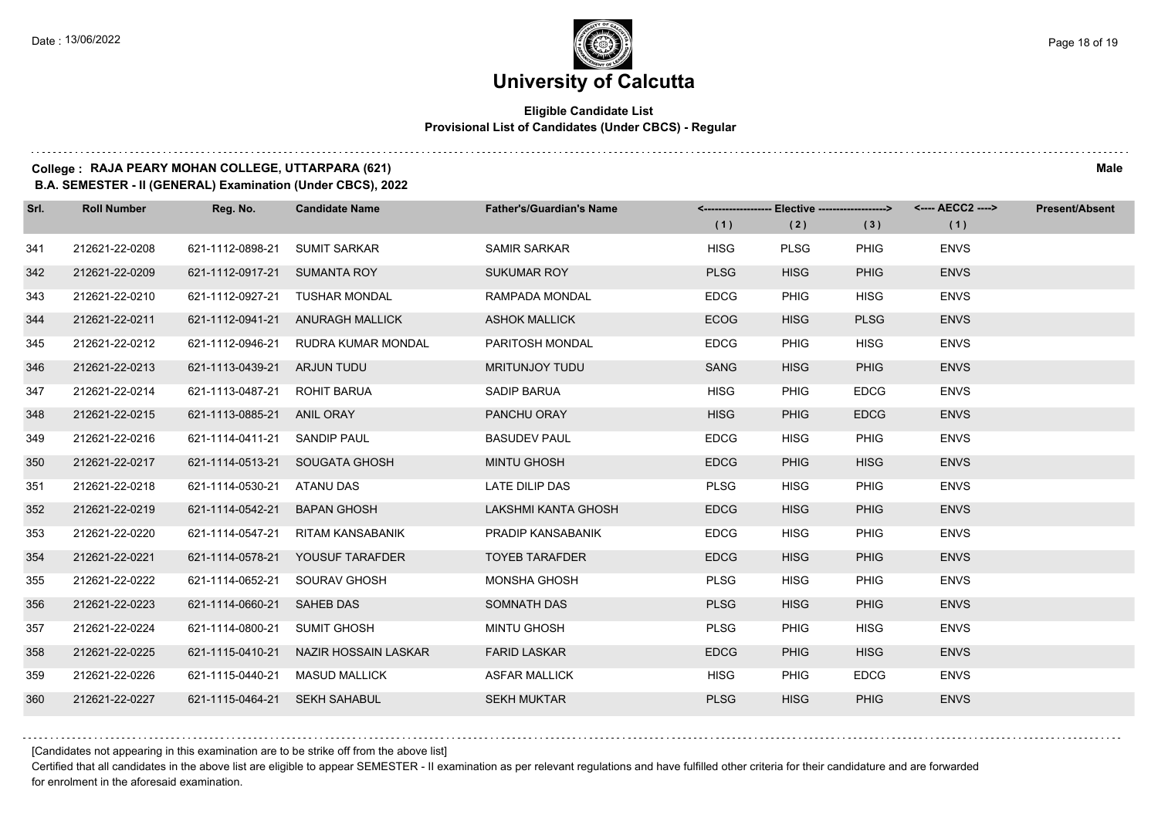#### **Eligible Candidate List Provisional List of Candidates (Under CBCS) - Regular**

### **College : RAJA PEARY MOHAN COLLEGE, UTTARPARA (621) Male**

**B.A. SEMESTER - II (GENERAL) Examination (Under CBCS), 2022**

| Srl. | <b>Roll Number</b> | Reg. No.                       | <b>Candidate Name</b>                 | <b>Father's/Guardian's Name</b> | (1)         | <-------------------- Elective -------------------><br>(2) | (3)         | <---- AECC2 ----><br>(1) | Present/Absent |
|------|--------------------|--------------------------------|---------------------------------------|---------------------------------|-------------|------------------------------------------------------------|-------------|--------------------------|----------------|
| 341  | 212621-22-0208     | 621-1112-0898-21               | <b>SUMIT SARKAR</b>                   | <b>SAMIR SARKAR</b>             | <b>HISG</b> | <b>PLSG</b>                                                | <b>PHIG</b> | <b>ENVS</b>              |                |
| 342  | 212621-22-0209     | 621-1112-0917-21 SUMANTA ROY   |                                       | <b>SUKUMAR ROY</b>              | <b>PLSG</b> | <b>HISG</b>                                                | <b>PHIG</b> | <b>ENVS</b>              |                |
| 343  | 212621-22-0210     |                                | 621-1112-0927-21 TUSHAR MONDAL        | RAMPADA MONDAL                  | <b>EDCG</b> | PHIG                                                       | <b>HISG</b> | <b>ENVS</b>              |                |
| 344  | 212621-22-0211     |                                | 621-1112-0941-21 ANURAGH MALLICK      | <b>ASHOK MALLICK</b>            | <b>ECOG</b> | <b>HISG</b>                                                | <b>PLSG</b> | <b>ENVS</b>              |                |
| 345  | 212621-22-0212     | 621-1112-0946-21               | RUDRA KUMAR MONDAL                    | PARITOSH MONDAL                 | <b>EDCG</b> | <b>PHIG</b>                                                | <b>HISG</b> | <b>ENVS</b>              |                |
| 346  | 212621-22-0213     | 621-1113-0439-21               | ARJUN TUDU                            | MRITUNJOY TUDU                  | SANG        | <b>HISG</b>                                                | <b>PHIG</b> | <b>ENVS</b>              |                |
| 347  | 212621-22-0214     | 621-1113-0487-21 ROHIT BARUA   |                                       | <b>SADIP BARUA</b>              | <b>HISG</b> | <b>PHIG</b>                                                | <b>EDCG</b> | <b>ENVS</b>              |                |
| 348  | 212621-22-0215     | 621-1113-0885-21 ANIL ORAY     |                                       | PANCHU ORAY                     | <b>HISG</b> | <b>PHIG</b>                                                | <b>EDCG</b> | <b>ENVS</b>              |                |
| 349  | 212621-22-0216     | 621-1114-0411-21               | SANDIP PAUL                           | <b>BASUDEV PAUL</b>             | <b>EDCG</b> | <b>HISG</b>                                                | PHIG        | <b>ENVS</b>              |                |
| 350  | 212621-22-0217     |                                | 621-1114-0513-21 SOUGATA GHOSH        | <b>MINTU GHOSH</b>              | <b>EDCG</b> | <b>PHIG</b>                                                | <b>HISG</b> | <b>ENVS</b>              |                |
| 351  | 212621-22-0218     | 621-1114-0530-21 ATANU DAS     |                                       | LATE DILIP DAS                  | <b>PLSG</b> | <b>HISG</b>                                                | <b>PHIG</b> | <b>ENVS</b>              |                |
| 352  | 212621-22-0219     | 621-1114-0542-21               | <b>BAPAN GHOSH</b>                    | LAKSHMI KANTA GHOSH             | <b>EDCG</b> | <b>HISG</b>                                                | <b>PHIG</b> | <b>ENVS</b>              |                |
| 353  | 212621-22-0220     | 621-1114-0547-21               | <b>RITAM KANSABANIK</b>               | PRADIP KANSABANIK               | <b>EDCG</b> | <b>HISG</b>                                                | PHIG        | <b>ENVS</b>              |                |
| 354  | 212621-22-0221     |                                | 621-1114-0578-21  YOUSUF TARAFDER     | <b>TOYEB TARAFDER</b>           | <b>EDCG</b> | <b>HISG</b>                                                | <b>PHIG</b> | <b>ENVS</b>              |                |
| 355  | 212621-22-0222     | 621-1114-0652-21 SOURAV GHOSH  |                                       | <b>MONSHA GHOSH</b>             | <b>PLSG</b> | <b>HISG</b>                                                | <b>PHIG</b> | <b>ENVS</b>              |                |
| 356  | 212621-22-0223     | 621-1114-0660-21 SAHEB DAS     |                                       | SOMNATH DAS                     | <b>PLSG</b> | <b>HISG</b>                                                | <b>PHIG</b> | <b>ENVS</b>              |                |
| 357  | 212621-22-0224     | 621-1114-0800-21               | <b>SUMIT GHOSH</b>                    | <b>MINTU GHOSH</b>              | <b>PLSG</b> | <b>PHIG</b>                                                | <b>HISG</b> | <b>ENVS</b>              |                |
| 358  | 212621-22-0225     |                                | 621-1115-0410-21 NAZIR HOSSAIN LASKAR | <b>FARID LASKAR</b>             | <b>EDCG</b> | <b>PHIG</b>                                                | <b>HISG</b> | <b>ENVS</b>              |                |
| 359  | 212621-22-0226     | 621-1115-0440-21 MASUD MALLICK |                                       | <b>ASFAR MALLICK</b>            | <b>HISG</b> | <b>PHIG</b>                                                | <b>EDCG</b> | <b>ENVS</b>              |                |
| 360  | 212621-22-0227     | 621-1115-0464-21 SEKH SAHABUL  |                                       | <b>SEKH MUKTAR</b>              | <b>PLSG</b> | <b>HISG</b>                                                | <b>PHIG</b> | <b>ENVS</b>              |                |

[Candidates not appearing in this examination are to be strike off from the above list]

Certified that all candidates in the above list are eligible to appear SEMESTER - II examination as per relevant regulations and have fulfilled other criteria for their candidature and are forwarded for enrolment in the aforesaid examination.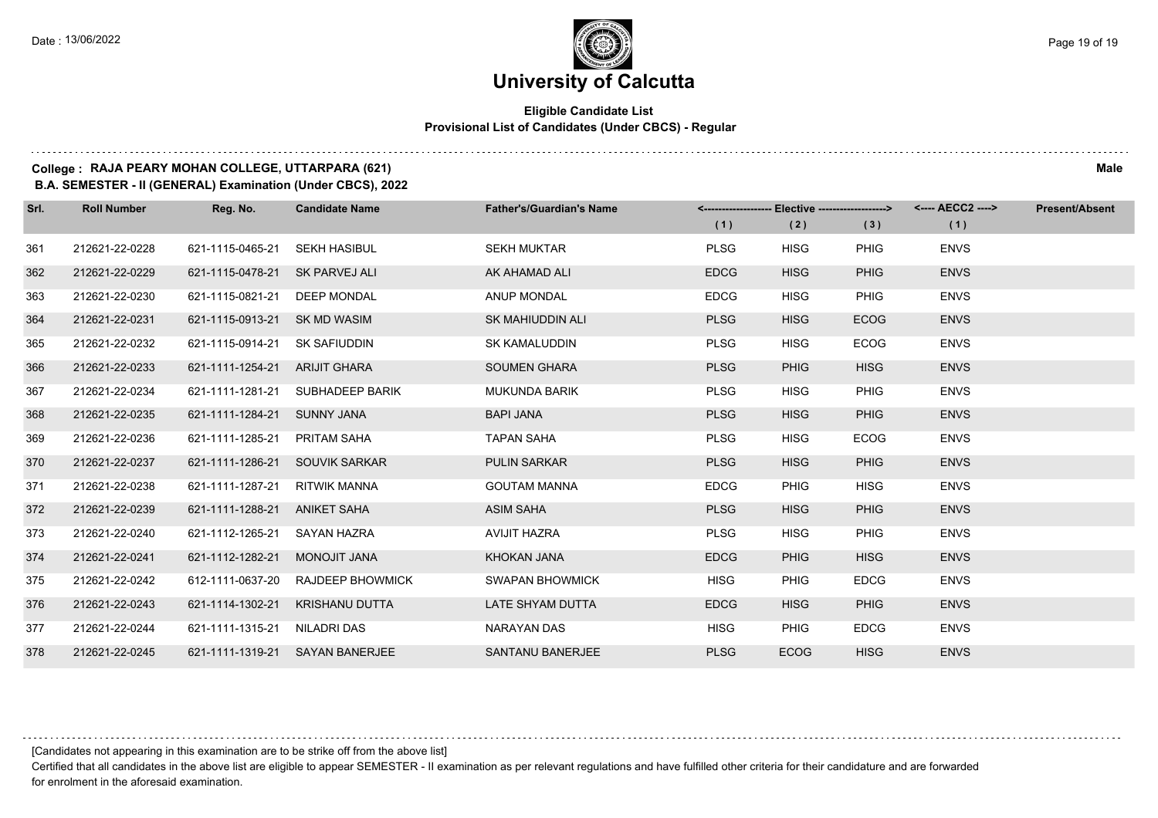#### **Eligible Candidate List Provisional List of Candidates (Under CBCS) - Regular**

**College : RAJA PEARY MOHAN COLLEGE, UTTARPARA (621) Male**

**B.A. SEMESTER - II (GENERAL) Examination (Under CBCS), 2022**

| Srl. | <b>Roll Number</b> | Reg. No.                       | <b>Candidate Name</b>             | <b>Father's/Guardian's Name</b> | <-------------------- Elective ------------------> |             |             | <---- AECC2 ----> | <b>Present/Absent</b> |
|------|--------------------|--------------------------------|-----------------------------------|---------------------------------|----------------------------------------------------|-------------|-------------|-------------------|-----------------------|
|      |                    |                                |                                   |                                 | (1)                                                | (2)         | (3)         | (1)               |                       |
| 361  | 212621-22-0228     | 621-1115-0465-21 SEKH HASIBUL  |                                   | <b>SEKH MUKTAR</b>              | <b>PLSG</b>                                        | <b>HISG</b> | <b>PHIG</b> | <b>ENVS</b>       |                       |
| 362  | 212621-22-0229     | 621-1115-0478-21 SK PARVEJ ALI |                                   | AK AHAMAD ALI                   | <b>EDCG</b>                                        | <b>HISG</b> | <b>PHIG</b> | <b>ENVS</b>       |                       |
| 363  | 212621-22-0230     | 621-1115-0821-21 DEEP MONDAL   |                                   | ANUP MONDAL                     | <b>EDCG</b>                                        | <b>HISG</b> | <b>PHIG</b> | <b>ENVS</b>       |                       |
| 364  | 212621-22-0231     | 621-1115-0913-21 SK MD WASIM   |                                   | <b>SK MAHIUDDIN ALI</b>         | <b>PLSG</b>                                        | <b>HISG</b> | <b>ECOG</b> | <b>ENVS</b>       |                       |
| 365  | 212621-22-0232     | 621-1115-0914-21 SK SAFIUDDIN  |                                   | <b>SK KAMALUDDIN</b>            | <b>PLSG</b>                                        | <b>HISG</b> | <b>ECOG</b> | <b>ENVS</b>       |                       |
| 366  | 212621-22-0233     | 621-1111-1254-21 ARIJIT GHARA  |                                   | <b>SOUMEN GHARA</b>             | <b>PLSG</b>                                        | <b>PHIG</b> | <b>HISG</b> | <b>ENVS</b>       |                       |
| 367  | 212621-22-0234     |                                | 621-1111-1281-21 SUBHADEEP BARIK  | <b>MUKUNDA BARIK</b>            | <b>PLSG</b>                                        | <b>HISG</b> | <b>PHIG</b> | <b>ENVS</b>       |                       |
| 368  | 212621-22-0235     | 621-1111-1284-21 SUNNY JANA    |                                   | <b>BAPI JANA</b>                | <b>PLSG</b>                                        | <b>HISG</b> | <b>PHIG</b> | <b>ENVS</b>       |                       |
| 369  | 212621-22-0236     | 621-1111-1285-21 PRITAM SAHA   |                                   | <b>TAPAN SAHA</b>               | <b>PLSG</b>                                        | <b>HISG</b> | <b>ECOG</b> | <b>ENVS</b>       |                       |
| 370  | 212621-22-0237     | 621-1111-1286-21 SOUVIK SARKAR |                                   | <b>PULIN SARKAR</b>             | <b>PLSG</b>                                        | <b>HISG</b> | <b>PHIG</b> | <b>ENVS</b>       |                       |
| 371  | 212621-22-0238     | 621-1111-1287-21 RITWIK MANNA  |                                   | <b>GOUTAM MANNA</b>             | <b>EDCG</b>                                        | <b>PHIG</b> | <b>HISG</b> | <b>ENVS</b>       |                       |
| 372  | 212621-22-0239     | 621-1111-1288-21 ANIKET SAHA   |                                   | <b>ASIM SAHA</b>                | <b>PLSG</b>                                        | <b>HISG</b> | <b>PHIG</b> | <b>ENVS</b>       |                       |
| 373  | 212621-22-0240     | 621-1112-1265-21 SAYAN HAZRA   |                                   | AVIJIT HAZRA                    | <b>PLSG</b>                                        | <b>HISG</b> | PHIG        | <b>ENVS</b>       |                       |
| 374  | 212621-22-0241     | 621-1112-1282-21 MONOJIT JANA  |                                   | KHOKAN JANA                     | <b>EDCG</b>                                        | <b>PHIG</b> | <b>HISG</b> | <b>ENVS</b>       |                       |
| 375  | 212621-22-0242     |                                | 612-1111-0637-20 RAJDEEP BHOWMICK | <b>SWAPAN BHOWMICK</b>          | <b>HISG</b>                                        | <b>PHIG</b> | <b>EDCG</b> | <b>ENVS</b>       |                       |
| 376  | 212621-22-0243     |                                | 621-1114-1302-21 KRISHANU DUTTA   | LATE SHYAM DUTTA                | <b>EDCG</b>                                        | <b>HISG</b> | <b>PHIG</b> | <b>ENVS</b>       |                       |
| 377  | 212621-22-0244     | 621-1111-1315-21 NILADRI DAS   |                                   | NARAYAN DAS                     | HISG                                               | <b>PHIG</b> | <b>EDCG</b> | <b>ENVS</b>       |                       |
| 378  | 212621-22-0245     |                                | 621-1111-1319-21 SAYAN BANERJEE   | SANTANU BANERJEE                | <b>PLSG</b>                                        | <b>ECOG</b> | <b>HISG</b> | <b>ENVS</b>       |                       |

[Candidates not appearing in this examination are to be strike off from the above list]

Certified that all candidates in the above list are eligible to appear SEMESTER - II examination as per relevant regulations and have fulfilled other criteria for their candidature and are forwarded for enrolment in the aforesaid examination.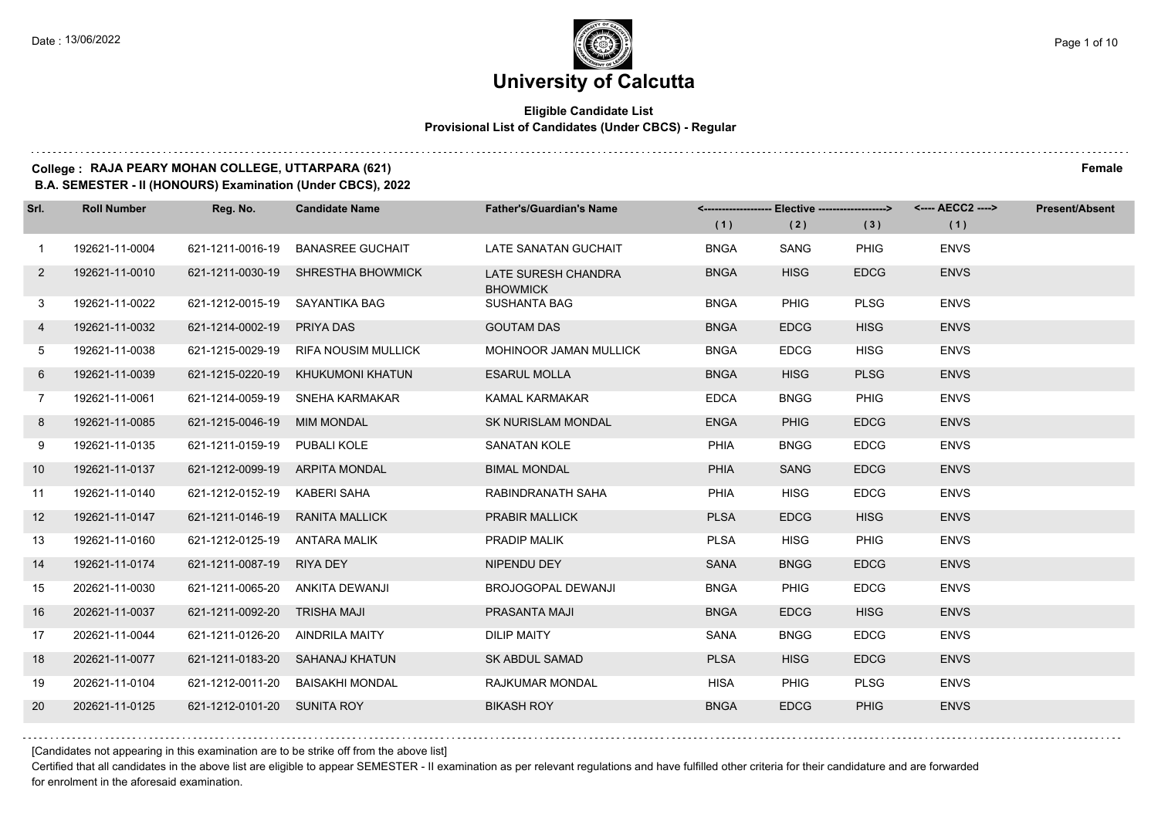#### **Eligible Candidate List Provisional List of Candidates (Under CBCS) - Regular**

### **College : RAJA PEARY MOHAN COLLEGE, UTTARPARA (621) Female**

**B.A. SEMESTER - II (HONOURS) Examination (Under CBCS), 2022**

| Srl.           | <b>Roll Number</b> | Reg. No.                        | <b>Candidate Name</b>                | <b>Father's/Guardian's Name</b>               | (1)         | (2)         | <-------------------- Elective -------------------> <---- AECC2 ----><br>(3) | (1)         | <b>Present/Absent</b> |
|----------------|--------------------|---------------------------------|--------------------------------------|-----------------------------------------------|-------------|-------------|------------------------------------------------------------------------------|-------------|-----------------------|
| $\mathbf{1}$   | 192621-11-0004     | 621-1211-0016-19                | <b>BANASREE GUCHAIT</b>              | LATE SANATAN GUCHAIT                          | <b>BNGA</b> | SANG        | <b>PHIG</b>                                                                  | <b>ENVS</b> |                       |
| $2^{\circ}$    | 192621-11-0010     |                                 | 621-1211-0030-19 SHRESTHA BHOWMICK   | <b>LATE SURESH CHANDRA</b><br><b>BHOWMICK</b> | <b>BNGA</b> | <b>HISG</b> | <b>EDCG</b>                                                                  | <b>ENVS</b> |                       |
| 3              | 192621-11-0022     | 621-1212-0015-19 SAYANTIKA BAG  |                                      | <b>SUSHANTA BAG</b>                           | <b>BNGA</b> | <b>PHIG</b> | <b>PLSG</b>                                                                  | <b>ENVS</b> |                       |
| 4              | 192621-11-0032     | 621-1214-0002-19 PRIYA DAS      |                                      | <b>GOUTAM DAS</b>                             | <b>BNGA</b> | <b>EDCG</b> | <b>HISG</b>                                                                  | <b>ENVS</b> |                       |
| 5              | 192621-11-0038     |                                 | 621-1215-0029-19 RIFA NOUSIM MULLICK | MOHINOOR JAMAN MULLICK                        | <b>BNGA</b> | <b>EDCG</b> | <b>HISG</b>                                                                  | <b>ENVS</b> |                       |
| 6              | 192621-11-0039     |                                 | 621-1215-0220-19 KHUKUMONI KHATUN    | <b>ESARUL MOLLA</b>                           | <b>BNGA</b> | <b>HISG</b> | <b>PLSG</b>                                                                  | <b>ENVS</b> |                       |
| $\overline{7}$ | 192621-11-0061     |                                 | 621-1214-0059-19 SNEHA KARMAKAR      | <b>KAMAL KARMAKAR</b>                         | <b>EDCA</b> | <b>BNGG</b> | PHIG                                                                         | <b>ENVS</b> |                       |
| 8              | 192621-11-0085     | 621-1215-0046-19 MIM MONDAL     |                                      | <b>SK NURISLAM MONDAL</b>                     | <b>ENGA</b> | <b>PHIG</b> | <b>EDCG</b>                                                                  | <b>ENVS</b> |                       |
| 9              | 192621-11-0135     | 621-1211-0159-19 PUBALI KOLE    |                                      | <b>SANATAN KOLE</b>                           | PHIA        | <b>BNGG</b> | <b>EDCG</b>                                                                  | <b>ENVS</b> |                       |
| 10             | 192621-11-0137     | 621-1212-0099-19 ARPITA MONDAL  |                                      | <b>BIMAL MONDAL</b>                           | PHIA        | <b>SANG</b> | <b>EDCG</b>                                                                  | <b>ENVS</b> |                       |
| 11             | 192621-11-0140     | 621-1212-0152-19 KABERI SAHA    |                                      | RABINDRANATH SAHA                             | PHIA        | <b>HISG</b> | <b>EDCG</b>                                                                  | <b>ENVS</b> |                       |
| 12             | 192621-11-0147     | 621-1211-0146-19 RANITA MALLICK |                                      | PRABIR MALLICK                                | <b>PLSA</b> | <b>EDCG</b> | <b>HISG</b>                                                                  | <b>ENVS</b> |                       |
| 13             | 192621-11-0160     | 621-1212-0125-19 ANTARA MALIK   |                                      | PRADIP MALIK                                  | <b>PLSA</b> | <b>HISG</b> | <b>PHIG</b>                                                                  | <b>ENVS</b> |                       |
| 14             | 192621-11-0174     | 621-1211-0087-19 RIYA DEY       |                                      | NIPENDU DEY                                   | <b>SANA</b> | <b>BNGG</b> | <b>EDCG</b>                                                                  | <b>ENVS</b> |                       |
| 15             | 202621-11-0030     |                                 | 621-1211-0065-20 ANKITA DEWANJI      | <b>BROJOGOPAL DEWANJI</b>                     | <b>BNGA</b> | <b>PHIG</b> | <b>EDCG</b>                                                                  | <b>ENVS</b> |                       |
| 16             | 202621-11-0037     | 621-1211-0092-20 TRISHA MAJI    |                                      | PRASANTA MAJI                                 | <b>BNGA</b> | <b>EDCG</b> | <b>HISG</b>                                                                  | <b>ENVS</b> |                       |
| 17             | 202621-11-0044     | 621-1211-0126-20 AINDRILA MAITY |                                      | <b>DILIP MAITY</b>                            | SANA        | <b>BNGG</b> | <b>EDCG</b>                                                                  | <b>ENVS</b> |                       |
| 18             | 202621-11-0077     |                                 | 621-1211-0183-20 SAHANAJ KHATUN      | <b>SK ABDUL SAMAD</b>                         | <b>PLSA</b> | <b>HISG</b> | <b>EDCG</b>                                                                  | <b>ENVS</b> |                       |
| 19             | 202621-11-0104     |                                 | 621-1212-0011-20 BAISAKHI MONDAL     | <b>RAJKUMAR MONDAL</b>                        | <b>HISA</b> | PHIG        | <b>PLSG</b>                                                                  | <b>ENVS</b> |                       |
| <b>20</b>      | 202621-11-0125     | 621-1212-0101-20 SUNITA ROY     |                                      | <b>BIKASH ROY</b>                             | <b>BNGA</b> | <b>EDCG</b> | <b>PHIG</b>                                                                  | <b>ENVS</b> |                       |

[Candidates not appearing in this examination are to be strike off from the above list]

Certified that all candidates in the above list are eligible to appear SEMESTER - II examination as per relevant regulations and have fulfilled other criteria for their candidature and are forwarded for enrolment in the aforesaid examination.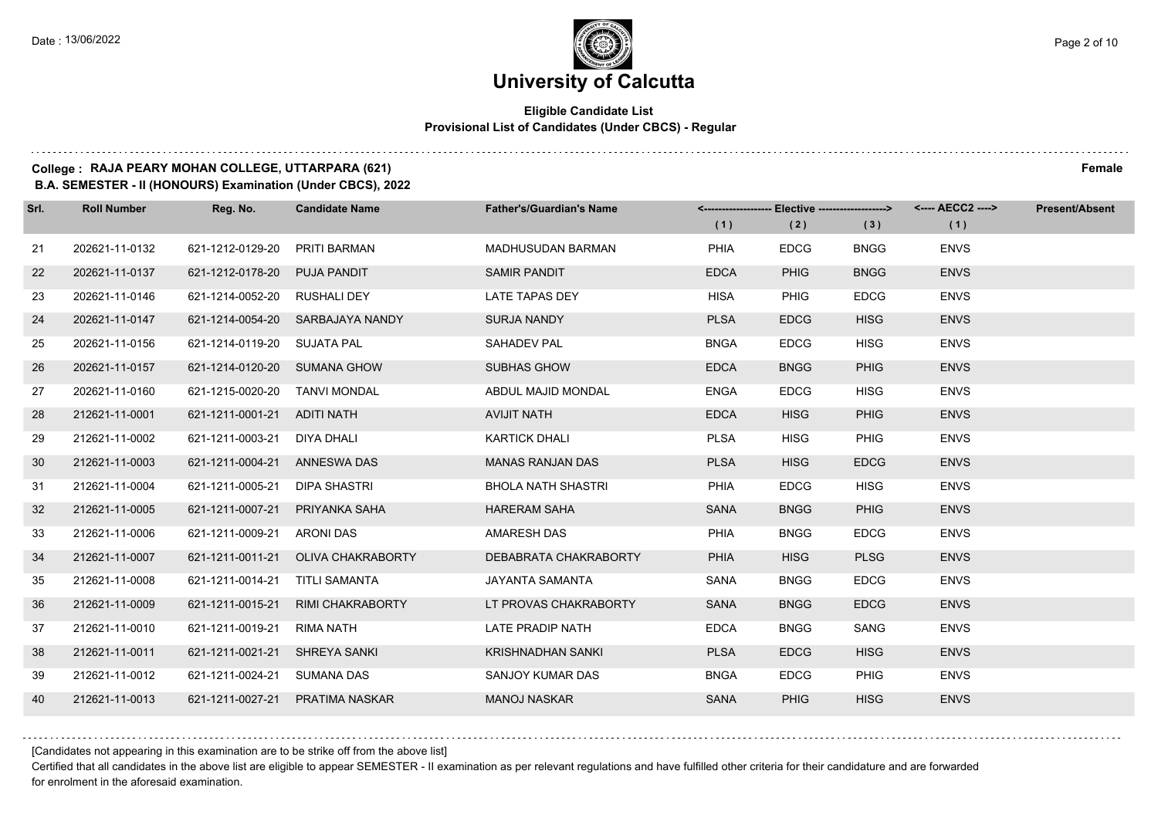#### **Eligible Candidate List Provisional List of Candidates (Under CBCS) - Regular**

#### **College : RAJA PEARY MOHAN COLLEGE, UTTARPARA (621) Female**

**B.A. SEMESTER - II (HONOURS) Examination (Under CBCS), 2022**

| Srl. | <b>Roll Number</b> | Reg. No.                      | <b>Candidate Name</b>            | <b>Father's/Guardian's Name</b> |             | <-------------------- Elective -------------------> |             | <---- AECC2 ----> | <b>Present/Absent</b> |
|------|--------------------|-------------------------------|----------------------------------|---------------------------------|-------------|-----------------------------------------------------|-------------|-------------------|-----------------------|
|      |                    |                               |                                  |                                 | (1)         | (2)                                                 | (3)         | (1)               |                       |
| 21   | 202621-11-0132     | 621-1212-0129-20              | PRITI BARMAN                     | MADHUSUDAN BARMAN               | PHIA        | <b>EDCG</b>                                         | <b>BNGG</b> | <b>ENVS</b>       |                       |
| 22   | 202621-11-0137     | 621-1212-0178-20              | <b>PUJA PANDIT</b>               | <b>SAMIR PANDIT</b>             | <b>EDCA</b> | <b>PHIG</b>                                         | <b>BNGG</b> | <b>ENVS</b>       |                       |
| 23   | 202621-11-0146     | 621-1214-0052-20 RUSHALI DEY  |                                  | <b>LATE TAPAS DEY</b>           | <b>HISA</b> | <b>PHIG</b>                                         | <b>EDCG</b> | <b>ENVS</b>       |                       |
| 24   | 202621-11-0147     |                               | 621-1214-0054-20 SARBAJAYA NANDY | <b>SURJA NANDY</b>              | <b>PLSA</b> | <b>EDCG</b>                                         | <b>HISG</b> | <b>ENVS</b>       |                       |
| 25   | 202621-11-0156     | 621-1214-0119-20 SUJATA PAL   |                                  | SAHADEV PAL                     | <b>BNGA</b> | <b>EDCG</b>                                         | <b>HISG</b> | <b>ENVS</b>       |                       |
| 26   | 202621-11-0157     | 621-1214-0120-20 SUMANA GHOW  |                                  | <b>SUBHAS GHOW</b>              | <b>EDCA</b> | <b>BNGG</b>                                         | <b>PHIG</b> | <b>ENVS</b>       |                       |
| 27   | 202621-11-0160     | 621-1215-0020-20 TANVI MONDAL |                                  | ABDUL MAJID MONDAL              | <b>ENGA</b> | <b>EDCG</b>                                         | <b>HISG</b> | <b>ENVS</b>       |                       |
| 28   | 212621-11-0001     | 621-1211-0001-21 ADITI NATH   |                                  | <b>AVIJIT NATH</b>              | <b>EDCA</b> | <b>HISG</b>                                         | <b>PHIG</b> | <b>ENVS</b>       |                       |
| 29   | 212621-11-0002     | 621-1211-0003-21              | DIYA DHALI                       | <b>KARTICK DHALI</b>            | <b>PLSA</b> | <b>HISG</b>                                         | <b>PHIG</b> | <b>ENVS</b>       |                       |
| 30   | 212621-11-0003     | 621-1211-0004-21              | ANNESWA DAS                      | <b>MANAS RANJAN DAS</b>         | <b>PLSA</b> | <b>HISG</b>                                         | <b>EDCG</b> | <b>ENVS</b>       |                       |
| 31   | 212621-11-0004     | 621-1211-0005-21              | DIPA SHASTRI                     | <b>BHOLA NATH SHASTRI</b>       | <b>PHIA</b> | <b>EDCG</b>                                         | <b>HISG</b> | <b>ENVS</b>       |                       |
| 32   | 212621-11-0005     | 621-1211-0007-21              | PRIYANKA SAHA                    | <b>HARERAM SAHA</b>             | <b>SANA</b> | <b>BNGG</b>                                         | PHIG        | <b>ENVS</b>       |                       |
| 33   | 212621-11-0006     | 621-1211-0009-21              | <b>ARONI DAS</b>                 | AMARESH DAS                     | PHIA        | <b>BNGG</b>                                         | <b>EDCG</b> | <b>ENVS</b>       |                       |
| 34   | 212621-11-0007     | 621-1211-0011-21              | OLIVA CHAKRABORTY                | DEBABRATA CHAKRABORTY           | PHIA        | <b>HISG</b>                                         | <b>PLSG</b> | <b>ENVS</b>       |                       |
| 35   | 212621-11-0008     | 621-1211-0014-21              | TITLI SAMANTA                    | JAYANTA SAMANTA                 | SANA        | <b>BNGG</b>                                         | <b>EDCG</b> | <b>ENVS</b>       |                       |
| 36   | 212621-11-0009     | 621-1211-0015-21              | <b>RIMI CHAKRABORTY</b>          | LT PROVAS CHAKRABORTY           | <b>SANA</b> | <b>BNGG</b>                                         | <b>EDCG</b> | <b>ENVS</b>       |                       |
| 37   | 212621-11-0010     | 621-1211-0019-21              | <b>RIMA NATH</b>                 | <b>LATE PRADIP NATH</b>         | <b>EDCA</b> | <b>BNGG</b>                                         | SANG        | <b>ENVS</b>       |                       |
| 38   | 212621-11-0011     | 621-1211-0021-21              | SHREYA SANKI                     | <b>KRISHNADHAN SANKI</b>        | <b>PLSA</b> | <b>EDCG</b>                                         | <b>HISG</b> | <b>ENVS</b>       |                       |
| 39   | 212621-11-0012     | 621-1211-0024-21              | SUMANA DAS                       | SANJOY KUMAR DAS                | <b>BNGA</b> | <b>EDCG</b>                                         | PHIG        | <b>ENVS</b>       |                       |
| 40   | 212621-11-0013     | 621-1211-0027-21              | <b>PRATIMA NASKAR</b>            | <b>MANOJ NASKAR</b>             | <b>SANA</b> | <b>PHIG</b>                                         | <b>HISG</b> | <b>ENVS</b>       |                       |

[Candidates not appearing in this examination are to be strike off from the above list]

Certified that all candidates in the above list are eligible to appear SEMESTER - II examination as per relevant regulations and have fulfilled other criteria for their candidature and are forwarded for enrolment in the aforesaid examination.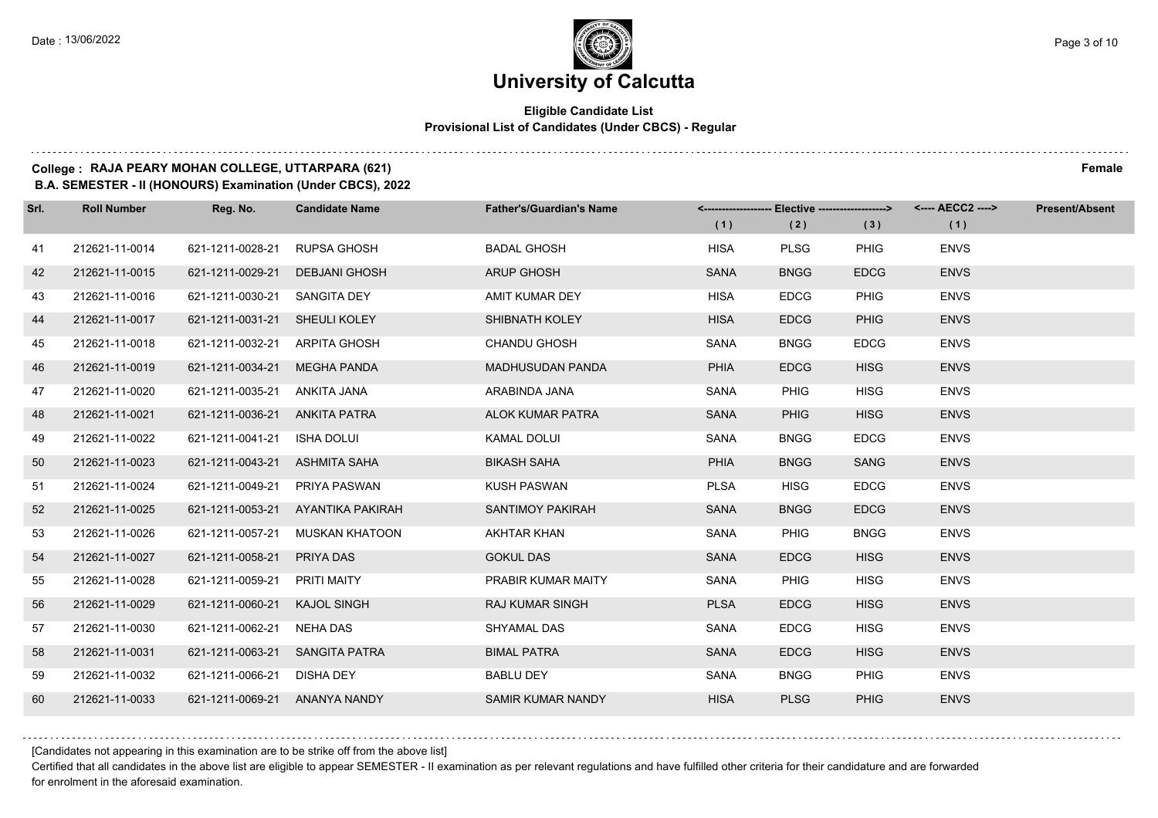#### **Eligible Candidate List Provisional List of Candidates (Under CBCS) - Regular**

### **College : RAJA PEARY MOHAN COLLEGE, UTTARPARA (621) Female**

**B.A. SEMESTER - II (HONOURS) Examination (Under CBCS), 2022**

| Srl. | <b>Roll Number</b> | Reg. No.                      | <b>Candidate Name</b>             | <b>Father's/Guardian's Name</b> | (1)         | <------------------- Elective ------------------><br>(2) | (3)         | <---- AECC2 ----><br>(1) | <b>Present/Absent</b> |
|------|--------------------|-------------------------------|-----------------------------------|---------------------------------|-------------|----------------------------------------------------------|-------------|--------------------------|-----------------------|
| 41   | 212621-11-0014     | 621-1211-0028-21              | <b>RUPSA GHOSH</b>                | <b>BADAL GHOSH</b>              | <b>HISA</b> | <b>PLSG</b>                                              | <b>PHIG</b> | <b>ENVS</b>              |                       |
| 42   | 212621-11-0015     | 621-1211-0029-21              | <b>DEBJANI GHOSH</b>              | <b>ARUP GHOSH</b>               | <b>SANA</b> | <b>BNGG</b>                                              | <b>EDCG</b> | <b>ENVS</b>              |                       |
| 43   | 212621-11-0016     | 621-1211-0030-21              | <b>SANGITA DEY</b>                | AMIT KUMAR DEY                  | <b>HISA</b> | <b>EDCG</b>                                              | <b>PHIG</b> | <b>ENVS</b>              |                       |
| 44   | 212621-11-0017     | 621-1211-0031-21 SHEULI KOLEY |                                   | SHIBNATH KOLEY                  | <b>HISA</b> | <b>EDCG</b>                                              | <b>PHIG</b> | <b>ENVS</b>              |                       |
| 45   | 212621-11-0018     | 621-1211-0032-21              | ARPITA GHOSH                      | <b>CHANDU GHOSH</b>             | SANA        | <b>BNGG</b>                                              | <b>EDCG</b> | <b>ENVS</b>              |                       |
| 46   | 212621-11-0019     | 621-1211-0034-21              | <b>MEGHA PANDA</b>                | <b>MADHUSUDAN PANDA</b>         | <b>PHIA</b> | <b>EDCG</b>                                              | <b>HISG</b> | <b>ENVS</b>              |                       |
| 47   | 212621-11-0020     | 621-1211-0035-21 ANKITA JANA  |                                   | ARABINDA JANA                   | SANA        | <b>PHIG</b>                                              | <b>HISG</b> | <b>ENVS</b>              |                       |
| 48   | 212621-11-0021     | 621-1211-0036-21 ANKITA PATRA |                                   | <b>ALOK KUMAR PATRA</b>         | <b>SANA</b> | <b>PHIG</b>                                              | <b>HISG</b> | <b>ENVS</b>              |                       |
| 49   | 212621-11-0022     | 621-1211-0041-21 ISHA DOLUI   |                                   | KAMAL DOLUI                     | SANA        | <b>BNGG</b>                                              | <b>EDCG</b> | <b>ENVS</b>              |                       |
| 50   | 212621-11-0023     | 621-1211-0043-21              | ASHMITA SAHA                      | <b>BIKASH SAHA</b>              | <b>PHIA</b> | <b>BNGG</b>                                              | <b>SANG</b> | <b>ENVS</b>              |                       |
| 51   | 212621-11-0024     | 621-1211-0049-21              | PRIYA PASWAN                      | <b>KUSH PASWAN</b>              | <b>PLSA</b> | <b>HISG</b>                                              | <b>EDCG</b> | <b>ENVS</b>              |                       |
| 52   | 212621-11-0025     |                               | 621-1211-0053-21 AYANTIKA PAKIRAH | <b>SANTIMOY PAKIRAH</b>         | <b>SANA</b> | <b>BNGG</b>                                              | <b>EDCG</b> | <b>ENVS</b>              |                       |
| 53   | 212621-11-0026     | 621-1211-0057-21              | MUSKAN KHATOON                    | <b>AKHTAR KHAN</b>              | SANA        | <b>PHIG</b>                                              | <b>BNGG</b> | <b>ENVS</b>              |                       |
| 54   | 212621-11-0027     | 621-1211-0058-21              | PRIYA DAS                         | <b>GOKUL DAS</b>                | <b>SANA</b> | <b>EDCG</b>                                              | <b>HISG</b> | <b>ENVS</b>              |                       |
| 55   | 212621-11-0028     | 621-1211-0059-21              | PRITI MAITY                       | PRABIR KUMAR MAITY              | SANA        | <b>PHIG</b>                                              | <b>HISG</b> | <b>ENVS</b>              |                       |
| 56   | 212621-11-0029     | 621-1211-0060-21              | <b>KAJOL SINGH</b>                | <b>RAJ KUMAR SINGH</b>          | <b>PLSA</b> | <b>EDCG</b>                                              | <b>HISG</b> | <b>ENVS</b>              |                       |
| 57   | 212621-11-0030     | 621-1211-0062-21              | NEHA DAS                          | SHYAMAL DAS                     | SANA        | <b>EDCG</b>                                              | <b>HISG</b> | <b>ENVS</b>              |                       |
| 58   | 212621-11-0031     | 621-1211-0063-21              | <b>SANGITA PATRA</b>              | <b>BIMAL PATRA</b>              | <b>SANA</b> | <b>EDCG</b>                                              | <b>HISG</b> | <b>ENVS</b>              |                       |
| 59   | 212621-11-0032     | 621-1211-0066-21 DISHA DEY    |                                   | <b>BABLU DEY</b>                | SANA        | <b>BNGG</b>                                              | <b>PHIG</b> | <b>ENVS</b>              |                       |
| 60   | 212621-11-0033     | 621-1211-0069-21 ANANYA NANDY |                                   | <b>SAMIR KUMAR NANDY</b>        | <b>HISA</b> | <b>PLSG</b>                                              | <b>PHIG</b> | <b>ENVS</b>              |                       |

[Candidates not appearing in this examination are to be strike off from the above list]

Certified that all candidates in the above list are eligible to appear SEMESTER - II examination as per relevant regulations and have fulfilled other criteria for their candidature and are forwarded for enrolment in the aforesaid examination.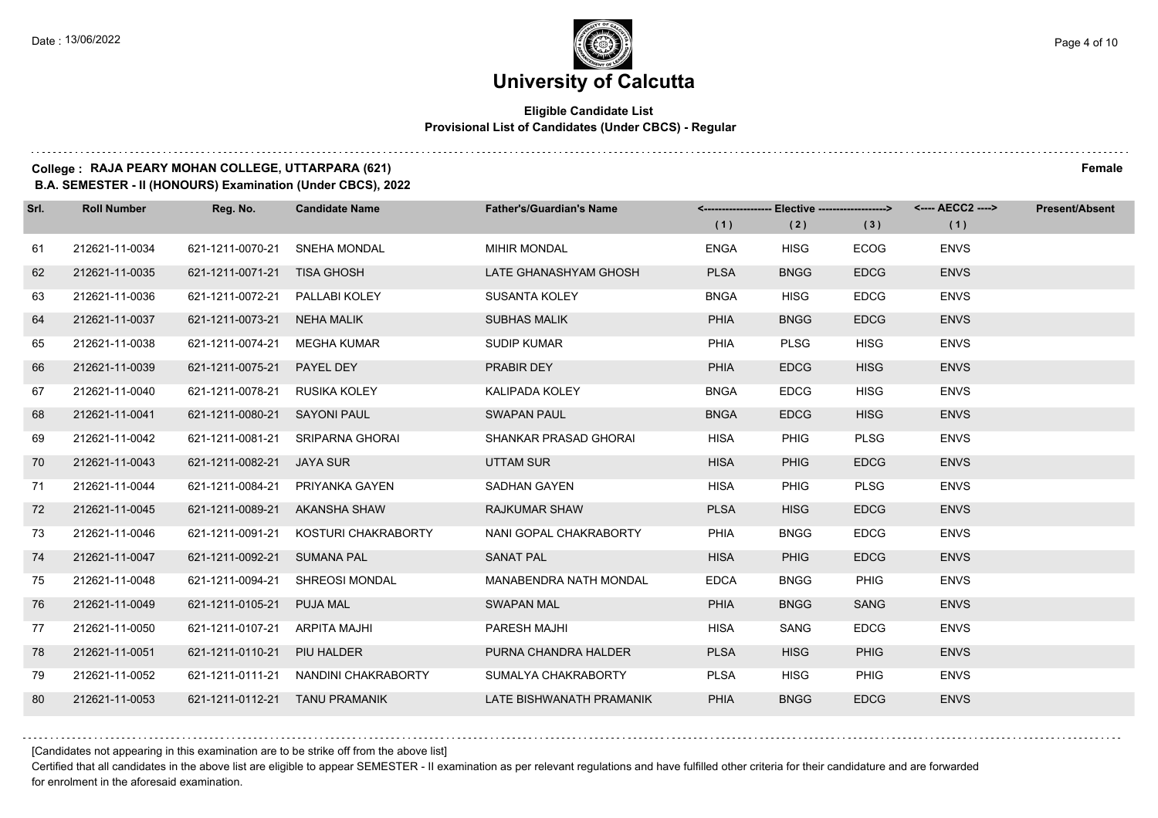#### **Eligible Candidate List Provisional List of Candidates (Under CBCS) - Regular**

#### **College : RAJA PEARY MOHAN COLLEGE, UTTARPARA (621) Female**

**B.A. SEMESTER - II (HONOURS) Examination (Under CBCS), 2022**

| Srl. | <b>Roll Number</b> | Reg. No.                        | <b>Candidate Name</b>          | <b>Father's/Guardian's Name</b> | (1)         | (2)         | (3)         | <------------------- Elective ------------------> <---- AECC2 ----><br>(1) | <b>Present/Absent</b> |
|------|--------------------|---------------------------------|--------------------------------|---------------------------------|-------------|-------------|-------------|----------------------------------------------------------------------------|-----------------------|
| 61   | 212621-11-0034     | 621-1211-0070-21                | <b>SNEHA MONDAL</b>            | <b>MIHIR MONDAL</b>             | <b>ENGA</b> | <b>HISG</b> | <b>ECOG</b> | <b>ENVS</b>                                                                |                       |
|      |                    |                                 |                                |                                 |             |             |             |                                                                            |                       |
| 62   | 212621-11-0035     | 621-1211-0071-21 TISA GHOSH     |                                | LATE GHANASHYAM GHOSH           | <b>PLSA</b> | <b>BNGG</b> | <b>EDCG</b> | <b>ENVS</b>                                                                |                       |
| 63   | 212621-11-0036     | 621-1211-0072-21  PALLABI KOLEY |                                | <b>SUSANTA KOLEY</b>            | <b>BNGA</b> | <b>HISG</b> | <b>EDCG</b> | <b>ENVS</b>                                                                |                       |
| 64   | 212621-11-0037     | 621-1211-0073-21                | NEHA MALIK                     | <b>SUBHAS MALIK</b>             | <b>PHIA</b> | <b>BNGG</b> | <b>EDCG</b> | <b>ENVS</b>                                                                |                       |
| 65   | 212621-11-0038     | 621-1211-0074-21                | MEGHA KUMAR                    | <b>SUDIP KUMAR</b>              | PHIA        | <b>PLSG</b> | <b>HISG</b> | <b>ENVS</b>                                                                |                       |
| 66   | 212621-11-0039     | 621-1211-0075-21                | PAYEL DEY                      | PRABIR DEY                      | <b>PHIA</b> | <b>EDCG</b> | <b>HISG</b> | <b>ENVS</b>                                                                |                       |
| 67   | 212621-11-0040     | 621-1211-0078-21                | RUSIKA KOLEY                   | KALIPADA KOLEY                  | <b>BNGA</b> | <b>EDCG</b> | <b>HISG</b> | <b>ENVS</b>                                                                |                       |
| 68   | 212621-11-0041     | 621-1211-0080-21                | <b>SAYONI PAUL</b>             | <b>SWAPAN PAUL</b>              | <b>BNGA</b> | <b>EDCG</b> | <b>HISG</b> | <b>ENVS</b>                                                                |                       |
| 69   | 212621-11-0042     | 621-1211-0081-21                | SRIPARNA GHORAI                | SHANKAR PRASAD GHORAI           | <b>HISA</b> | <b>PHIG</b> | <b>PLSG</b> | <b>ENVS</b>                                                                |                       |
| 70   | 212621-11-0043     | 621-1211-0082-21                | JAYA SUR                       | <b>UTTAM SUR</b>                | <b>HISA</b> | <b>PHIG</b> | <b>EDCG</b> | <b>ENVS</b>                                                                |                       |
| 71   | 212621-11-0044     | 621-1211-0084-21                | PRIYANKA GAYEN                 | SADHAN GAYEN                    | <b>HISA</b> | <b>PHIG</b> | <b>PLSG</b> | <b>ENVS</b>                                                                |                       |
| 72   | 212621-11-0045     | 621-1211-0089-21 AKANSHA SHAW   |                                | <b>RAJKUMAR SHAW</b>            | <b>PLSA</b> | <b>HISG</b> | <b>EDCG</b> | <b>ENVS</b>                                                                |                       |
| 73   | 212621-11-0046     | 621-1211-0091-21                | KOSTURI CHAKRABORTY            | NANI GOPAL CHAKRABORTY          | PHIA        | <b>BNGG</b> | <b>EDCG</b> | <b>ENVS</b>                                                                |                       |
| 74   | 212621-11-0047     | 621-1211-0092-21                | <b>SUMANA PAL</b>              | <b>SANAT PAL</b>                | <b>HISA</b> | PHIG        | <b>EDCG</b> | <b>ENVS</b>                                                                |                       |
| 75   | 212621-11-0048     | 621-1211-0094-21                | <b>SHREOSI MONDAL</b>          | <b>MANABENDRA NATH MONDAL</b>   | <b>EDCA</b> | <b>BNGG</b> | PHIG        | <b>ENVS</b>                                                                |                       |
| 76   | 212621-11-0049     | 621-1211-0105-21                | <b>PUJA MAL</b>                | <b>SWAPAN MAL</b>               | <b>PHIA</b> | <b>BNGG</b> | <b>SANG</b> | <b>ENVS</b>                                                                |                       |
| 77   | 212621-11-0050     | 621-1211-0107-21                | ARPITA MAJHI                   | PARESH MAJHI                    | <b>HISA</b> | <b>SANG</b> | <b>EDCG</b> | <b>ENVS</b>                                                                |                       |
| 78   | 212621-11-0051     | 621-1211-0110-21                | PIU HALDER                     | PURNA CHANDRA HALDER            | <b>PLSA</b> | <b>HISG</b> | <b>PHIG</b> | <b>ENVS</b>                                                                |                       |
| 79   | 212621-11-0052     | 621-1211-0111-21                | NANDINI CHAKRABORTY            | SUMALYA CHAKRABORTY             | <b>PLSA</b> | <b>HISG</b> | <b>PHIG</b> | <b>ENVS</b>                                                                |                       |
| 80   | 212621-11-0053     |                                 | 621-1211-0112-21 TANU PRAMANIK | LATE BISHWANATH PRAMANIK        | <b>PHIA</b> | <b>BNGG</b> | <b>EDCG</b> | <b>ENVS</b>                                                                |                       |

[Candidates not appearing in this examination are to be strike off from the above list]

Certified that all candidates in the above list are eligible to appear SEMESTER - II examination as per relevant regulations and have fulfilled other criteria for their candidature and are forwarded for enrolment in the aforesaid examination.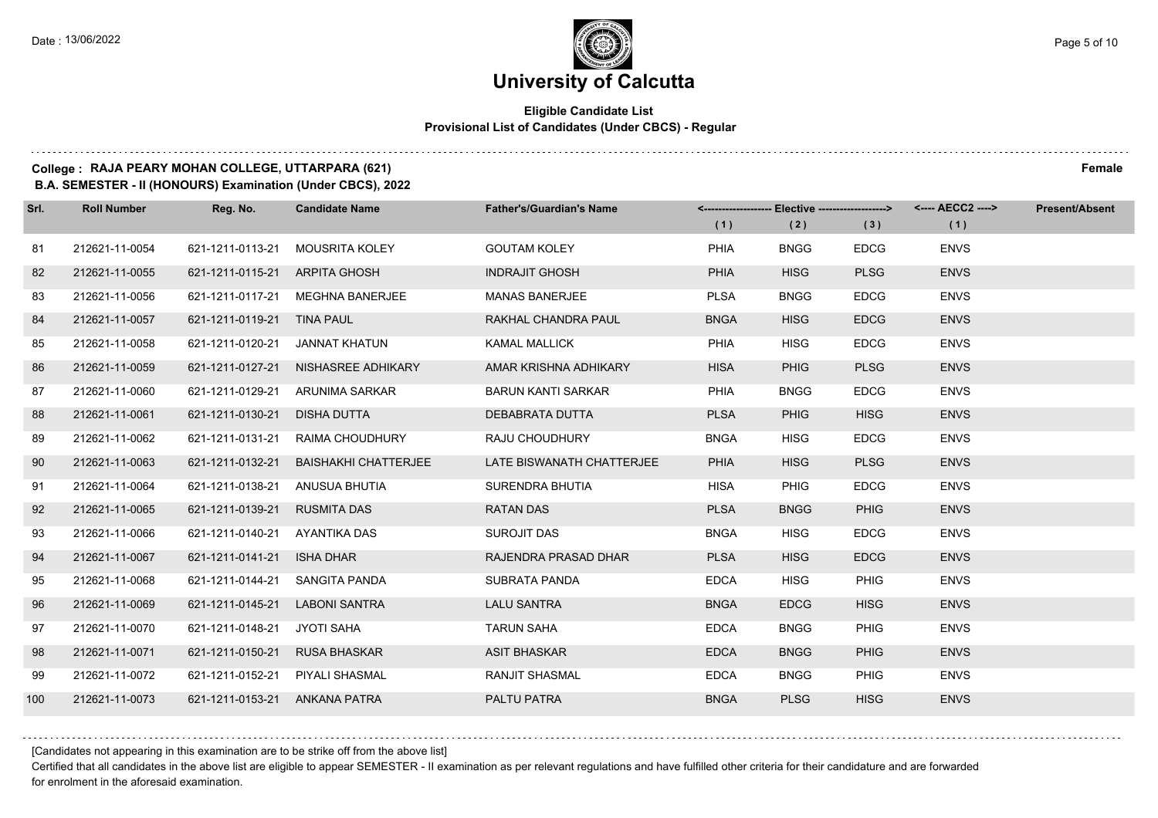#### **Eligible Candidate List Provisional List of Candidates (Under CBCS) - Regular**

#### **College : RAJA PEARY MOHAN COLLEGE, UTTARPARA (621) Female**

**B.A. SEMESTER - II (HONOURS) Examination (Under CBCS), 2022**

| Srl. | <b>Roll Number</b> | Reg. No.                      | <b>Candidate Name</b>       | <b>Father's/Guardian's Name</b> | (1)         | <-------------------- Elective -------------------><br>(2) | (3)         | <---- AECC2 ----><br>(1) | <b>Present/Absent</b> |
|------|--------------------|-------------------------------|-----------------------------|---------------------------------|-------------|------------------------------------------------------------|-------------|--------------------------|-----------------------|
| 81   | 212621-11-0054     | 621-1211-0113-21              | <b>MOUSRITA KOLEY</b>       | <b>GOUTAM KOLEY</b>             | PHIA        | <b>BNGG</b>                                                | <b>EDCG</b> | <b>ENVS</b>              |                       |
| 82   | 212621-11-0055     | 621-1211-0115-21              | <b>ARPITA GHOSH</b>         | <b>INDRAJIT GHOSH</b>           | <b>PHIA</b> | <b>HISG</b>                                                | <b>PLSG</b> | <b>ENVS</b>              |                       |
| 83   | 212621-11-0056     | 621-1211-0117-21              | <b>MEGHNA BANERJEE</b>      | <b>MANAS BANERJEE</b>           | <b>PLSA</b> | <b>BNGG</b>                                                | <b>EDCG</b> | <b>ENVS</b>              |                       |
| 84   | 212621-11-0057     | 621-1211-0119-21 TINA PAUL    |                             | RAKHAL CHANDRA PAUL             | <b>BNGA</b> | <b>HISG</b>                                                | <b>EDCG</b> | <b>ENVS</b>              |                       |
| 85   | 212621-11-0058     | 621-1211-0120-21              | JANNAT KHATUN               | <b>KAMAL MALLICK</b>            | <b>PHIA</b> | <b>HISG</b>                                                | <b>EDCG</b> | <b>ENVS</b>              |                       |
| 86   | 212621-11-0059     | 621-1211-0127-21              | NISHASREE ADHIKARY          | AMAR KRISHNA ADHIKARY           | <b>HISA</b> | <b>PHIG</b>                                                | <b>PLSG</b> | <b>ENVS</b>              |                       |
| 87   | 212621-11-0060     | 621-1211-0129-21              | ARUNIMA SARKAR              | <b>BARUN KANTI SARKAR</b>       | <b>PHIA</b> | <b>BNGG</b>                                                | <b>EDCG</b> | <b>ENVS</b>              |                       |
| 88   | 212621-11-0061     | 621-1211-0130-21              | <b>DISHA DUTTA</b>          | DEBABRATA DUTTA                 | <b>PLSA</b> | <b>PHIG</b>                                                | <b>HISG</b> | <b>ENVS</b>              |                       |
| 89   | 212621-11-0062     | 621-1211-0131-21              | RAIMA CHOUDHURY             | RAJU CHOUDHURY                  | <b>BNGA</b> | <b>HISG</b>                                                | <b>EDCG</b> | <b>ENVS</b>              |                       |
| 90   | 212621-11-0063     | 621-1211-0132-21              | <b>BAISHAKHI CHATTERJEE</b> | LATE BISWANATH CHATTERJEE       | <b>PHIA</b> | <b>HISG</b>                                                | <b>PLSG</b> | <b>ENVS</b>              |                       |
| 91   | 212621-11-0064     | 621-1211-0138-21              | ANUSUA BHUTIA               | SURENDRA BHUTIA                 | <b>HISA</b> | <b>PHIG</b>                                                | <b>EDCG</b> | <b>ENVS</b>              |                       |
| 92   | 212621-11-0065     | 621-1211-0139-21              | <b>RUSMITA DAS</b>          | <b>RATAN DAS</b>                | <b>PLSA</b> | <b>BNGG</b>                                                | <b>PHIG</b> | <b>ENVS</b>              |                       |
| 93   | 212621-11-0066     | 621-1211-0140-21              | AYANTIKA DAS                | SUROJIT DAS                     | <b>BNGA</b> | <b>HISG</b>                                                | <b>EDCG</b> | <b>ENVS</b>              |                       |
| 94   | 212621-11-0067     | 621-1211-0141-21              | <b>ISHA DHAR</b>            | RAJENDRA PRASAD DHAR            | <b>PLSA</b> | <b>HISG</b>                                                | <b>EDCG</b> | <b>ENVS</b>              |                       |
| 95   | 212621-11-0068     | 621-1211-0144-21              | SANGITA PANDA               | <b>SUBRATA PANDA</b>            | <b>EDCA</b> | <b>HISG</b>                                                | <b>PHIG</b> | <b>ENVS</b>              |                       |
| 96   | 212621-11-0069     | 621-1211-0145-21              | <b>LABONI SANTRA</b>        | <b>LALU SANTRA</b>              | <b>BNGA</b> | <b>EDCG</b>                                                | <b>HISG</b> | <b>ENVS</b>              |                       |
| 97   | 212621-11-0070     | 621-1211-0148-21              | JYOTI SAHA                  | <b>TARUN SAHA</b>               | <b>EDCA</b> | <b>BNGG</b>                                                | <b>PHIG</b> | <b>ENVS</b>              |                       |
| 98   | 212621-11-0071     | 621-1211-0150-21              | <b>RUSA BHASKAR</b>         | <b>ASIT BHASKAR</b>             | <b>EDCA</b> | <b>BNGG</b>                                                | <b>PHIG</b> | <b>ENVS</b>              |                       |
| 99   | 212621-11-0072     | 621-1211-0152-21              | PIYALI SHASMAL              | <b>RANJIT SHASMAL</b>           | <b>EDCA</b> | <b>BNGG</b>                                                | <b>PHIG</b> | <b>ENVS</b>              |                       |
| 100  | 212621-11-0073     | 621-1211-0153-21 ANKANA PATRA |                             | PALTU PATRA                     | <b>BNGA</b> | <b>PLSG</b>                                                | <b>HISG</b> | <b>ENVS</b>              |                       |

[Candidates not appearing in this examination are to be strike off from the above list]

Certified that all candidates in the above list are eligible to appear SEMESTER - II examination as per relevant regulations and have fulfilled other criteria for their candidature and are forwarded for enrolment in the aforesaid examination.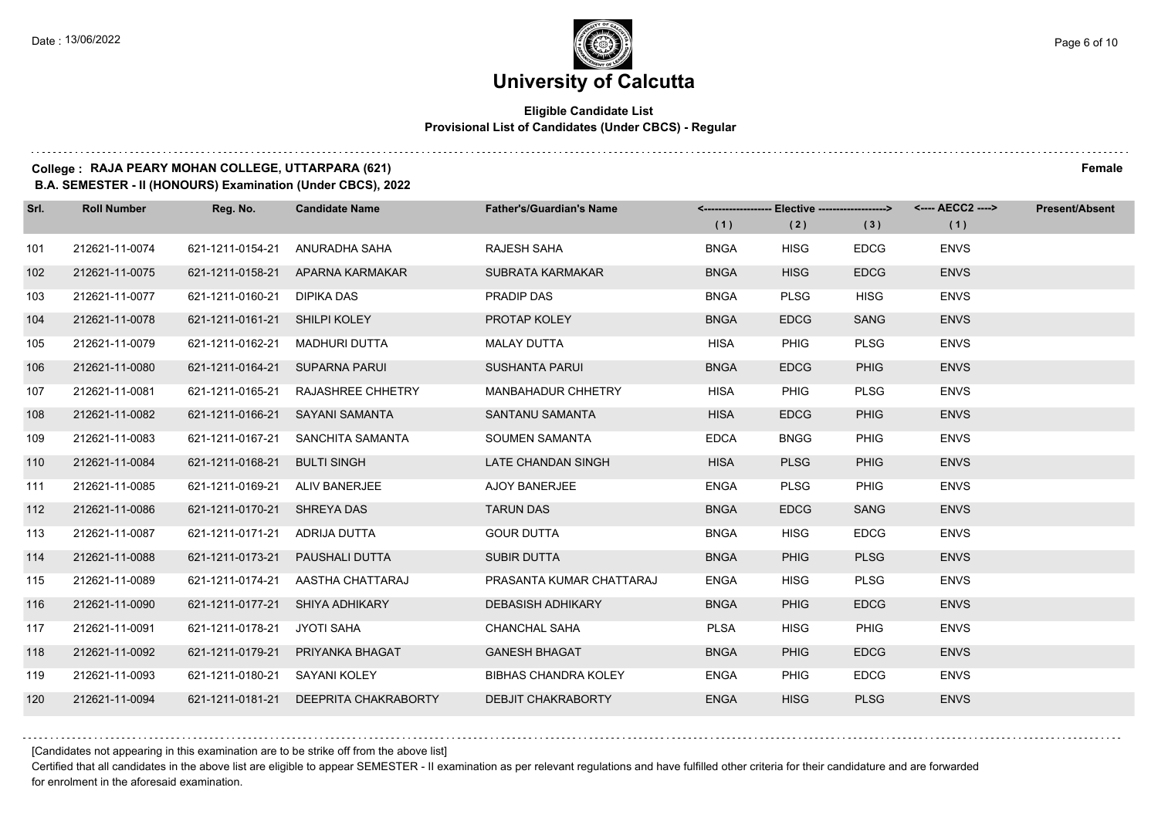#### **Eligible Candidate List Provisional List of Candidates (Under CBCS) - Regular**

### **College : RAJA PEARY MOHAN COLLEGE, UTTARPARA (621) Female**

**B.A. SEMESTER - II (HONOURS) Examination (Under CBCS), 2022**

| Srl. | <b>Roll Number</b> | Reg. No.                       | <b>Candidate Name</b>                 | <b>Father's/Guardian's Name</b> |             | <-------------------- Elective ------------------> |             | <---- AECC2 ----> | <b>Present/Absent</b> |
|------|--------------------|--------------------------------|---------------------------------------|---------------------------------|-------------|----------------------------------------------------|-------------|-------------------|-----------------------|
|      |                    |                                |                                       |                                 | (1)         | (2)                                                | (3)         | (1)               |                       |
| 101  | 212621-11-0074     | 621-1211-0154-21               | ANURADHA SAHA                         | RAJESH SAHA                     | <b>BNGA</b> | <b>HISG</b>                                        | <b>EDCG</b> | <b>ENVS</b>       |                       |
| 102  | 212621-11-0075     |                                | 621-1211-0158-21 APARNA KARMAKAR      | SUBRATA KARMAKAR                | <b>BNGA</b> | <b>HISG</b>                                        | <b>EDCG</b> | <b>ENVS</b>       |                       |
| 103  | 212621-11-0077     | 621-1211-0160-21 DIPIKA DAS    |                                       | PRADIP DAS                      | <b>BNGA</b> | <b>PLSG</b>                                        | <b>HISG</b> | <b>ENVS</b>       |                       |
| 104  | 212621-11-0078     | 621-1211-0161-21 SHILPI KOLEY  |                                       | PROTAP KOLEY                    | <b>BNGA</b> | <b>EDCG</b>                                        | <b>SANG</b> | <b>ENVS</b>       |                       |
| 105  | 212621-11-0079     | 621-1211-0162-21 MADHURI DUTTA |                                       | <b>MALAY DUTTA</b>              | <b>HISA</b> | <b>PHIG</b>                                        | <b>PLSG</b> | <b>ENVS</b>       |                       |
| 106  | 212621-11-0080     | 621-1211-0164-21 SUPARNA PARUI |                                       | <b>SUSHANTA PARUI</b>           | <b>BNGA</b> | <b>EDCG</b>                                        | <b>PHIG</b> | <b>ENVS</b>       |                       |
| 107  | 212621-11-0081     |                                | 621-1211-0165-21 RAJASHREE CHHETRY    | <b>MANBAHADUR CHHETRY</b>       | <b>HISA</b> | PHIG                                               | <b>PLSG</b> | <b>ENVS</b>       |                       |
| 108  | 212621-11-0082     |                                | 621-1211-0166-21 SAYANI SAMANTA       | SANTANU SAMANTA                 | <b>HISA</b> | <b>EDCG</b>                                        | <b>PHIG</b> | <b>ENVS</b>       |                       |
| 109  | 212621-11-0083     |                                | 621-1211-0167-21 SANCHITA SAMANTA     | SOUMEN SAMANTA                  | <b>EDCA</b> | <b>BNGG</b>                                        | <b>PHIG</b> | <b>ENVS</b>       |                       |
| 110  | 212621-11-0084     | 621-1211-0168-21 BULTI SINGH   |                                       | LATE CHANDAN SINGH              | <b>HISA</b> | <b>PLSG</b>                                        | <b>PHIG</b> | <b>ENVS</b>       |                       |
| 111  | 212621-11-0085     | 621-1211-0169-21 ALIV BANERJEE |                                       | AJOY BANERJEE                   | <b>ENGA</b> | <b>PLSG</b>                                        | PHIG        | <b>ENVS</b>       |                       |
| 112  | 212621-11-0086     | 621-1211-0170-21 SHREYA DAS    |                                       | <b>TARUN DAS</b>                | <b>BNGA</b> | <b>EDCG</b>                                        | <b>SANG</b> | <b>ENVS</b>       |                       |
| 113  | 212621-11-0087     | 621-1211-0171-21 ADRIJA DUTTA  |                                       | <b>GOUR DUTTA</b>               | <b>BNGA</b> | <b>HISG</b>                                        | <b>EDCG</b> | <b>ENVS</b>       |                       |
| 114  | 212621-11-0088     |                                | 621-1211-0173-21    PAUSHALI DUTTA    | SUBIR DUTTA                     | <b>BNGA</b> | <b>PHIG</b>                                        | <b>PLSG</b> | <b>ENVS</b>       |                       |
| 115  | 212621-11-0089     |                                | 621-1211-0174-21 AASTHA CHATTARAJ     | PRASANTA KUMAR CHATTARAJ        | <b>ENGA</b> | <b>HISG</b>                                        | <b>PLSG</b> | <b>ENVS</b>       |                       |
| 116  | 212621-11-0090     |                                | 621-1211-0177-21 SHIYA ADHIKARY       | <b>DEBASISH ADHIKARY</b>        | <b>BNGA</b> | <b>PHIG</b>                                        | <b>EDCG</b> | <b>ENVS</b>       |                       |
| 117  | 212621-11-0091     | 621-1211-0178-21 JYOTI SAHA    |                                       | <b>CHANCHAL SAHA</b>            | <b>PLSA</b> | <b>HISG</b>                                        | <b>PHIG</b> | <b>ENVS</b>       |                       |
| 118  | 212621-11-0092     |                                | 621-1211-0179-21 PRIYANKA BHAGAT      | <b>GANESH BHAGAT</b>            | <b>BNGA</b> | <b>PHIG</b>                                        | <b>EDCG</b> | <b>ENVS</b>       |                       |
| 119  | 212621-11-0093     | 621-1211-0180-21 SAYANI KOLEY  |                                       | <b>BIBHAS CHANDRA KOLEY</b>     | <b>ENGA</b> | <b>PHIG</b>                                        | <b>EDCG</b> | <b>ENVS</b>       |                       |
| 120  | 212621-11-0094     |                                | 621-1211-0181-21 DEEPRITA CHAKRABORTY | <b>DEBJIT CHAKRABORTY</b>       | <b>ENGA</b> | <b>HISG</b>                                        | <b>PLSG</b> | <b>ENVS</b>       |                       |

[Candidates not appearing in this examination are to be strike off from the above list]

Certified that all candidates in the above list are eligible to appear SEMESTER - II examination as per relevant regulations and have fulfilled other criteria for their candidature and are forwarded for enrolment in the aforesaid examination.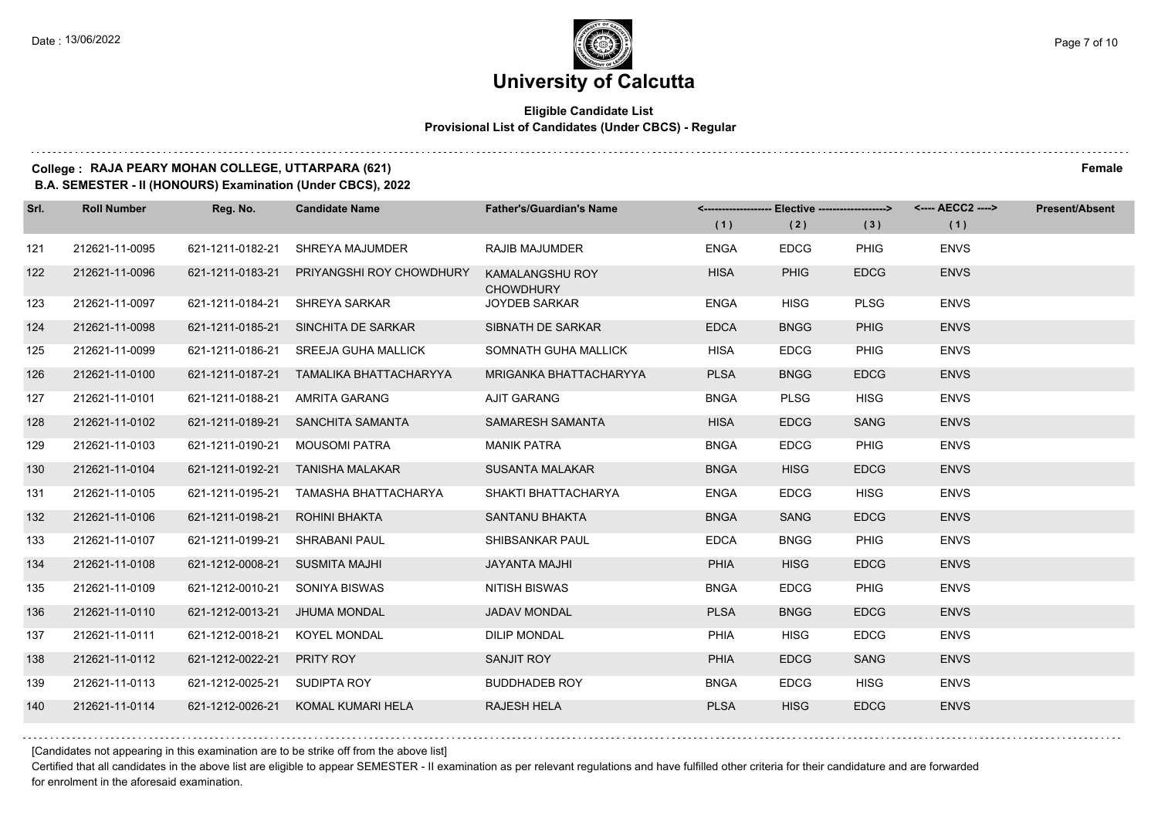#### **Eligible Candidate List Provisional List of Candidates (Under CBCS) - Regular**

### **College : RAJA PEARY MOHAN COLLEGE, UTTARPARA (621) Female**

**B.A. SEMESTER - II (HONOURS) Examination (Under CBCS), 2022**

| Srl. | <b>Roll Number</b> | Reg. No.                       | <b>Candidate Name</b>                     | <b>Father's/Guardian's Name</b>            |             | <-------------------- Elective -------------------> |             | <---- AECC2 ----> | <b>Present/Absent</b> |
|------|--------------------|--------------------------------|-------------------------------------------|--------------------------------------------|-------------|-----------------------------------------------------|-------------|-------------------|-----------------------|
|      |                    |                                |                                           |                                            | (1)         | (2)                                                 | (3)         | (1)               |                       |
| 121  | 212621-11-0095     | 621-1211-0182-21               | SHREYA MAJUMDER                           | <b>RAJIB MAJUMDER</b>                      | <b>ENGA</b> | <b>EDCG</b>                                         | <b>PHIG</b> | <b>ENVS</b>       |                       |
| 122  | 212621-11-0096     |                                | 621-1211-0183-21 PRIYANGSHI ROY CHOWDHURY | <b>KAMALANGSHU ROY</b><br><b>CHOWDHURY</b> | <b>HISA</b> | <b>PHIG</b>                                         | <b>EDCG</b> | <b>ENVS</b>       |                       |
| 123  | 212621-11-0097     | 621-1211-0184-21               | SHREYA SARKAR                             | <b>JOYDEB SARKAR</b>                       | <b>ENGA</b> | <b>HISG</b>                                         | <b>PLSG</b> | <b>ENVS</b>       |                       |
| 124  | 212621-11-0098     |                                | 621-1211-0185-21 SINCHITA DE SARKAR       | SIBNATH DE SARKAR                          | <b>EDCA</b> | <b>BNGG</b>                                         | <b>PHIG</b> | <b>ENVS</b>       |                       |
| 125  | 212621-11-0099     | 621-1211-0186-21               | <b>SREEJA GUHA MALLICK</b>                | SOMNATH GUHA MALLICK                       | <b>HISA</b> | <b>EDCG</b>                                         | <b>PHIG</b> | <b>ENVS</b>       |                       |
| 126  | 212621-11-0100     | 621-1211-0187-21               | TAMALIKA BHATTACHARYYA                    | MRIGANKA BHATTACHARYYA                     | <b>PLSA</b> | <b>BNGG</b>                                         | <b>EDCG</b> | <b>ENVS</b>       |                       |
| 127  | 212621-11-0101     | 621-1211-0188-21               | AMRITA GARANG                             | AJIT GARANG                                | <b>BNGA</b> | <b>PLSG</b>                                         | <b>HISG</b> | <b>ENVS</b>       |                       |
| 128  | 212621-11-0102     |                                | 621-1211-0189-21 SANCHITA SAMANTA         | SAMARESH SAMANTA                           | <b>HISA</b> | <b>EDCG</b>                                         | <b>SANG</b> | <b>ENVS</b>       |                       |
| 129  | 212621-11-0103     | 621-1211-0190-21               | MOUSOMI PATRA                             | <b>MANIK PATRA</b>                         | <b>BNGA</b> | <b>EDCG</b>                                         | <b>PHIG</b> | <b>ENVS</b>       |                       |
| 130  | 212621-11-0104     | 621-1211-0192-21               | <b>TANISHA MALAKAR</b>                    | <b>SUSANTA MALAKAR</b>                     | <b>BNGA</b> | <b>HISG</b>                                         | <b>EDCG</b> | <b>ENVS</b>       |                       |
| 131  | 212621-11-0105     | 621-1211-0195-21               | TAMASHA BHATTACHARYA                      | SHAKTI BHATTACHARYA                        | <b>ENGA</b> | <b>EDCG</b>                                         | <b>HISG</b> | <b>ENVS</b>       |                       |
| 132  | 212621-11-0106     | 621-1211-0198-21               | ROHINI BHAKTA                             | <b>SANTANU BHAKTA</b>                      | <b>BNGA</b> | SANG                                                | <b>EDCG</b> | <b>ENVS</b>       |                       |
| 133  | 212621-11-0107     | 621-1211-0199-21 SHRABANI PAUL |                                           | SHIBSANKAR PAUL                            | <b>EDCA</b> | <b>BNGG</b>                                         | <b>PHIG</b> | <b>ENVS</b>       |                       |
| 134  | 212621-11-0108     | 621-1212-0008-21               | <b>SUSMITA MAJHI</b>                      | <b>JAYANTA MAJHI</b>                       | <b>PHIA</b> | <b>HISG</b>                                         | <b>EDCG</b> | <b>ENVS</b>       |                       |
| 135  | 212621-11-0109     | 621-1212-0010-21 SONIYA BISWAS |                                           | NITISH BISWAS                              | <b>BNGA</b> | <b>EDCG</b>                                         | <b>PHIG</b> | <b>ENVS</b>       |                       |
| 136  | 212621-11-0110     | 621-1212-0013-21               | JHUMA MONDAL                              | <b>JADAV MONDAL</b>                        | <b>PLSA</b> | <b>BNGG</b>                                         | <b>EDCG</b> | <b>ENVS</b>       |                       |
| 137  | 212621-11-0111     | 621-1212-0018-21               | <b>KOYEL MONDAL</b>                       | <b>DILIP MONDAL</b>                        | PHIA        | <b>HISG</b>                                         | <b>EDCG</b> | <b>ENVS</b>       |                       |
| 138  | 212621-11-0112     | 621-1212-0022-21               | <b>PRITY ROY</b>                          | SANJIT ROY                                 | <b>PHIA</b> | <b>EDCG</b>                                         | <b>SANG</b> | <b>ENVS</b>       |                       |
| 139  | 212621-11-0113     | 621-1212-0025-21 SUDIPTA ROY   |                                           | <b>BUDDHADEB ROY</b>                       | <b>BNGA</b> | <b>EDCG</b>                                         | <b>HISG</b> | <b>ENVS</b>       |                       |
| 140  | 212621-11-0114     |                                | 621-1212-0026-21 KOMAL KUMARI HELA        | <b>RAJESH HELA</b>                         | <b>PLSA</b> | <b>HISG</b>                                         | <b>EDCG</b> | <b>ENVS</b>       |                       |

[Candidates not appearing in this examination are to be strike off from the above list]

Certified that all candidates in the above list are eligible to appear SEMESTER - II examination as per relevant regulations and have fulfilled other criteria for their candidature and are forwarded for enrolment in the aforesaid examination.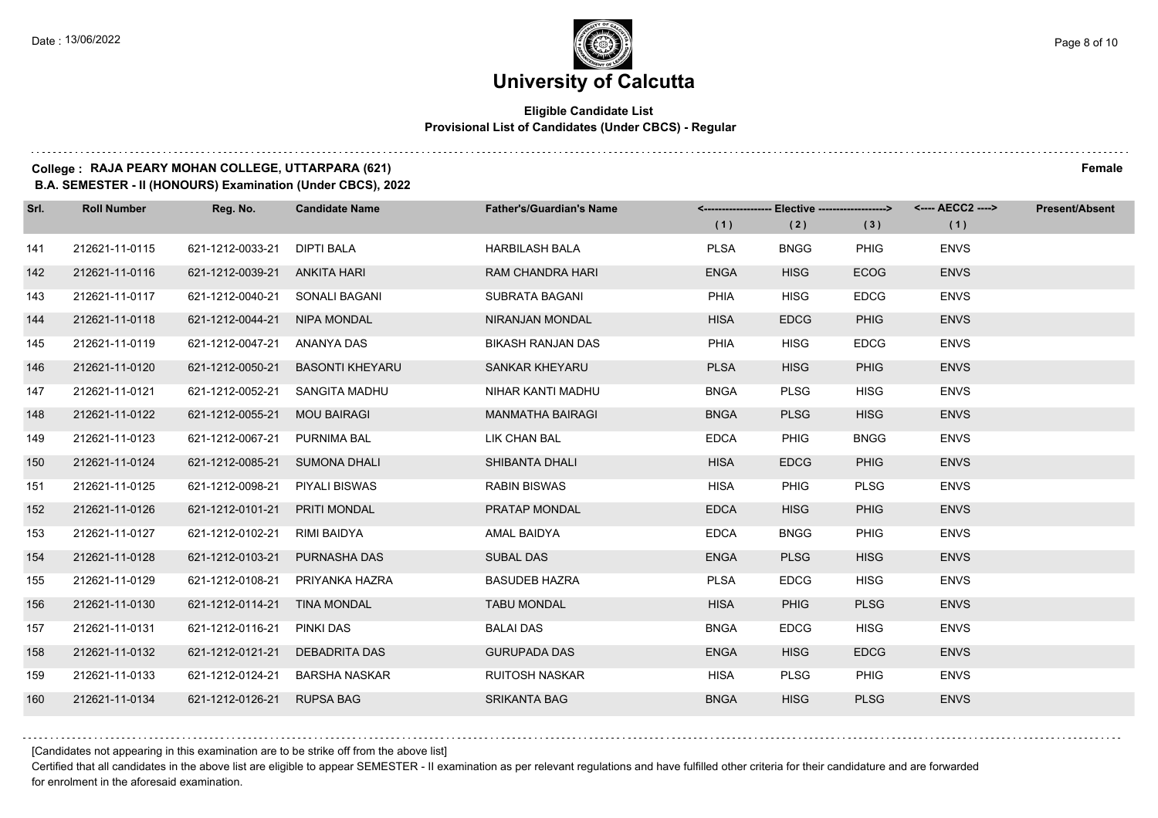#### **Eligible Candidate List Provisional List of Candidates (Under CBCS) - Regular**

### **College : RAJA PEARY MOHAN COLLEGE, UTTARPARA (621) Female**

**B.A. SEMESTER - II (HONOURS) Examination (Under CBCS), 2022**

| Srl. | <b>Roll Number</b> | Reg. No.                       | <b>Candidate Name</b>  | <b>Father's/Guardian's Name</b> |             | <------------------- Elective ------------------> |             | <---- AECC2 ----> | <b>Present/Absent</b> |
|------|--------------------|--------------------------------|------------------------|---------------------------------|-------------|---------------------------------------------------|-------------|-------------------|-----------------------|
|      |                    |                                |                        |                                 | (1)         | (2)                                               | (3)         | (1)               |                       |
| 141  | 212621-11-0115     | 621-1212-0033-21               | <b>DIPTI BALA</b>      | <b>HARBILASH BALA</b>           | <b>PLSA</b> | <b>BNGG</b>                                       | <b>PHIG</b> | <b>ENVS</b>       |                       |
| 142  | 212621-11-0116     | 621-1212-0039-21 ANKITA HARI   |                        | RAM CHANDRA HARI                | <b>ENGA</b> | <b>HISG</b>                                       | <b>ECOG</b> | <b>ENVS</b>       |                       |
| 143  | 212621-11-0117     | 621-1212-0040-21 SONALI BAGANI |                        | SUBRATA BAGANI                  | <b>PHIA</b> | <b>HISG</b>                                       | <b>EDCG</b> | <b>ENVS</b>       |                       |
| 144  | 212621-11-0118     | 621-1212-0044-21               | NIPA MONDAL            | NIRANJAN MONDAL                 | <b>HISA</b> | <b>EDCG</b>                                       | <b>PHIG</b> | <b>ENVS</b>       |                       |
| 145  | 212621-11-0119     | 621-1212-0047-21               | ANANYA DAS             | <b>BIKASH RANJAN DAS</b>        | PHIA        | <b>HISG</b>                                       | <b>EDCG</b> | <b>ENVS</b>       |                       |
| 146  | 212621-11-0120     | 621-1212-0050-21               | <b>BASONTI KHEYARU</b> | <b>SANKAR KHEYARU</b>           | <b>PLSA</b> | <b>HISG</b>                                       | <b>PHIG</b> | <b>ENVS</b>       |                       |
| 147  | 212621-11-0121     | 621-1212-0052-21               | SANGITA MADHU          | NIHAR KANTI MADHU               | <b>BNGA</b> | <b>PLSG</b>                                       | <b>HISG</b> | <b>ENVS</b>       |                       |
| 148  | 212621-11-0122     | 621-1212-0055-21               | <b>MOU BAIRAGI</b>     | <b>MANMATHA BAIRAGI</b>         | <b>BNGA</b> | <b>PLSG</b>                                       | <b>HISG</b> | <b>ENVS</b>       |                       |
| 149  | 212621-11-0123     | 621-1212-0067-21               | PURNIMA BAL            | LIK CHAN BAL                    | <b>EDCA</b> | <b>PHIG</b>                                       | <b>BNGG</b> | <b>ENVS</b>       |                       |
| 150  | 212621-11-0124     | 621-1212-0085-21 SUMONA DHALI  |                        | SHIBANTA DHALI                  | <b>HISA</b> | <b>EDCG</b>                                       | <b>PHIG</b> | <b>ENVS</b>       |                       |
| 151  | 212621-11-0125     | 621-1212-0098-21               | PIYALI BISWAS          | <b>RABIN BISWAS</b>             | <b>HISA</b> | <b>PHIG</b>                                       | <b>PLSG</b> | <b>ENVS</b>       |                       |
| 152  | 212621-11-0126     | 621-1212-0101-21               | <b>PRITI MONDAL</b>    | PRATAP MONDAL                   | <b>EDCA</b> | <b>HISG</b>                                       | <b>PHIG</b> | <b>ENVS</b>       |                       |
| 153  | 212621-11-0127     | 621-1212-0102-21               | RIMI BAIDYA            | AMAL BAIDYA                     | <b>EDCA</b> | <b>BNGG</b>                                       | <b>PHIG</b> | <b>ENVS</b>       |                       |
| 154  | 212621-11-0128     | 621-1212-0103-21               | <b>PURNASHA DAS</b>    | <b>SUBAL DAS</b>                | <b>ENGA</b> | <b>PLSG</b>                                       | <b>HISG</b> | <b>ENVS</b>       |                       |
| 155  | 212621-11-0129     | 621-1212-0108-21               | PRIYANKA HAZRA         | <b>BASUDEB HAZRA</b>            | <b>PLSA</b> | <b>EDCG</b>                                       | <b>HISG</b> | <b>ENVS</b>       |                       |
| 156  | 212621-11-0130     | 621-1212-0114-21 TINA MONDAL   |                        | <b>TABU MONDAL</b>              | <b>HISA</b> | <b>PHIG</b>                                       | <b>PLSG</b> | <b>ENVS</b>       |                       |
| 157  | 212621-11-0131     | 621-1212-0116-21               | <b>PINKI DAS</b>       | <b>BALAI DAS</b>                | <b>BNGA</b> | <b>EDCG</b>                                       | <b>HISG</b> | <b>ENVS</b>       |                       |
| 158  | 212621-11-0132     | 621-1212-0121-21               | <b>DEBADRITA DAS</b>   | <b>GURUPADA DAS</b>             | <b>ENGA</b> | <b>HISG</b>                                       | <b>EDCG</b> | <b>ENVS</b>       |                       |
| 159  | 212621-11-0133     | 621-1212-0124-21               | BARSHA NASKAR          | <b>RUITOSH NASKAR</b>           | <b>HISA</b> | <b>PLSG</b>                                       | PHIG        | <b>ENVS</b>       |                       |
| 160  | 212621-11-0134     | 621-1212-0126-21 RUPSA BAG     |                        | <b>SRIKANTA BAG</b>             | <b>BNGA</b> | <b>HISG</b>                                       | <b>PLSG</b> | <b>ENVS</b>       |                       |

[Candidates not appearing in this examination are to be strike off from the above list]

Certified that all candidates in the above list are eligible to appear SEMESTER - II examination as per relevant regulations and have fulfilled other criteria for their candidature and are forwarded for enrolment in the aforesaid examination.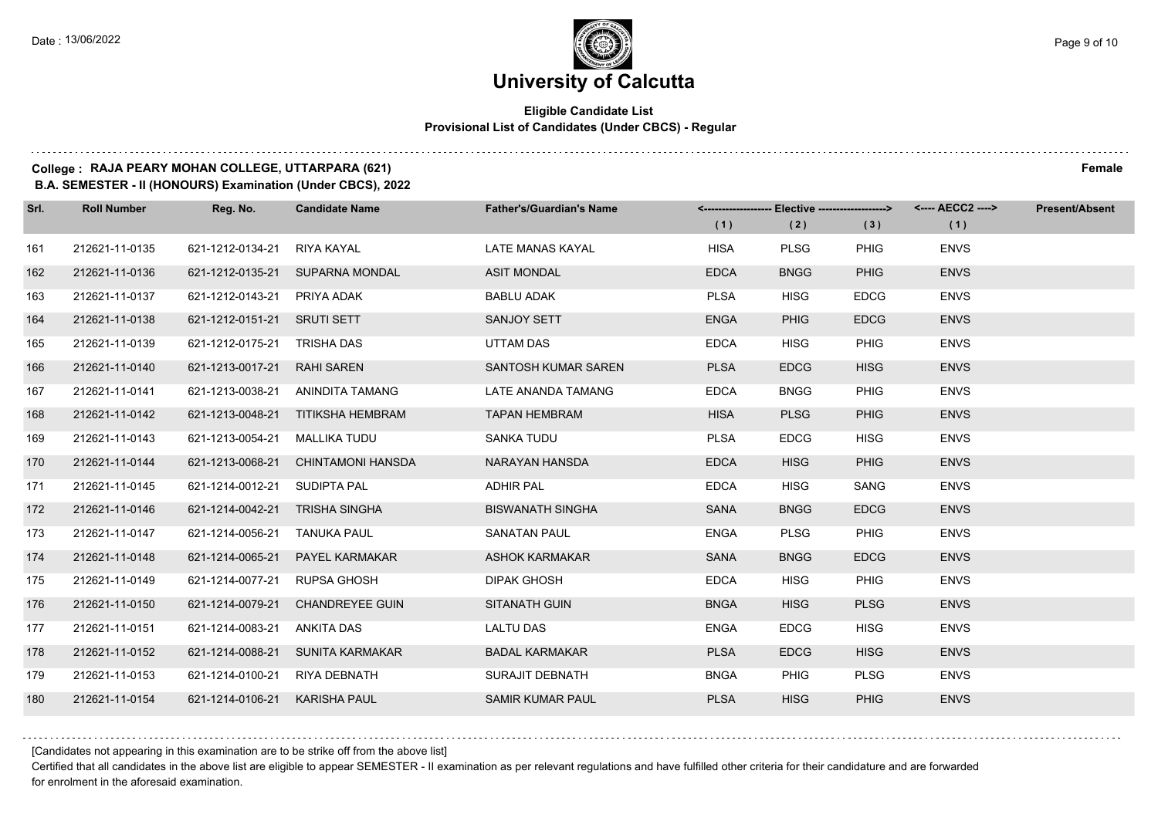#### **Eligible Candidate List Provisional List of Candidates (Under CBCS) - Regular**

#### **College : RAJA PEARY MOHAN COLLEGE, UTTARPARA (621) Female**

**B.A. SEMESTER - II (HONOURS) Examination (Under CBCS), 2022**

| Srl. | <b>Roll Number</b> | Reg. No.                       | <b>Candidate Name</b>              | <b>Father's/Guardian's Name</b> | (1)         | <------------------- Elective ------------------><br>(2) | (3)         | <---- AECC2 ----><br>(1) | <b>Present/Absent</b> |
|------|--------------------|--------------------------------|------------------------------------|---------------------------------|-------------|----------------------------------------------------------|-------------|--------------------------|-----------------------|
| 161  | 212621-11-0135     | 621-1212-0134-21               | RIYA KAYAL                         | LATE MANAS KAYAL                | <b>HISA</b> | <b>PLSG</b>                                              | <b>PHIG</b> | <b>ENVS</b>              |                       |
| 162  | 212621-11-0136     |                                | 621-1212-0135-21 SUPARNA MONDAL    | <b>ASIT MONDAL</b>              | <b>EDCA</b> | <b>BNGG</b>                                              | <b>PHIG</b> | <b>ENVS</b>              |                       |
| 163  | 212621-11-0137     | 621-1212-0143-21 PRIYA ADAK    |                                    | <b>BABLU ADAK</b>               | <b>PLSA</b> | <b>HISG</b>                                              | <b>EDCG</b> | <b>ENVS</b>              |                       |
| 164  | 212621-11-0138     | 621-1212-0151-21 SRUTI SETT    |                                    | SANJOY SETT                     | <b>ENGA</b> | <b>PHIG</b>                                              | <b>EDCG</b> | <b>ENVS</b>              |                       |
| 165  | 212621-11-0139     | 621-1212-0175-21 TRISHA DAS    |                                    | UTTAM DAS                       | <b>EDCA</b> | <b>HISG</b>                                              | <b>PHIG</b> | <b>ENVS</b>              |                       |
| 166  | 212621-11-0140     | 621-1213-0017-21 RAHI SAREN    |                                    | SANTOSH KUMAR SAREN             | <b>PLSA</b> | <b>EDCG</b>                                              | <b>HISG</b> | <b>ENVS</b>              |                       |
| 167  | 212621-11-0141     |                                | 621-1213-0038-21 ANINDITA TAMANG   | LATE ANANDA TAMANG              | <b>EDCA</b> | <b>BNGG</b>                                              | <b>PHIG</b> | <b>ENVS</b>              |                       |
| 168  | 212621-11-0142     |                                | 621-1213-0048-21 TITIKSHA HEMBRAM  | <b>TAPAN HEMBRAM</b>            | <b>HISA</b> | <b>PLSG</b>                                              | <b>PHIG</b> | <b>ENVS</b>              |                       |
| 169  | 212621-11-0143     | 621-1213-0054-21               | MALLIKA TUDU                       | <b>SANKA TUDU</b>               | <b>PLSA</b> | <b>EDCG</b>                                              | <b>HISG</b> | <b>ENVS</b>              |                       |
| 170  | 212621-11-0144     |                                | 621-1213-0068-21 CHINTAMONI HANSDA | NARAYAN HANSDA                  | <b>EDCA</b> | <b>HISG</b>                                              | <b>PHIG</b> | <b>ENVS</b>              |                       |
| 171  | 212621-11-0145     | 621-1214-0012-21 SUDIPTA PAL   |                                    | <b>ADHIR PAL</b>                | <b>EDCA</b> | <b>HISG</b>                                              | SANG        | <b>ENVS</b>              |                       |
| 172  | 212621-11-0146     | 621-1214-0042-21 TRISHA SINGHA |                                    | <b>BISWANATH SINGHA</b>         | SANA        | <b>BNGG</b>                                              | <b>EDCG</b> | <b>ENVS</b>              |                       |
| 173  | 212621-11-0147     | 621-1214-0056-21 TANUKA PAUL   |                                    | <b>SANATAN PAUL</b>             | <b>ENGA</b> | <b>PLSG</b>                                              | <b>PHIG</b> | <b>ENVS</b>              |                       |
| 174  | 212621-11-0148     |                                | 621-1214-0065-21  PAYEL KARMAKAR   | <b>ASHOK KARMAKAR</b>           | <b>SANA</b> | <b>BNGG</b>                                              | <b>EDCG</b> | <b>ENVS</b>              |                       |
| 175  | 212621-11-0149     | 621-1214-0077-21 RUPSA GHOSH   |                                    | <b>DIPAK GHOSH</b>              | <b>EDCA</b> | <b>HISG</b>                                              | <b>PHIG</b> | <b>ENVS</b>              |                       |
| 176  | 212621-11-0150     |                                | 621-1214-0079-21 CHANDREYEE GUIN   | <b>SITANATH GUIN</b>            | <b>BNGA</b> | <b>HISG</b>                                              | <b>PLSG</b> | <b>ENVS</b>              |                       |
| 177  | 212621-11-0151     | 621-1214-0083-21               | ANKITA DAS                         | <b>LALTU DAS</b>                | <b>ENGA</b> | <b>EDCG</b>                                              | <b>HISG</b> | <b>ENVS</b>              |                       |
| 178  | 212621-11-0152     |                                | 621-1214-0088-21 SUNITA KARMAKAR   | <b>BADAL KARMAKAR</b>           | <b>PLSA</b> | <b>EDCG</b>                                              | <b>HISG</b> | <b>ENVS</b>              |                       |
| 179  | 212621-11-0153     | 621-1214-0100-21               | RIYA DEBNATH                       | SURAJIT DEBNATH                 | <b>BNGA</b> | <b>PHIG</b>                                              | <b>PLSG</b> | <b>ENVS</b>              |                       |
| 180  | 212621-11-0154     | 621-1214-0106-21 KARISHA PAUL  |                                    | <b>SAMIR KUMAR PAUL</b>         | <b>PLSA</b> | <b>HISG</b>                                              | <b>PHIG</b> | <b>ENVS</b>              |                       |

[Candidates not appearing in this examination are to be strike off from the above list]

Certified that all candidates in the above list are eligible to appear SEMESTER - II examination as per relevant regulations and have fulfilled other criteria for their candidature and are forwarded for enrolment in the aforesaid examination.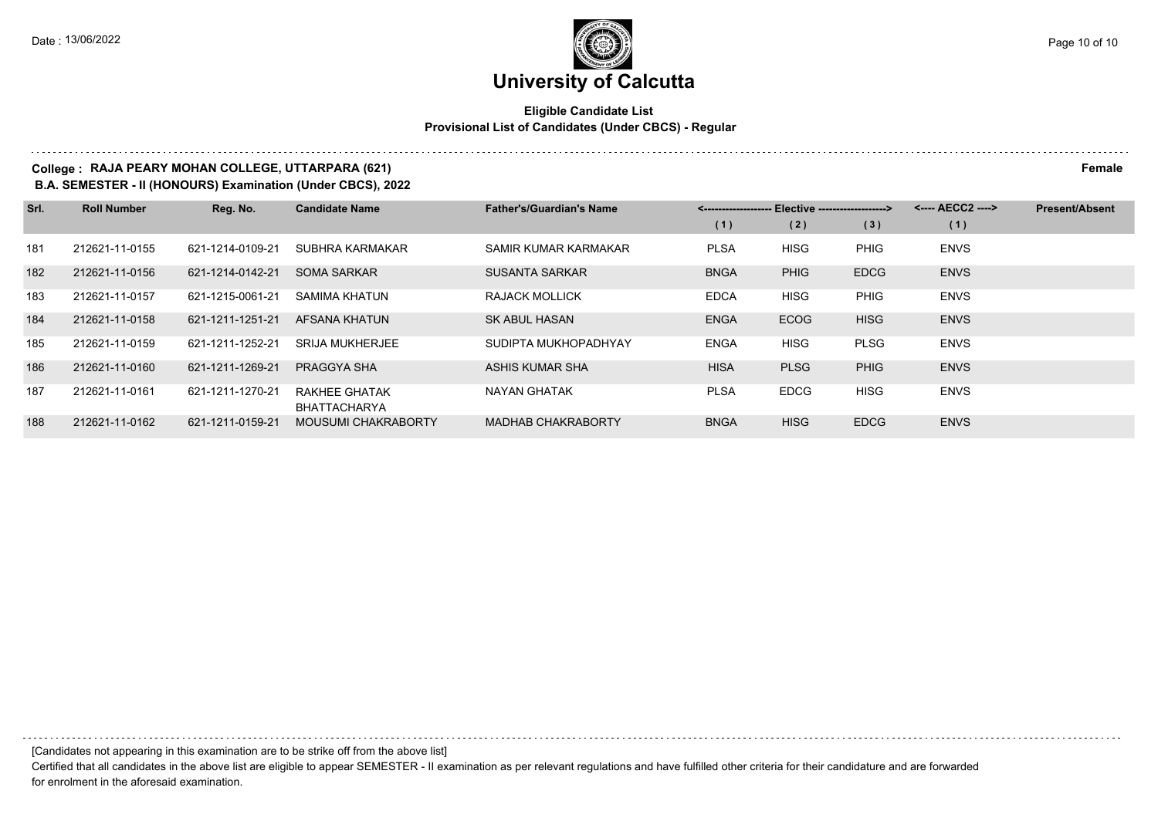#### **Eligible Candidate List Provisional List of Candidates (Under CBCS) - Regular**

#### **College : RAJA PEARY MOHAN COLLEGE, UTTARPARA (621) Female**

**B.A. SEMESTER - II (HONOURS) Examination (Under CBCS), 2022**

| Srl. | <b>Roll Number</b> | Reg. No.         | <b>Candidate Name</b>                | <b>Father's/Guardian's Name</b> | <------------------- Elective ------------------> |             |             | <---- AECC2 ----> | <b>Present/Absent</b> |
|------|--------------------|------------------|--------------------------------------|---------------------------------|---------------------------------------------------|-------------|-------------|-------------------|-----------------------|
|      |                    |                  |                                      |                                 | (1)                                               | (2)         | (3)         | (1)               |                       |
| 181  | 212621-11-0155     | 621-1214-0109-21 | SUBHRA KARMAKAR                      | SAMIR KUMAR KARMAKAR            | <b>PLSA</b>                                       | <b>HISG</b> | <b>PHIG</b> | <b>ENVS</b>       |                       |
| 182  | 212621-11-0156     | 621-1214-0142-21 | <b>SOMA SARKAR</b>                   | <b>SUSANTA SARKAR</b>           | <b>BNGA</b>                                       | <b>PHIG</b> | <b>EDCG</b> | <b>ENVS</b>       |                       |
| 183  | 212621-11-0157     | 621-1215-0061-21 | SAMIMA KHATUN                        | RAJACK MOLLICK                  | <b>EDCA</b>                                       | <b>HISG</b> | <b>PHIG</b> | <b>ENVS</b>       |                       |
| 184  | 212621-11-0158     | 621-1211-1251-21 | AFSANA KHATUN                        | <b>SK ABUL HASAN</b>            | <b>ENGA</b>                                       | <b>ECOG</b> | <b>HISG</b> | <b>ENVS</b>       |                       |
| 185  | 212621-11-0159     | 621-1211-1252-21 | <b>SRIJA MUKHERJEE</b>               | SUDIPTA MUKHOPADHYAY            | <b>ENGA</b>                                       | <b>HISG</b> | <b>PLSG</b> | <b>ENVS</b>       |                       |
| 186  | 212621-11-0160     | 621-1211-1269-21 | PRAGGYA SHA                          | ASHIS KUMAR SHA                 | <b>HISA</b>                                       | <b>PLSG</b> | <b>PHIG</b> | <b>ENVS</b>       |                       |
| 187  | 212621-11-0161     | 621-1211-1270-21 | RAKHEE GHATAK<br><b>BHATTACHARYA</b> | NAYAN GHATAK                    | <b>PLSA</b>                                       | <b>EDCG</b> | <b>HISG</b> | <b>ENVS</b>       |                       |
| 188  | 212621-11-0162     | 621-1211-0159-21 | <b>MOUSUMI CHAKRABORTY</b>           | <b>MADHAB CHAKRABORTY</b>       | <b>BNGA</b>                                       | <b>HISG</b> | <b>EDCG</b> | <b>ENVS</b>       |                       |

[Candidates not appearing in this examination are to be strike off from the above list]

Certified that all candidates in the above list are eligible to appear SEMESTER - II examination as per relevant regulations and have fulfilled other criteria for their candidature and are forwarded for enrolment in the aforesaid examination.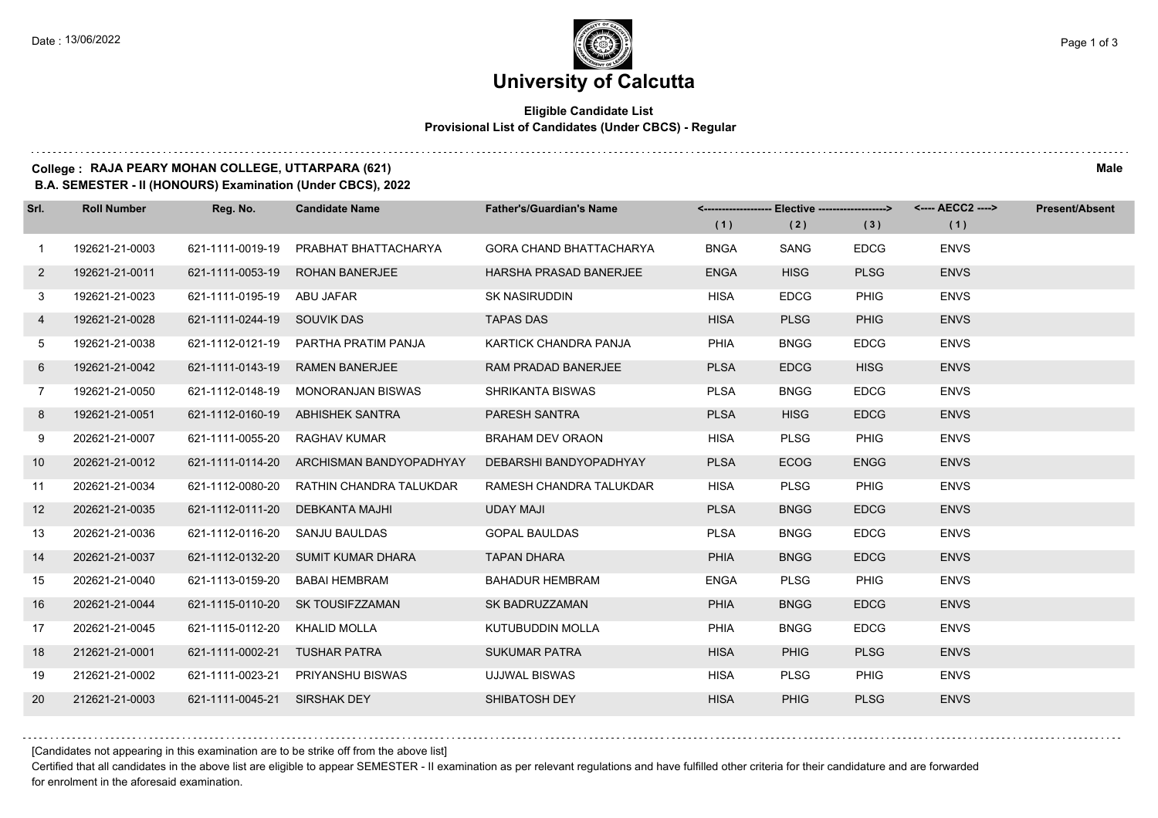#### **Eligible Candidate List Provisional List of Candidates (Under CBCS) - Regular**

#### **College : RAJA PEARY MOHAN COLLEGE, UTTARPARA (621) Male**

**B.A. SEMESTER - II (HONOURS) Examination (Under CBCS), 2022**

| Srl.           | <b>Roll Number</b> | Reg. No.                     | <b>Candidate Name</b>                    | <b>Father's/Guardian's Name</b> |             | <-------------------- Elective -------------------> |             | <---- AECC2 ----> | <b>Present/Absent</b> |
|----------------|--------------------|------------------------------|------------------------------------------|---------------------------------|-------------|-----------------------------------------------------|-------------|-------------------|-----------------------|
|                |                    |                              |                                          |                                 | (1)         | (2)                                                 | (3)         | (1)               |                       |
| $\mathbf{1}$   | 192621-21-0003     | 621-1111-0019-19             | PRABHAT BHATTACHARYA                     | <b>GORA CHAND BHATTACHARYA</b>  | <b>BNGA</b> | SANG                                                | <b>EDCG</b> | <b>ENVS</b>       |                       |
| $\overline{2}$ | 192621-21-0011     | 621-1111-0053-19             | <b>ROHAN BANERJEE</b>                    | <b>HARSHA PRASAD BANERJEE</b>   | <b>ENGA</b> | <b>HISG</b>                                         | <b>PLSG</b> | <b>ENVS</b>       |                       |
| 3              | 192621-21-0023     | 621-1111-0195-19 ABU JAFAR   |                                          | <b>SK NASIRUDDIN</b>            | <b>HISA</b> | <b>EDCG</b>                                         | PHIG        | <b>ENVS</b>       |                       |
| 4              | 192621-21-0028     | 621-1111-0244-19 SOUVIK DAS  |                                          | <b>TAPAS DAS</b>                | <b>HISA</b> | <b>PLSG</b>                                         | <b>PHIG</b> | <b>ENVS</b>       |                       |
| 5              | 192621-21-0038     | 621-1112-0121-19             | PARTHA PRATIM PANJA                      | KARTICK CHANDRA PANJA           | <b>PHIA</b> | <b>BNGG</b>                                         | <b>EDCG</b> | <b>ENVS</b>       |                       |
| 6              | 192621-21-0042     | 621-1111-0143-19             | <b>RAMEN BANERJEE</b>                    | RAM PRADAD BANERJEE             | <b>PLSA</b> | <b>EDCG</b>                                         | <b>HISG</b> | <b>ENVS</b>       |                       |
| $7^{\circ}$    | 192621-21-0050     |                              | 621-1112-0148-19 MONORANJAN BISWAS       | <b>SHRIKANTA BISWAS</b>         | <b>PLSA</b> | <b>BNGG</b>                                         | <b>EDCG</b> | <b>ENVS</b>       |                       |
| 8              | 192621-21-0051     |                              | 621-1112-0160-19 ABHISHEK SANTRA         | <b>PARESH SANTRA</b>            | <b>PLSA</b> | <b>HISG</b>                                         | <b>EDCG</b> | <b>ENVS</b>       |                       |
| 9              | 202621-21-0007     | 621-1111-0055-20             | RAGHAV KUMAR                             | <b>BRAHAM DEV ORAON</b>         | <b>HISA</b> | <b>PLSG</b>                                         | PHIG        | <b>ENVS</b>       |                       |
| 10             | 202621-21-0012     |                              | 621-1111-0114-20 ARCHISMAN BANDYOPADHYAY | DEBARSHI BANDYOPADHYAY          | <b>PLSA</b> | <b>ECOG</b>                                         | <b>ENGG</b> | <b>ENVS</b>       |                       |
| 11             | 202621-21-0034     | 621-1112-0080-20             | RATHIN CHANDRA TALUKDAR                  | RAMESH CHANDRA TALUKDAR         | <b>HISA</b> | <b>PLSG</b>                                         | PHIG        | <b>ENVS</b>       |                       |
| 12             | 202621-21-0035     | 621-1112-0111-20             | DEBKANTA MAJHI                           | <b>UDAY MAJI</b>                | <b>PLSA</b> | <b>BNGG</b>                                         | <b>EDCG</b> | <b>ENVS</b>       |                       |
| 13             | 202621-21-0036     | 621-1112-0116-20             | SANJU BAULDAS                            | <b>GOPAL BAULDAS</b>            | <b>PLSA</b> | <b>BNGG</b>                                         | <b>EDCG</b> | <b>ENVS</b>       |                       |
| 14             | 202621-21-0037     |                              | 621-1112-0132-20 SUMIT KUMAR DHARA       | <b>TAPAN DHARA</b>              | <b>PHIA</b> | <b>BNGG</b>                                         | <b>EDCG</b> | <b>ENVS</b>       |                       |
| 15             | 202621-21-0040     | 621-1113-0159-20             | BABAI HEMBRAM                            | <b>BAHADUR HEMBRAM</b>          | <b>ENGA</b> | <b>PLSG</b>                                         | PHIG        | <b>ENVS</b>       |                       |
| 16             | 202621-21-0044     |                              | 621-1115-0110-20 SK TOUSIFZZAMAN         | SK BADRUZZAMAN                  | <b>PHIA</b> | <b>BNGG</b>                                         | <b>EDCG</b> | <b>ENVS</b>       |                       |
| 17             | 202621-21-0045     | 621-1115-0112-20             | KHALID MOLLA                             | <b>KUTUBUDDIN MOLLA</b>         | PHIA        | <b>BNGG</b>                                         | <b>EDCG</b> | <b>ENVS</b>       |                       |
| 18             | 212621-21-0001     | 621-1111-0002-21             | <b>TUSHAR PATRA</b>                      | <b>SUKUMAR PATRA</b>            | <b>HISA</b> | <b>PHIG</b>                                         | <b>PLSG</b> | <b>ENVS</b>       |                       |
| 19             | 212621-21-0002     |                              | 621-1111-0023-21 PRIYANSHU BISWAS        | <b>UJJWAL BISWAS</b>            | <b>HISA</b> | <b>PLSG</b>                                         | <b>PHIG</b> | <b>ENVS</b>       |                       |
| 20             | 212621-21-0003     | 621-1111-0045-21 SIRSHAK DEY |                                          | SHIBATOSH DEY                   | <b>HISA</b> | <b>PHIG</b>                                         | <b>PLSG</b> | <b>ENVS</b>       |                       |

[Candidates not appearing in this examination are to be strike off from the above list]

Certified that all candidates in the above list are eligible to appear SEMESTER - II examination as per relevant regulations and have fulfilled other criteria for their candidature and are forwarded for enrolment in the aforesaid examination.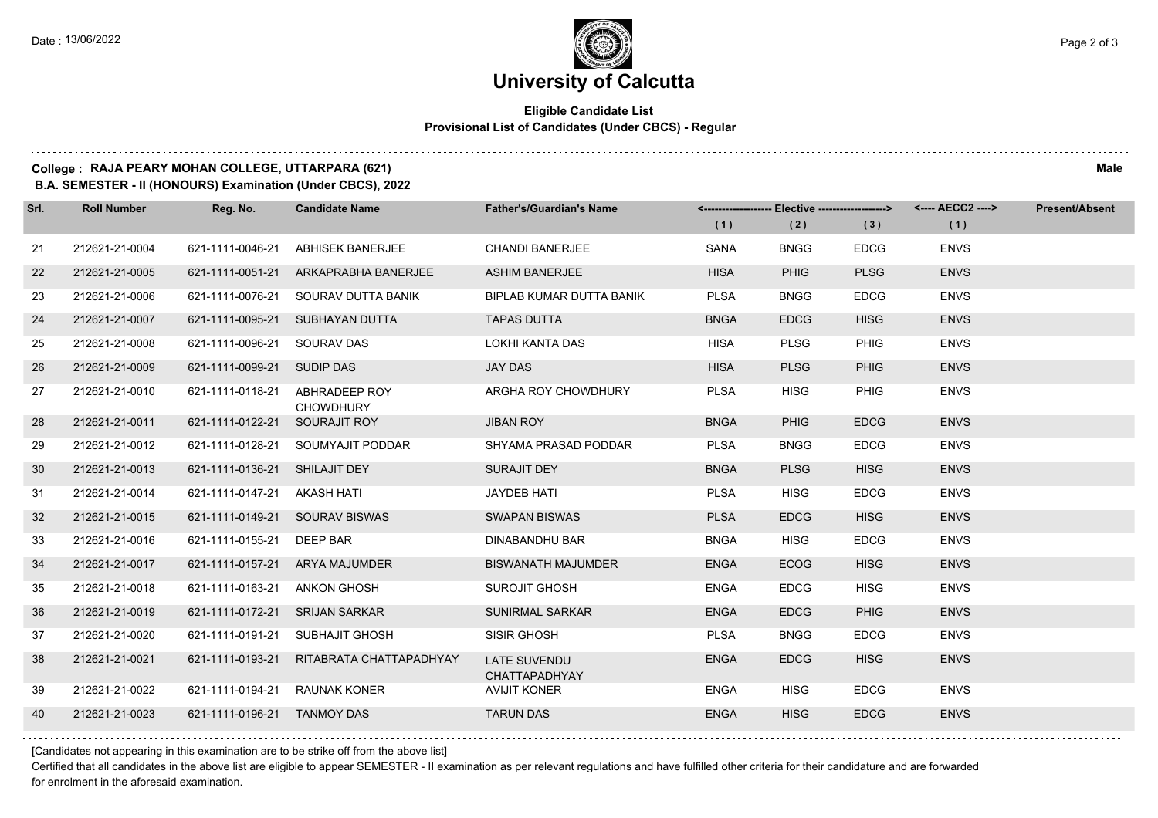#### **Eligible Candidate List Provisional List of Candidates (Under CBCS) - Regular**

#### **College : RAJA PEARY MOHAN COLLEGE, UTTARPARA (621) Male**

**B.A. SEMESTER - II (HONOURS) Examination (Under CBCS), 2022**

| Srl. | <b>Roll Number</b> | Reg. No.                      | <b>Candidate Name</b>                | <b>Father's/Guardian's Name</b>      |             | <-------------------- Elective -------------------> |             | <---- AECC2 ----> | <b>Present/Absent</b> |
|------|--------------------|-------------------------------|--------------------------------------|--------------------------------------|-------------|-----------------------------------------------------|-------------|-------------------|-----------------------|
|      |                    |                               |                                      |                                      | (1)         | (2)                                                 | (3)         | (1)               |                       |
| 21   | 212621-21-0004     | 621-1111-0046-21              | <b>ABHISEK BANERJEE</b>              | <b>CHANDI BANERJEE</b>               | <b>SANA</b> | <b>BNGG</b>                                         | <b>EDCG</b> | <b>ENVS</b>       |                       |
| 22   | 212621-21-0005     |                               | 621-1111-0051-21 ARKAPRABHA BANERJEE | <b>ASHIM BANERJEE</b>                | <b>HISA</b> | <b>PHIG</b>                                         | <b>PLSG</b> | <b>ENVS</b>       |                       |
| 23   | 212621-21-0006     | 621-1111-0076-21              | SOURAV DUTTA BANIK                   | BIPLAB KUMAR DUTTA BANIK             | <b>PLSA</b> | <b>BNGG</b>                                         | <b>EDCG</b> | <b>ENVS</b>       |                       |
| 24   | 212621-21-0007     | 621-1111-0095-21              | SUBHAYAN DUTTA                       | <b>TAPAS DUTTA</b>                   | <b>BNGA</b> | <b>EDCG</b>                                         | <b>HISG</b> | <b>ENVS</b>       |                       |
| 25   | 212621-21-0008     | 621-1111-0096-21 SOURAV DAS   |                                      | <b>LOKHI KANTA DAS</b>               | <b>HISA</b> | <b>PLSG</b>                                         | <b>PHIG</b> | <b>ENVS</b>       |                       |
| 26   | 212621-21-0009     | 621-1111-0099-21 SUDIP DAS    |                                      | <b>JAY DAS</b>                       | <b>HISA</b> | <b>PLSG</b>                                         | <b>PHIG</b> | <b>ENVS</b>       |                       |
| 27   | 212621-21-0010     | 621-1111-0118-21              | ABHRADEEP ROY<br><b>CHOWDHURY</b>    | ARGHA ROY CHOWDHURY                  | <b>PLSA</b> | <b>HISG</b>                                         | PHIG        | <b>ENVS</b>       |                       |
| 28   | 212621-21-0011     | 621-1111-0122-21              | SOURAJIT ROY                         | <b>JIBAN ROY</b>                     | <b>BNGA</b> | <b>PHIG</b>                                         | <b>EDCG</b> | <b>ENVS</b>       |                       |
| 29   | 212621-21-0012     | 621-1111-0128-21              | SOUMYAJIT PODDAR                     | SHYAMA PRASAD PODDAR                 | <b>PLSA</b> | <b>BNGG</b>                                         | <b>EDCG</b> | <b>ENVS</b>       |                       |
| 30   | 212621-21-0013     | 621-1111-0136-21 SHILAJIT DEY |                                      | <b>SURAJIT DEY</b>                   | <b>BNGA</b> | <b>PLSG</b>                                         | <b>HISG</b> | <b>ENVS</b>       |                       |
| -31  | 212621-21-0014     | 621-1111-0147-21 AKASH HATI   |                                      | <b>JAYDEB HATI</b>                   | <b>PLSA</b> | <b>HISG</b>                                         | <b>EDCG</b> | <b>ENVS</b>       |                       |
| 32   | 212621-21-0015     | 621-1111-0149-21              | <b>SOURAV BISWAS</b>                 | <b>SWAPAN BISWAS</b>                 | <b>PLSA</b> | <b>EDCG</b>                                         | <b>HISG</b> | <b>ENVS</b>       |                       |
| 33   | 212621-21-0016     | 621-1111-0155-21              | DEEP BAR                             | <b>DINABANDHU BAR</b>                | <b>BNGA</b> | <b>HISG</b>                                         | <b>EDCG</b> | <b>ENVS</b>       |                       |
| 34   | 212621-21-0017     |                               | 621-1111-0157-21 ARYA MAJUMDER       | <b>BISWANATH MAJUMDER</b>            | <b>ENGA</b> | <b>ECOG</b>                                         | <b>HISG</b> | <b>ENVS</b>       |                       |
| 35   | 212621-21-0018     | 621-1111-0163-21              | ANKON GHOSH                          | <b>SUROJIT GHOSH</b>                 | <b>ENGA</b> | <b>EDCG</b>                                         | <b>HISG</b> | <b>ENVS</b>       |                       |
| 36   | 212621-21-0019     | 621-1111-0172-21              | <b>SRIJAN SARKAR</b>                 | <b>SUNIRMAL SARKAR</b>               | <b>ENGA</b> | <b>EDCG</b>                                         | <b>PHIG</b> | <b>ENVS</b>       |                       |
| 37   | 212621-21-0020     | 621-1111-0191-21              | SUBHAJIT GHOSH                       | SISIR GHOSH                          | <b>PLSA</b> | <b>BNGG</b>                                         | <b>EDCG</b> | <b>ENVS</b>       |                       |
| 38   | 212621-21-0021     | 621-1111-0193-21              | RITABRATA CHATTAPADHYAY              | <b>LATE SUVENDU</b><br>CHATTAPADHYAY | <b>ENGA</b> | <b>EDCG</b>                                         | <b>HISG</b> | <b>ENVS</b>       |                       |
| 39   | 212621-21-0022     | 621-1111-0194-21              | <b>RAUNAK KONER</b>                  | <b>AVIJIT KONER</b>                  | <b>ENGA</b> | <b>HISG</b>                                         | <b>EDCG</b> | <b>ENVS</b>       |                       |
| 40   | 212621-21-0023     | 621-1111-0196-21              | <b>TANMOY DAS</b>                    | <b>TARUN DAS</b>                     | <b>ENGA</b> | <b>HISG</b>                                         | <b>EDCG</b> | <b>ENVS</b>       |                       |
|      |                    |                               |                                      |                                      |             |                                                     |             |                   |                       |

[Candidates not appearing in this examination are to be strike off from the above list]

Certified that all candidates in the above list are eligible to appear SEMESTER - II examination as per relevant regulations and have fulfilled other criteria for their candidature and are forwarded for enrolment in the aforesaid examination.

and a state of